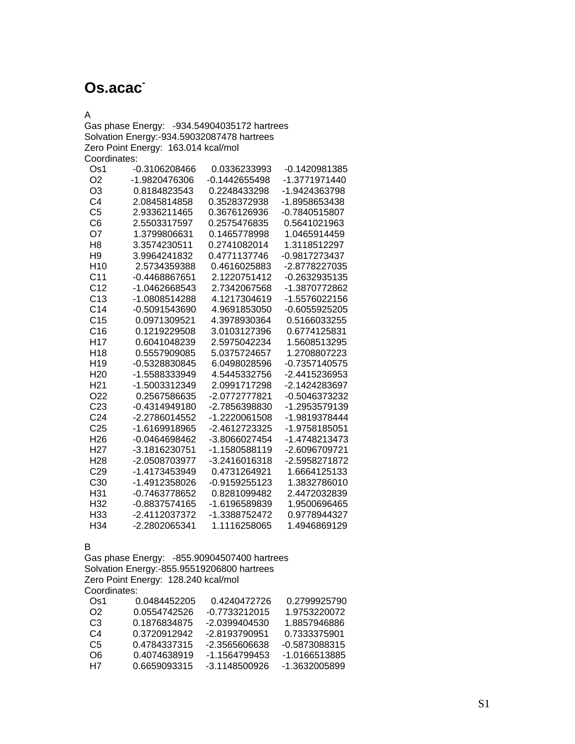# **Os.acac-**

A

Gas phase Energy: -934.54904035172 hartrees Solvation Energy:-934.59032087478 hartrees Zero Point Energy: 163.014 kcal/mol Coordinates:

| Os1             | -0.3106208466 | 0.0336233993    | -0.1420981385 |
|-----------------|---------------|-----------------|---------------|
| O <sub>2</sub>  | -1.9820476306 | $-0.1442655498$ | -1.3771971440 |
| O3              | 0.8184823543  | 0.2248433298    | -1.9424363798 |
| C <sub>4</sub>  | 2.0845814858  | 0.3528372938    | -1.8958653438 |
| C <sub>5</sub>  | 2.9336211465  | 0.3676126936    | -0.7840515807 |
| C <sub>6</sub>  | 2.5503317597  | 0.2575476835    | 0.5641021963  |
| O7              | 1.3799806631  | 0.1465778998    | 1.0465914459  |
| H8              | 3.3574230511  | 0.2741082014    | 1.3118512297  |
| H9              | 3.9964241832  | 0.4771137746    | -0.9817273437 |
| H <sub>10</sub> | 2.5734359388  | 0.4616025883    | -2.8778227035 |
| C <sub>11</sub> | -0.4468867651 | 2.1220751412    | -0.2632935135 |
| C <sub>12</sub> | -1.0462668543 | 2.7342067568    | -1.3870772862 |
| C <sub>13</sub> | -1.0808514288 | 4.1217304619    | -1.5576022156 |
| C <sub>14</sub> | -0.5091543690 | 4.9691853050    | -0.6055925205 |
| C <sub>15</sub> | 0.0971309521  | 4.3978930364    | 0.5166033255  |
| C16             | 0.1219229508  | 3.0103127396    | 0.6774125831  |
| H <sub>17</sub> | 0.6041048239  | 2.5975042234    | 1.5608513295  |
| H <sub>18</sub> | 0.5557909085  | 5.0375724657    | 1.2708807223  |
| H <sub>19</sub> | -0.5328830845 | 6.0498028596    | -0.7357140575 |
| H <sub>20</sub> | -1.5588333949 | 4.5445332756    | -2.4415236953 |
| H <sub>21</sub> | -1.5003312349 | 2.0991717298    | -2.1424283697 |
| O <sub>22</sub> | 0.2567586635  | -2.0772777821   | -0.5046373232 |
| C <sub>23</sub> | -0.4314949180 | -2.7856398830   | -1.2953579139 |
| C <sub>24</sub> | -2.2786014552 | -1.2220061508   | -1.9819378444 |
| C <sub>25</sub> | -1.6169918965 | -2.4612723325   | -1.9758185051 |
| H <sub>26</sub> | -0.0464698462 | -3.8066027454   | -1.4748213473 |
| H27             | -3.1816230751 | -1.1580588119   | -2.6096709721 |
| H <sub>28</sub> | -2.0508703977 | -3.2416016318   | -2.5958271872 |
| C <sub>29</sub> | -1.4173453949 | 0.4731264921    | 1.6664125133  |
| C <sub>30</sub> | -1.4912358026 | -0.9159255123   | 1.3832786010  |
| H31             | -0.7463778652 | 0.8281099482    | 2.4472032839  |
| H32             | -0.8837574165 | -1.6196589839   | 1.9500696465  |
| H <sub>33</sub> | -2.4112037372 | -1.3388752472   | 0.9778944327  |
| H34             | -2.2802065341 | 1.1116258065    | 1.4946869129  |

B

Gas phase Energy: -855.90904507400 hartrees Solvation Energy:-855.95519206800 hartrees Zero Point Energy: 128.240 kcal/mol Coordinates:

| Os1 | 0.0484452205 | 0.4240472726  | 0.2799925790  |
|-----|--------------|---------------|---------------|
| O2. | 0.0554742526 | -0.7733212015 | 1.9753220072  |
| CЗ  | 0 1876834875 | -2 0399404530 | 1 8857946886  |
| C4  | 0.3720912942 | -2.8193790951 | 0.7333375901  |
| C5  | 0.4784337315 | -2.3565606638 | -0.5873088315 |
| റഭ  | 0.4074638919 | -1.1564799453 | -1 0166513885 |
| H7  | 0.6659093315 | -3 1148500926 | -1.3632005899 |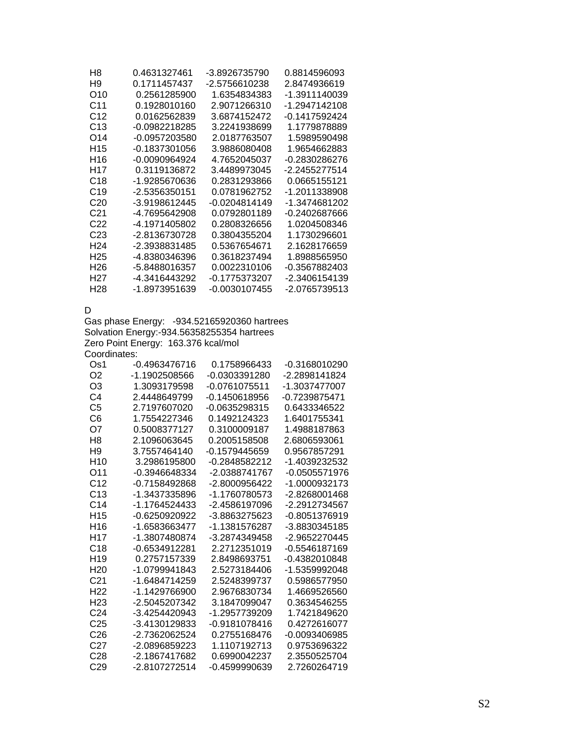| H8               | 0.4631327461  | -3.8926735790 | 0.8814596093  |
|------------------|---------------|---------------|---------------|
| H9               | 0.1711457437  | -2.5756610238 | 2.8474936619  |
| O10              | 0.2561285900  | 1.6354834383  | -1.3911140039 |
| C11              | 0.1928010160  | 2.9071266310  | -1.2947142108 |
| C12              | 0.0162562839  | 3.6874152472  | -0.1417592424 |
| C <sub>13</sub>  | -0.0982218285 | 3.2241938699  | 1.1779878889  |
| O14              | -0.0957203580 | 2.0187763507  | 1.5989590498  |
| H <sub>15</sub>  | -0.1837301056 | 3.9886080408  | 1.9654662883  |
| H16              | -0.0090964924 | 4.7652045037  | -0.2830286276 |
| H <sub>17</sub>  | 0.3119136872  | 3.4489973045  | -2.2455277514 |
| C18              | -1.9285670636 | 0.2831293866  | 0.0665155121  |
| C <sub>19</sub>  | -2.5356350151 | 0.0781962752  | -1.2011338908 |
| C <sub>20</sub>  | -3.9198612445 | -0.0204814149 | -1.3474681202 |
| C21              | -4.7695642908 | 0.0792801189  | -0.2402687666 |
| C <sub>22</sub>  | -4.1971405802 | 0.2808326656  | 1.0204508346  |
| C <sub>23</sub>  | -2.8136730728 | 0.3804355204  | 1.1730296601  |
| H <sub>24</sub>  | -2.3938831485 | 0.5367654671  | 2.1628176659  |
| H <sub>25</sub>  | -4.8380346396 | 0.3618237494  | 1.8988565950  |
| H <sub>26</sub>  | -5.8488016357 | 0.0022310106  | -0.3567882403 |
| H <sub>2</sub> 7 | -4.3416443292 | -0.1775373207 | -2.3406154139 |
| H <sub>28</sub>  | -1.8973951639 | -0.0030107455 | -2.0765739513 |
|                  |               |               |               |

D

Gas phase Energy: -934.52165920360 hartrees Solvation Energy:-934.56358255354 hartrees Zero Point Energy: 163.376 kcal/mol Coordinates:

| Os1             | $-0.4963476716$ | 0.1758966433    | -0.3168010290   |
|-----------------|-----------------|-----------------|-----------------|
| O <sub>2</sub>  | -1.1902508566   | -0.0303391280   | -2.2898141824   |
| O <sub>3</sub>  | 1.3093179598    | -0.0761075511   | -1.3037477007   |
| C4              | 2.4448649799    | $-0.1450618956$ | -0.7239875471   |
| C <sub>5</sub>  | 2.7197607020    | -0.0635298315   | 0.6433346522    |
| C6              | 1.7554227346    | 0.1492124323    | 1.6401755341    |
| O7              | 0.5008377127    | 0.3100009187    | 1.4988187863    |
| H <sub>8</sub>  | 2.1096063645    | 0.2005158508    | 2.6806593061    |
| H <sub>9</sub>  | 3.7557464140    | $-0.1579445659$ | 0.9567857291    |
| H <sub>10</sub> | 3.2986195800    | -0.2848582212   | -1.4039232532   |
| O <sub>11</sub> | $-0.3946648334$ | -2.0388741767   | -0.0505571976   |
| C <sub>12</sub> | $-0.7158492868$ | -2.8000956422   | -1.0000932173   |
| C <sub>13</sub> | -1.3437335896   | -1.1760780573   | -2.8268001468   |
| C <sub>14</sub> | -1.1764524433   | -2.4586197096   | -2.2912734567   |
| H <sub>15</sub> | $-0.6250920922$ | -3.8863275623   | $-0.8051376919$ |
| H <sub>16</sub> | -1.6583663477   | -1.1381576287   | -3.8830345185   |
| H17             | -1.3807480874   | -3.2874349458   | -2.9652270445   |
| C <sub>18</sub> | $-0.6534912281$ | 2.2712351019    | $-0.5546187169$ |
| H <sub>19</sub> | 0.2757157339    | 2.8498693751    | -0.4382010848   |
| H <sub>20</sub> | -1.0799941843   | 2.5273184406    | -1.5359992048   |
| C <sub>21</sub> | -1.6484714259   | 2.5248399737    | 0.5986577950    |
| H <sub>22</sub> | -1.1429766900   | 2.9676830734    | 1 4669526560    |
| H <sub>23</sub> | -2.5045207342   | 3.1847099047    | 0.3634546255    |
| C <sub>24</sub> | -3.4254420943   | -1.2957739209   | 1.7421849620    |
| C25             | -3.4130129833   | $-0.9181078416$ | 0.4272616077    |
| C <sub>26</sub> | -2.7362062524   | 0.2755168476    | -0.0093406985   |
| C <sub>27</sub> | $-2.0896859223$ | 1.1107192713    | 0.9753696322    |
| C <sub>28</sub> | -2.1867417682   | 0.6990042237    | 2.3550525704    |
| C <sub>29</sub> | -2.8107272514   | $-0.4599990639$ | 2.7260264719    |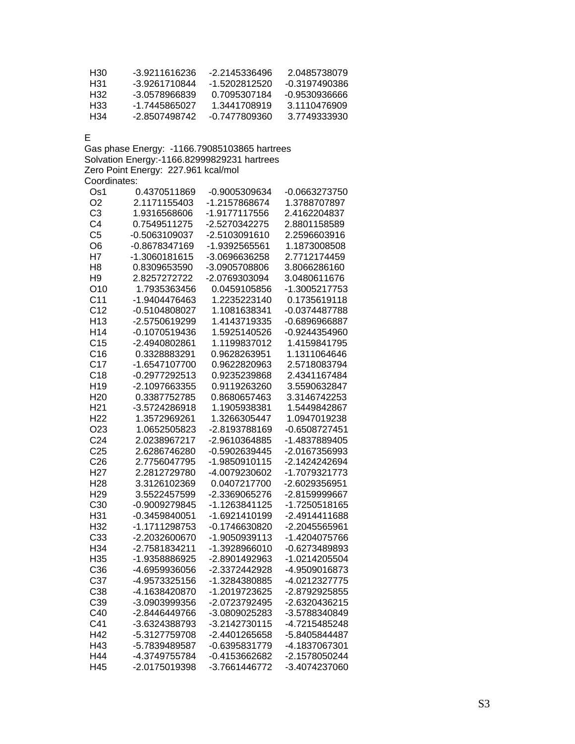| H30 | -3.9211616236 | -2 2145336496 | 2 0485738079  |
|-----|---------------|---------------|---------------|
| H31 | -3.9261710844 | -1.5202812520 | -0.3197490386 |
| H32 | -3.0578966839 | 0 7095307184  | -0.9530936666 |
| H33 | -1 7445865027 | 1 3441708919  | 3 1110476909  |
| H34 | -2 8507498742 | -0.7477809360 | 3 7749333930  |

E

Gas phase Energy: -1166.79085103865 hartrees Solvation Energy:-1166.82999829231 hartrees Zero Point Energy: 227.961 kcal/mol Coordinates:

| Os1             | 0.4370511869  | -0.9005309634 | -0.0663273750 |
|-----------------|---------------|---------------|---------------|
| O <sub>2</sub>  | 2.1171155403  | -1.2157868674 | 1.3788707897  |
| C <sub>3</sub>  | 1.9316568606  | -1.9177117556 | 2.4162204837  |
| C <sub>4</sub>  | 0.7549511275  | -2.5270342275 | 2.8801158589  |
| C <sub>5</sub>  | -0.5063109037 | -2.5103091610 | 2.2596603916  |
| O <sub>6</sub>  | -0.8678347169 | -1.9392565561 | 1.1873008508  |
| H7              | -1.3060181615 | -3.0696636258 | 2.7712174459  |
| H <sub>8</sub>  | 0.8309653590  | -3.0905708806 | 3.8066286160  |
| H <sub>9</sub>  | 2.8257272722  | -2.0769303094 | 3.0480611676  |
| O10             | 1.7935363456  | 0.0459105856  | -1.3005217753 |
| C <sub>11</sub> | -1.9404476463 | 1.2235223140  | 0.1735619118  |
| C <sub>12</sub> | -0.5104808027 | 1.1081638341  | -0.0374487788 |
| H <sub>13</sub> | -2.5750619299 | 1.4143719335  | -0.6896966887 |
| H <sub>14</sub> | -0.1070519436 | 1.5925140526  | -0.9244354960 |
| C <sub>15</sub> | -2.4940802861 | 1.1199837012  | 1.4159841795  |
| C16             | 0.3328883291  | 0.9628263951  | 1.1311064646  |
| C <sub>17</sub> | -1.6547107700 | 0.9622820963  | 2.5718083794  |
| C18             | -0.2977292513 | 0.9235239868  | 2.4341167484  |
| H <sub>19</sub> | -2.1097663355 | 0.9119263260  | 3.5590632847  |
| H <sub>20</sub> | 0.3387752785  | 0.8680657463  | 3.3146742253  |
| H <sub>21</sub> | -3.5724286918 | 1.1905938381  | 1.5449842867  |
| H <sub>22</sub> | 1.3572969261  | 1.3266305447  | 1.0947019238  |
| O <sub>23</sub> | 1.0652505823  | -2.8193788169 | -0.6508727451 |
| C <sub>24</sub> | 2.0238967217  | -2.9610364885 | -1.4837889405 |
| C <sub>25</sub> | 2.6286746280  | -0.5902639445 | -2.0167356993 |
| C <sub>26</sub> | 2.7756047795  | -1.9850910115 | -2.1424242694 |
| H <sub>27</sub> | 2.2812729780  | -4.0079230602 | -1.7079321773 |
| H <sub>28</sub> | 3.3126102369  | 0.0407217700  | -2.6029356951 |
| H <sub>29</sub> | 3.5522457599  | -2.3369065276 | -2.8159999667 |
| C30             | -0.9009279845 | -1.1263841125 | -1.7250518165 |
| H31             | -0.3459840051 | -1.6921410199 | -2.4914411688 |
| H32             | -1.1711298753 | -0.1746630820 | -2.2045565961 |
| C33             | -2.2032600670 | -1.9050939113 | -1.4204075766 |
| H34             | -2.7581834211 | -1.3928966010 | -0.6273489893 |
| H35             | -1.9358886925 | -2.8901492963 | -1.0214205504 |
| C36             | -4.6959936056 | -2.3372442928 | -4.9509016873 |
| C37             | -4.9573325156 | -1.3284380885 | -4.0212327775 |
| C38             | -4.1638420870 | -1.2019723625 | -2.8792925855 |
| C39             | -3.0903999356 | -2.0723792495 | -2.6320436215 |
| C40             | -2.8446449766 | -3.0809025283 | -3.5788340849 |
| C41             | -3.6324388793 | -3.2142730115 | -4.7215485248 |
| H42             | -5.3127759708 | -2.4401265658 | -5.8405844487 |
| H43             | -5.7839489587 | -0.6395831779 | -4.1837067301 |
| H44             | -4.3749755784 | -0.4153662682 | -2.1578050244 |
| H45             | -2.0175019398 | -3.7661446772 | -3.4074237060 |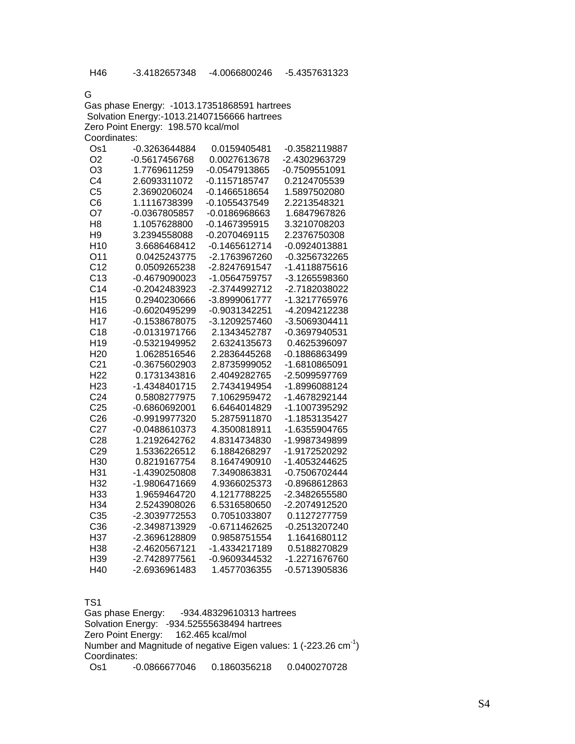G

|                 | Gas phase Energy: -1013.17351868591 hartrees |               |               |
|-----------------|----------------------------------------------|---------------|---------------|
|                 | Solvation Energy:-1013.21407156666 hartrees  |               |               |
|                 | Zero Point Energy: 198.570 kcal/mol          |               |               |
| Coordinates:    |                                              |               |               |
| Os1             | -0.3263644884                                | 0.0159405481  | -0.3582119887 |
| O <sub>2</sub>  | -0.5617456768                                | 0.0027613678  | -2.4302963729 |
| O3              | 1.7769611259                                 | -0.0547913865 | -0.7509551091 |
| C4              | 2.6093311072                                 | -0.1157185747 | 0.2124705539  |
| C <sub>5</sub>  | 2.3690206024                                 | -0.1466518654 | 1.5897502080  |
| C <sub>6</sub>  | 1.1116738399                                 | -0.1055437549 | 2.2213548321  |
| O7              | -0.0367805857                                | -0.0186968663 | 1.6847967826  |
| H8              | 1.1057628800                                 | -0.1467395915 | 3.3210708203  |
| H <sub>9</sub>  | 3.2394558088                                 | -0.2070469115 | 2.2376750308  |
| H10             | 3.6686468412                                 | -0.1465612714 | -0.0924013881 |
| O <sub>11</sub> | 0.0425243775                                 | -2.1763967260 | -0.3256732265 |
| C <sub>12</sub> | 0.0509265238                                 | -2.8247691547 | -1.4118875616 |
| C <sub>13</sub> | $-0.4679090023$                              | -1.0564759757 | -3.1265598360 |
| C <sub>14</sub> | -0.2042483923                                | -2.3744992712 | -2.7182038022 |
| H <sub>15</sub> | 0.2940230666                                 | -3.8999061777 | -1.3217765976 |
| H <sub>16</sub> | -0.6020495299                                | -0.9031342251 | -4.2094212238 |
| H <sub>17</sub> | -0.1538678075                                | -3.1209257460 | -3.5069304411 |
| C <sub>18</sub> | -0.0131971766                                | 2.1343452787  | -0.3697940531 |
| H <sub>19</sub> | -0.5321949952                                | 2.6324135673  | 0.4625396097  |
| H <sub>20</sub> | 1.0628516546                                 | 2.2836445268  | -0.1886863499 |
| C <sub>21</sub> | -0.3675602903                                | 2.8735999052  | -1.6810865091 |
| H22             | 0.1731343816                                 | 2.4049282765  | -2.5099597769 |

| C <sub>21</sub> | -0.3675602903 | 2.8735999052  | -1.6810865091 |
|-----------------|---------------|---------------|---------------|
| H22             | 0.1731343816  | 2.4049282765  | -2.5099597769 |
|                 |               |               |               |
| H23             | -1.4348401715 | 2 7434194954  | -1.8996088124 |
| C <sub>24</sub> | 0.5808277975  | 7.1062959472  | -1.4678292144 |
| C <sub>25</sub> | -0.6860692001 | 6.6464014829  | -1.1007395292 |
| C <sub>26</sub> | -0.9919977320 | 5.2875911870  | -1.1853135427 |
| C27             | -0.0488610373 | 4.3500818911  | -1.6355904765 |
| C28             | 1.2192642762  | 4.8314734830  | -1.9987349899 |
| C <sub>29</sub> | 1.5336226512  | 6 1884268297  | -1.9172520292 |
| H30             | 0.8219167754  | 8.1647490910  | -1.4053244625 |
| H31             | -1.4390250808 | 7.3490863831  | -0.7506702444 |
| H32             | -1.9806471669 | 4.9366025373  | -0.8968612863 |
| H33             | 1.9659464720  | 4.1217788225  | -2.3482655580 |
| H34             | 2.5243908026  | 6.5316580650  | -2.2074912520 |
| C35             | -2.3039772553 | 0.7051033807  | 0.1127277759  |
| C36             | -2.3498713929 | -0.6711462625 | -0.2513207240 |
| H37             | -2.3696128809 | 0.9858751554  | 1.1641680112  |
| H38             | -2.4620567121 | -1.4334217189 | 0.5188270829  |
| H39             | -2.7428977561 | -0.9609344532 | -1.2271676760 |
| H40             | -2.6936961483 | 1.4577036355  | -0.5713905836 |

TS1

Gas phase Energy: -934.48329610313 hartrees Solvation Energy: -934.52555638494 hartrees Zero Point Energy: 162.465 kcal/mol Number and Magnitude of negative Eigen values: 1 (-223.26 cm<sup>-1</sup>) Coordinates: Os1 -0.0866677046 0.1860356218 0.0400270728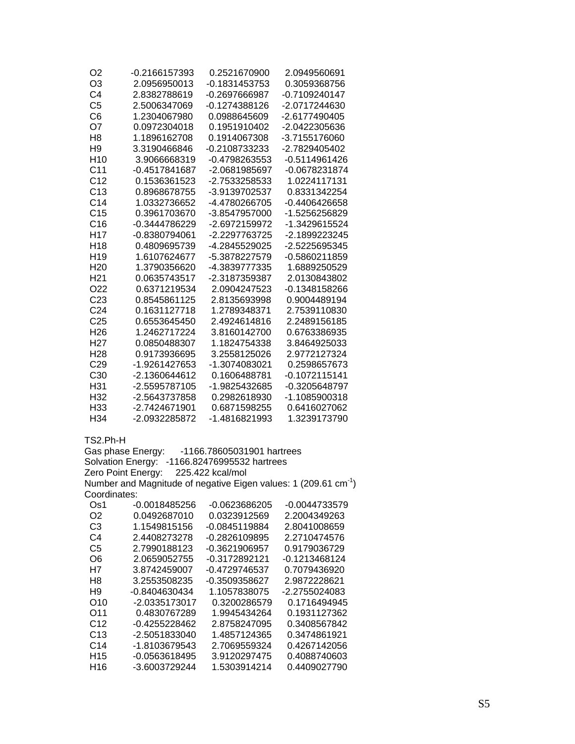| O2              | -0.2166157393   | 0.2521670900  | 2.0949560691  |
|-----------------|-----------------|---------------|---------------|
| O3              | 2.0956950013    | -0.1831453753 | 0.3059368756  |
| C4              | 2.8382788619    | -0.2697666987 | -0.7109240147 |
| C <sub>5</sub>  | 2.5006347069    | -0.1274388126 | -2.0717244630 |
| C6              | 1.2304067980    | 0.0988645609  | -2.6177490405 |
| O7              | 0.0972304018    | 0.1951910402  | -2.0422305636 |
| H <sub>8</sub>  | 1.1896162708    | 0.1914067308  | -3.7155176060 |
| H <sub>9</sub>  | 3.3190466846    | -0.2108733233 | -2.7829405402 |
| H <sub>10</sub> | 3.9066668319    | -0.4798263553 | -0.5114961426 |
| C <sub>11</sub> | $-0.4517841687$ | -2.0681985697 | -0.0678231874 |
| C <sub>12</sub> | 0.1536361523    | -2.7533258533 | 1.0224117131  |
| C <sub>13</sub> | 0.8968678755    | -3.9139702537 | 0.8331342254  |
| C <sub>14</sub> | 1.0332736652    | -4.4780266705 | -0.4406426658 |
| C <sub>15</sub> | 0.3961703670    | -3.8547957000 | -1.5256256829 |
| C <sub>16</sub> | -0.3444786229   | -2.6972159972 | -1.3429615524 |
| H <sub>17</sub> | -0.8380794061   | -2.2297763725 | -2.1899223245 |
| H18             | 0.4809695739    | -4.2845529025 | -2.5225695345 |
| H <sub>19</sub> | 1.6107624677    | -5.3878227579 | -0.5860211859 |
| H <sub>20</sub> | 1.3790356620    | -4.3839777335 | 1.6889250529  |
| H <sub>21</sub> | 0.0635743517    | -2.3187359387 | 2.0130843802  |
| O22             | 0.6371219534    | 2.0904247523  | -0.1348158266 |
| C <sub>23</sub> | 0.8545861125    | 2.8135693998  | 0.9004489194  |
| C <sub>24</sub> | 0.1631127718    | 1.2789348371  | 2.7539110830  |
| C <sub>25</sub> | 0.6553645450    | 2.4924614816  | 2.2489156185  |
| H <sub>26</sub> | 1.2462717224    | 3.8160142700  | 0.6763386935  |
| H27             | 0.0850488307    | 1.1824754338  | 3.8464925033  |
| H <sub>28</sub> | 0.9173936695    | 3.2558125026  | 2.9772127324  |
| C <sub>29</sub> | -1.9261427653   | -1.3074083021 | 0.2598657673  |
| C <sub>30</sub> | -2.1360644612   | 0.1606488781  | -0.1072115141 |
| H31             | -2.5595787105   | -1.9825432685 | -0.3205648797 |
| H32             | -2.5643737858   | 0.2982618930  | -1.1085900318 |
| H33             | -2.7424671901   | 0.6871598255  | 0.6416027062  |
| H <sub>34</sub> | -2.0932285872   | -1.4816821993 | 1.3239173790  |

TS2.Ph-H

Gas phase Energy: -1166.78605031901 hartrees Solvation Energy: -1166.82476995532 hartrees Zero Point Energy: 225.422 kcal/mol Number and Magnitude of negative Eigen values: 1 (209.61 cm<sup>-1</sup>) Coordinates:

| 2.2004349263  |
|---------------|
| 2.8041008659  |
| 2.2710474576  |
| 0.9179036729  |
| -0.1213468124 |
| 0.7079436920  |
| 2.9872228621  |
| -2.2755024083 |
| 0.1716494945  |
| 0.1931127362  |
| 0.3408567842  |
| 0.3474861921  |
| 0.4267142056  |
| 0.4088740603  |
| 0.4409027790  |
|               |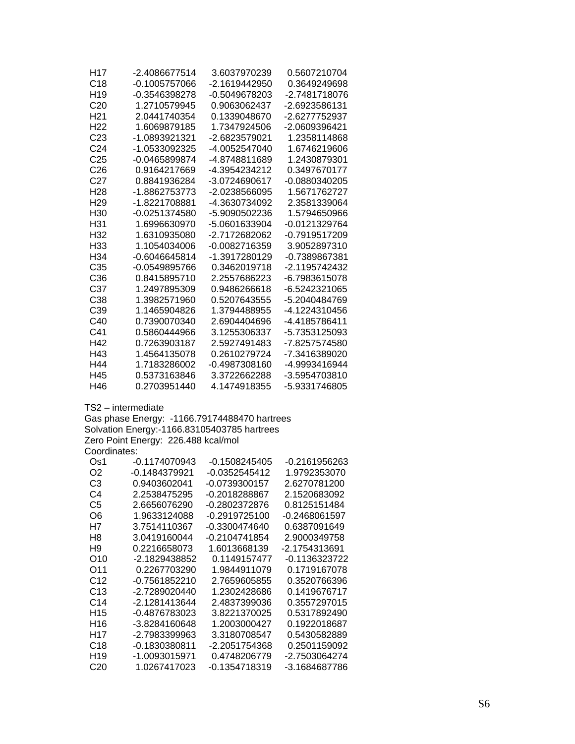| H <sub>17</sub><br>C18<br>H <sub>19</sub><br>C <sub>20</sub><br>H <sub>21</sub><br>H <sub>22</sub><br>C <sub>23</sub><br>C <sub>24</sub><br>C <sub>25</sub><br>C <sub>26</sub><br>C <sub>27</sub><br>H <sub>28</sub><br>H <sub>29</sub><br>H <sub>30</sub><br>H31<br>H32<br>H <sub>33</sub><br>H <sub>34</sub> | -2.4086677514<br>-0.1005757066<br>-0.3546398278<br>1.2710579945<br>2.0441740354<br>1.6069879185<br>-1.0893921321<br>-1.0533092325<br>-0.0465899874<br>0.9164217669<br>0.8841936284<br>-1.8862753773<br>-1.8221708881<br>-0.0251374580<br>1.6996630970<br>1.6310935080<br>1.1054034006<br>$-0.6046645814$ | 3.6037970239<br>-2.1619442950<br>-0.5049678203<br>0.9063062437<br>0.1339048670<br>1.7347924506<br>-2.6823579021<br>-4.0052547040<br>-4.8748811689<br>-4.3954234212<br>-3.0724690617<br>-2.0238566095<br>-4.3630734092<br>-5.9090502236<br>-5.0601633904<br>-2.7172682062<br>-0.0082716359<br>-1.3917280129 | 0.5607210704<br>0.3649249698<br>-2.7481718076<br>-2.6923586131<br>-2.6277752937<br>-2.0609396421<br>1.2358114868<br>1.6746219606<br>1.2430879301<br>0.3497670177<br>$-0.0880340205$<br>1.5671762727<br>2.3581339064<br>1.5794650966<br>-0.0121329764<br>-0.7919517209<br>3.9052897310 |
|----------------------------------------------------------------------------------------------------------------------------------------------------------------------------------------------------------------------------------------------------------------------------------------------------------------|----------------------------------------------------------------------------------------------------------------------------------------------------------------------------------------------------------------------------------------------------------------------------------------------------------|------------------------------------------------------------------------------------------------------------------------------------------------------------------------------------------------------------------------------------------------------------------------------------------------------------|---------------------------------------------------------------------------------------------------------------------------------------------------------------------------------------------------------------------------------------------------------------------------------------|
| C <sub>35</sub>                                                                                                                                                                                                                                                                                                | $-0.0549895766$                                                                                                                                                                                                                                                                                          | 0.3462019718                                                                                                                                                                                                                                                                                               | -0.7389867381<br>-2.1195742432                                                                                                                                                                                                                                                        |
| C <sub>36</sub>                                                                                                                                                                                                                                                                                                | 0.8415895710                                                                                                                                                                                                                                                                                             | 2.2557686223                                                                                                                                                                                                                                                                                               | -6.7983615078                                                                                                                                                                                                                                                                         |
| C37                                                                                                                                                                                                                                                                                                            | 1.2497895309                                                                                                                                                                                                                                                                                             | 0.9486266618                                                                                                                                                                                                                                                                                               | -6.5242321065                                                                                                                                                                                                                                                                         |
| C38                                                                                                                                                                                                                                                                                                            | 1.3982571960                                                                                                                                                                                                                                                                                             | 0.5207643555                                                                                                                                                                                                                                                                                               | -5.2040484769                                                                                                                                                                                                                                                                         |
| C39                                                                                                                                                                                                                                                                                                            | 1.1465904826                                                                                                                                                                                                                                                                                             | 1.3794488955                                                                                                                                                                                                                                                                                               | -4.1224310456                                                                                                                                                                                                                                                                         |
| C40                                                                                                                                                                                                                                                                                                            | 0.7390070340                                                                                                                                                                                                                                                                                             | 2.6904404696                                                                                                                                                                                                                                                                                               | -4.4185786411                                                                                                                                                                                                                                                                         |
| C41<br>H42                                                                                                                                                                                                                                                                                                     | 0.5860444966<br>0.7263903187                                                                                                                                                                                                                                                                             | 3.1255306337<br>2.5927491483                                                                                                                                                                                                                                                                               | -5.7353125093<br>-7.8257574580                                                                                                                                                                                                                                                        |
| H43                                                                                                                                                                                                                                                                                                            | 1.4564135078                                                                                                                                                                                                                                                                                             | 0.2610279724                                                                                                                                                                                                                                                                                               | -7.3416389020                                                                                                                                                                                                                                                                         |
| H44                                                                                                                                                                                                                                                                                                            | 1.7183286002                                                                                                                                                                                                                                                                                             | -0.4987308160                                                                                                                                                                                                                                                                                              | -4.9993416944                                                                                                                                                                                                                                                                         |
| H45                                                                                                                                                                                                                                                                                                            | 0.5373163846                                                                                                                                                                                                                                                                                             | 3.3722662288                                                                                                                                                                                                                                                                                               | -3.5954703810                                                                                                                                                                                                                                                                         |
| H46                                                                                                                                                                                                                                                                                                            | 0.2703951440                                                                                                                                                                                                                                                                                             | 4.1474918355                                                                                                                                                                                                                                                                                               | -5.9331746805                                                                                                                                                                                                                                                                         |
| Coordinates:                                                                                                                                                                                                                                                                                                   | TS2 - intermediate<br>Gas phase Energy: -1166.79174488470 hartrees<br>Solvation Energy:-1166.83105403785 hartrees<br>Zero Point Energy: 226.488 kcal/mol                                                                                                                                                 |                                                                                                                                                                                                                                                                                                            |                                                                                                                                                                                                                                                                                       |
| Os <sub>1</sub>                                                                                                                                                                                                                                                                                                | $-0.1174070943$                                                                                                                                                                                                                                                                                          | $-0.1508245405$                                                                                                                                                                                                                                                                                            | $-0.2161956263$                                                                                                                                                                                                                                                                       |
| O <sub>2</sub>                                                                                                                                                                                                                                                                                                 | -0.1484379921                                                                                                                                                                                                                                                                                            | -0.0352545412                                                                                                                                                                                                                                                                                              | 1.9792353070                                                                                                                                                                                                                                                                          |
| C <sub>3</sub>                                                                                                                                                                                                                                                                                                 | 0.9403602041                                                                                                                                                                                                                                                                                             | -0.0739300157                                                                                                                                                                                                                                                                                              | 2.6270781200                                                                                                                                                                                                                                                                          |
| C4                                                                                                                                                                                                                                                                                                             | 2.2538475295                                                                                                                                                                                                                                                                                             | -0.2018288867                                                                                                                                                                                                                                                                                              | 2.1520683092                                                                                                                                                                                                                                                                          |
| C <sub>5</sub>                                                                                                                                                                                                                                                                                                 | 2.6656076290                                                                                                                                                                                                                                                                                             | -0.2802372876                                                                                                                                                                                                                                                                                              | 0.8125151484                                                                                                                                                                                                                                                                          |
| O <sub>6</sub><br>H7                                                                                                                                                                                                                                                                                           | 1.9633124088<br>3.7514110367                                                                                                                                                                                                                                                                             | $-0.2919725100$<br>-0.3300474640                                                                                                                                                                                                                                                                           | -0.2468061597<br>0.6387091649                                                                                                                                                                                                                                                         |
| H <sub>8</sub>                                                                                                                                                                                                                                                                                                 | 3.0419160044                                                                                                                                                                                                                                                                                             | -0.2104741854                                                                                                                                                                                                                                                                                              | 2.9000349758                                                                                                                                                                                                                                                                          |
| H <sub>9</sub>                                                                                                                                                                                                                                                                                                 | 0.2216658073                                                                                                                                                                                                                                                                                             | 1.6013668139                                                                                                                                                                                                                                                                                               | -2.1754313691                                                                                                                                                                                                                                                                         |
| O <sub>10</sub>                                                                                                                                                                                                                                                                                                | -2.1829438852                                                                                                                                                                                                                                                                                            | 0.1149157477                                                                                                                                                                                                                                                                                               | $-0.1136323722$                                                                                                                                                                                                                                                                       |
| O <sub>11</sub>                                                                                                                                                                                                                                                                                                | 0.2267703290                                                                                                                                                                                                                                                                                             | 1.9844911079                                                                                                                                                                                                                                                                                               | 0.1719167078                                                                                                                                                                                                                                                                          |
| C <sub>12</sub>                                                                                                                                                                                                                                                                                                | $-0.7561852210$                                                                                                                                                                                                                                                                                          | 2.7659605855                                                                                                                                                                                                                                                                                               | 0.3520766396                                                                                                                                                                                                                                                                          |
| C13                                                                                                                                                                                                                                                                                                            | -2.7289020440                                                                                                                                                                                                                                                                                            | 1.2302428686                                                                                                                                                                                                                                                                                               | 0.1419676717                                                                                                                                                                                                                                                                          |
| C <sub>14</sub>                                                                                                                                                                                                                                                                                                | -2.1281413644                                                                                                                                                                                                                                                                                            | 2.4837399036                                                                                                                                                                                                                                                                                               | 0.3557297015                                                                                                                                                                                                                                                                          |
| H <sub>15</sub><br>H <sub>16</sub>                                                                                                                                                                                                                                                                             | -0.4876783023                                                                                                                                                                                                                                                                                            | 3.8221370025<br>1.2003000427                                                                                                                                                                                                                                                                               | 0.5317892490                                                                                                                                                                                                                                                                          |
| H <sub>17</sub>                                                                                                                                                                                                                                                                                                | -3.8284160648<br>-2.7983399963                                                                                                                                                                                                                                                                           | 3.3180708547                                                                                                                                                                                                                                                                                               | 0.1922018687<br>0.5430582889                                                                                                                                                                                                                                                          |
| C18                                                                                                                                                                                                                                                                                                            | $-0.1830380811$                                                                                                                                                                                                                                                                                          | -2.2051754368                                                                                                                                                                                                                                                                                              | 0.2501159092                                                                                                                                                                                                                                                                          |
| H <sub>19</sub>                                                                                                                                                                                                                                                                                                | -1.0093015971                                                                                                                                                                                                                                                                                            | 0.4748206779                                                                                                                                                                                                                                                                                               | -2.7503064274                                                                                                                                                                                                                                                                         |
| C <sub>20</sub>                                                                                                                                                                                                                                                                                                | 1.0267417023                                                                                                                                                                                                                                                                                             | -0.1354718319                                                                                                                                                                                                                                                                                              | -3.1684687786                                                                                                                                                                                                                                                                         |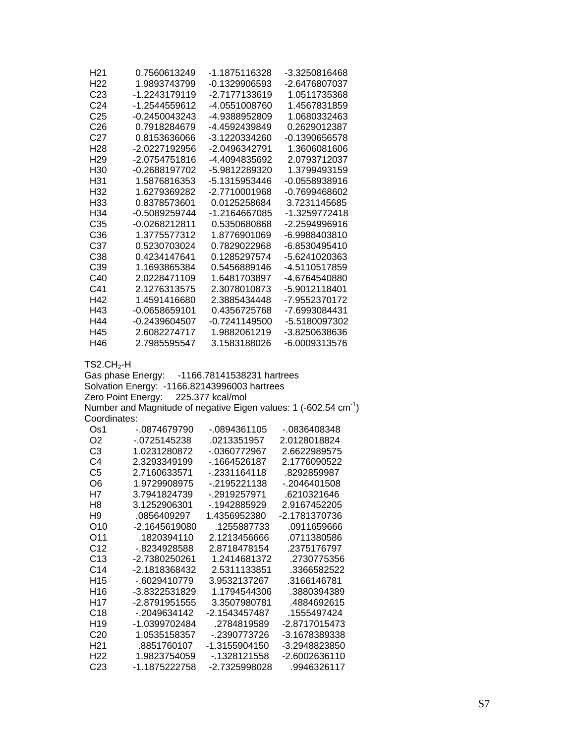| H <sub>21</sub>     | 0.7560613249                                 | -1.1875116328               | -3.3250816468                                                                |
|---------------------|----------------------------------------------|-----------------------------|------------------------------------------------------------------------------|
| H <sub>22</sub>     | 1.9893743799                                 | -0.1329906593               | -2.6476807037                                                                |
| C <sub>23</sub>     | -1.2243179119                                | -2.7177133619               | 1.0511735368                                                                 |
| C <sub>24</sub>     | -1.2544559612                                | -4.0551008760               | 1.4567831859                                                                 |
| C <sub>25</sub>     | -0.2450043243                                | -4.9388952809               | 1.0680332463                                                                 |
| C <sub>26</sub>     | 0.7918284679                                 | -4.4592439849               | 0.2629012387                                                                 |
| C <sub>27</sub>     | 0.8153636066                                 | -3.1220334260               | $-0.1390656578$                                                              |
| H <sub>28</sub>     | -2.0227192956                                | -2.0496342791               | 1.3606081606                                                                 |
| H <sub>29</sub>     | -2.0754751816                                | -4.4094835692               | 2.0793712037                                                                 |
| H <sub>30</sub>     | -0.2688197702                                | -5.9812289320               | 1.3799493159                                                                 |
| H31                 | 1.5876816353                                 | -5.1315953446               | -0.0558938916                                                                |
| H32                 | 1.6279369282                                 | -2.7710001968               | -0.7699468602                                                                |
| H33                 | 0.8378573601                                 | 0.0125258684                | 3.7231145685                                                                 |
| H34                 | -0.5089259744                                | -1.2164667085               | -1.3259772418                                                                |
| C35                 | -0.0268212811                                | 0.5350680868                | -2.2594996916                                                                |
| C36                 | 1.3775577312                                 | 1.8776901069                | -6.9988403810                                                                |
| C37                 | 0.5230703024                                 | 0.7829022968                | -6.8530495410                                                                |
| C38                 | 0.4234147641                                 | 0.1285297574                | -5.6241020363                                                                |
| C39                 | 1.1693865384                                 | 0.5456889146                | -4.5110517859                                                                |
| C40                 | 2.0228471109                                 | 1.6481703897                | -4.6764540880                                                                |
| C41                 | 2.1276313575                                 | 2.3078010873                | -5.9012118401                                                                |
| H42                 | 1.4591416680                                 | 2.3885434448                | -7.9552370172                                                                |
| H43                 | $-0.0658659101$                              | 0.4356725768                | -7.6993084431                                                                |
| H44                 | -0.2439604507                                | $-0.7241149500$             | -5.5180097302                                                                |
| H45                 | 2.6082274717                                 | 1.9882061219                | -3.8250638636                                                                |
| H46                 | 2.7985595547                                 | 3.1583188026                | -6.0009313576                                                                |
| $TS2.CH2-H$         |                                              |                             |                                                                              |
|                     | Gas phase Energy:                            | -1166.78141538231 hartrees  |                                                                              |
|                     | Solvation Energy: -1166.82143996003 hartrees |                             |                                                                              |
|                     | Zero Point Energy:                           | 225.377 kcal/mol            |                                                                              |
|                     |                                              |                             | Number and Magnitude of negative Eigen values: 1 (-602.54 cm <sup>-1</sup> ) |
| Coordinates:<br>Os1 | -.0874679790                                 | $-0894361105$               | -.0836408348                                                                 |
| O <sub>2</sub>      | $-0725145238$                                | .0213351957                 | 2.0128018824                                                                 |
| C <sub>3</sub>      | 1.0231280872                                 | -.0360772967                | 2.6622989575                                                                 |
| C <sub>4</sub>      | 2.3293349199                                 | -. 1664526187               | 2.1776090522                                                                 |
| C <sub>5</sub>      | 2.7160633571                                 | -.2331164118                | .8292859987                                                                  |
| O <sub>6</sub>      | 1.9729908975                                 | -.2195221138                | -.2046401508                                                                 |
| Η7                  | 3.7941824739                                 | -.2919257971                | .6210321646                                                                  |
| H <sub>8</sub>      | 3.1252906301                                 | -.1942885929                | 2.9167452205                                                                 |
| H <sub>9</sub>      | .0856409297                                  | 1.4356952380                | -2.1781370736                                                                |
| O <sub>10</sub>     |                                              |                             | .0911659666                                                                  |
|                     | -2.1645619080<br>.1820394110                 | .1255887733<br>2.1213456666 |                                                                              |
| O11                 |                                              |                             | 0711380586                                                                   |
| C <sub>12</sub>     | -.8234928588                                 | 2.8718478154                | .2375176797                                                                  |
| C13                 | -2.7380250261                                | 1.2414681372                | .2730775356                                                                  |
| C <sub>14</sub>     | -2.1818368432                                | 2.5311133851                | .3366582522                                                                  |
| H <sub>15</sub>     | -.6029410779                                 | 3.9532137267                | .3166146781                                                                  |
| H <sub>16</sub>     | -3.8322531829                                | 1.1794544306                | .3880394389                                                                  |
| H <sub>17</sub>     | -2.8791951555                                | 3.3507980781                | .4884692615                                                                  |
| C18                 | -.2049634142                                 | -2.1543457487               | .1555497424                                                                  |
| H <sub>19</sub>     | -1.0399702484                                | .2784819589                 | -2.8717015473                                                                |
| C <sub>20</sub>     | 1.0535158357                                 | -.2390773726                | -3.1678389338                                                                |
| H <sub>21</sub>     | .8851760107                                  | -1.3155904150               | -3.2948823850                                                                |
| H <sub>22</sub>     | 1.9823754059                                 | -.1328121558                | -2.6002636110                                                                |
| C <sub>23</sub>     | -1.1875222758                                | -2.7325998028               | .9946326117                                                                  |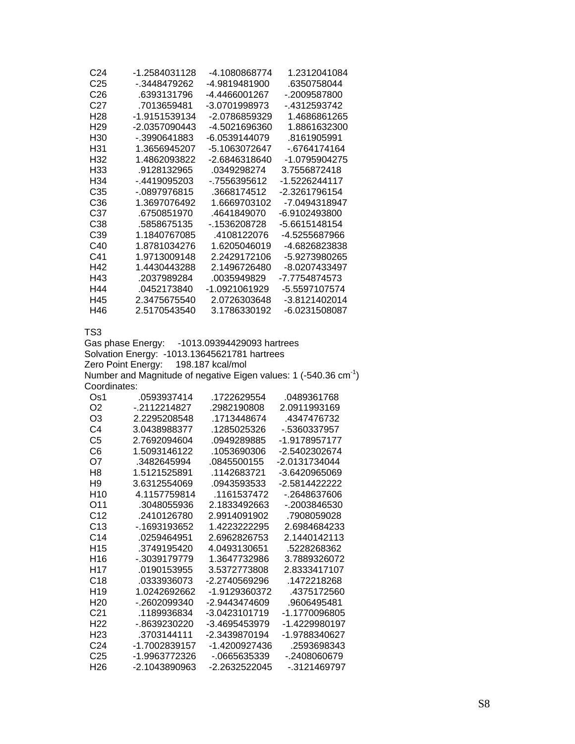| C <sub>24</sub> | -1 2584031128 | -4 1080868774 | 1 2312041084  |
|-----------------|---------------|---------------|---------------|
| C <sub>25</sub> | - 3448479262  | -4 9819481900 | .6350758044   |
| C <sub>26</sub> | 6393131796    | -4 4466001267 | - 2009587800  |
| C27             | 7013659481    | -3 0701998973 | - 4312593742  |
| H28             | -1 9151539134 | -2 0786859329 | 1 4686861265  |
| H29             | -2 0357090443 | -4 5021696360 | 1 8861632300  |
| H30             | - 3990641883  | -6 0539144079 | 8161905991    |
| H31             | 1.3656945207  | -5 1063072647 | - 6764174164  |
| H32             | 1 4862093822  | -2 6846318640 | -1 0795904275 |
| H33             | 9128132965    | 0349298274    | 3 7556872418  |
| H34             | - 4419095203  | - 7556395612  | -1.5226244117 |
| C35             | $-0897976815$ | 3668174512    | -2 3261796154 |
| C36             | 1.3697076492  | 1 6669703102  | -7 0494318947 |
| C37             | .6750851970   | 4641849070    | -6.9102493800 |
| C38             | .5858675135   | - 1536208728  | -5 6615148154 |
| C39             | 1 1840767085  | 4108122076    | -4 5255687966 |
| C40             | 1 8781034276  | 1 6205046019  | -4 6826823838 |
| C <sub>41</sub> | 1 9713009148  | 2 2429172106  | -5 9273980265 |
| H42             | 1 4430443288  | 2 1496726480  | -8.0207433497 |
| H43             | 2037989284    | 0035949829    | -7 7754874573 |
| H44             | 0452173840    | -1 0921061929 | -5 5597107574 |
| H45             | 2.3475675540  | 2.0726303648  | -3.8121402014 |
| H46             | 2.5170543540  | 3.1786330192  | -6.0231508087 |

Gas phase Energy: -1013.09394429093 hartrees Solvation Energy: -1013.13645621781 hartrees Zero Point Energy: 198.187 kcal/mol Number and Magnitude of negative Eigen values: 1 (-540.36  $cm^{-1}$ ) Coordinates:

| Os1             | .0593937414   | .1722629554   | .0489361768   |
|-----------------|---------------|---------------|---------------|
| O <sub>2</sub>  | - 2112214827  | .2982190808   | 2.0911993169  |
| OЗ              | 2 2295208548  | 1713448674    | 4347476732    |
| C4              | 3.0438988377  | .1285025326   | - 5360337957  |
| C <sub>5</sub>  | 2.7692094604  | .0949289885   | -1.9178957177 |
| C6              | 1 5093146122  | 1053690306    | -2.5402302674 |
| Ω7              | .3482645994   | 0845500155    | -2 0131734044 |
| H8              | 1 5121525891  | 1142683721    | -3.6420965069 |
| H9              | 3 6312554069  | 0943593533    | -2.5814422222 |
| H10             | 4 1157759814  | 1161537472    | - 2648637606  |
| O11             | .3048055936   | 2.1833492663  | - 2003846530  |
| C <sub>12</sub> | 2410126780    | 2.9914091902  | 7908059028    |
| C <sub>13</sub> | - 1693193652  | 1.4223222295  | 2.6984684233  |
| C <sub>14</sub> | .0259464951   | 2 6962826753  | 2 1440142113  |
| H <sub>15</sub> | 3749195420    | 4 0493130651  | 5228268362    |
| H16             | - 3039179779  | 1.3647732986  | 3.7889326072  |
| H17             | 0190153955    | 3.5372773808  | 2 8333417107  |
| C <sub>18</sub> | 0333936073    | -2 2740569296 | 1472218268    |
| H <sub>19</sub> |               | -1 9129360372 | 4375172560    |
| H <sub>20</sub> | - 2602099340  | -2.9443474609 | .9606495481   |
| C21             | 1189936834    | -3 0423101719 | -1 1770096805 |
| H22             | - 8639230220  | -3.4695453979 | -1.4229980197 |
| H23             | 3703144111    | -2 3439870194 | -1.9788340627 |
| C24             | -1 7002839157 | -1 4200927436 | 2593698343    |
| C <sub>25</sub> | -1 9963772326 | - 0665635339  | - 2408060679  |
| H26             | -2 1043890963 | -2.2632522045 | - 3121469797  |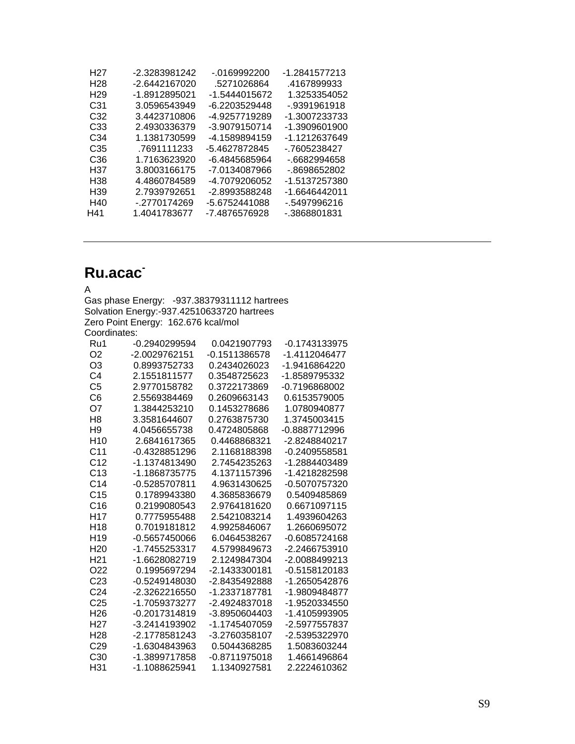| H27             | -2.3283981242 | - 0169992200  | -1.2841577213 |
|-----------------|---------------|---------------|---------------|
| H <sub>28</sub> | -2.6442167020 | .5271026864   | 4167899933    |
| H <sub>29</sub> | -1.8912895021 | -1.5444015672 | 1.3253354052  |
| C31             | 3.0596543949  | -6.2203529448 | $-9391961918$ |
| C32             | 3.4423710806  | -4.9257719289 | -1.3007233733 |
| C33             | 2.4930336379  | -3.9079150714 | -1.3909601900 |
| C34             | 1.1381730599  | -4.1589894159 | -1.1212637649 |
| C35             | .7691111233   | -5.4627872845 | - 7605238427  |
| C <sub>36</sub> | 1.7163623920  | -6.4845685964 | - 6682994658  |
| H37             | 3.8003166175  | -7.0134087966 | - 8698652802  |
| H <sub>38</sub> | 4.4860784589  | -4.7079206052 | -1.5137257380 |
| H <sub>39</sub> | 2.7939792651  | -2.8993588248 | -1.6646442011 |
| H40             | - 2770174269  | -5.6752441088 | -.5497996216  |
| H41             | 1.4041783677  | -7.4876576928 | - 3868801831  |
|                 |               |               |               |

# **Ru.acac-**

| А              | Gas phase Energy: -937.38379311112 hartrees |                 |                 |
|----------------|---------------------------------------------|-----------------|-----------------|
|                | Solvation Energy:-937.42510633720 hartrees  |                 |                 |
|                | Zero Point Energy: 162.676 kcal/mol         |                 |                 |
| Coordinates:   |                                             |                 |                 |
|                |                                             |                 |                 |
| Ru1            | $-0.2940299594$                             | 0.0421907793    | $-0.1743133975$ |
| O <sub>2</sub> | $-2.0029762151$                             | $-0.1511386578$ | -1.4112046477   |
| O <sub>3</sub> | 0.8993752733                                | 0.2434026023    | -1.9416864220   |
| C4             | 2.1551811577                                | 0.3548725623    | -1.8589795332   |
| C5             | 2.9770158782                                | 0.3722173869    | -0.7196868002   |
| C6             | 2.5569384469                                | 0.2609663143    | 0.6153579005    |
| O7             | 1.3844253210                                | 0.1453278686    | 1.0780940877    |
| H <sub>8</sub> | 3.3581644607                                | 0.2763875730    | 1.3745003415    |
| H9             | 4.0456655738                                | 0.4724805868    | -0.8887712996   |
|                |                                             |                 |                 |

| טוו             | J.JJO I 0440U <i>I</i> | 0.2700070700  | 1.J7400004T0  |
|-----------------|------------------------|---------------|---------------|
| H9              | 4.0456655738           | 0.4724805868  | -0.8887712996 |
| H10             | 2.6841617365           | 0.4468868321  | -2.8248840217 |
| C11             | -0.4328851296          | 2.1168188398  | -0.2409558581 |
| C12             | -1.1374813490          | 2.7454235263  | -1.2884403489 |
| C <sub>13</sub> | -1.1868735775          | 4.1371157396  | -1.4218282598 |
| C14             | -0.5285707811          | 4.9631430625  | -0.5070757320 |
| C15             | 0.1789943380           | 4.3685836679  | 0.5409485869  |
| C16             | 0.2199080543           | 2.9764181620  | 0.6671097115  |
| H17             | 0.7775955488           | 2.5421083214  | 1.4939604263  |
| H18             | 0.7019181812           | 4.9925846067  | 1.2660695072  |
| H <sub>19</sub> | -0.5657450066          | 6.0464538267  | -0.6085724168 |
| H <sub>20</sub> | -1.7455253317          | 4.5799849673  | -2.2466753910 |
| H <sub>21</sub> | -1.6628082719          | 2.1249847304  | -2.0088499213 |
| O22             | 0.1995697294           | -2.1433300181 | -0.5158120183 |
| C23             | -0.5249148030          | -2.8435492888 | -1.2650542876 |
| C24             | -2.3262216550          | -1.2337187781 | -1.9809484877 |
| C <sub>25</sub> | -1.7059373277          | -2.4924837018 | -1.9520334550 |
| H26             | $-0.2017314819$        | -3.8950604403 | -1.4105993905 |
| H27             | -3.2414193902          | -1.1745407059 | -2.5977557837 |
| H <sub>28</sub> | -2.1778581243          | -3.2760358107 | -2.5395322970 |
| C <sub>29</sub> | -1.6304843963          | 0.5044368285  | 1.5083603244  |
| C30             | -1.3899717858          | -0.8711975018 | 1.4661496864  |
| H31             | -1.1088625941          | 1.1340927581  | 2.2224610362  |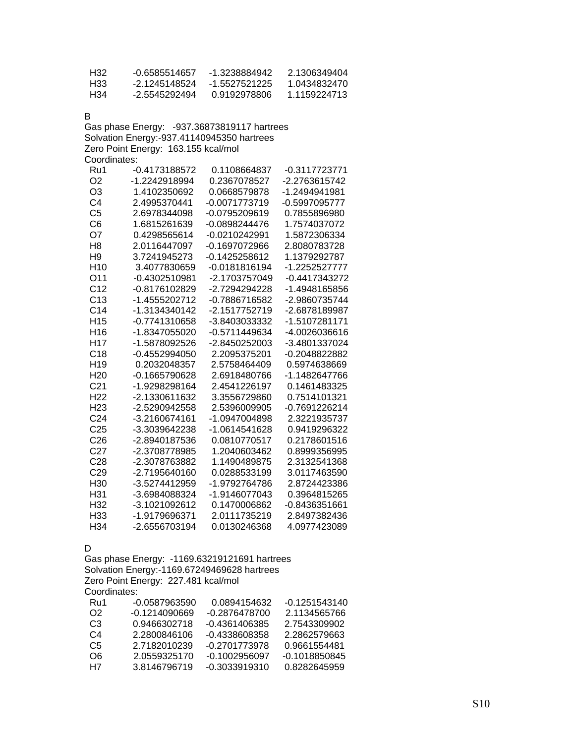| H32 | -0.6585514657 | -1 3238884942 | 2 1306349404 |
|-----|---------------|---------------|--------------|
| H33 | -2 1245148524 | -1.5527521225 | 1.0434832470 |
| H34 | -2.5545292494 | 0.9192978806  | 1 1159224713 |

B

Gas phase Energy: -937.36873819117 hartrees Solvation Energy:-937.41140945350 hartrees Zero Point Energy: 163.155 kcal/mol Coordinates:

| Ru1             | -0.4173188572 | 0.1108664837    | -0.3117723771 |
|-----------------|---------------|-----------------|---------------|
| O <sub>2</sub>  | -1.2242918994 | 0.2367078527    | -2.2763615742 |
| O3              | 1.4102350692  | 0.0668579878    | -1.2494941981 |
| C <sub>4</sub>  | 2.4995370441  | -0.0071773719   | -0.5997095777 |
| C <sub>5</sub>  | 2.6978344098  | -0.0795209619   | 0.7855896980  |
| C <sub>6</sub>  | 1.6815261639  | -0.0898244476   | 1.7574037072  |
| O7              | 0.4298565614  | -0.0210242991   | 1.5872306334  |
| H <sub>8</sub>  | 2.0116447097  | -0.1697072966   | 2.8080783728  |
| H9              | 3.7241945273  | -0.1425258612   | 1.1379292787  |
| H <sub>10</sub> | 3.4077830659  | $-0.0181816194$ | -1.2252527777 |
| O11             | -0.4302510981 | -2.1703757049   | -0.4417343272 |
| C <sub>12</sub> | -0.8176102829 | -2.7294294228   | -1.4948165856 |
| C <sub>13</sub> | -1.4555202712 | -0.7886716582   | -2.9860735744 |
| C <sub>14</sub> | -1.3134340142 | -2.1517752719   | -2.6878189987 |
| H <sub>15</sub> | -0.7741310658 | -3.8403033332   | -1.5107281171 |
| H <sub>16</sub> | -1.8347055020 | -0.5711449634   | -4.0026036616 |
| H <sub>17</sub> | -1.5878092526 | -2.8450252003   | -3.4801337024 |
| C18             | -0.4552994050 | 2.2095375201    | -0.2048822882 |
| H <sub>19</sub> | 0.2032048357  | 2.5758464409    | 0.5974638669  |
| H <sub>20</sub> | -0.1665790628 | 2.6918480766    | -1.1482647766 |
| C <sub>21</sub> | -1.9298298164 | 2.4541226197    | 0.1461483325  |
| H <sub>22</sub> | -2.1330611632 | 3.3556729860    | 0.7514101321  |
| H <sub>23</sub> | -2.5290942558 | 2.5396009905    | -0.7691226214 |
| C <sub>24</sub> | -3.2160674161 | -1.0947004898   | 2.3221935737  |
| C <sub>25</sub> | -3.3039642238 | -1.0614541628   | 0.9419296322  |
| C <sub>26</sub> | -2.8940187536 | 0.0810770517    | 0.2178601516  |
| C <sub>27</sub> | -2.3708778985 | 1.2040603462    | 0.8999356995  |
| C <sub>28</sub> | -2.3078763882 | 1.1490489875    | 2.3132541368  |
| C <sub>29</sub> | -2.7195640160 | 0.0288533199    | 3.0117463590  |
| H <sub>30</sub> | -3.5274412959 | -1.9792764786   | 2.8724423386  |
| H31             | -3.6984088324 | -1.9146077043   | 0.3964815265  |
| H32             | -3.1021092612 | 0.1470006862    | -0.8436351661 |
| H <sub>33</sub> | -1.9179696371 | 2.0111735219    | 2.8497382436  |
| H <sub>34</sub> | -2.6556703194 | 0.0130246368    | 4.0977423089  |

D

Gas phase Energy: -1169.63219121691 hartrees Solvation Energy:-1169.67249469628 hartrees Zero Point Energy: 227.481 kcal/mol Coordinates:

| Ru1 | -0.0587963590 | 0.0894154632  | -0.1251543140 |
|-----|---------------|---------------|---------------|
| O2  | -0.1214090669 | -0.2876478700 | 2.1134565766  |
| CЗ  | 0.9466302718  | -0.4361406385 | 2.7543309902  |
| C4  | 2.2800846106  | -0.4338608358 | 2.2862579663  |
| C5  | 2 7182010239  | -0.2701773978 | 0.9661554481  |
| O6  | 2 0559325170  | -0.1002956097 | -0.1018850845 |
| H7  | 38146796719   | -0.3033919310 | 0.8282645959  |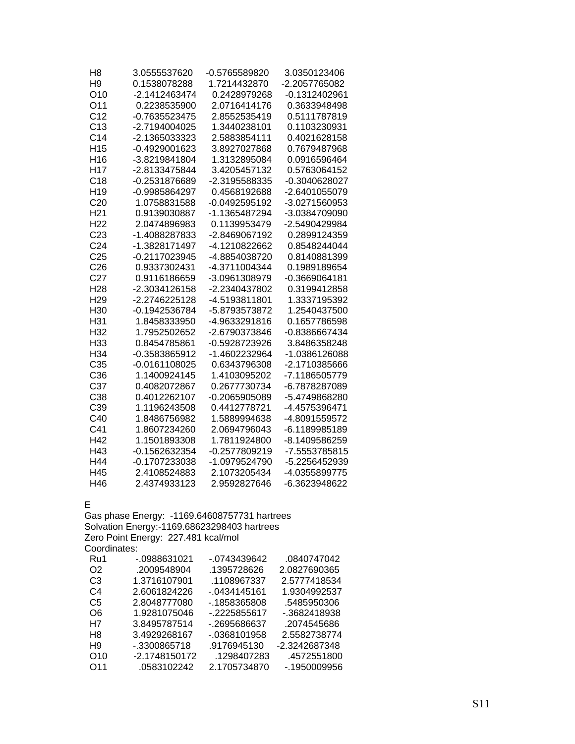| H <sub>8</sub>  | 3.0555537620    | -0.5765589820 | 3.0350123406  |
|-----------------|-----------------|---------------|---------------|
| H <sub>9</sub>  | 0.1538078288    | 1.7214432870  | -2.2057765082 |
| O <sub>10</sub> | -2.1412463474   | 0.2428979268  | -0.1312402961 |
| O11             | 0.2238535900    | 2.0716414176  | 0.3633948498  |
| C <sub>12</sub> | -0.7635523475   | 2.8552535419  | 0.5111787819  |
| C <sub>13</sub> | -2.7194004025   | 1.3440238101  | 0.1103230931  |
| C <sub>14</sub> | -2.1365033323   | 2.5883854111  | 0.4021628158  |
| H <sub>15</sub> | -0.4929001623   | 3.8927027868  | 0.7679487968  |
| H <sub>16</sub> | -3.8219841804   | 1.3132895084  | 0.0916596464  |
| H <sub>17</sub> | -2.8133475844   | 3.4205457132  | 0.5763064152  |
| C18             | -0.2531876689   | -2.3195588335 | -0.3040628027 |
| H <sub>19</sub> | -0.9985864297   | 0.4568192688  | -2.6401055079 |
| C <sub>20</sub> | 1.0758831588    | -0.0492595192 | -3.0271560953 |
| H <sub>21</sub> | 0.9139030887    | -1.1365487294 | -3.0384709090 |
| H <sub>22</sub> | 2.0474896983    | 0.1139953479  | -2.5490429984 |
| C <sub>23</sub> | -1.4088287833   | -2.8469067192 | 0.2899124359  |
| C <sub>24</sub> | -1.3828171497   | -4.1210822662 | 0.8548244044  |
| C <sub>25</sub> | -0.2117023945   | -4.8854038720 | 0.8140881399  |
| C <sub>26</sub> | 0.9337302431    | -4.3711004344 | 0.1989189654  |
| C <sub>27</sub> | 0.9116186659    | -3.0961308979 | -0.3669064181 |
| H <sub>28</sub> | -2.3034126158   | -2.2340437802 | 0.3199412858  |
| H <sub>29</sub> | -2.2746225128   | -4.5193811801 | 1.3337195392  |
| H <sub>30</sub> | -0.1942536784   | -5.8793573872 | 1.2540437500  |
| H31             | 1.8458333950    | -4.9633291816 | 0.1657786598  |
| H32             | 1.7952502652    | -2.6790373846 | -0.8386667434 |
| H33             | 0.8454785861    | -0.5928723926 | 3.8486358248  |
| H34             | -0.3583865912   | -1.4602232964 | -1.0386126088 |
| C <sub>35</sub> | $-0.0161108025$ | 0.6343796308  | -2.1710385666 |
| C36             | 1.1400924145    | 1.4103095202  | -7.1186505779 |
| C <sub>37</sub> | 0.4082072867    | 0.2677730734  | -6.7878287089 |
| C38             | 0.4012262107    | -0.2065905089 | -5.4749868280 |
| C39             | 1.1196243508    | 0.4412778721  | -4.4575396471 |
| C40             | 1.8486756982    | 1.5889994638  | -4.8091559572 |
| C41             | 1.8607234260    | 2.0694796043  | -6.1189985189 |
| H42             | 1.1501893308    | 1.7811924800  | -8.1409586259 |
| H43             | -0.1562632354   | -0.2577809219 | -7.5553785815 |
| H44             | -0.1707233038   | -1.0979524790 | -5.2256452939 |
| H45             | 2.4108524883    | 2.1073205434  | -4.0355899775 |
| H46             | 2.4374933123    | 2.9592827646  | -6.3623948622 |

E

Gas phase Energy: -1169.64608757731 hartrees Solvation Energy:-1169.68623298403 hartrees Zero Point Energy: 227.481 kcal/mol Coordinates:

| Ru1             | -.0988631021  | -.0743439642   | .0840747042   |
|-----------------|---------------|----------------|---------------|
| O <sub>2</sub>  | .2009548904   | .1395728626    | 2.0827690365  |
| C3              | 1.3716107901  | .1108967337    | 2.5777418534  |
| C4              | 2.6061824226  | -.0434145161   | 1.9304992537  |
| C5              | 2.8048777080  | -.1858365808   | .5485950306   |
| O6              | 1.9281075046  | -.2225855617   | -.3682418938  |
| H7              | 3.8495787514  | -.2695686637   | .2074545686   |
| H <sub>8</sub>  | 3.4929268167  | $-0.368101958$ | 2.5582738774  |
| H9              | -.3300865718  | .9176945130    | -2.3242687348 |
| O <sub>10</sub> | -2.1748150172 | .1298407283    | .4572551800   |
| O <sub>11</sub> | .0583102242   | 2.1705734870   | -.1950009956  |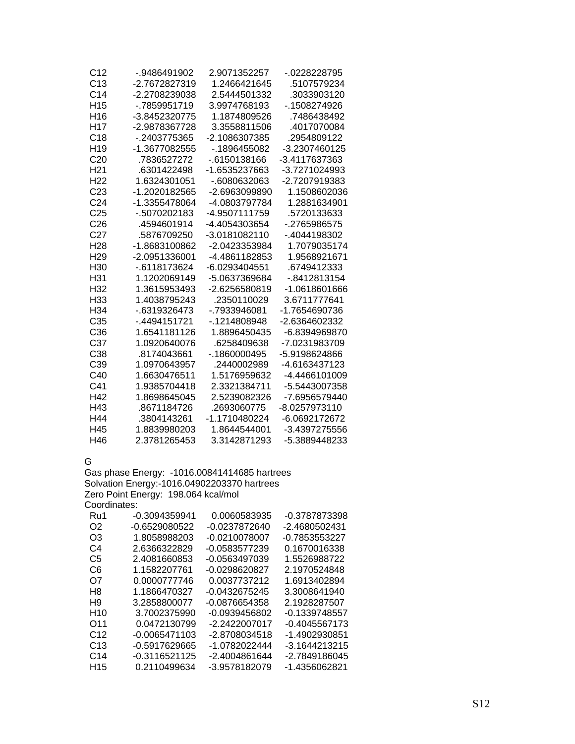| C12             | -.9486491902  | 2.9071352257    | -.0228228795  |
|-----------------|---------------|-----------------|---------------|
| C <sub>13</sub> | -2.7672827319 | 1.2466421645    | .5107579234   |
| C <sub>14</sub> | -2.2708239038 | 2.5444501332    | .3033903120   |
| H <sub>15</sub> | - 7859951719  | 3.9974768193    | -.1508274926  |
| H <sub>16</sub> | -3.8452320775 | 1.1874809526    | .7486438492   |
| H <sub>17</sub> | -2.9878367728 | 3.3558811506    | .4017070084   |
| C <sub>18</sub> | -.2403775365  | -2.1086307385   | .2954809122   |
| H <sub>19</sub> | -1.3677082555 | -.1896455082    | -3.2307460125 |
| C <sub>20</sub> | .7836527272   | -.6150138166    | -3.4117637363 |
| H <sub>21</sub> | .6301422498   | -1.6535237663   | -3.7271024993 |
| H <sub>22</sub> | 1.6324301051  | -.6080632063    | -2.7207919383 |
| C <sub>23</sub> | -1.2020182565 | -2.6963099890   | 1.1508602036  |
| C <sub>24</sub> | -1.3355478064 | -4.0803797784   | 1.2881634901  |
| C <sub>25</sub> | -.5070202183  | -4.9507111759   | .5720133633   |
| C <sub>26</sub> | 4594601914    | -4.4054303654   | - 2765986575  |
| C <sub>27</sub> | .5876709250   | -3.0181082110   | -.4044198302  |
| H <sub>28</sub> | -1.8683100862 | -2.0423353984   | 1.7079035174  |
| H <sub>29</sub> | -2.0951336001 | -4.4861182853   | 1.9568921671  |
| H <sub>30</sub> | $-6118173624$ | -6.0293404551   | .6749412333   |
| H31             | 1.1202069149  | -5.0637369684   | -.8412813154  |
| H <sub>32</sub> | 1.3615953493  | -2.6256580819   | -1.0618601666 |
| H <sub>33</sub> | 1.4038795243  | .2350110029     | 3.6711777641  |
| H34             | -.6319326473  | -.7933946081    | -1.7654690736 |
| C <sub>35</sub> | -.4494151721  | -.1214808948    | -2.6364602332 |
| C <sub>36</sub> | 1.6541181126  | 1.8896450435    | -6.8394969870 |
| C <sub>37</sub> | 1.0920640076  | .6258409638     | -7.0231983709 |
| C <sub>38</sub> | .8174043661   | $-0.1860000495$ | -5.9198624866 |
| C39             | 1.0970643957  | .2440002989     | -4.6163437123 |
| C40             | 1.6630476511  | 1.5176959632    | -4.4466101009 |
| C41             | 1.9385704418  | 2.3321384711    | -5.5443007358 |
| H42             | 1.8698645045  | 2.5239082326    | -7.6956579440 |
| H43             | .8671184726   | .2693060775     | -8.0257973110 |
| H44             | .3804143261   | -1.1710480224   | -6.0692172672 |
| H45             | 1.8839980203  | 1.8644544001    | -3.4397275556 |
| H46             | 2.3781265453  | 3.3142871293    | -5.3889448233 |

G

Gas phase Energy: -1016.00841414685 hartrees Solvation Energy:-1016.04902203370 hartrees Zero Point Energy: 198.064 kcal/mol

| Coordinates: |  |
|--------------|--|
|              |  |

| -0.3094359941   | 0.0060583935  | -0.3787873398   |
|-----------------|---------------|-----------------|
| -0.6529080522   | -0.0237872640 | -2.4680502431   |
| 1.8058988203    | -0.0210078007 | -0.7853553227   |
| 2.6366322829    | -0.0583577239 | 0.1670016338    |
| 2.4081660853    | -0.0563497039 | 1.5526988722    |
| 1.1582207761    | -0.0298620827 | 2.1970524848    |
| 0.0000777746    | 0.0037737212  | 1.6913402894    |
| 1.1866470327    | -0.0432675245 | 3.3008641940    |
| 3.2858800077    | -0.0876654358 | 2.1928287507    |
| 3.7002375990    | -0.0939456802 | -0.1339748557   |
| 0.0472130799    | -2.2422007017 | $-0.4045567173$ |
| $-0.0065471103$ | -2.8708034518 | -1.4902930851   |
| -0.5917629665   | -1.0782022444 | $-3.1644213215$ |
| $-0.3116521125$ | -2.4004861644 | -2.7849186045   |
| 0.2110499634    | -3.9578182079 | -1.4356062821   |
|                 |               |                 |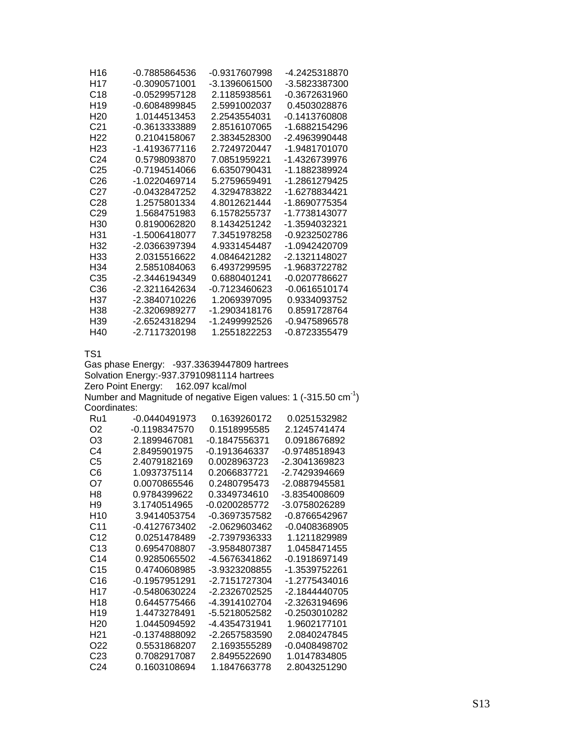| H16             | -0.7885864536   | -0.9317607998 | -4.2425318870 |
|-----------------|-----------------|---------------|---------------|
| H17             | -0.3090571001   | -3.1396061500 | -3.5823387300 |
| C <sub>18</sub> | $-0.0529957128$ | 2.1185938561  | -0.3672631960 |
| H <sub>19</sub> | $-0.6084899845$ | 2.5991002037  | 0.4503028876  |
| H <sub>20</sub> | 1.0144513453    | 2.2543554031  | -0.1413760808 |
| C <sub>21</sub> | -0.3613333889   | 2.8516107065  | -1.6882154296 |
| H <sub>22</sub> | 0.2104158067    | 2.3834528300  | -2.4963990448 |
| H <sub>23</sub> | -1.4193677116   | 2.7249720447  | -1.9481701070 |
| C <sub>24</sub> | 0.5798093870    | 7.0851959221  | -1 4326739976 |
| C25             | $-0.7194514066$ | 6.6350790431  | -1 1882389924 |
| C26             | -1.0220469714   | 5.2759659491  | -1.2861279425 |
| C27             | -0.0432847252   | 4.3294783822  | -1.6278834421 |
| C28             | 1.2575801334    | 4.8012621444  | -1.8690775354 |
| C <sub>29</sub> | 1.5684751983    | 6.1578255737  | -1 7738143077 |
| H30             | 0.8190062820    | 8.1434251242  | -1.3594032321 |
| H31             | -1.5006418077   | 7.3451978258  | -0.9232502786 |
| H32             | -2.0366397394   | 4.9331454487  | -1.0942420709 |
| H33             | 2.0315516622    | 4.0846421282  | -2.1321148027 |
| H34             | 2.5851084063    | 6.4937299595  | -1.9683722782 |
| C35             | -2.3446194349   | 0 6880401241  | -0.0207786627 |
| C36             | -2.3211642634   | -0.7123460623 | -0.0616510174 |
| H37             | -2.3840710226   | 1.2069397095  | 0.9334093752  |
| H38             | -2.3206989277   | -1.2903418176 | 0.8591728764  |
| H39             | -2.6524318294   | -1.2499992526 | -0.9475896578 |
| H40             | -2.7117320198   | 1 2551822253  | -0.8723355479 |

Gas phase Energy: -937.33639447809 hartrees Solvation Energy:-937.37910981114 hartrees Zero Point Energy: 162.097 kcal/mol Number and Magnitude of negative Eigen values: 1 (-315.50  $cm^{-1}$ )

Coordinates:

| Ru1             | $-0.0440491973$ | 0.1639260172  | 0.0251532982    |
|-----------------|-----------------|---------------|-----------------|
| O2              | $-0.1198347570$ | 0 1518995585  | 2.1245741474    |
| OЗ              | 2.1899467081    | -0.1847556371 | 0.0918676892    |
| C4              | 28495901975     | -Ი 1913646337 | $-0.9748518943$ |
| C5              | 2.4079182169    | 0.0028963723  | -2.3041369823   |
| C6              | 1.0937375114    | 0.2066837721  | -2.7429394669   |
| O7              | 0 0070865546    | 0.2480795473  | -2 0887945581   |
| H <sub>8</sub>  | 0.9784399622    | 0.3349734610  | -3.8354008609   |
| H <sub>9</sub>  | 3 1740514965    | -Ი Ი2ᲘᲘ285772 | -3.0758026289   |
| H <sub>10</sub> | 3.9414053754    | -0.3697357582 | $-0.8766542967$ |
| C11             | -0 4127673402   | -2.0629603462 | $-0.0408368905$ |
| C12             | 0.0251478489    | -2.7397936333 | 1 1211829989    |
| C13             | 0.6954708807    | -3.9584807387 | 1 0458471455    |
| C <sub>14</sub> | 0.9285065502    | -4.5676341862 | -0.1918697149   |
| C15             | 0.4740608985    | -3.9323208855 | -1.3539752261   |
| C16             | -0 1957951291   | -2.7151727304 | -1.2775434016   |
| H17             | -0.5480630224   | -2 2326702525 | -2.1844440705   |
| H18             | 0.6445775466    | -4.3914102704 | -2.3263194696   |
| H <sub>19</sub> | 1 4473278491    | -5.5218052582 | -0 2503010282   |
| H20             | 1.0445094592    | -4.4354731941 | 1.9602177101    |
| H <sub>21</sub> | $-0.1374888092$ | -2.2657583590 | 2.0840247845    |
| O22             | 0.5531868207    | 2.1693555289  | $-0.0408498702$ |
| C23             | 0.7082917087    | 2.8495522690  | 1.0147834805    |
| C <sub>24</sub> | 0.1603108694    | 1.1847663778  | 2.8043251290    |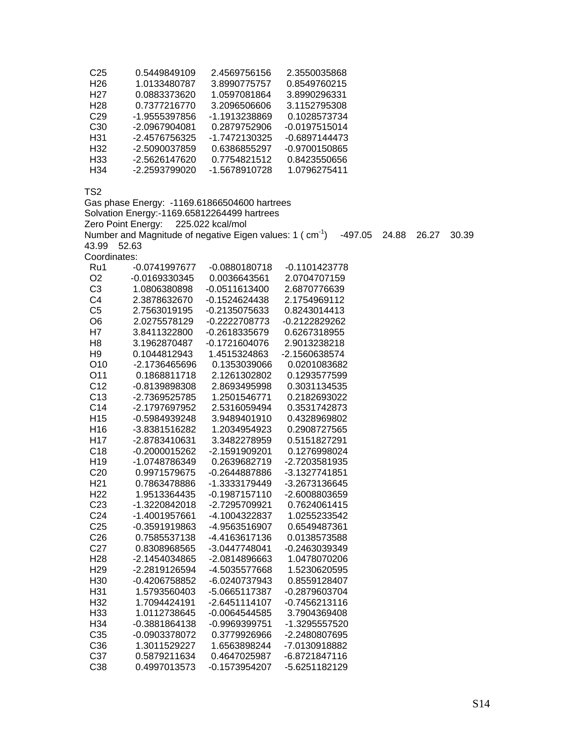| C25              | 0.5449849109  | 2.4569756156  | 2.3550035868    |
|------------------|---------------|---------------|-----------------|
| H26              | 1.0133480787  | 3.8990775757  | 0.8549760215    |
| H <sub>2</sub> 7 | 0.0883373620  | 1.0597081864  | 3.8990296331    |
| H <sub>28</sub>  | 0.7377216770  | 3.2096506606  | 3.1152795308    |
| C <sub>29</sub>  | -1.9555397856 | -1.1913238869 | 0.1028573734    |
| C <sub>30</sub>  | -2.0967904081 | 0.2879752906  | $-0.0197515014$ |
| H31              | -2.4576756325 | -1.7472130325 | $-0.6897144473$ |
| H <sub>32</sub>  | -2.5090037859 | 0.6386855297  | -0.9700150865   |
| H <sub>33</sub>  | -2.5626147620 | 0.7754821512  | 0.8423550656    |
| H34              | -2.2593799020 | -1.5678910728 | 1.0796275411    |

Gas phase Energy: -1169.61866504600 hartrees Solvation Energy:-1169.65812264499 hartrees

Zero Point Energy: 225.022 kcal/mol

Number and Magnitude of negative Eigen values: 1 ( $\text{ cm}^1$ )  $\text{ -497.05}$  24.88 26.27 30.39 43.99 52.63

Coordinates:

| ovvi uli lutvo. |                                                |                                                  |
|-----------------|------------------------------------------------|--------------------------------------------------|
|                 |                                                | -0.1101423778                                    |
|                 |                                                | 2.0704707159                                     |
| 1.0806380898    |                                                | 2.6870776639                                     |
| 2.3878632670    | $-0.1524624438$                                | 2.1754969112                                     |
| 2.7563019195    | -0.2135075633                                  | 0.8243014413                                     |
|                 | -0.2222708773                                  | -0.2122829262                                    |
| 3.8411322800    | -0.2618335679                                  | 0.6267318955                                     |
| 3.1962870487    | $-0.1721604076$                                | 2.9013238218                                     |
| 0.1044812943    | 1.4515324863                                   | -2.1560638574                                    |
| -2.1736465696   | 0.1353039066                                   | 0.0201083682                                     |
| 0.1868811718    | 2.1261302802                                   | 0.1293577599                                     |
| -0.8139898308   | 2.8693495998                                   | 0.3031134535                                     |
| -2.7369525785   | 1.2501546771                                   | 0.2182693022                                     |
| -2.1797697952   | 2.5316059494                                   | 0.3531742873                                     |
| -0.5984939248   | 3.9489401910                                   | 0.4328969802                                     |
| -3.8381516282   | 1.2034954923                                   | 0.2908727565                                     |
| -2.8783410631   | 3.3482278959                                   | 0.5151827291                                     |
| -0.2000015262   | -2.1591909201                                  | 0.1276998024                                     |
| -1.0748786349   | 0.2639682719                                   | -2.7203581935                                    |
| 0.9971579675    | -0.2644887886                                  | -3.1327741851                                    |
| 0.7863478886    | -1.3333179449                                  | -3.2673136645                                    |
| 1.9513364435    | -0.1987157110                                  | -2.6008803659                                    |
| -1.3220842018   | -2.7295709921                                  | 0.7624061415                                     |
| -1.4001957661   | -4.1004322837                                  | 1.0255233542                                     |
| -0.3591919863   | -4.9563516907                                  | 0.6549487361                                     |
| 0.7585537138    | -4.4163617136                                  | 0.0138573588                                     |
| 0.8308968565    | -3.0447748041                                  | -0.2463039349                                    |
| -2.1454034865   | -2.0814896663                                  | 1.0478070206                                     |
| -2.2819126594   | -4.5035577668                                  | 1.5230620595                                     |
| -0.4206758852   | -6.0240737943                                  | 0.8559128407                                     |
| 1.5793560403    | -5.0665117387                                  | -0.2879603704                                    |
| 1.7094424191    | -2.6451114107                                  | $-0.7456213116$                                  |
| 1.0112738645    | -0.0064544585                                  | 3.7904369408                                     |
| -0.3881864138   | -0.9969399751                                  | -1.3295557520                                    |
| -0.0903378072   | 0.3779926966                                   | -2.2480807695                                    |
| 1.3011529227    | 1.6563898244                                   | -7.0130918882                                    |
| 0.5879211634    | 0.4647025987                                   | -6.8721847116                                    |
| 0.4997013573    | -0.1573954207                                  | -5.6251182129                                    |
|                 | -0.0741997677<br>-0.0169330345<br>2.0275578129 | $-0.0880180718$<br>0.0036643561<br>-0.0511613400 |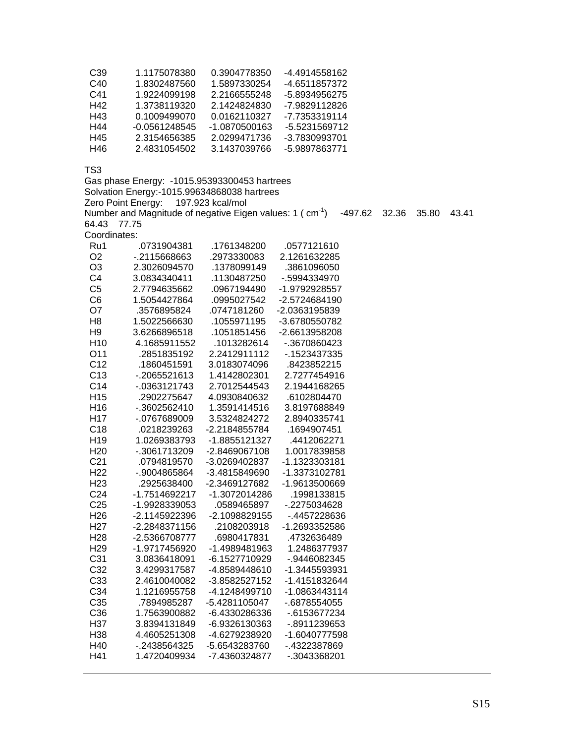| C39 | 1.1175078380  | 0.3904778350  | -4.4914558162 |
|-----|---------------|---------------|---------------|
| C40 | 1.8302487560  | 1.5897330254  | -4.6511857372 |
| C41 | 1.9224099198  | 2.2166555248  | -5.8934956275 |
| H42 | 1.3738119320  | 2.1424824830  | -7.9829112826 |
| H43 | 0.1009499070  | 0.0162110327  | -7.7353319114 |
| H44 | -0.0561248545 | -1.0870500163 | -5.5231569712 |
| H45 | 2.3154656385  | 2.0299471736  | -3.7830993701 |
| H46 | 24831054502   | 3.1437039766  | -5 9897863771 |

Gas phase Energy: -1015.95393300453 hartrees Solvation Energy:-1015.99634868038 hartrees Zero Point Energy: 197.923 kcal/mol Number and Magnitude of negative Eigen values: 1 ( $\text{ cm}^1$ )  $\text{ -497.62 }$  32.36 35.80 43.41 64.43 77.75 Coordinates:<br>Ru1 .0731904381 Ru1 .0731904381 .1761348200 .0577121610

| .               |               | . . <i>.</i>  | .             |
|-----------------|---------------|---------------|---------------|
| O2              | -.2115668663  | .2973330083   | 2.1261632285  |
| O <sub>3</sub>  | 2.3026094570  | .1378099149   | .3861096050   |
| C <sub>4</sub>  | 3.0834340411  | .1130487250   | -.5994334970  |
| C <sub>5</sub>  | 2.7794635662  | .0967194490   | -1.9792928557 |
| C <sub>6</sub>  | 1.5054427864  | .0995027542   | -2.5724684190 |
| O7              | .3576895824   | .0747181260   | -2.0363195839 |
| H <sub>8</sub>  | 1.5022566630  | .1055971195   | -3.6780550782 |
| H <sub>9</sub>  | 3.6266896518  | .1051851456   | -2.6613958208 |
| H <sub>10</sub> | 4.1685911552  | .1013282614   | -.3670860423  |
| O11             | .2851835192   | 2.2412911112  | -.1523437335  |
| C <sub>12</sub> | .1860451591   | 3.0183074096  | .8423852215   |
| C <sub>13</sub> | -.2065521613  | 1.4142802301  | 2.7277454916  |
| C <sub>14</sub> | -.0363121743  | 2.7012544543  | 2.1944168265  |
| H <sub>15</sub> | .2902275647   | 4.0930840632  | .6102804470   |
| H <sub>16</sub> | -.3602562410  | 1.3591414516  | 3.8197688849  |
| H <sub>17</sub> | -.0767689009  | 3.5324824272  | 2.8940335741  |
| C18             | .0218239263   | -2.2184855784 | .1694907451   |
| H <sub>19</sub> | 1.0269383793  | -1.8855121327 | .4412062271   |
| H <sub>20</sub> | -.3061713209  | -2.8469067108 | 1.0017839858  |
| C <sub>21</sub> | .0794819570   | -3.0269402837 | -1.1323303181 |
| H <sub>22</sub> | -.9004865864  | -3.4815849690 | -1.3373102781 |
| H <sub>23</sub> | .2925638400   | -2.3469127682 | -1.9613500669 |
| C <sub>24</sub> | -1.7514692217 | -1.3072014286 | .1998133815   |
| C <sub>25</sub> | -1.9928339053 | .0589465897   | -.2275034628  |
| H <sub>26</sub> | -2.1145922396 | -2.1098829155 | -.4457228636  |
| H <sub>27</sub> | -2.2848371156 | .2108203918   | -1.2693352586 |
| H <sub>28</sub> | -2.5366708777 | .6980417831   | .4732636489   |
| H <sub>29</sub> | -1.9717456920 | -1.4989481963 | 1.2486377937  |
| C <sub>31</sub> | 3.0836418091  | -6.1527710929 | -.9446082345  |
| C <sub>32</sub> | 3.4299317587  | -4.8589448610 | -1.3445593931 |
| C33             | 2.4610040082  | -3.8582527152 | -1.4151832644 |
| C34             | 1.1216955758  | -4.1248499710 | -1.0863443114 |
| C <sub>35</sub> | .7894985287   | -5.4281105047 | -.6878554055  |
| C36             | 1.7563900882  | -6.4330286336 | -.6153677234  |
| H37             | 3.8394131849  | -6.9326130363 | -.8911239653  |
| H <sub>38</sub> | 4.4605251308  | -4.6279238920 | -1.6040777598 |
| H40             | -.2438564325  | -5.6543283760 | -.4322387869  |
| H41             | 1.4720409934  | -7.4360324877 | -.3043368201  |
|                 |               |               |               |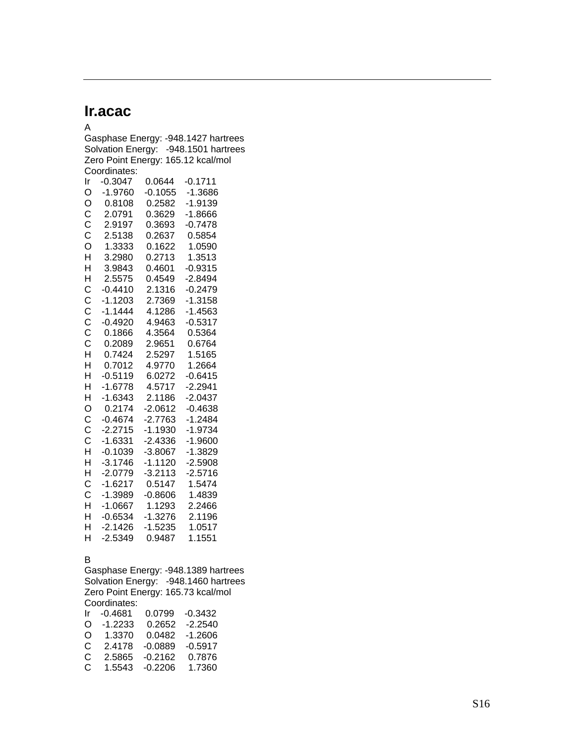## **Ir.acac**

A Gasphase Energy: -948.1427 hartrees Solvation Energy: -948.1501 hartrees Zero Point Energy: 165.12 kcal/mol Coordinates: Ir -0.3047 0.0644 -0.1711 O -1.9760 -0.1055 -1.3686 O 0.8108 0.2582 -1.9139 C 2.0791 0.3629 -1.8666 C 2.9197 0.3693 -0.7478 C 2.5138 0.2637 0.5854 O 1.3333 0.1622 1.0590 H 3.2980 0.2713 1.3513 H 3.9843 0.4601 -0.9315 H 2.5575 0.4549 -2.8494 C -0.4410 2.1316 -0.2479 C -1.1203 2.7369 -1.3158 C -1.1444 4.1286 -1.4563 C -0.4920 4.9463 -0.5317 C 0.1866 4.3564 0.5364 C 0.2089 2.9651 0.6764 H 0.7424 2.5297 1.5165 H 0.7012 4.9770 1.2664 H -0.5119 6.0272 -0.6415 H -1.6778 4.5717 -2.2941 H -1.6343 2.1186 -2.0437 O 0.2174 -2.0612 -0.4638 C -0.4674 -2.7763 -1.2484 C -2.2715 -1.1930 -1.9734 C -1.6331 -2.4336 -1.9600 H -0.1039 -3.8067 -1.3829 H -3.1746 -1.1120 -2.5908 H -2.0779 -3.2113 -2.5716 C -1.6217 0.5147 1.5474 C -1.3989 -0.8606 1.4839 H -1.0667 1.1293 2.2466 H -0.6534 -1.3276 2.1196 H -2.1426 -1.5235 1.0517 H -2.5349 0.9487 1.1551

#### B

Gasphase Energy: -948.1389 hartrees Solvation Energy: -948.1460 hartrees Zero Point Energy: 165.73 kcal/mol Coordinates: Ir -0.4681 0.0799 -0.3432 O -1.2233 0.2652 -2.2540 O 1.3370 0.0482 -1.2606 C 2.4178 -0.0889 -0.5917 C 2.5865 -0.2162 0.7876

C 1.5543 -0.2206 1.7360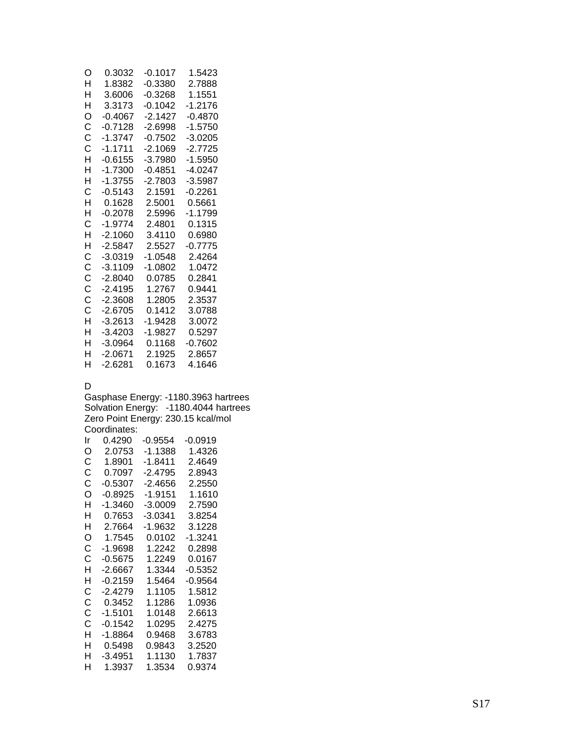| O | 0.3032    | $-0.1017$ | 1.5423    |
|---|-----------|-----------|-----------|
| н | 1.8382    | $-0.3380$ | 2.7888    |
| н | 3.6006    | -0.3268   | 1.1551    |
| н | 3.3173    | $-0.1042$ | $-1.2176$ |
| O | $-0.4067$ | $-2.1427$ | $-0.4870$ |
| Ċ | $-0.7128$ | $-2.6998$ | $-1.5750$ |
| Ċ | $-1.3747$ | $-0.7502$ | -3.0205   |
| Ć | $-1.1711$ | $-2.1069$ | -2.7725   |
| н | $-0.6155$ | $-3.7980$ | $-1.5950$ |
| н | $-1.7300$ | -0 4851   | -4 0247   |
| Н | $-1.3755$ | -2.7803   | $-3.5987$ |
| C | $-0.5143$ | 2.1591    | -0.2261   |
| н | 0.1628    | 2.5001    | 0.5661    |
| Н | $-0.2078$ | 2.5996    | $-1.1799$ |
| C | $-1.9774$ | 2.4801    | 0.1315    |
| H | $-2.1060$ | 34110     | 0 6980    |
| H | $-2.5847$ | 2.5527    | $-0.7775$ |
| C | $-3.0319$ | -1.0548   | 2.4264    |
| Ċ | $-3.1109$ | $-1.0802$ | 1.0472    |
| C | $-2.8040$ | 0.0785    | 0.2841    |
| Ċ | $-2.4195$ | 1.2767    | 0.9441    |
| Ć | $-2.3608$ | 1.2805    | 2.3537    |
| Ċ | $-2.6705$ | 0.1412    | 3.0788    |
| H | $-3.2613$ | $-1.9428$ | 3.0072    |
| н | $-3.4203$ | $-1.9827$ | 0.5297    |
| н | $-3.0964$ | 0.1168    | -0.7602   |
| н | $-2.0671$ | 2.1925    | 2.8657    |
| н | -2 6281   | 0.1673    | 4 1646    |

### D

Gasphase Energy: -1180.3963 hartrees Solvation Energy: -1180.4044 hartrees Zero Point Energy: 230.15 kcal/mol Coordinates:

| 0.4290    | $-0.9554$ | $-0.0919$ |
|-----------|-----------|-----------|
| 2.0753    | $-1.1388$ | 1.4326    |
| 1.8901    | -1.8411   | 2.4649    |
| 0.7097    | $-2.4795$ | 2.8943    |
| $-0.5307$ | -2.4656   | 2.2550    |
| $-0.8925$ | -1.9151   | 1.1610    |
| -1.3460   | $-3.0009$ | 2.7590    |
| 0.7653    | $-3.0341$ | 3.8254    |
| 2.7664    | $-1.9632$ | 3.1228    |
| 1.7545    | 0.0102    | $-1.3241$ |
| $-1.9698$ | 1.2242    | 0.2898    |
| $-0.5675$ | 1.2249    | 0.0167    |
| -2.6667   | 1.3344    | $-0.5352$ |
| -0.2159   | 1.5464    | -0.9564   |
| -2.4279   | 1.1105    | 1.5812    |
| 0.3452    | 1.1286    | 1.0936    |
| $-1.5101$ | 1.0148    | 2.6613    |
| -0.1542   | 1.0295    | 2.4275    |
| -1.8864   | 0.9468    | 3.6783    |
| 0.5498    | 0.9843    | 3.2520    |
| -3.4951   | 1.1130    | 1.7837    |
| 1.3937    | 1.3534    | 0.9374    |
|           |           |           |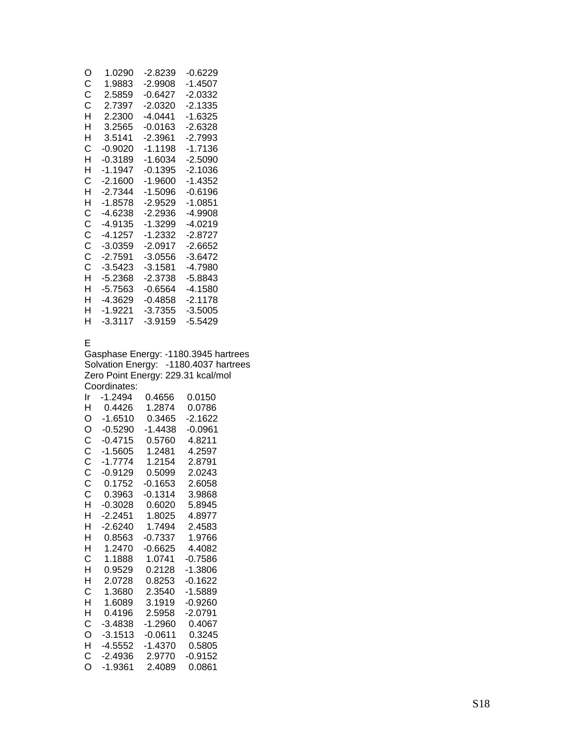| O | 1.0290    | -2.8239   | -0.6229   |
|---|-----------|-----------|-----------|
| С | 1.9883    | $-2.9908$ | -1 4507   |
| С | 2.5859    | -Ი Ჩ427   | -2 0332   |
| С | 2.7397    | $-2.0320$ | $-2.1335$ |
| н | 2 2300    | -4.0441   | $-1.6325$ |
| н | 3.2565    | -0.0163   | $-2.6328$ |
| н | 3.5141    | -2.3961   | $-2.7993$ |
| С | -0.9020   | -1.1198   | $-1.7136$ |
| н | $-0.3189$ | $-1.6034$ | $-2.5090$ |
| н | $-1.1947$ | $-0.1395$ | -2 1036   |
| С | -2 1600   | $-1.9600$ | -1 4352   |
| н | -2 7344   | -1.5096   | $-0.6196$ |
| н | -1 8578   | -2.9529   | -1 0851   |
| С | -4.6238   | -2 2936   | -4.9908   |
| С | -4 9135   | $-1.3299$ | -4 0219   |
| C | -4 1257   | -1 2332   | -2 8727   |
| C | -3.0359   | -20917    | -2.6652   |
| Ċ | -2 7591   | $-3.0556$ | $-3.6472$ |
| C | $-3.5423$ | -3 1581   | -4 7980   |
| н | $-5.2368$ | -2.3738   | -5.8843   |
| н | -5.7563   | -0.6564   | -4.1580   |
| н | -4 3629   | -0 4858   | -2 1178   |
| н | $-1.9221$ | -3.7355   | $-3.5005$ |
| н | $-3.3117$ | -3.9159   | -5.5429   |
|   |           |           |           |

### E

Gasphase Energy: -1180.3945 hartrees Solvation Energy: -1180.4037 hartrees Zero Point Energy: 229.31 kcal/mol Coordinates:

| Ir | -1.2494   | 0.4656    | 0.0150    |
|----|-----------|-----------|-----------|
| н  | 0.4426    | 1.2874    | 0.0786    |
| O  | $-1.6510$ | 0.3465    | -2.1622   |
| O  | $-0.5290$ | -1.4438   | $-0.0961$ |
| C  | -0.4715   | 0.5760    | 4.8211    |
| C  | $-1.5605$ | 1.2481    | 4.2597    |
| Ċ  | $-1.7774$ | 1.2154    | 2.8791    |
| Ċ  | $-0.9129$ | 0.5099    | 2.0243    |
| С  | 0 1752    | $-0.1653$ | 2.6058    |
| Ċ  | 0.3963    | $-0.1314$ | 3.9868    |
| H  | $-0.3028$ | 0.6020    | 5.8945    |
| н  | $-2.2451$ | 1.8025    | 4.8977    |
| н  | $-2.6240$ | 1.7494    | 2.4583    |
| н  | 0.8563    | $-0.7337$ | 1.9766    |
| н  | 1.2470    | $-0.6625$ | 4.4082    |
| С  | 1.1888    | 1.0741    | $-0.7586$ |
| H  | 0.9529    | 0.2128    | -1.3806   |
| н  | 2 0728    | 0.8253    | $-0.1622$ |
| С  | 1.3680    | 2.3540    | -1.5889   |
| H  | 1.6089    | 3.1919    | -0.9260   |
| н  | 0.4196    | 2.5958    | $-2.0791$ |
| C  | $-3.4838$ | $-1.2960$ | 0.4067    |
| O  | $-3.1513$ | $-0.0611$ | 0.3245    |
| H  | $-4.5552$ | $-1.4370$ | 0.5805    |
| С  | -2.4936   | 2.9770    | $-0.9152$ |
| O  | $-1.9361$ | 2.4089    | 0.0861    |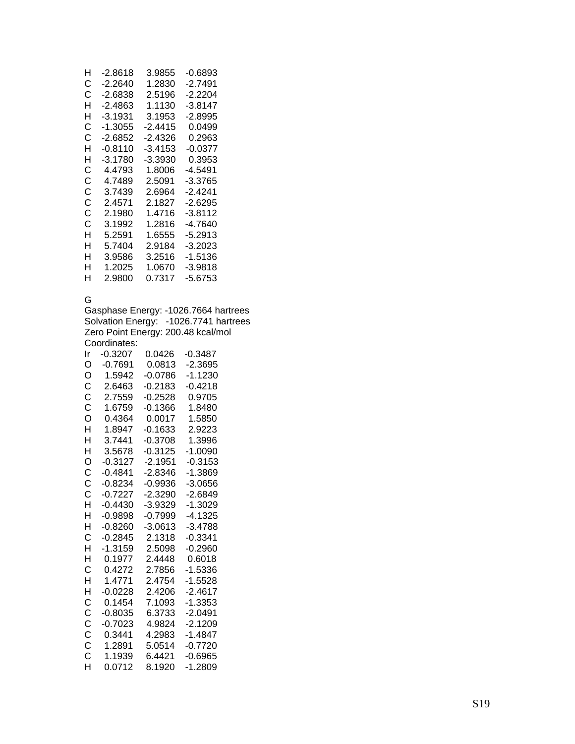| н | -2.8618   | 3.9855    | -0.6893   |
|---|-----------|-----------|-----------|
| С | -2.2640   | 1.2830    | -2.7491   |
| C | -2.6838   | 2.5196    | -2.2204   |
| н | -2 4863   | 1 1130    | $-3.8147$ |
| н | -3.1931   | 3.1953    | -2.8995   |
| С | -1.3055   | -2.4415   | 0.0499    |
| C | $-2.6852$ | $-2.4326$ | 0.2963    |
| н | -0.8110   | -3.4153   | -0.0377   |
| н | -3.1780   | -3.3930   | 0.3953    |
| С | 4.4793    | 1.8006    | -4.5491   |
| C | 4.7489    | 2.5091    | -3.3765   |
| C | 3.7439    | 2.6964    | -2.4241   |
| C | 2 4571    | 2 1827    | -2.6295   |
| С | 2.1980    | 1 4716    | -3.8112   |
| C | 3.1992    | 1.2816    | -4.7640   |
| н | 5.2591    | 1.6555    | -5.2913   |
| н | 5.7404    | 2.9184    | $-3.2023$ |
| н | 3.9586    | 3.2516    | -1.5136   |
| н | 1.2025    | 1.0670    | -3.9818   |
| н | 2.9800    | 0.7317    | -5.6753   |
|   |           |           |           |

### G

Gasphase Energy: -1026.7664 hartrees Solvation Energy: -1026.7741 hartrees Zero Point Energy: 200.48 kcal/mol Coordinates: Ir -0.3207 0.0426 -0.3487

| н             | -ט.ס∠טי   | ∪.∪4∠0    | -u.o4o7   |
|---------------|-----------|-----------|-----------|
| O             | $-0.7691$ | 0.0813    | $-2.3695$ |
| O             | 1.5942    | $-0.0786$ | $-1.1230$ |
| C             | 2.6463    | $-0.2183$ | $-0.4218$ |
| C             | 2.7559    | $-0.2528$ | 0.9705    |
| C             | 1.6759    | $-0.1366$ | 1.8480    |
| Ó             | 0.4364    | 0.0017    | 1.5850    |
| H             | 1.8947    | $-0.1633$ | 2.9223    |
| H             | 3.7441    | $-0.3708$ | 1.3996    |
| H             | 3.5678    | $-0.3125$ | $-1.0090$ |
| O<br>C        | $-0.3127$ | $-2.1951$ | $-0.3153$ |
|               | $-0.4841$ | $-2.8346$ | $-1.3869$ |
| $\frac{c}{c}$ | $-0.8234$ | $-0.9936$ | $-3.0656$ |
|               | $-0.7227$ | $-2.3290$ | $-2.6849$ |
| H             | $-0.4430$ | $-3.9329$ | $-1.3029$ |
| H             | $-0.9898$ | $-0.7999$ | $-4.1325$ |
| H             | $-0.8260$ | $-3.0613$ | $-3.4788$ |
| C             | $-0.2845$ | 2.1318    | $-0.3341$ |
| H             | $-1.3159$ | 2.5098    | $-0.2960$ |
| H             | 0.1977    | 2.4448    | 0.6018    |
| Ċ             | 0.4272    | 2.7856    | $-1.5336$ |
| H             | 1.4771    | 2.4754    | $-1.5528$ |
| H             | $-0.0228$ | 2.4206    | $-2.4617$ |
| <b>CCCCCC</b> | 0.1454    | 7.1093    | $-1.3353$ |
|               | $-0.8035$ | 6.3733    | $-2.0491$ |
|               | $-0.7023$ | 4.9824    | $-2.1209$ |
|               | 0.3441    | 4.2983    | $-1.4847$ |
|               | 1.2891    | 5.0514    | $-0.7720$ |
|               | 1.1939    | 6.4421    | $-0.6965$ |
| H             | 0.0712    | 8.1920    | $-1.2809$ |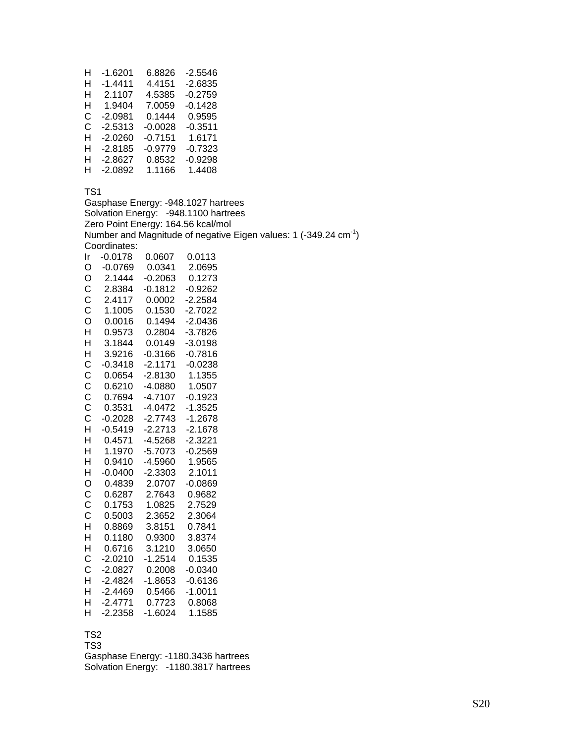| н | $-1.6201$ | 6.8826    | $-2.5546$ |
|---|-----------|-----------|-----------|
| н | $-1.4411$ | 4.4151    | -2.6835   |
| н | 2.1107    | 4.5385    | $-0.2759$ |
| н | 1.9404    | 7.0059    | $-0.1428$ |
| C | $-2.0981$ | 0.1444    | 0.9595    |
| C | $-2.5313$ | $-0.0028$ | $-0.3511$ |
| н | $-2.0260$ | $-0.7151$ | 1.6171    |
| н | $-2.8185$ | $-0.9779$ | $-0.7323$ |
| н | $-2.8627$ | 0.8532    | $-0.9298$ |
| н | $-2.0892$ | 1.1166    | 1.4408    |

Gasphase Energy: -948.1027 hartrees Solvation Energy: -948.1100 hartrees Zero Point Energy: 164.56 kcal/mol Number and Magnitude of negative Eigen values: 1 (-349.24 cm-1) Coordinates: Ir -0.0178 0.0607 0.0113 O -0.0769 0.0341 2.0695 O 2.1444 -0.2063 0.1273 C 2.8384 -0.1812 -0.9262 C 2.4117 0.0002 -2.2584 C 1.1005 0.1530 -2.7022 O 0.0016 0.1494 -2.0436 H 0.9573 0.2804 -3.7826 H 3.1844 0.0149 -3.0198 H 3.9216 -0.3166 -0.7816 C -0.3418 -2.1171 -0.0238 C 0.0654 -2.8130 1.1355 C 0.6210 -4.0880 1.0507 C 0.7694 -4.7107 -0.1923 C 0.3531 -4.0472 -1.3525 C -0.2028 -2.7743 -1.2678 H -0.5419 -2.2713 -2.1678 H 0.4571 -4.5268 -2.3221 H 1.1970 -5.7073 -0.2569 H 0.9410 -4.5960 1.9565 H -0.0400 -2.3303 2.1011 O 0.4839 2.0707 -0.0869 C 0.6287 2.7643 0.9682 C 0.1753 1.0825 2.7529 C 0.5003 2.3652 2.3064 0.8869 3.8151 0.7841 H 0.1180 0.9300 3.8374 H 0.6716 3.1210 3.0650 C -2.0210 -1.2514 0.1535 C -2.0827 0.2008 -0.0340 H -2.4824 -1.8653 -0.6136 H -2.4469 0.5466 -1.0011 H -2.4771 0.7723 0.8068 H -2.2358 -1.6024 1.1585

#### TS2

TS3

Gasphase Energy: -1180.3436 hartrees Solvation Energy: -1180.3817 hartrees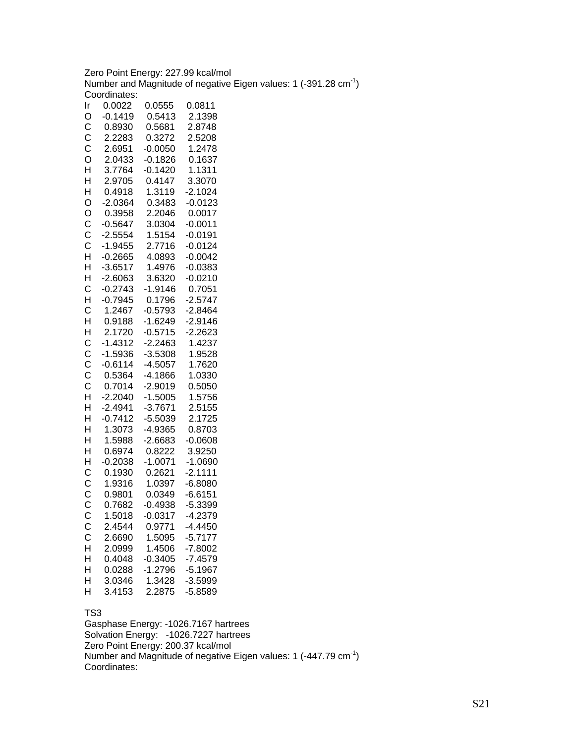Zero Point Energy: 227.99 kcal/mol Number and Magnitude of negative Eigen values: 1 (-391.28 cm-1) Coordinates:

| Ir               | 0.0022    | 0.0555    | 0.0811    |
|------------------|-----------|-----------|-----------|
| O                | $-0.1419$ | 0.5413    | 2.1398    |
| $\mathsf{C}$     | 0.8930    | 0.5681    | 2.8748    |
|                  | 2.2283    | 0.3272    | 2.5208    |
|                  | 2.6951    | $-0.0050$ | 1.2478    |
|                  | 2.0433    | $-0.1826$ | 0.1637    |
| CCOHHO           | 3.7764    | $-0.1420$ | 1.1311    |
|                  | 2.9705    | 0.4147    | 3.3070    |
|                  | 0.4918    | 1.3119    | $-2.1024$ |
|                  | $-2.0364$ | 0.3483    | $-0.0123$ |
|                  | 0.3958    | 2.2046    | 0.0017    |
|                  | $-0.5647$ | 3.0304    | $-0.0011$ |
| O<br>C<br>C<br>C | $-2.5554$ | 1.5154    | $-0.0191$ |
|                  | $-1.9455$ | 2.7716    | $-0.0124$ |
| H                | $-0.2665$ | 4.0893    | $-0.0042$ |
| $\mathsf{H}$     |           | 1.4976    | $-0.0383$ |
|                  | $-3.6517$ | 3.6320    |           |
|                  | $-2.6063$ |           | $-0.0210$ |
|                  | $-0.2743$ | $-1.9146$ | 0.7051    |
|                  | $-0.7945$ | 0.1796    | $-2.5747$ |
| HCHCHH           | 1.2467    | $-0.5793$ | $-2.8464$ |
|                  | 0.9188    | $-1.6249$ | $-2.9146$ |
|                  | 2.1720    | $-0.5715$ | $-2.2623$ |
|                  | $-1.4312$ | $-2.2463$ | 1.4237    |
|                  | $-1.5936$ | $-3.5308$ | 1.9528    |
|                  | $-0.6114$ | $-4.5057$ | 1.7620    |
|                  | 0.5364    | $-4.1866$ | 1.0330    |
|                  | 0.7014    | $-2.9019$ | 0.5050    |
| CCCCCHH          | $-2.2040$ | $-1.5005$ | 1.5756    |
|                  | $-2.4941$ | $-3.7671$ | 2.5155    |
| H<br>H           | $-0.7412$ | $-5.5039$ | 2.1725    |
|                  | 1.3073    | $-4.9365$ | 0.8703    |
| $\overline{H}$   | 1.5988    | $-2.6683$ | $-0.0608$ |
| H<br>H           | 0.6974    | 0.8222    | 3.9250    |
|                  | $-0.2038$ | $-1.0071$ | $-1.0690$ |
|                  | 0.1930    | 0.2621    | $-2.1111$ |
|                  | 1.9316    | 1.0397    | $-6.8080$ |
| CCCCC            | 0.9801    | 0.0349    | $-6.6151$ |
|                  | 0.7682    | $-0.4938$ | $-5.3399$ |
|                  | 1.5018    | $-0.0317$ | $-4.2379$ |
| С                | 2.4544    | 0.9771    | -4.4450   |
| C                | 2.6690    | 1.5095    | $-5.7177$ |
| H                | 2.0999    | 1.4506    | $-7.8002$ |
| H                | 0.4048    | $-0.3405$ | $-7.4579$ |
| H                | 0.0288    | $-1.2796$ | $-5.1967$ |
| H                | 3.0346    | 1.3428    | $-3.5999$ |
| H                | 3.4153    | 2.2875    | $-5.8589$ |

#### TS3

Gasphase Energy: -1026.7167 hartrees Solvation Energy: -1026.7227 hartrees Zero Point Energy: 200.37 kcal/mol Number and Magnitude of negative Eigen values: 1 (-447.79 cm<sup>-1</sup>) Coordinates: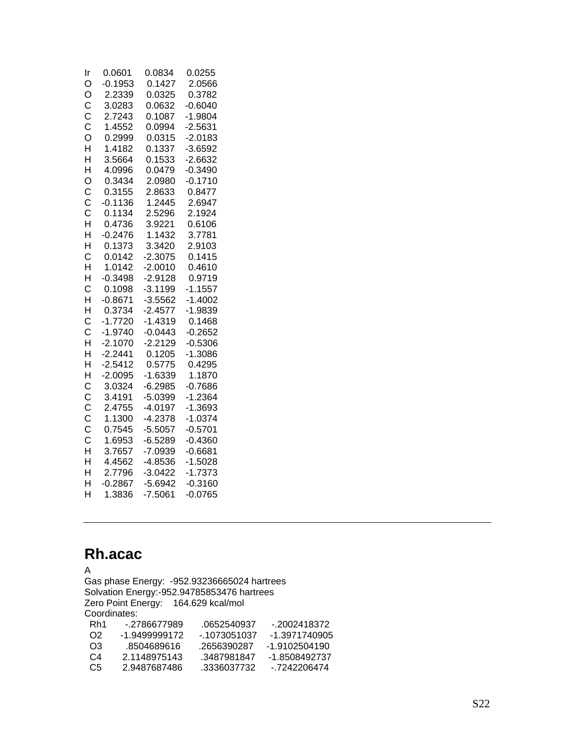| Ir                      | 0.0601    | 0.0834    | 0.0255    |
|-------------------------|-----------|-----------|-----------|
| O                       | $-0.1953$ | 0.1427    | 2.0566    |
| Ó                       | 2.2339    | 0.0325    | 0.3782    |
|                         | 3.0283    | 0.0632    | $-0.6040$ |
|                         | 2.7243    | 0.1087    | $-1.9804$ |
| C<br>C<br>C<br>O        | 1.4552    | 0.0994    | $-2.5631$ |
|                         | 0.2999    | 0.0315    | $-2.0183$ |
| H                       | 1.4182    | 0.1337    | $-3.6592$ |
| H                       | 3.5664    | 0.1533    | $-2.6632$ |
| H                       | 4.0996    | 0.0479    | $-0.3490$ |
| O                       | 0.3434    | 2.0980    | $-0.1710$ |
|                         | 0.3155    | 2.8633    | 0.8477    |
|                         | $-0.1136$ | 1.2445    | 2.6947    |
|                         | 0.1134    | 2.5296    | 2.1924    |
| CCCHH                   | 0.4736    | 3.9221    | 0.6106    |
|                         | $-0.2476$ | 1.1432    | 3.7781    |
| H                       | 0.1373    | 3.3420    | 2.9103    |
| C                       | 0.0142    | $-2.3075$ | 0.1415    |
| $\overline{\mathsf{H}}$ | 1.0142    | $-2.0010$ | 0.4610    |
| H                       | $-0.3498$ | $-2.9128$ | 0.9719    |
| C                       | 0.1098    | $-3.1199$ | $-1.1557$ |
| H                       | $-0.8671$ | $-3.5562$ | $-1.4002$ |
| H                       | 0.3734    | $-2.4577$ | $-1.9839$ |
| C                       | $-1.7720$ | $-1.4319$ | 0.1468    |
| Ċ                       | $-1.9740$ | $-0.0443$ | $-0.2652$ |
| H                       | $-2.1070$ | $-2.2129$ | $-0.5306$ |
| H                       | $-2.2441$ | 0.1205    | $-1.3086$ |
| H                       | $-2.5412$ | 0.5775    | 0.4295    |
| H                       | $-2.0095$ | $-1.6339$ | 1.1870    |
| $\mathsf{C}$            | 3.0324    | $-6.2985$ | $-0.7686$ |
| CCCCCHH                 | 3.4191    | $-5.0399$ | $-1.2364$ |
|                         | 2.4755    | $-4.0197$ | $-1.3693$ |
|                         | 1.1300    | $-4.2378$ | $-1.0374$ |
|                         | 0.7545    | $-5.5057$ | $-0.5701$ |
|                         | 1.6953    | $-6.5289$ | $-0.4360$ |
|                         | 3.7657    | $-7.0939$ | $-0.6681$ |
|                         | 4.4562    | $-4.8536$ | $-1.5028$ |
| H                       | 2.7796    | $-3.0422$ | $-1.7373$ |
| H                       | $-0.2867$ | $-5.6942$ | $-0.3160$ |
| H                       | 1.3836    | $-7.5061$ | $-0.0765$ |

# **Rh.acac**

A Gas phase Energy: -952.93236665024 hartrees Solvation Energy:-952.94785853476 hartrees Zero Point Energy: 164.629 kcal/mol Coordinates:<br>Rh1 -.27 Rh1 -.2786677989 .0652540937 -.2002418372 O2 -1.9499999172 -.1073051037 -1.3971740905 O3 .8504689616 .2656390287 -1.9102504190<br>C4 2.1148975143 .3487981847 -1.8508492737 C4 2.1148975143 .3487981847 -1.8508492737 C5 2.9487687486 .3336037732 -.7242206474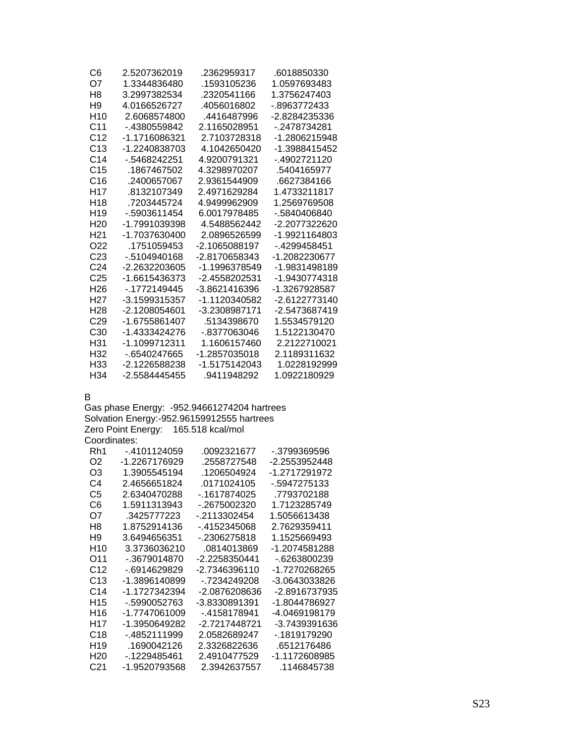| C6              | 2.5207362019  | .2362959317   | .6018850330   |
|-----------------|---------------|---------------|---------------|
| Ω7              | 1.3344836480  | .1593105236   | 1.0597693483  |
| H8              | 3.2997382534  | .2320541166   | 1.3756247403  |
| H <sub>9</sub>  | 4 0166526727  | 4056016802    | - 8963772433  |
| H10             | 2 6068574800  | 4416487996    | -2 8284235336 |
| C11             | - 4380559842  | 2 1165028951  | - 2478734281  |
| C <sub>12</sub> | -1 1716086321 | 2.7103728318  | -1.2806215948 |
| C <sub>13</sub> | -1.2240838703 | 4.1042650420  | -1.3988415452 |
| C <sub>14</sub> | - 5468242251  | 4.9200791321  | - 4902721120  |
| C <sub>15</sub> | .1867467502   | 4.3298970207  | .5404165977   |
| C16             | .2400657067   | 2.9361544909  | .6627384166   |
| H <sub>17</sub> | 8132107349    | 2 4971629284  | 1.4733211817  |
| H18             | .7203445724   | 4.9499962909  | 1.2569769508  |
| H <sub>19</sub> | - 5903611454  | 6.0017978485  | - 5840406840  |
| H <sub>20</sub> | -1 7991039398 | 4.5488562442  | -2 2077322620 |
| H21             | -1 7037630400 | 2.0896526599  | -1.9921164803 |
| O22             | .1751059453   | -2.1065088197 | - 4299458451  |
| C <sub>23</sub> | - 5104940168  | -2.8170658343 | -1.2082230677 |
| C <sub>24</sub> | -2.2632203605 | -1.1996378549 | -1.9831498189 |
| C <sub>25</sub> | -1.6615436373 | -2 4558202531 | -1.9430774318 |
| H <sub>26</sub> | -.1772149445  | -3 8621416396 | -1.3267928587 |
| H27             | -3 1599315357 | -1 1120340582 | -2 6122773140 |
| H <sub>28</sub> | -2.1208054601 | -3.2308987171 | -2.5473687419 |
| C <sub>29</sub> | -1.6755861407 | .5134398670   | 1.5534579120  |
| C30             | -1 4333424276 | - 8377063046  | 1 5122130470  |
| H31             | -1.1099712311 | 1.1606157460  | 2.2122710021  |
| H32             | - 6540247665  | -1.2857035018 | 2.1189311632  |
| H33             | -2.1226588238 | -1.5175142043 | 1.0228192999  |
| H34             | -2 5584445455 | .9411948292   | 1.0922180929  |

B

Gas phase Energy: -952.94661274204 hartrees Solvation Energy:-952.96159912555 hartrees Zero Point Energy: 165.518 kcal/mol Coordinates:

| Rh1             | - 4101124059  | 0092321677    | - 3799369596  |
|-----------------|---------------|---------------|---------------|
| O <sub>2</sub>  | -1.2267176929 | .2558727548   | -2.2553952448 |
| O3              | 1 3905545194  | 1206504924    | -1 2717291972 |
| C4              | 2 4656651824  | 0171024105    | - 5947275133  |
| C5              | 2.6340470288  | - 1617874025  | .7793702188   |
| C6              | 1.5911313943  | - 2675002320  | 1.7123285749  |
| O7              | 3425777223    | - 2113302454  | 1 5056613438  |
| H8              | 1 8752914136  | - 4152345068  | 2.7629359411  |
| H9              | 3 6494656351  | - 2306275818  | 1 1525669493  |
| H <sub>10</sub> | 3 3736036210  | 0814013869    | -1.2074581288 |
| O11             | - 3679014870  | -2.2258350441 | - 6263800239  |
| C <sub>12</sub> | - 6914629829  | -2 7346396110 | -1 7270268265 |
| C13             | -1.3896140899 | - 7234249208  | -3.0643033826 |
| C <sub>14</sub> | -1 1727342394 | -2.0876208636 | -2.8916737935 |
| H <sub>15</sub> | -.5990052763  | -3.8330891391 | -1.8044786927 |
| H16             | -1 7747061009 | - 4158178941  | -4.0469198179 |
| H17             | -1 3950649282 | -2 7217448721 | -3.7439391636 |
| C <sub>18</sub> | - 4852111999  | 2 0582689247  | - 1819179290  |
| H <sub>19</sub> | .1690042126   | 2.3326822636  | .6512176486   |
| H <sub>20</sub> | - 1229485461  | 2.4910477529  | -1.1172608985 |
| C <sub>21</sub> | -1.9520793568 | 2.3942637557  | 1146845738    |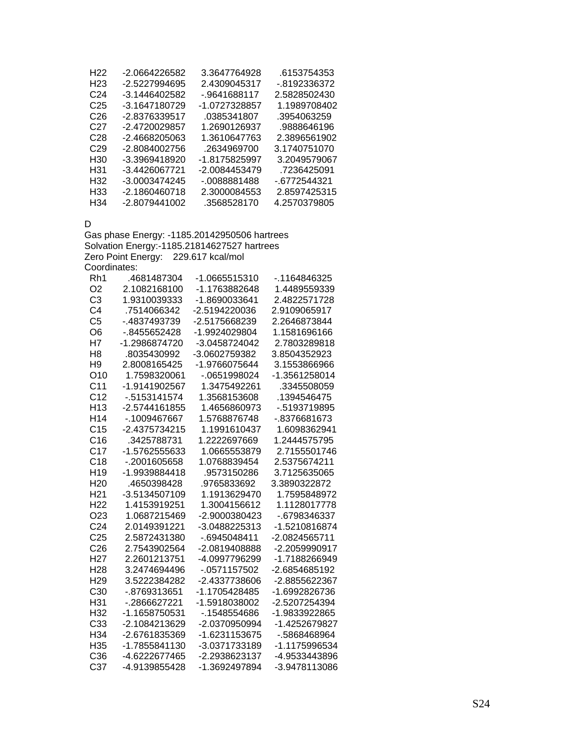| H22             | -2.0664226582   | 3.3647764928  | 6153754353   |
|-----------------|-----------------|---------------|--------------|
| H23             | -2.5227994695   | 2.4309045317  | - 8192336372 |
| C <sub>24</sub> | -3 1446402582   | - 9641688117  | 2.5828502430 |
| C <sub>25</sub> | -3 1647180729   | -1 0727328857 | 1.1989708402 |
| C26             | -2.8376339517   | .0385341807   | 3954063259   |
| C27             | -2.4720029857   | 1.2690126937  | .9888646196  |
| C28             | -2.4668205063   | 1 3610647763  | 2.3896561902 |
| C <sub>29</sub> | -2.8084002756   | .2634969700   | 3.1740751070 |
| H30             | -3.3969418920   | -1 8175825997 | 3 2049579067 |
| H31             | -3.4426067721   | -2 0084453479 | .7236425091  |
| H32             | -3.0003474245   | - 0088881488  | - 6772544321 |
| H33             | $-2.1860460718$ | 2.3000084553  | 28597425315  |
| H34             | -2.8079441002   | .3568528170   | 4.2570379805 |

D

Gas phase Energy: -1185.20142950506 hartrees Solvation Energy:-1185.21814627527 hartrees Zero Point Energy: 229.617 kcal/mol Coordinates:

| Rh1             | .4681487304   | -1.0665515310 | -.1164846325  |
|-----------------|---------------|---------------|---------------|
| O <sub>2</sub>  | 2.1082168100  | -1.1763882648 | 1.4489559339  |
| C <sub>3</sub>  | 1.9310039333  | -1.8690033641 | 2.4822571728  |
| C <sub>4</sub>  | 7514066342    | -2.5194220036 | 2.9109065917  |
| C <sub>5</sub>  | -.4837493739  | -2.5175668239 | 2.2646873844  |
| O <sub>6</sub>  | -.8455652428  | -1.9924029804 | 1.1581696166  |
| H7              | -1.2986874720 | -3.0458724042 | 2.7803289818  |
| H <sub>8</sub>  | .8035430992   | -3.0602759382 | 3.8504352923  |
| H <sub>9</sub>  | 2.8008165425  | -1.9766075644 | 3.1553866966  |
| O <sub>10</sub> | 1.7598320061  | -.0651998024  | -1.3561258014 |
| C <sub>11</sub> | -1.9141902567 | 1.3475492261  | .3345508059   |
| C <sub>12</sub> | $-5153141574$ | 1.3568153608  | .1394546475   |
| H <sub>13</sub> | -2.5744161855 | 1.4656860973  | - 5193719895  |
| H <sub>14</sub> | -.1009467667  | 1.5768876748  | -.8376681673  |
| C <sub>15</sub> | -2.4375734215 | 1.1991610437  | 1.6098362941  |
| C16             | .3425788731   | 1.2222697669  | 1.2444575795  |
| C <sub>17</sub> | -1.5762555633 | 1.0665553879  | 2.7155501746  |
| C <sub>18</sub> | -.2001605658  | 1.0768839454  | 2.5375674211  |
| H <sub>19</sub> | -1.9939884418 | .9573150286   | 3.7125635065  |
| H <sub>20</sub> | .4650398428   | .9765833692   | 3.3890322872  |
| H <sub>21</sub> | -3.5134507109 | 1.1913629470  | 1.7595848972  |
| H <sub>22</sub> | 1.4153919251  | 1.3004156612  | 1.1128017778  |
| O <sub>23</sub> | 1.0687215469  | -2.9000380423 | -.6798346337  |
| C <sub>24</sub> | 2.0149391221  | -3.0488225313 | -1.5210816874 |
| C <sub>25</sub> | 2.5872431380  | -.6945048411  | -2.0824565711 |
| C <sub>26</sub> | 2.7543902564  | -2.0819408888 | -2.2059990917 |
| H <sub>27</sub> | 2.2601213751  | -4.0997796299 | -1.7188266949 |
| H <sub>28</sub> | 3.2474694496  | $-0571157502$ | -2.6854685192 |
| H <sub>29</sub> | 3.5222384282  | -2.4337738606 | -2.8855622367 |
| C <sub>30</sub> | - 8769313651  | -1.1705428485 | -1.6992826736 |
| H31             | -.2866627221  | -1.5918038002 | -2.5207254394 |
| H <sub>32</sub> | -1.1658750531 | - 1548554686  | -1.9833922865 |
| C <sub>33</sub> | -2.1084213629 | -2.0370950994 | -1.4252679827 |
| H <sub>34</sub> | -2.6761835369 | -1.6231153675 | -.5868468964  |
| H <sub>35</sub> | -1.7855841130 | -3.0371733189 | -1.1175996534 |
| C36             | -4.6222677465 | -2.2938623137 | -4.9533443896 |
| C37             | -4.9139855428 | -1.3692497894 | -3.9478113086 |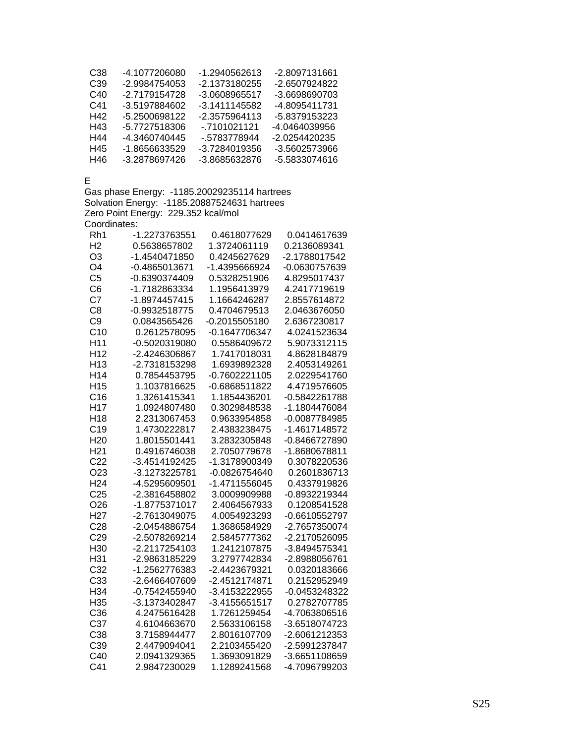| C38 | -4 1077206080 | -1.2940562613 | -2.8097131661 |
|-----|---------------|---------------|---------------|
| C39 | -2.9984754053 | -2.1373180255 | -2.6507924822 |
| C40 | -2 7179154728 | -3.0608965517 | -3.6698690703 |
| C41 | -3.5197884602 | -3 1411145582 | -4 8095411731 |
| H42 | -5.2500698122 | -2.3575964113 | -5.8379153223 |
| H43 | -5.7727518306 | - 7101021121  | -4 0464039956 |
| H44 | -4.3460740445 | - 5783778944  | -2.0254420235 |
| H45 | -1 8656633529 | -3.7284019356 | -3.5602573966 |
| H46 | -3 2878697426 | -3 8685632876 | -5 5833074616 |

E

Gas phase Energy: -1185.20029235114 hartrees Solvation Energy: -1185.20887524631 hartrees Zero Point Energy: 229.352 kcal/mol Coordinates:

| Rh1             | -1.2273763551 | 0.4618077629    | 0.0414617639  |
|-----------------|---------------|-----------------|---------------|
| H <sub>2</sub>  | 0.5638657802  | 1.3724061119    | 0.2136089341  |
| O <sub>3</sub>  | -1.4540471850 | 0.4245627629    | -2.1788017542 |
| O <sub>4</sub>  | -0.4865013671 | -1.4395666924   | -0.0630757639 |
| C <sub>5</sub>  | -0.6390374409 | 0.5328251906    | 4.8295017437  |
| C <sub>6</sub>  | -1.7182863334 | 1.1956413979    | 4.2417719619  |
| C7              | -1.8974457415 | 1.1664246287    | 2.8557614872  |
| C <sub>8</sub>  | -0.9932518775 | 0.4704679513    | 2.0463676050  |
| C <sub>9</sub>  | 0.0843565426  | $-0.2015505180$ | 2.6367230817  |
| C10             | 0.2612578095  | -0.1647706347   | 4.0241523634  |
| H <sub>11</sub> | -0.5020319080 | 0.5586409672    | 5.9073312115  |
| H <sub>12</sub> | -2.4246306867 | 1.7417018031    | 4.8628184879  |
| H <sub>13</sub> | -2.7318153298 | 1.6939892328    | 2.4053149261  |
| H14             | 0.7854453795  | $-0.7602221105$ | 2.0229541760  |
| H <sub>15</sub> | 1.1037816625  | -0.6868511822   | 4.4719576605  |
| C16             | 1.3261415341  | 1.1854436201    | -0.5842261788 |
| H <sub>17</sub> | 1.0924807480  | 0.3029848538    | -1.1804476084 |
| H <sub>18</sub> | 2.2313067453  | 0.9633954858    | -0.0087784985 |
| C <sub>19</sub> | 1.4730222817  | 2.4383238475    | -1.4617148572 |
| H <sub>20</sub> | 1.8015501441  | 3.2832305848    | -0.8466727890 |
| H <sub>21</sub> | 0.4916746038  | 2.7050779678    | -1.8680678811 |
| C <sub>22</sub> | -3.4514192425 | -1.3178900349   | 0.3078220536  |
| O <sub>23</sub> | -3.1273225781 | -0.0826754640   | 0.2601836713  |
| H <sub>24</sub> | -4.5295609501 | -1.4711556045   | 0.4337919826  |
| C <sub>25</sub> | -2.3816458802 | 3.0009909988    | -0.8932219344 |
| O <sub>26</sub> | -1.8775371017 | 2.4064567933    | 0.1208541528  |
| H <sub>27</sub> | -2.7613049075 | 4.0054923293    | -0.6610552797 |
| C <sub>28</sub> | -2.0454886754 | 1.3686584929    | -2.7657350074 |
| C <sub>29</sub> | -2.5078269214 | 2.5845777362    | -2.2170526095 |
| H <sub>30</sub> | -2.2117254103 | 1.2412107875    | -3.8494575341 |
| H31             | -2.9863185229 | 3.2797742834    | -2.8988056761 |
| C <sub>32</sub> | -1.2562776383 | -2.4423679321   | 0.0320183666  |
| C33             | -2.6466407609 | -2.4512174871   | 0.2152952949  |
| H34             | -0.7542455940 | -3.4153222955   | -0.0453248322 |
| H35             | -3.1373402847 | -3.4155651517   | 0.2782707785  |
| C36             | 4.2475616428  | 1.7261259454    | -4.7063806516 |
| C37             | 4.6104663670  | 2.5633106158    | -3.6518074723 |
| C38             | 3.7158944477  | 2.8016107709    | -2.6061212353 |
| C39             | 2.4479094041  | 2.2103455420    | -2.5991237847 |
| C40             | 2.0941329365  | 1.3693091829    | -3.6651108659 |
| C <sub>41</sub> | 2.9847230029  | 1.1289241568    | -4.7096799203 |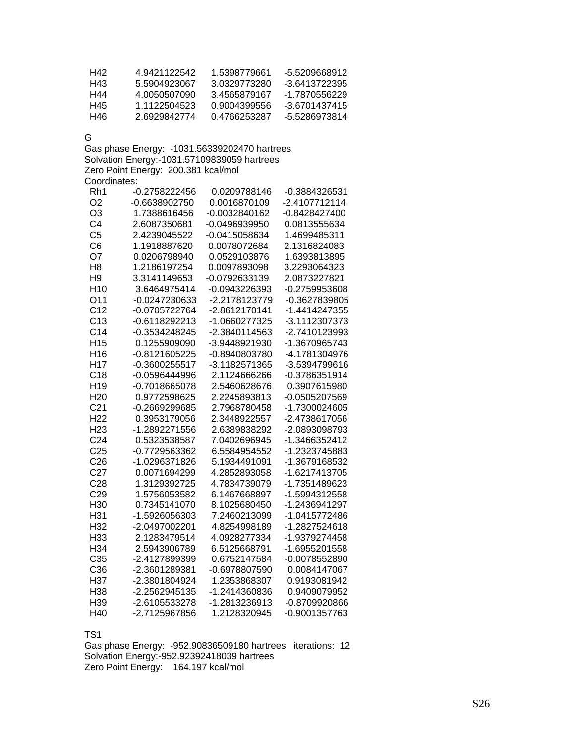| H42 | 4 9421122542 | 1.5398779661 | -5.5209668912 |
|-----|--------------|--------------|---------------|
| H43 | 5 5904923067 | 3 0329773280 | -3.6413722395 |
| H44 | 4 0050507090 | 3 4565879167 | -1.7870556229 |
| H45 | 1 1122504523 | 0.9004399556 | -3 6701437415 |
| H46 | 26929842774  | 0.4766253287 | -5.5286973814 |

G

Gas phase Energy: -1031.56339202470 hartrees Solvation Energy:-1031.57109839059 hartrees Zero Point Energy: 200.381 kcal/mol Coordinates:

| Rh1             | -0.2758222456 | 0.0209788146  | -0.3884326531 |
|-----------------|---------------|---------------|---------------|
| O <sub>2</sub>  | -0.6638902750 | 0.0016870109  | -2.4107712114 |
| O <sub>3</sub>  | 1.7388616456  | -0.0032840162 | -0.8428427400 |
| C <sub>4</sub>  | 2.6087350681  | -0.0496939950 | 0.0813555634  |
| C <sub>5</sub>  | 2.4239045522  | -0.0415058634 | 1.4699485311  |
| C <sub>6</sub>  | 1.1918887620  | 0.0078072684  | 2.1316824083  |
| O7              | 0.0206798940  | 0.0529103876  | 1.6393813895  |
| H <sub>8</sub>  | 1.2186197254  | 0.0097893098  | 3.2293064323  |
| H <sub>9</sub>  | 3.3141149653  | -0.0792633139 | 2.0873227821  |
| H <sub>10</sub> | 3.6464975414  | -0.0943226393 | -0.2759953608 |
| O11             | -0.0247230633 | -2.2178123779 | -0.3627839805 |
| C <sub>12</sub> | -0.0705722764 | -2.8612170141 | -1.4414247355 |
| C13             | -0.6118292213 | -1.0660277325 | -3.1112307373 |
| C <sub>14</sub> | -0.3534248245 | -2.3840114563 | -2.7410123993 |
| H <sub>15</sub> | 0.1255909090  | -3.9448921930 | -1.3670965743 |
| H <sub>16</sub> | -0.8121605225 | -0.8940803780 | -4.1781304976 |
| H <sub>17</sub> | -0.3600255517 | -3.1182571365 | -3.5394799616 |
| C18             | -0.0596444996 | 2.1124666266  | -0.3786351914 |
| H <sub>19</sub> | -0.7018665078 | 2.5460628676  | 0.3907615980  |
| H <sub>20</sub> | 0.9772598625  | 2.2245893813  | -0.0505207569 |
| C <sub>21</sub> | -0.2669299685 | 2.7968780458  | -1.7300024605 |
| H <sub>22</sub> | 0.3953179056  | 2.3448922557  | -2.4738617056 |
| H <sub>23</sub> | -1.2892271556 | 2.6389838292  | -2.0893098793 |
| C <sub>24</sub> | 0.5323538587  | 7.0402696945  | -1.3466352412 |
| C <sub>25</sub> | -0.7729563362 | 6.5584954552  | -1.2323745883 |
| C <sub>26</sub> | -1.0296371826 | 5.1934491091  | -1.3679168532 |
| C <sub>27</sub> | 0.0071694299  | 4.2852893058  | -1.6217413705 |
| C <sub>28</sub> | 1.3129392725  | 4.7834739079  | -1.7351489623 |
| C <sub>29</sub> | 1.5756053582  | 6.1467668897  | -1.5994312558 |
| H <sub>30</sub> | 0.7345141070  | 8.1025680450  | -1.2436941297 |
| H31             | -1.5926056303 | 7.2460213099  | -1.0415772486 |
| H32             | -2.0497002201 | 4.8254998189  | -1.2827524618 |
| H33             | 2.1283479514  | 4.0928277334  | -1.9379274458 |
| H <sub>34</sub> | 2.5943906789  | 6.5125668791  | -1.6955201558 |
| C35             | -2.4127899399 | 0.6752147584  | -0.0078552890 |
| C36             | -2.3601289381 | -0.6978807590 | 0.0084147067  |
| H37             | -2.3801804924 | 1.2353868307  | 0.9193081942  |
| H38             | -2.2562945135 | -1.2414360836 | 0.9409079952  |
| H39             | -2.6105533278 | -1.2813236913 | -0.8709920866 |
| H40             | -2.7125967856 | 1.2128320945  | -0.9001357763 |

TS1

Gas phase Energy: -952.90836509180 hartrees iterations: 12 Solvation Energy:-952.92392418039 hartrees Zero Point Energy: 164.197 kcal/mol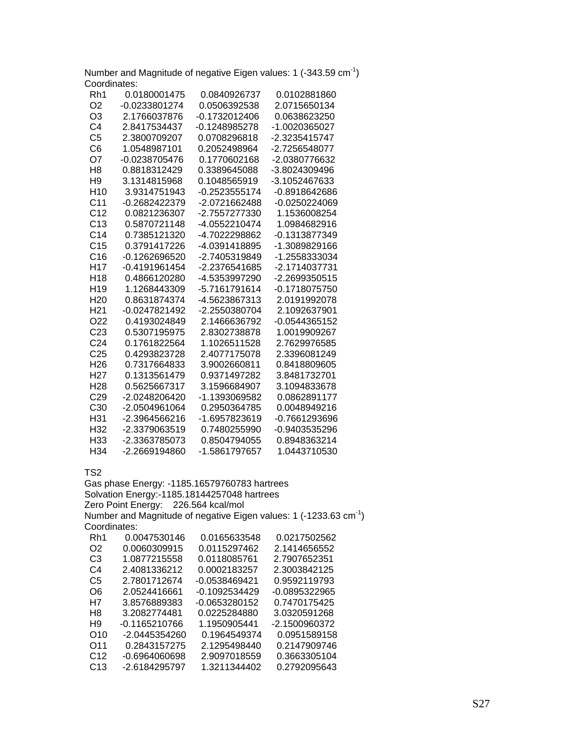Number and Magnitude of negative Eigen values: 1  $(-343.59 \text{ cm}^{-1})$ Coordinates:

| Rh1             | 0.0180001475  | 0.0840926737  | 0.0102881860  |
|-----------------|---------------|---------------|---------------|
| O <sub>2</sub>  | -0.0233801274 | 0.0506392538  | 2.0715650134  |
| O <sub>3</sub>  | 2.1766037876  | -0.1732012406 | 0.0638623250  |
| C4              | 2.8417534437  | -0.1248985278 | -1.0020365027 |
| C <sub>5</sub>  | 2.3800709207  | 0.0708296818  | -2.3235415747 |
| C6              | 1.0548987101  | 0.2052498964  | -2.7256548077 |
| O7              | -0.0238705476 | 0.1770602168  | -2.0380776632 |
| H8              | 0.8818312429  | 0.3389645088  | -3.8024309496 |
| H <sub>9</sub>  | 3.1314815968  | 0.1048565919  | -3.1052467633 |
| H <sub>10</sub> | 3.9314751943  | -0.2523555174 | -0.8918642686 |
| C <sub>11</sub> | -0.2682422379 | -2.0721662488 | -0.0250224069 |
| C <sub>12</sub> | 0.0821236307  | -2.7557277330 | 1.1536008254  |
| C13             | 0.5870721148  | -4.0552210474 | 1.0984682916  |
| C <sub>14</sub> | 0.7385121320  | -4.7022298862 | -0.1313877349 |
| C <sub>15</sub> | 0.3791417226  | -4.0391418895 | -1.3089829166 |
| C16             | -0.1262696520 | -2.7405319849 | -1.2558333034 |
| H <sub>17</sub> | -0.4191961454 | -2.2376541685 | -2.1714037731 |
| H <sub>18</sub> | 0.4866120280  | -4.5353997290 | -2.2699350515 |
| H <sub>19</sub> | 1.1268443309  | -5.7161791614 | -0.1718075750 |
| H <sub>20</sub> | 0.8631874374  | -4.5623867313 | 2.0191992078  |
| H <sub>21</sub> | -0.0247821492 | -2.2550380704 | 2.1092637901  |
| O <sub>22</sub> | 0.4193024849  | 2.1466636792  | -0.0544365152 |
| C <sub>23</sub> | 0.5307195975  | 2.8302738878  | 1.0019909267  |
| C <sub>24</sub> | 0.1761822564  | 1.1026511528  | 2.7629976585  |
| C <sub>25</sub> | 0.4293823728  | 2.4077175078  | 2.3396081249  |
| H <sub>26</sub> | 0.7317664833  | 3.9002660811  | 0.8418809605  |
| H27             | 0.1313561479  | 0.9371497282  | 3.8481732701  |
| H <sub>28</sub> | 0.5625667317  | 3.1596684907  | 3.1094833678  |
| C <sub>29</sub> | -2.0248206420 | -1.1393069582 | 0.0862891177  |
| C <sub>30</sub> | -2.0504961064 | 0.2950364785  | 0.0048949216  |
| H31             | -2.3964566216 | -1.6957823619 | -0.7661293696 |
| H <sub>32</sub> | -2.3379063519 | 0.7480255990  | -0.9403535296 |
| H <sub>33</sub> | -2.3363785073 | 0.8504794055  | 0.8948363214  |
| H34             | -2.2669194860 | -1.5861797657 | 1.0443710530  |

TS2

Gas phase Energy: -1185.16579760783 hartrees Solvation Energy:-1185.18144257048 hartrees Zero Point Energy: 226.564 kcal/mol Number and Magnitude of negative Eigen values: 1 (-1233.63 cm-1) Coordinates: Rh1 0.0047530146 0.0165633548 0.0217502562 O2 0.0060309915 0.0115297462 2.1414656552 C3 1.0877215558 0.0118085761 2.7907652351 C4 2.4081336212 0.0002183257 2.3003842125 C5 2.7801712674 -0.0538469421 0.9592119793 O6 2.0524416661 -0.1092534429 -0.0895322965 H7 3.8576889383 -0.0653280152 0.7470175425 H8 3.2082774481 0.0225284880 3.0320591268 H9 -0.1165210766 1.1950905441 -2.1500960372 O10 -2.0445354260 0.1964549374 0.0951589158 O11 0.2843157275 2.1295498440<br>C12 -0.6964060698 2.9097018559 C12 -0.6964060698 2.9097018559 0.3663305104 C13 -2.6184295797 1.3211344402 0.2792095643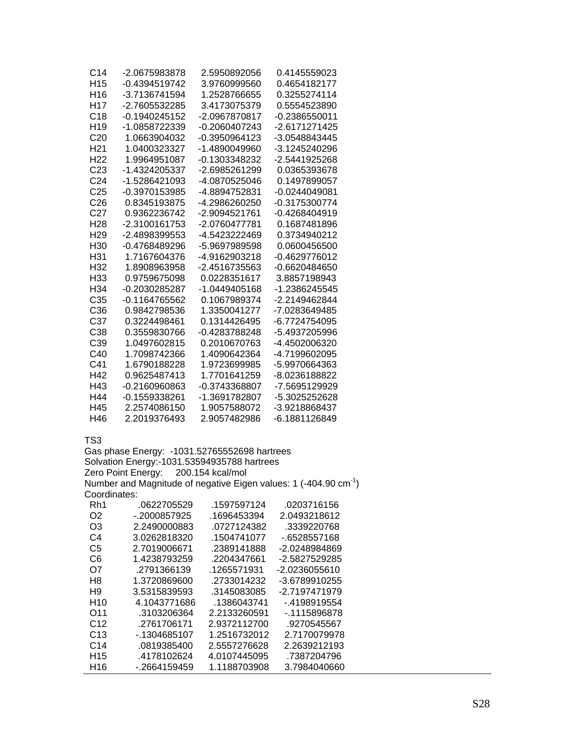| C14             | -2.0675983878   | 2.5950892056  | 0.4145559023  |
|-----------------|-----------------|---------------|---------------|
| H <sub>15</sub> | -0.4394519742   | 3.9760999560  | 0.4654182177  |
| H <sub>16</sub> | -3.7136741594   | 1.2528766655  | 0.3255274114  |
| H <sub>17</sub> | -2.7605532285   | 3.4173075379  | 0.5554523890  |
| C <sub>18</sub> | -0.1940245152   | -2.0967870817 | -0.2386550011 |
| H <sub>19</sub> | -1.0858722339   | -0.2060407243 | -2.6171271425 |
| C <sub>20</sub> | 1.0663904032    | -0.3950964123 | -3.0548843445 |
| H <sub>21</sub> | 1.0400323327    | -1.4890049960 | -3.1245240296 |
| H <sub>22</sub> | 1.9964951087    | -0.1303348232 | -2.5441925268 |
| C <sub>23</sub> | -1.4324205337   | -2.6985261299 | 0.0365393678  |
| C <sub>24</sub> | -1.5286421093   | -4.0870525046 | 0.1497899057  |
| C <sub>25</sub> | -0.3970153985   | -4.8894752831 | -0.0244049081 |
| C26             | 0.8345193875    | -4.2986260250 | -0.3175300774 |
| C <sub>27</sub> | 0.9362236742    | -2.9094521761 | -0.4268404919 |
| H <sub>28</sub> | -2.3100161753   | -2.0760477781 | 0.1687481896  |
| H <sub>29</sub> | -2.4898399553   | -4.5423222469 | 0.3734940212  |
| H <sub>30</sub> | -0.4768489296   | -5.9697989598 | 0.0600456500  |
| H31             | 1.7167604376    | -4.9162903218 | -0.4629776012 |
| H32             | 1.8908963958    | -2.4516735563 | -0.6620484650 |
| H33             | 0.9759675098    | 0.0228351617  | 3.8857198943  |
| H <sub>34</sub> | -0.2030285287   | -1.0449405168 | -1.2386245545 |
| C <sub>35</sub> | -0.1164765562   | 0.1067989374  | -2.2149462844 |
| C <sub>36</sub> | 0.9842798536    | 1.3350041277  | -7.0283649485 |
| C <sub>37</sub> | 0.3224498461    | 0.1314426495  | -6.7724754095 |
| C <sub>38</sub> | 0.3559830766    | -0.4283788248 | -5.4937205996 |
| C39             | 1.0497602815    | 0.2010670763  | -4.4502006320 |
| C40             | 1.7098742366    | 1.4090642364  | -4.7199602095 |
| C <sub>41</sub> | 1.6790188228    | 1.9723699985  | -5.9970664363 |
| H42             | 0.9625487413    | 1.7701641259  | -8.0236188822 |
| H43             | $-0.2160960863$ | -0.3743368807 | -7.5695129929 |
| H44             | -0.1559338261   | -1.3691782807 | -5.3025252628 |
| H45             | 2.2574086150    | 1.9057588072  | -3.9218868437 |
| H46             | 2.2019376493    | 2.9057482986  | -6.1881126849 |

Gas phase Energy: -1031.52765552698 hartrees Solvation Energy:-1031.53594935788 hartrees Zero Point Energy: 200.154 kcal/mol Number and Magnitude of negative Eigen values: 1 (-404.90 cm<sup>-1</sup>) Coordinates:

| Rh1             | .0622705529  | .1597597124  | .0203716156   |
|-----------------|--------------|--------------|---------------|
| O2              | - 2000857925 | .1696453394  | 2.0493218612  |
| O3              | 2.2490000883 | .0727124382  | .3339220768   |
| C4              | 3.0262818320 | .1504741077  | -.6528557168  |
| C5              | 2.7019006671 | .2389141888  | -2.0248984869 |
| C6              | 1.4238793259 | .2204347661  | -2.5827529285 |
| O7              | .2791366139  | .1265571931  | -2.0236055610 |
| H8              | 1.3720869600 | .2733014232  | -3.6789910255 |
| H9              | 3.5315839593 | .3145083085  | -2.7197471979 |
| H10             | 4.1043771686 | .1386043741  | - 4198919554  |
| O <sub>11</sub> | .3103206364  | 2.2133260591 | - 1115896878  |
| C12             | .2761706171  | 2.9372112700 | .9270545567   |
| C13             | - 1304685107 | 1.2516732012 | 2.7170079978  |
| C <sub>14</sub> | .0819385400  | 2.5557276628 | 2.2639212193  |
| H <sub>15</sub> | .4178102624  | 4.0107445095 | .7387204796   |
| H16             | - 2664159459 | 1.1188703908 | 3.7984040660  |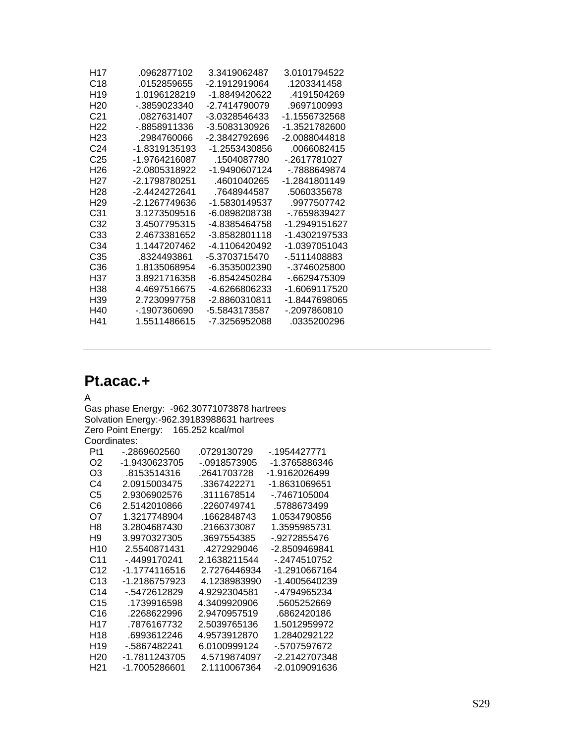| H17             | 0962877102    | 3.3419062487  | 3 0101794522  |
|-----------------|---------------|---------------|---------------|
| C <sub>18</sub> | 0152859655    | -2 1912919064 | 1203341458    |
| H <sub>19</sub> | 1.0196128219  | -1 8849420622 | 4191504269    |
| H20             | - 3859023340  | -2 7414790079 | 9697100993    |
| C <sub>21</sub> | 0827631407    | -3 0328546433 | -1 1556732568 |
| H22             | - 8858911336  | -3.5083130926 | -1 3521782600 |
| H23             | 2984760066    | -2.3842792696 | -2 0088044818 |
| C <sub>24</sub> | -1.8319135193 | -1 2553430856 | 0066082415    |
| C25             | -1.9764216087 | 1504087780    | - 2617781027  |
| H26             | -2 0805318922 | -1 9490607124 | - 7888649874  |
| H27             | -2 1798780251 | 4601040265    | -1 2841801149 |
| H <sub>28</sub> | -2 4424272641 | 7648944587    | 5060335678    |
| H <sub>29</sub> | -2 1267749636 | -1.5830149537 | 9977507742    |
| C31             | 3 1273509516  | -6 0898208738 | - 7659839427  |
| C32             | 34507795315   | -4 8385464758 | -1 2949151627 |
| C <sub>33</sub> | 24673381652   | -3 8582801118 | -1 4302197533 |
| C34             | 1 1447207462  | -4 1106420492 | -1 0397051043 |
| C35             | 8324493861    | -5 3703715470 | - 5111408883  |
| C36             | 18135068954   | -6 3535002390 | - 3746025800  |
| H37             | 3 8921716358  | -6 8542450284 | - 6629475309  |
| H38             | 44697516675   | -4 6266806233 | -1 6069117520 |
| H39             | 2 7230997758  | -2 8860310811 | -1.8447698065 |
| H40             | - 1907360690  | -5.5843173587 | - 2097860810  |
| H41             | 1.5511486615  | -7.3256952088 | .0335200296   |
|                 |               |               |               |

# **Pt.acac.+**

### A

Gas phase Energy: -962.30771073878 hartrees Solvation Energy:-962.39183988631 hartrees Zero Point Energy: 165.252 kcal/mol Coordinates:

| Pt1             | - 2869602560  | .0729130729  | - 1954427771  |
|-----------------|---------------|--------------|---------------|
| O <sub>2</sub>  | -1.9430623705 | - 0918573905 | -1.3765886346 |
| O3              | .8153514316   | .2641703728  | -1.9162026499 |
| C4              | 2.0915003475  | .3367422271  | -1.8631069651 |
| C5              | 2.9306902576  | .3111678514  | - 7467105004  |
| C6              | 2.5142010866  | .2260749741  | .5788673499   |
| O7              | 1.3217748904  | .1662848743  | 1.0534790856  |
| H8              | 3.2804687430  | .2166373087  | 1.3595985731  |
| H9              | 3 9970327305  | .3697554385  | - 9272855476  |
| H <sub>10</sub> | 2.5540871431  | 4272929046   | -2.8509469841 |
| C11             | - 4499170241  | 2.1638211544 | - 2474510752  |
| C <sub>12</sub> | -1.1774116516 | 2.7276446934 | -1.2910667164 |
| C13             | -1 2186757923 | 4 1238983990 | -1.4005640239 |
| C14             | - 5472612829  | 4.9292304581 | - 4794965234  |
| C <sub>15</sub> | .1739916598   | 4.3409920906 | .5605252669   |
| C16             | .2268622996   | 2 9470957519 | 6862420186    |
| H <sub>17</sub> | 7876167732    | 2.5039765136 | 1.5012959972  |
| H18             | .6993612246   | 4.9573912870 | 1.2840292122  |
| H <sub>19</sub> | - 5867482241  | 6.0100999124 | - 5707597672  |
| H20             | -1 7811243705 | 4.5719874097 | -2.2142707348 |
| H21             | -1.7005286601 | 2.1110067364 | -2.0109091636 |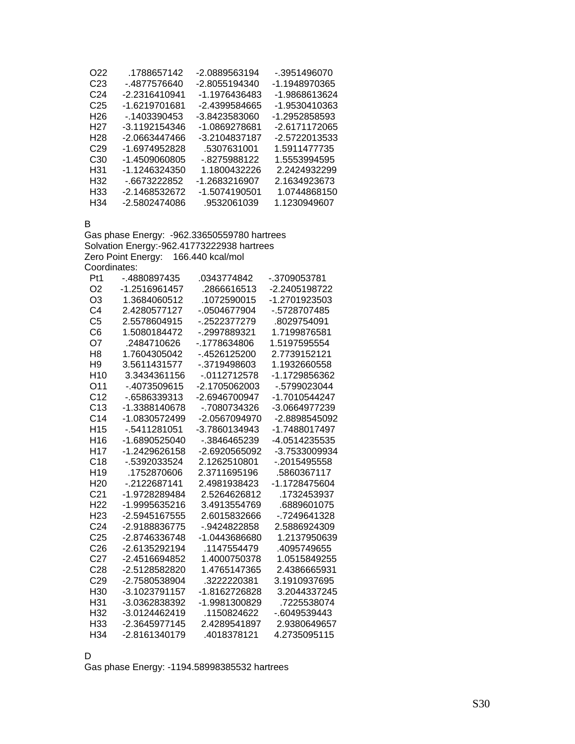| O22             | .1788657142     | -2.0889563194 | - 3951496070  |
|-----------------|-----------------|---------------|---------------|
| C23             | - 4877576640    | -2.8055194340 | -1 1948970365 |
| C24             | -2.2316410941   | -1 1976436483 | -1.9868613624 |
| C <sub>25</sub> | $-1.6219701681$ | -2.4399584665 | -1.9530410363 |
| H26             | - 1403390453    | -3.8423583060 | -1.2952858593 |
| H <sub>27</sub> | -3.1192154346   | -1.0869278681 | -2.6171172065 |
| H28             | -2.0663447466   | -3.2104837187 | -2.5722013533 |
| C <sub>29</sub> | -1.6974952828   | .5307631001   | 1.5911477735  |
| C <sub>30</sub> | -1 4509060805   | - 8275988122  | 1.5553994595  |
| H31             | -1 1246324350   | 1.1800432226  | 2.2424932299  |
| H32             | -.6673222852    | -1.2683216907 | 2.1634923673  |
| H33             | -2.1468532672   | -1.5074190501 | 1.0744868150  |
| H34             | -2.5802474086   | .9532061039   | 1.1230949607  |

B

Gas phase Energy: -962.33650559780 hartrees Solvation Energy:-962.41773222938 hartrees Zero Point Energy: 166.440 kcal/mol Coordinates:

| Pt1             | -.4880897435    | .0343774842     | -.3709053781  |
|-----------------|-----------------|-----------------|---------------|
| O <sub>2</sub>  | -1.2516961457   | .2866616513     | -2.2405198722 |
| O <sub>3</sub>  | 1.3684060512    | .1072590015     | -1.2701923503 |
| C <sub>4</sub>  | 2.4280577127    | -.0504677904    | -.5728707485  |
| C <sub>5</sub>  | 2.5578604915    | - 2522377279    | .8029754091   |
| C6              | 15080184472     | - 2997889321    | 1.7199876581  |
| O7              | .2484710626     | - 1778634806    | 1.5197595554  |
| H <sub>8</sub>  | 1.7604305042    | $-4526125200$   | 2.7739152121  |
| H <sub>9</sub>  | 3.5611431577    | $-3719498603$   | 1.1932660558  |
| H <sub>10</sub> | 3.3434361156    | $-0112712578$   | -1.1729856362 |
| O11             | - 4073509615    | $-2.1705062003$ | $-5799023044$ |
| C <sub>12</sub> | $-6586339313$   | $-2.6946700947$ | -1.7010544247 |
| C <sub>13</sub> | -1.3388140678   | - 7080734326    | -3.0664977239 |
| C <sub>14</sub> | -1.0830572499   | -2.0567094970   | -2.8898545092 |
| H <sub>15</sub> | -.5411281051    | -3.7860134943   | -1.7488017497 |
| H <sub>16</sub> | $-1.6890525040$ | - 3846465239    | -4.0514235535 |
| H <sub>17</sub> | -1.2429626158   | $-2.6920565092$ | -3.7533009934 |
| C <sub>18</sub> | - 5392033524    | 2.1262510801    | - 2015495558  |
| H <sub>19</sub> | .1752870606     | 2.3711695196    | .5860367117   |
| H <sub>20</sub> | $-2122687141$   | 2.4981938423    | -1.1728475604 |
| C <sub>21</sub> | -1.9728289484   | 2.5264626812    | .1732453937   |
| H <sub>22</sub> | -1.9995635216   | 3.4913554769    | .6889601075   |
| H <sub>23</sub> | -2.5945167555   | 2.6015832666    | - 7249641328  |
| C <sub>24</sub> | -2.9188836775   | $-9424822858$   | 2.5886924309  |
| C <sub>25</sub> | -2.8746336748   | -1.0443686680   | 1.2137950639  |
| C <sub>26</sub> | -2.6135292194   | 1147554479      | 4095749655    |
| C <sub>27</sub> | -2.4516694852   | 1.4000750378    | 1.0515849255  |
| C28             | $-2.5128582820$ | 1.4765147365    | 2.4386665931  |
| C <sub>29</sub> | -2.7580538904   | .3222220381     | 3.1910937695  |
| H30             | -3.1023791157   | -1.8162726828   | 3.2044337245  |
| H31             | -3.0362838392   | -1.9981300829   | .7225538074   |
| H <sub>32</sub> | $-3.0124462419$ | 1150824622      | $-6049539443$ |
| H33             | -2.3645977145   | 2.4289541897    | 2.9380649657  |
| H <sub>34</sub> | -2.8161340179   | .4018378121     | 4.2735095115  |
|                 |                 |                 |               |

D

Gas phase Energy: -1194.58998385532 hartrees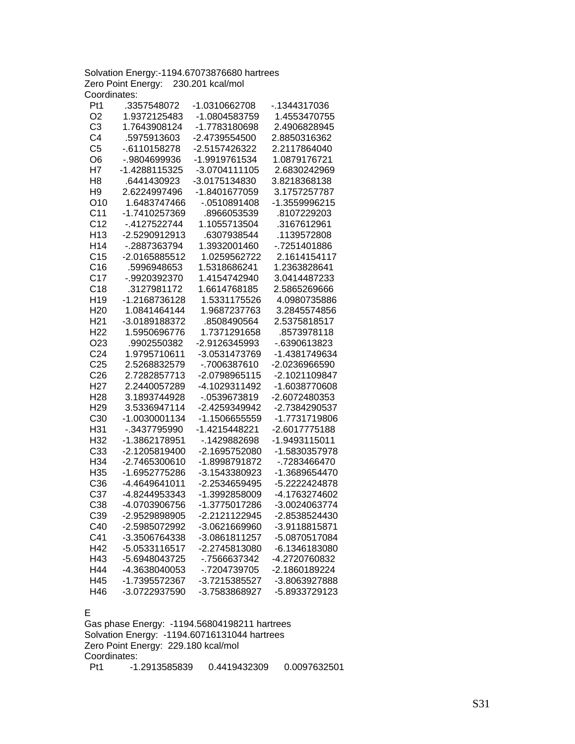Solvation Energy:-1194.67073876680 hartrees Zero Point Energy: 230.201 kcal/mol Coordinates:

| Pt1             | .3357548072   | -1.0310662708 | -.1344317036  |
|-----------------|---------------|---------------|---------------|
| O <sub>2</sub>  | 1.9372125483  | -1.0804583759 | 1.4553470755  |
| C <sub>3</sub>  | 1.7643908124  | -1.7783180698 | 2.4906828945  |
| C <sub>4</sub>  | .5975913603   | -2.4739554500 | 2.8850316362  |
| C <sub>5</sub>  | -.6110158278  | -2.5157426322 | 2.2117864040  |
| O <sub>6</sub>  | -.9804699936  | -1.9919761534 | 1.0879176721  |
| H7              | -1.4288115325 | -3.0704111105 | 2.6830242969  |
| H <sub>8</sub>  | .6441430923   | -3.0175134830 | 3.8218368138  |
| H <sub>9</sub>  | 2.6224997496  | -1.8401677059 | 3.1757257787  |
| O <sub>10</sub> | 1.6483747466  | -.0510891408  | -1.3559996215 |
| C <sub>11</sub> | -1.7410257369 | .8966053539   | .8107229203   |
| C <sub>12</sub> | -.4127522744  | 1.1055713504  | .3167612961   |
| H <sub>13</sub> | -2.5290912913 | .6307938544   | .1139572808   |
| H <sub>14</sub> | -.2887363794  | 1.3932001460  | -.7251401886  |
| C <sub>15</sub> | -2.0165885512 | 1.0259562722  | 2.1614154117  |
| C16             | .5996948653   | 1.5318686241  | 1.2363828641  |
| C <sub>17</sub> | -.9920392370  | 1.4154742940  | 3.0414487233  |
| C18             | .3127981172   | 1.6614768185  | 2.5865269666  |
| H <sub>19</sub> | -1.2168736128 | 1.5331175526  | 4.0980735886  |
| H <sub>20</sub> | 1.0841464144  | 1.9687237763  | 3.2845574856  |
| H <sub>21</sub> | -3.0189188372 | .8508490564   | 2.5375818517  |
| H <sub>22</sub> | 1.5950696776  | 1.7371291658  | .8573978118   |
| O <sub>23</sub> | .9902550382   | -2.9126345993 | -.6390613823  |
| C <sub>24</sub> | 1.9795710611  | -3.0531473769 | -1.4381749634 |
| C <sub>25</sub> | 2.5268832579  | -.7006387610  | -2.0236966590 |
| C <sub>26</sub> | 2.7282857713  | -2.0798965115 | -2.1021109847 |
| H <sub>27</sub> | 2.2440057289  | -4.1029311492 | -1.6038770608 |
| H <sub>28</sub> | 3.1893744928  | -.0539673819  | -2.6072480353 |
| H <sub>29</sub> | 3.5336947114  | -2.4259349942 | -2.7384290537 |
| C <sub>30</sub> | -1.0030001134 | -1.1506655559 | -1.7731719806 |
| H31             | -.3437795990  | -1.4215448221 | -2.6017775188 |
| H32             | -1.3862178951 | -.1429882698  | -1.9493115011 |
| C33             | -2.1205819400 | -2.1695752080 | -1.5830357978 |
| H34             | -2.7465300610 | -1.8998791872 | -.7283466470  |
| H35             | -1.6952775286 | -3.1543380923 | -1.3689654470 |
| C36             | -4.4649641011 | -2.2534659495 | -5.2222424878 |
| C37             | -4.8244953343 | -1.3992858009 | -4.1763274602 |
| C38             | -4.0703906756 | -1.3775017286 | -3.0024063774 |
| C39             | -2.9529898905 | -2.2121122945 | -2.8538524430 |
| C40             | -2.5985072992 | -3.0621669960 | -3.9118815871 |
| C41             | -3.3506764338 | -3.0861811257 | -5.0870517084 |
| H42             | -5.0533116517 | -2.2745813080 | -6.1346183080 |
| H43             | -5.6948043725 | -.7566637342  | -4.2720760832 |
| H44             | -4.3638040053 | -.7204739705  | -2.1860189224 |
| H45             | -1.7395572367 | -3.7215385527 | -3.8063927888 |
| H46             | -3.0722937590 | -3.7583868927 | -5.8933729123 |

### E

Gas phase Energy: -1194.56804198211 hartrees Solvation Energy: -1194.60716131044 hartrees Zero Point Energy: 229.180 kcal/mol Coordinates:<br>Pt1 -1. Pt1 -1.2913585839 0.4419432309 0.0097632501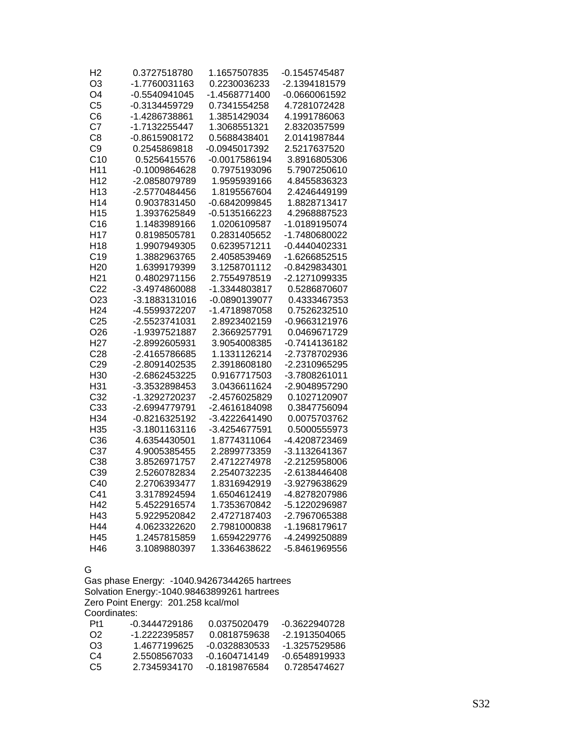| H <sub>2</sub>  | 0.3727518780    | 1.1657507835    | $-0.1545745487$ |
|-----------------|-----------------|-----------------|-----------------|
| O3              | -1.7760031163   | 0.2230036233    | -2.1394181579   |
| O <sub>4</sub>  | $-0.5540941045$ | -1.4568771400   | $-0.0660061592$ |
| C <sub>5</sub>  | -0.3134459729   | 0.7341554258    | 4.7281072428    |
| C <sub>6</sub>  | -1.4286738861   | 1.3851429034    | 4.1991786063    |
| C7              | -1.7132255447   | 1.3068551321    | 2.8320357599    |
| C <sub>8</sub>  | -0.8615908172   | 0.5688438401    | 2.0141987844    |
| C <sub>9</sub>  | 0.2545869818    | -0.0945017392   | 2.5217637520    |
| C <sub>10</sub> | 0.5256415576    | $-0.0017586194$ | 3.8916805306    |
| H <sub>11</sub> | $-0.1009864628$ | 0.7975193096    | 5.7907250610    |
| H <sub>12</sub> | -2.0858079789   | 1.9595939166    | 4.8455836323    |
| H <sub>13</sub> | -2.5770484456   | 1.8195567604    | 2.4246449199    |
| H <sub>14</sub> | 0.9037831450    | -0.6842099845   | 1.8828713417    |
| H <sub>15</sub> | 1.3937625849    | -0.5135166223   | 4.2968887523    |
| C16             | 1.1483989166    | 1.0206109587    | -1.0189195074   |
| H <sub>17</sub> | 0.8198505781    | 0.2831405652    | -1.7480680022   |
| H <sub>18</sub> | 1.9907949305    | 0.6239571211    | -0.4440402331   |
| C19             | 1.3882963765    | 2.4058539469    | -1.6266852515   |
| H <sub>20</sub> | 1.6399179399    | 3.1258701112    | -0.8429834301   |
| H <sub>21</sub> | 0.4802971156    | 2.7554978519    | -2.1271099335   |
| C <sub>22</sub> | -3.4974860088   | -1.3344803817   | 0.5286870607    |
| O <sub>23</sub> | -3.1883131016   | -0.0890139077   | 0.4333467353    |
| H <sub>24</sub> | -4.5599372207   | -1.4718987058   | 0.7526232510    |
| C <sub>25</sub> | -2.5523741031   | 2.8923402159    | -0.9663121976   |
| O <sub>26</sub> | -1.9397521887   | 2.3669257791    | 0.0469671729    |
| H <sub>27</sub> | -2.8992605931   | 3.9054008385    | -0.7414136182   |
| C <sub>28</sub> | -2.4165786685   | 1.1331126214    | -2.7378702936   |
| C <sub>29</sub> | -2.8091402535   | 2.3918608180    | -2.2310965295   |
| H30             | -2.6862453225   | 0.9167717503    | -3.7808261011   |
| H31             | -3.3532898453   | 3.0436611624    | -2.9048957290   |
| C <sub>32</sub> | -1.3292720237   | -2.4576025829   | 0.1027120907    |
| C33             | -2.6994779791   | -2.4616184098   | 0.3847756094    |
| H34             | -0.8216325192   | -3.4222641490   | 0.0075703762    |
| H35             | -3.1801163116   | -3.4254677591   | 0.5000555973    |
| C36             | 4.6354430501    | 1.8774311064    | -4.4208723469   |
| C37             | 4.9005385455    | 2.2899773359    | -3.1132641367   |
| C38             | 3.8526971757    | 2.4712274978    | -2.2125958006   |
| C39             | 2.5260782834    | 2.2540732235    | -2.6138446408   |
| C40             | 2.2706393477    | 1.8316942919    | -3.9279638629   |
| C41             | 3.3178924594    | 1.6504612419    | -4.8278207986   |
| H42             | 5.4522916574    | 1.7353670842    | -5.1220296987   |
| H43             | 5.9229520842    | 2.4727187403    | -2.7967065388   |
| H44             | 4.0623322620    | 2.7981000838    | -1.1968179617   |
| H45             | 1.2457815859    | 1.6594229776    | -4.2499250889   |
| H46             | 3.1089880397    | 1.3364638622    | -5.8461969556   |

#### G

Gas phase Energy: -1040.94267344265 hartrees Solvation Energy:-1040.98463899261 hartrees Zero Point Energy: 201.258 kcal/mol Coordinates:

| -0.3444729186 | 0.0375020479  | -0.3622940728 |
|---------------|---------------|---------------|
| -1 2222395857 | 0.0818759638  | -2 1913504065 |
| 1 4677199625  | -0.0328830533 | -1 3257529586 |
| 2.5508567033  | -0 1604714149 | -0.6548919933 |
| 2 7345934170  | -0 1819876584 | 0.7285474627  |
|               |               |               |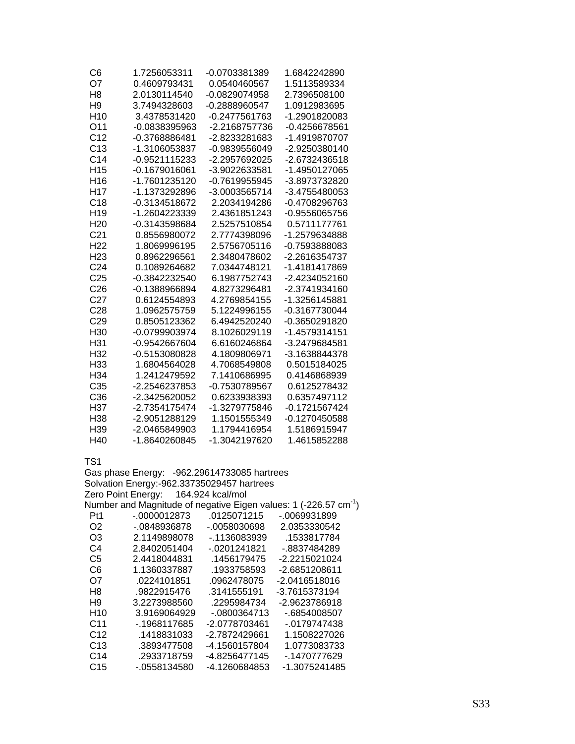| C6              | 1.7256053311    | -0.0703381389   | 1.6842242890  |
|-----------------|-----------------|-----------------|---------------|
| O7              | 0.4609793431    | 0.0540460567    | 1.5113589334  |
| H8              | 2.0130114540    | $-0.0829074958$ | 2.7396508100  |
| H <sub>9</sub>  | 3.7494328603    | -0.2888960547   | 1.0912983695  |
| H <sub>10</sub> | 3.4378531420    | -0.2477561763   | -1.2901820083 |
| O11             | -0.0838395963   | -2.2168757736   | -0.4256678561 |
| C <sub>12</sub> | -0.3768886481   | -2.8233281683   | -1.4919870707 |
| C <sub>13</sub> | -1.3106053837   | -0.9839556049   | -2.9250380140 |
| C <sub>14</sub> | -0.9521115233   | -2.2957692025   | -2.6732436518 |
| H <sub>15</sub> | $-0.1679016061$ | -3.9022633581   | -1.4950127065 |
| H <sub>16</sub> | -1.7601235120   | -0.7619955945   | -3.8973732820 |
| H <sub>17</sub> | -1.1373292896   | -3.0003565714   | -3.4755480053 |
| C18             | -0.3134518672   | 2.2034194286    | -0.4708296763 |
| H <sub>19</sub> | -1.2604223339   | 2.4361851243    | -0.9556065756 |
| H <sub>20</sub> | -0.3143598684   | 2.5257510854    | 0.5711177761  |
| C <sub>21</sub> | 0.8556980072    | 2.7774398096    | -1.2579634888 |
| H <sub>22</sub> | 1.8069996195    | 2.5756705116    | -0.7593888083 |
| H <sub>23</sub> | 0.8962296561    | 2.3480478602    | -2.2616354737 |
| C <sub>24</sub> | 0.1089264682    | 7.0344748121    | -1.4181417869 |
| C <sub>25</sub> | -0.3842232540   | 6.1987752743    | -2.4234052160 |
| C <sub>26</sub> | $-0.1388966894$ | 4.8273296481    | -2.3741934160 |
| C <sub>27</sub> | 0.6124554893    | 4.2769854155    | -1.3256145881 |
| C <sub>28</sub> | 1.0962575759    | 5.1224996155    | -0.3167730044 |
| C <sub>29</sub> | 0.8505123362    | 6.4942520240    | -0.3650291820 |
| H30             | -0.0799903974   | 8.1026029119    | -1.4579314151 |
| H31             | -0.9542667604   | 6.6160246864    | -3.2479684581 |
| H <sub>32</sub> | -0.5153080828   | 4.1809806971    | -3.1638844378 |
| H33             | 1.6804564028    | 4.7068549808    | 0.5015184025  |
| H34             | 1.2412479592    | 7.1410686995    | 0.4146868939  |
| C <sub>35</sub> | -2.2546237853   | -0.7530789567   | 0.6125278432  |
| C <sub>36</sub> | -2.3425620052   | 0.6233938393    | 0.6357497112  |
| H37             | -2.7354175474   | -1.3279775846   | -0.1721567424 |
| H <sub>38</sub> | -2.9051288129   | 1.1501555349    | -0.1270450588 |
| H <sub>39</sub> | -2.0465849903   | 1.1794416954    | 1.5186915947  |
| H40             | -1.8640260845   | -1.3042197620   | 1.4615852288  |

| Gas phase Energy: -962.29614733085 hartrees |                                            |               |                                                                              |
|---------------------------------------------|--------------------------------------------|---------------|------------------------------------------------------------------------------|
|                                             | Solvation Energy:-962.33735029457 hartrees |               |                                                                              |
|                                             | Zero Point Energy: 164.924 kcal/mol        |               |                                                                              |
|                                             |                                            |               | Number and Magnitude of negative Eigen values: 1 (-226.57 cm <sup>-1</sup> ) |
| Pt1                                         | -.0000012873                               | .0125071215   | -.0069931899                                                                 |
| O2.                                         | - 0848936878                               | -.0058030698  | 2.0353330542                                                                 |
| O3                                          | 2.1149898078                               | -.1136083939  | .1533817784                                                                  |
| C4                                          | 2.8402051404                               | -.0201241821  | -.8837484289                                                                 |
| C5                                          | 2.4418044831                               | .1456179475   | -2.2215021024                                                                |
| C6                                          | 1.1360337887                               | .1933758593   | -2.6851208611                                                                |
| O7                                          | .0224101851                                | .0962478075   | -2.0416518016                                                                |
| H8                                          | .9822915476                                | .3141555191   | -3.7615373194                                                                |
| H <sub>9</sub>                              | 3.2273988560                               | .2295984734   | -2.9623786918                                                                |
| H <sub>10</sub>                             | 3.9169064929                               | $-0800364713$ | -.6854008507                                                                 |
| C <sub>11</sub>                             | - 1968117685                               | -2.0778703461 | -.0179747438                                                                 |
| C <sub>12</sub>                             | .1418831033                                | -2.7872429661 | 1.1508227026                                                                 |
| C <sub>13</sub>                             | .3893477508                                | -4.1560157804 | 1.0773083733                                                                 |
| C <sub>14</sub>                             | .2933718759                                | -4.8256477145 | -.1470777629                                                                 |
| C15                                         | -.0558134580                               | -4.1260684853 | -1.3075241485                                                                |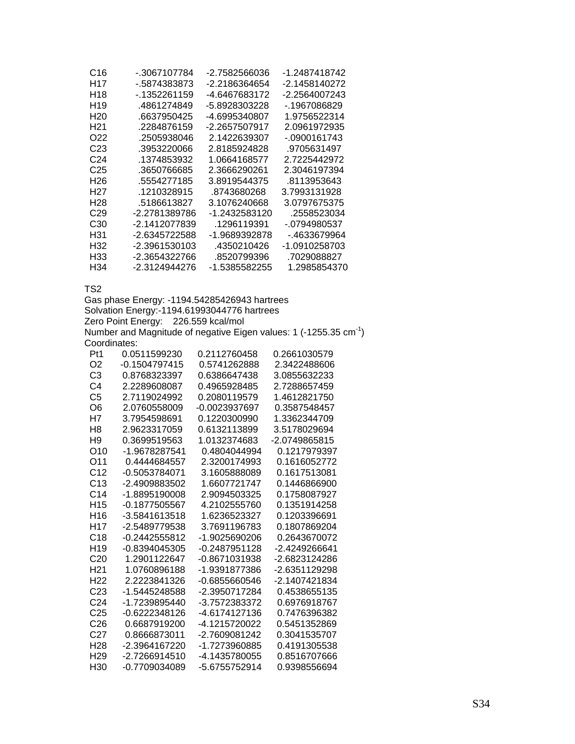| C <sub>16</sub>  | - 3067107784  | -2.7582566036 | -1.2487418742 |
|------------------|---------------|---------------|---------------|
| H17              | - 5874383873  | -2.2186364654 | -2.1458140272 |
| H18              | -.1352261159  | -4.6467683172 | -2.2564007243 |
| H <sub>19</sub>  | 4861274849    | -5.8928303228 | - 1967086829  |
| H <sub>20</sub>  | .6637950425   | -4.6995340807 | 1.9756522314  |
| H <sub>21</sub>  | .2284876159   | -2.2657507917 | 2.0961972935  |
| O22              | .2505938046   | 2.1422639307  | - 0900161743  |
| C23              | .3953220066   | 2.8185924828  | .9705631497   |
| C24              | .1374853932   | 1.0664168577  | 2.7225442972  |
| C25              | .3650766685   | 2.3666290261  | 2.3046197394  |
| H26              | .5554277185   | 3.8919544375  | .8113953643   |
| H <sub>2</sub> 7 | .1210328915   | .8743680268   | 3.7993131928  |
| H <sub>28</sub>  | 5186613827    | 3.1076240668  | 3.0797675375  |
| C <sub>29</sub>  | -2.2781389786 | -1.2432583120 | .2558523034   |
| C30              | -2.1412077839 | .1296119391   | -.0794980537  |
| H31              | -2.6345722588 | -1.9689392878 | - 4633679964  |
| H32              | -2.3961530103 | .4350210426   | -1.0910258703 |
| H33              | -2.3654322766 | .8520799396   | .7029088827   |
| H34              | -2.3124944276 | -1.5385582255 | 1.2985854370  |

Gas phase Energy: -1194.54285426943 hartrees Solvation Energy:-1194.61993044776 hartrees Zero Point Energy: 226.559 kcal/mol Number and Magnitude of negative Eigen values: 1 (-1255.35  $cm^{-1}$ ) Coordinates:

| Pt1             | 0.0511599230  | 0.2112760458  | 0.2661030579  |
|-----------------|---------------|---------------|---------------|
| O2              | -0.1504797415 | 0.5741262888  | 2.3422488606  |
| CЗ              | 0.8768323397  | 0.6386647438  | 3.0855632233  |
| C4              | 2.2289608087  | 0.4965928485  | 2.7288657459  |
| C <sub>5</sub>  | 2.7119024992  | 0.2080119579  | 1.4612821750  |
| O6              | 2.0760558009  | -0.0023937697 | 0.3587548457  |
| Η7              | 3.7954598691  | 0.1220300990  | 1.3362344709  |
| H <sub>8</sub>  | 2.9623317059  | 0.6132113899  | 3.5178029694  |
| H9              | 0.3699519563  | 1.0132374683  | -2.0749865815 |
| O10             | -1.9678287541 | 0.4804044994  | 0.1217979397  |
| O11             | 0.4444684557  | 2.3200174993  | 0.1616052772  |
| C <sub>12</sub> | -0.5053784071 | 3.1605888089  | 0.1617513081  |
| C13             | -2.4909883502 | 1.6607721747  | 0.1446866900  |
| C <sub>14</sub> | -1.8895190008 | 2.9094503325  | 0.1758087927  |
| H <sub>15</sub> | -0.1877505567 | 4.2102555760  | 0.1351914258  |
| H16             | -3.5841613518 | 1.6236523327  | 0.1203396691  |
| H17             | -2.5489779538 | 3.7691196783  | 0.1807869204  |
| C <sub>18</sub> | -0.2442555812 | -1.9025690206 | 0.2643670072  |
| H <sub>19</sub> | -0.8394045305 | -0.2487951128 | -2.4249266641 |
| C <sub>20</sub> | 1.2901122647  | -0.8671031938 | -2.6823124286 |
| H <sub>21</sub> | 1.0760896188  | -1.9391877386 | -2.6351129298 |
| H <sub>22</sub> | 2.2223841326  | -0.6855660546 | -2.1407421834 |
| C <sub>23</sub> | -1.5445248588 | -2.3950717284 | 0.4538655135  |
| C24             | -1.7239895440 | -3.7572383372 | 0.6976918767  |
| C25             | -0.6222348126 | -4.6174127136 | 0.7476396382  |
| C <sub>26</sub> | 0.6687919200  | -4.1215720022 | 0.5451352869  |
| C27             | 0.8666873011  | -2.7609081242 | 0.3041535707  |
| H <sub>28</sub> | -2.3964167220 | -1.7273960885 | 0.4191305538  |
| H <sub>29</sub> | -2.7266914510 | -4.1435780055 | 0.8516707666  |
| H30             | -0.7709034089 | -5.6755752914 | 0.9398556694  |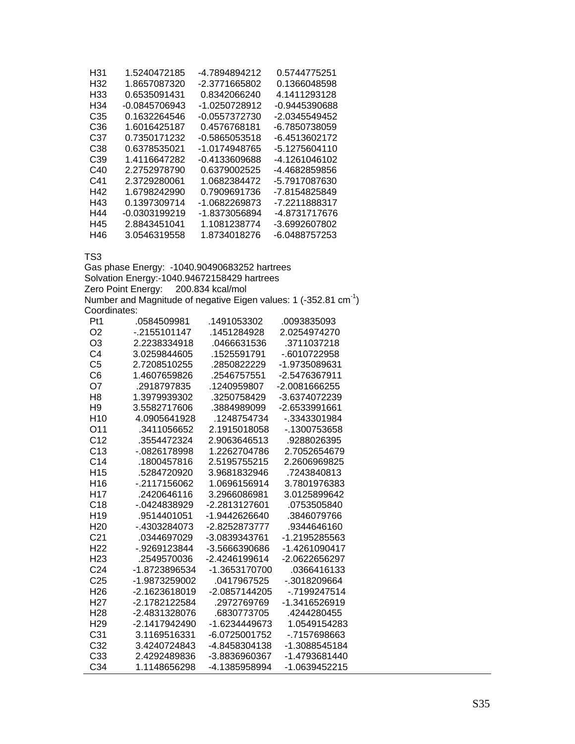| H31             | 1.5240472185    | -4.7894894212 | 0.5744775251  |
|-----------------|-----------------|---------------|---------------|
| H32             | 1.8657087320    | -2.3771665802 | 0.1366048598  |
| H33             | 0.6535091431    | 0.8342066240  | 4.1411293128  |
| H34             | $-0.0845706943$ | -1.0250728912 | -0.9445390688 |
| C <sub>35</sub> | 0.1632264546    | -0.0557372730 | -2.0345549452 |
| C36             | 1.6016425187    | 0.4576768181  | -6.7850738059 |
| C37             | 0 7350171232    | -0.5865053518 | -6.4513602172 |
| C38             | 0.6378535021    | -1.0174948765 | -5.1275604110 |
| C39             | 1.4116647282    | -0.4133609688 | -4.1261046102 |
| C40             | 2 2752978790    | 0.6379002525  | -4.4682859856 |
| C41             | 2.3729280061    | 1.0682384472  | -5.7917087630 |
| H42             | 1.6798242990    | 0.7909691736  | -7.8154825849 |
| H43             | 0 1397309714    | -1 0682269873 | -7.2211888317 |
| H44             | -0.0303199219   | -1.8373056894 | -4.8731717676 |
| H45             | 2.8843451041    | 1.1081238774  | -3.6992607802 |
| H46             | 3.0546319558    | 1.8734018276  | -6.0488757253 |

Gas phase Energy: -1040.90490683252 hartrees Solvation Energy:-1040.94672158429 hartrees Zero Point Energy: 200.834 kcal/mol Number and Magnitude of negative Eigen values: 1 (-352.81  $cm^{-1}$ ) Coordinates:

| Pt1             | .0584509981   | .1491053302   | .0093835093   |
|-----------------|---------------|---------------|---------------|
| O <sub>2</sub>  | -.2155101147  | .1451284928   | 2.0254974270  |
| O <sub>3</sub>  | 2.2238334918  | .0466631536   | .3711037218   |
| C4              | 3.0259844605  | .1525591791   | -.6010722958  |
| C <sub>5</sub>  | 2.7208510255  | .2850822229   | -1.9735089631 |
| C6              | 1.4607659826  | .2546757551   | -2.5476367911 |
| O7              | .2918797835   | .1240959807   | -2.0081666255 |
| H <sub>8</sub>  | 1.3979939302  | .3250758429   | -3.6374072239 |
| H <sub>9</sub>  | 3.5582717606  | .3884989099   | -2.6533991661 |
| H <sub>10</sub> | 4.0905641928  | .1248754734   | -.3343301984  |
| O <sub>11</sub> | .3411056652   | 2.1915018058  | -.1300753658  |
| C <sub>12</sub> | .3554472324   | 2.9063646513  | .9288026395   |
| C <sub>13</sub> | - 0826178998  | 1.2262704786  | 2.7052654679  |
| C <sub>14</sub> | .1800457816   | 2.5195755215  | 2.2606969825  |
| H <sub>15</sub> | .5284720920   | 3.9681832946  | .7243840813   |
| H <sub>16</sub> | $-2117156062$ | 1.0696156914  | 3.7801976383  |
| H <sub>17</sub> | .2420646116   | 3.2966086981  | 3.0125899642  |
| C <sub>18</sub> | -.0424838929  | -2.2813127601 | .0753505840   |
| H <sub>19</sub> | .9514401051   | -1.9442626640 | .3846079766   |
| H <sub>20</sub> | -.4303284073  | -2.8252873777 | .9344646160   |
| C <sub>21</sub> | .0344697029   | -3.0839343761 | -1.2195285563 |
| H <sub>22</sub> | -.9269123844  | -3.5666390686 | -1.4261090417 |
| H <sub>23</sub> | .2549570036   | -2.4246199614 | -2.0622656297 |
| C <sub>24</sub> | -1.8723896534 | -1.3653170700 | .0366416133   |
| C <sub>25</sub> | -1.9873259002 | .0417967525   | $-3018209664$ |
| H <sub>26</sub> | -2.1623618019 | -2.0857144205 | -.7199247514  |
| H <sub>27</sub> | -2.1782122584 | .2972769769   | -1.3416526919 |
| H <sub>28</sub> | -2.4831328076 | .6830773705   | .4244280455   |
| H <sub>29</sub> | -2.1417942490 | -1.6234449673 | 1.0549154283  |
| C <sub>31</sub> | 3.1169516331  | -6.0725001752 | - 7157698663  |
| C <sub>32</sub> | 3.4240724843  | -4.8458304138 | -1.3088545184 |
| C <sub>33</sub> | 24292489836   | -3.8836960367 | -1 4793681440 |
| C34             | 1.1148656298  | -4.1385958994 | -1.0639452215 |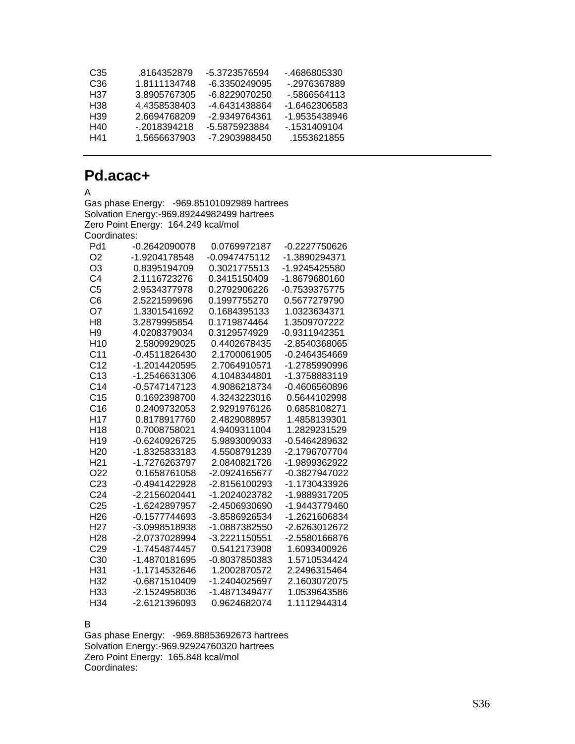| C35 | .8164352879  | -5.3723576594 | - 4686805330  |
|-----|--------------|---------------|---------------|
| C36 | 1.8111134748 | -6.3350249095 | - 2976367889  |
| H37 | 3.8905767305 | -6.8229070250 | - 5866564113  |
| H38 | 4 4358538403 | -4 6431438864 | -1.6462306583 |
| H39 | 2.6694768209 | -2.9349764361 | -1.9535438946 |
| H40 | - 2018394218 | -5.5875923884 | - 1531409104  |
| H41 | 1.5656637903 | -7.2903988450 | .1553621855   |

# **Pd.acac+**

A

Gas phase Energy: -969.85101092989 hartrees Solvation Energy:-969.89244982499 hartrees Zero Point Energy: 164.249 kcal/mol Coordinates:

| Pd1             | -0.2642090078 | 0.0769972187    | -0.2227750626   |
|-----------------|---------------|-----------------|-----------------|
| O <sub>2</sub>  | -1.9204178548 | $-0.0947475112$ | -1.3890294371   |
| O3              | 0.8395194709  | 0.3021775513    | -1.9245425580   |
| C4              | 2.1116723276  | 0.3415150409    | -1.8679680160   |
| C <sub>5</sub>  | 2.9534377978  | 0.2792906226    | -0.7539375775   |
| C6              | 2.5221599696  | 0.1997755270    | 0.5677279790    |
| O7              | 1.3301541692  | 0.1684395133    | 1.0323634371    |
| H <sub>8</sub>  | 3.2879995854  | 0.1719874464    | 1.3509707222    |
| H <sub>9</sub>  | 4.0208379034  | 0.3129574929    | -0.9311942351   |
| H <sub>10</sub> | 2.5809929025  | 0.4402678435    | -2.8540368065   |
| C <sub>11</sub> | -0.4511826430 | 2.1700061905    | $-0.2464354669$ |
| C <sub>12</sub> | -1.2014420595 | 2.7064910571    | -1.2785990996   |
| C <sub>13</sub> | -1.2546631306 | 4.1048344801    | -1.3758883119   |
| C <sub>14</sub> | -0.5747147123 | 4.9086218734    | -0.4606560896   |
| C <sub>15</sub> | 0.1692398700  | 4.3243223016    | 0.5644102998    |
| C <sub>16</sub> | 0.2409732053  | 2.9291976126    | 0.6858108271    |
| H <sub>17</sub> | 0.8178917760  | 2.4829088957    | 1.4858139301    |
| H <sub>18</sub> | 0.7008758021  | 4.9409311004    | 1.2829231529    |
| H <sub>19</sub> | -0.6240926725 | 5.9893009033    | -0.5464289632   |
| H <sub>20</sub> | -1.8325833183 | 4.5508791239    | -2.1796707704   |
| H <sub>21</sub> | -1.7276263797 | 2.0840821726    | -1.9899362922   |
| O <sub>22</sub> | 0.1658761058  | -2.0924165677   | -0.3827947022   |
| C <sub>23</sub> | -0.4941422928 | -2.8156100293   | -1.1730433926   |
| C <sub>24</sub> | -2.2156020441 | -1.2024023782   | -1.9889317205   |
| C <sub>25</sub> | -1.6242897957 | -2.4506930690   | -1.9443779460   |
| H <sub>26</sub> | -0.1577744693 | -3.8586926534   | -1.2621606834   |
| H <sub>27</sub> | -3.0998518938 | -1.0887382550   | -2.6263012672   |
| H <sub>28</sub> | -2.0737028994 | -3.2221150551   | -2.5580166876   |
| C29             | -1.7454874457 | 0.5412173908    | 1.6093400926    |
| C <sub>30</sub> | -1.4870181695 | -0.8037850383   | 1.5710534424    |
| H31             | -1.1714532646 | 1.2002870572    | 2.2496315464    |
| H32             | -0.6871510409 | -1.2404025697   | 2.1603072075    |
| H <sub>33</sub> | -2.1524958036 | -1.4871349477   | 1.0539643586    |
| H <sub>34</sub> | -2.6121396093 | 0.9624682074    | 1.1112944314    |

B

Gas phase Energy: -969.88853692673 hartrees Solvation Energy:-969.92924760320 hartrees Zero Point Energy: 165.848 kcal/mol Coordinates: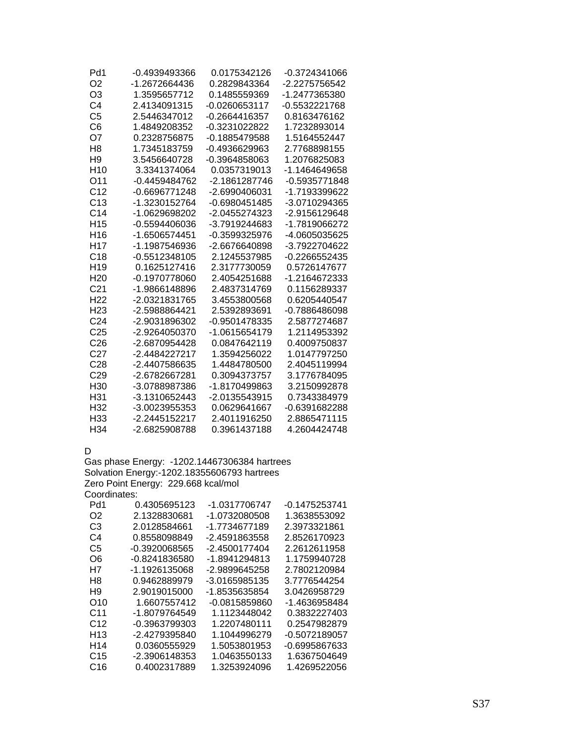| Pd1             | -0.4939493366   | 0.0175342126    | -0.3724341066 |
|-----------------|-----------------|-----------------|---------------|
| O <sub>2</sub>  | -1.2672664436   | 0.2829843364    | -2.2275756542 |
| O3              | 1.3595657712    | 0.1485559369    | -1.2477365380 |
| C <sub>4</sub>  | 2.4134091315    | -0.0260653117   | -0.5532221768 |
| C <sub>5</sub>  | 2.5446347012    | $-0.2664416357$ | 0.8163476162  |
| C6              | 1.4849208352    | -0.3231022822   | 1.7232893014  |
| O7              | 0.2328756875    | -0.1885479588   | 1.5164552447  |
| H8              | 1.7345183759    | -0.4936629963   | 2.7768898155  |
| H <sub>9</sub>  | 3.5456640728    | -0.3964858063   | 1.2076825083  |
| H <sub>10</sub> | 3.3341374064    | 0.0357319013    | -1.1464649658 |
| O11             | -0.4459484762   | -2.1861287746   | -0.5935771848 |
| C <sub>12</sub> | $-0.6696771248$ | -2.6990406031   | -1.7193399622 |
| C13             | -1.3230152764   | $-0.6980451485$ | -3.0710294365 |
| C <sub>14</sub> | -1.0629698202   | -2.0455274323   | -2.9156129648 |
| H <sub>15</sub> | $-0.5594406036$ | -3.7919244683   | -1.7819066272 |
| H <sub>16</sub> | -1.6506574451   | -0.3599325976   | -4.0605035625 |
| H <sub>17</sub> | -1.1987546936   | -2.6676640898   | -3.7922704622 |
| C18             | -0.5512348105   | 2.1245537985    | -0.2266552435 |
| H <sub>19</sub> | 0.1625127416    | 2.3177730059    | 0.5726147677  |
| H <sub>20</sub> | -0.1970778060   | 2.4054251688    | -1.2164672333 |
| C <sub>21</sub> | -1.9866148896   | 2.4837314769    | 0.1156289337  |
| H <sub>22</sub> | -2.0321831765   | 3.4553800568    | 0.6205440547  |
| H <sub>23</sub> | -2.5988864421   | 2.5392893691    | -0.7886486098 |
| C <sub>24</sub> | -2.9031896302   | -0.9501478335   | 2.5877274687  |
| C <sub>25</sub> | -2.9264050370   | -1.0615654179   | 1.2114953392  |
| C <sub>26</sub> | -2.6870954428   | 0.0847642119    | 0.4009750837  |
| C <sub>27</sub> | -2.4484227217   | 1.3594256022    | 1.0147797250  |
| C <sub>28</sub> | -2.4407586635   | 1.4484780500    | 2.4045119994  |
| C <sub>29</sub> | -2.6782667281   | 0.3094373757    | 3.1776784095  |
| H <sub>30</sub> | -3.0788987386   | -1.8170499863   | 3.2150992878  |
| H31             | -3.1310652443   | $-2.0135543915$ | 0.7343384979  |
| H32             | -3.0023955353   | 0.0629641667    | -0.6391682288 |
| H <sub>33</sub> | -2.2445152217   | 2.4011916250    | 2.8865471115  |
| H <sub>34</sub> | -2.6825908788   | 0.3961437188    | 4.2604424748  |

D

Gas phase Energy: -1202.14467306384 hartrees Solvation Energy:-1202.18355606793 hartrees Zero Point Energy: 229.668 kcal/mol Coordinates:

| 0.4305695123  | -1.0317706747 | -0.1475253741 |
|---------------|---------------|---------------|
| 2.1328830681  | -1.0732080508 | 1.3638553092  |
| 2.0128584661  | -1.7734677189 | 2.3973321861  |
| 0.8558098849  | -2.4591863558 | 2.8526170923  |
| -0.3920068565 | -2.4500177404 | 2.2612611958  |
| -0.8241836580 | -1.8941294813 | 1.1759940728  |
| -1.1926135068 | -2.9899645258 | 2.7802120984  |
| 0.9462889979  | -3.0165985135 | 3.7776544254  |
| 2.9019015000  | -1.8535635854 | 3.0426958729  |
| 1.6607557412  | -0.0815859860 | -1.4636958484 |
| -1.8079764549 | 1.1123448042  | 0.3832227403  |
| -0.3963799303 | 1.2207480111  | 0.2547982879  |
| -2.4279395840 | 1.1044996279  | -0.5072189057 |
| 0.0360555929  | 1.5053801953  | -0.6995867633 |
| -2.3906148353 | 1.0463550133  | 1.6367504649  |
| 0.4002317889  | 1.3253924096  | 1.4269522056  |
|               |               |               |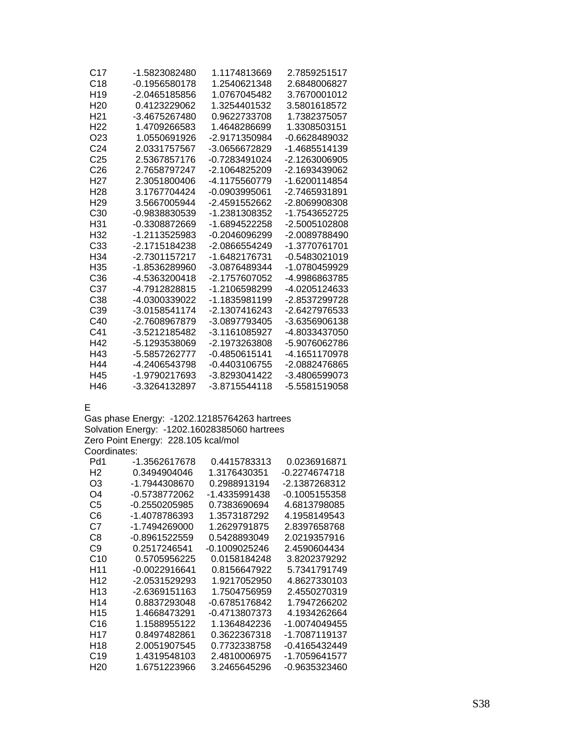| C17             | -1.5823082480 | 1.1174813669  | 2.7859251517  |
|-----------------|---------------|---------------|---------------|
| C <sub>18</sub> | -0.1956580178 | 1.2540621348  | 2.6848006827  |
| H <sub>19</sub> | -2.0465185856 | 1.0767045482  | 3.7670001012  |
| H <sub>20</sub> | 0.4123229062  | 1.3254401532  | 3.5801618572  |
| H <sub>21</sub> | -3.4675267480 | 0.9622733708  | 1.7382375057  |
| H <sub>22</sub> | 1.4709266583  | 1.4648286699  | 1.3308503151  |
| O23             | 1.0550691926  | -2.9171350984 | -0.6628489032 |
| C <sub>24</sub> | 2.0331757567  | -3.0656672829 | -1.4685514139 |
| C <sub>25</sub> | 2.5367857176  | -0.7283491024 | -2.1263006905 |
| C <sub>26</sub> | 2.7658797247  | -2.1064825209 | -2.1693439062 |
| H27             | 2.3051800406  | -4.1175560779 | -1.6200114854 |
| H <sub>28</sub> | 3.1767704424  | -0.0903995061 | -2.7465931891 |
| H <sub>29</sub> | 3.5667005944  | -2.4591552662 | -2.8069908308 |
| C30             | -0.9838830539 | -1.2381308352 | -1.7543652725 |
| H31             | -0.3308872669 | -1.6894522258 | -2.5005102808 |
| H <sub>32</sub> | -1.2113525983 | -0.2046096299 | -2.0089788490 |
| C33             | -2.1715184238 | -2.0866554249 | -1.3770761701 |
| H34             | -2.7301157217 | -1.6482176731 | -0.5483021019 |
| H35             | -1.8536289960 | -3.0876489344 | -1.0780459929 |
| C36             | -4.5363200418 | -2.1757607052 | -4.9986863785 |
| C37             | -4.7912828815 | -1.2106598299 | -4.0205124633 |
| C <sub>38</sub> | -4.0300339022 | -1.1835981199 | -2.8537299728 |
| C39             | -3.0158541174 | -2.1307416243 | -2.6427976533 |
| C40             | -2.7608967879 | -3.0897793405 | -3.6356906138 |
| C41             | -3.5212185482 | -3.1161085927 | -4.8033437050 |
| H42             | -5.1293538069 | -2.1973263808 | -5.9076062786 |
| H43             | -5.5857262777 | -0.4850615141 | -4.1651170978 |
| H44             | -4.2406543798 | -0.4403106755 | -2.0882476865 |
| H45             | -1.9790217693 | -3.8293041422 | -3.4806599073 |
| H46             | -3.3264132897 | -3.8715544118 | -5.5581519058 |

E

Gas phase Energy: -1202.12185764263 hartrees Solvation Energy: -1202.16028385060 hartrees Zero Point Energy: 228.105 kcal/mol Coordinates:

| Pd1             | -1.3562617678 | 0.4415783313    | 0.0236916871    |
|-----------------|---------------|-----------------|-----------------|
| Н2              | 0.3494904046  | 1.3176430351    | -0.2274674718   |
| O3              | -1.7944308670 | 0.2988913194    | -2.1387268312   |
| O4              | -0.5738772062 | -1.4335991438   | -0.1005155358   |
| C5              | -0.2550205985 | 0.7383690694    | 4.6813798085    |
| C6              | -1.4078786393 | 1.3573187292    | 4.1958149543    |
| C7              | -1.7494269000 | 1.2629791875    | 2.8397658768    |
| C8              | -0.8961522559 | 0.5428893049    | 2.0219357916    |
| C9              | 0.2517246541  | -0.1009025246   | 2.4590604434    |
| C10             | 0.5705956225  | 0.0158184248    | 3.8202379292    |
| H11             | -0.0022916641 | 0.8156647922    | 5.7341791749    |
| H12             | -2.0531529293 | 1.9217052950    | 4.8627330103    |
| H13             | -2.6369151163 | 1.7504756959    | 2.4550270319    |
| H14             | 0.8837293048  | -0.6785176842   | 1.7947266202    |
| H <sub>15</sub> | 1.4668473291  | $-0.4713807373$ | 4.1934262664    |
| C16             | 1.1588955122  | 1.1364842236    | -1.0074049455   |
| H17             | 0.8497482861  | 0.3622367318    | -1 7087119137   |
| H18             | 2.0051907545  | 0.7732338758    | $-0.4165432449$ |
| C <sub>19</sub> | 1.4319548103  | 2.4810006975    | -1.7059641577   |
| H <sub>20</sub> | 1.6751223966  | 3.2465645296    | -0.9635323460   |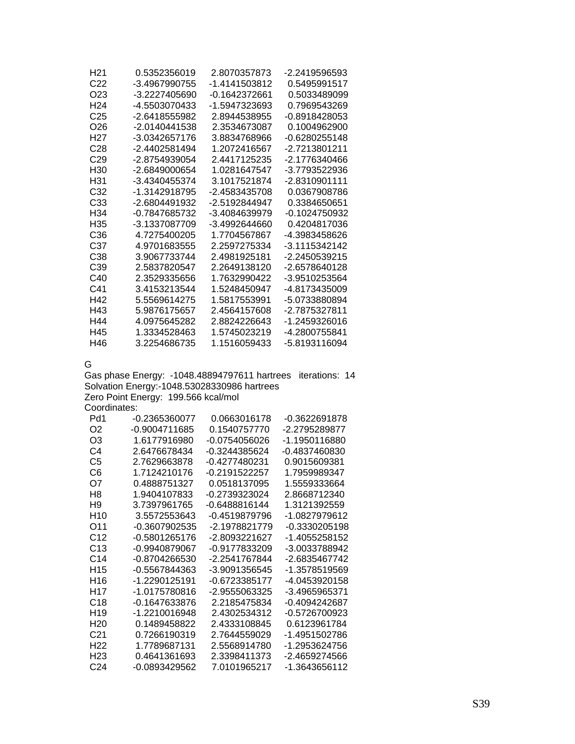| H <sub>21</sub>  | 0.5352356019  | 2.8070357873  | -2.2419596593 |
|------------------|---------------|---------------|---------------|
| C <sub>22</sub>  | -3.4967990755 | -1.4141503812 | 0.5495991517  |
| O23              | -3.2227405690 | -0.1642372661 | 0.5033489099  |
| H <sub>24</sub>  | -4.5503070433 | -1.5947323693 | 0.7969543269  |
| C <sub>25</sub>  | -2.6418555982 | 2.8944538955  | -0.8918428053 |
| O26              | -2.0140441538 | 2.3534673087  | 0.1004962900  |
| H <sub>2</sub> 7 | -3.0342657176 | 3.8834768966  | -0.6280255148 |
| C28              | -2.4402581494 | 1.2072416567  | -2.7213801211 |
| C <sub>29</sub>  | -2.8754939054 | 2.4417125235  | -2.1776340466 |
| H30              | -2.6849000654 | 1.0281647547  | -3.7793522936 |
| H31              | -3.4340455374 | 3.1017521874  | -2.8310901111 |
| C32              | -1.3142918795 | -2 4583435708 | 0.0367908786  |
| C <sub>33</sub>  | -2.6804491932 | -2.5192844947 | 0.3384650651  |
| H34              | -0.7847685732 | -3.4084639979 | -0.1024750932 |
| H35              | -3.1337087709 | -3 4992644660 | 0.4204817036  |
| C36              | 4.7275400205  | 1.7704567867  | -4.3983458626 |
| C37              | 4.9701683555  | 2.2597275334  | -3.1115342142 |
| C38              | 3.9067733744  | 24981925181   | -2.2450539215 |
| C39              | 2.5837820547  | 2.2649138120  | -2.6578640128 |
| C40              | 2.3529335656  | 1.7632990422  | -3.9510253564 |
| C <sub>41</sub>  | 3.4153213544  | 1 5248450947  | -4.8173435009 |
| H42              | 5 5569614275  | 1.5817553991  | -5.0733880894 |
| H43              | 5.9876175657  | 2.4564157608  | -2.7875327811 |
| H44              | 4.0975645282  | 2.8824226643  | -1.2459326016 |
| H45              | 1.3334528463  | 1.5745023219  | -4.2800755841 |
| H46              | 3.2254686735  | 1.1516059433  | -5.8193116094 |

G

Gas phase Energy: -1048.48894797611 hartrees iterations: 14 Solvation Energy:-1048.53028330986 hartrees Zero Point Energy: 199.566 kcal/mol

Coordinates:

| Pd1             | -0.2365360077   | 0.0663016178  | -0.3622691878 |
|-----------------|-----------------|---------------|---------------|
| O <sub>2</sub>  | -0.9004711685   | 0 1540757770  | -2.2795289877 |
| OЗ              | 1.6177916980    | -0.0754056026 | -1.1950116880 |
| C <sub>4</sub>  | 2.6476678434    | -0.3244385624 | -0.4837460830 |
| C5              | 2.7629663878    | -0.4277480231 | 0.9015609381  |
| C6              | 1 7124210176    | -0.2191522257 | 1.7959989347  |
| O7              | 0.4888751327    | 0.0518137095  | 1.5559333664  |
| H8              | 1.9404107833    | -0.2739323024 | 2.8668712340  |
| H9              | 3.7397961765    | -0.6488816144 | 1.3121392559  |
| H10             | 3.5572553643    | -0 4519879796 | -1 0827979612 |
| O11             | -0.3607902535   | -2.1978821779 | -0.3330205198 |
| C12             | -0.5801265176   | -2.8093221627 | -1.4055258152 |
| C <sub>13</sub> | $-0.9940879067$ | -0.9177833209 | -3.0033788942 |
| C <sub>14</sub> | -0.8704266530   | -2.2541767844 | -2.6835467742 |
| H <sub>15</sub> | $-0.5567844363$ | -3.9091356545 | -1.3578519569 |
| H16             | -1.2290125191   | -0.6723385177 | -4.0453920158 |
| H17             | -1.0175780816   | -2.9555063325 | -3.4965965371 |
| C <sub>18</sub> | -0.1647633876   | 2.2185475834  | -0.4094242687 |
| H <sub>19</sub> | -1.2210016948   | 2.4302534312  | -0.5726700923 |
| H <sub>20</sub> | 0.1489458822    | 2.4333108845  | 0.6123961784  |
| C <sub>21</sub> | 0.7266190319    | 2.7644559029  | -1.4951502786 |
| H22             | 1.7789687131    | 2.5568914780  | -1.2953624756 |
| H23             | 0.4641361693    | 2.3398411373  | -2.4659274566 |
| C24             | -0.0893429562   | 7.0101965217  | -1.3643656112 |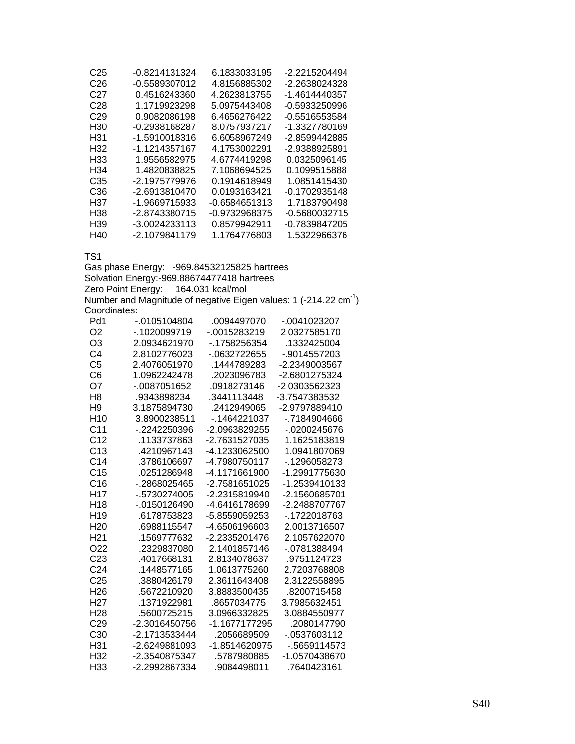| C <sub>25</sub> | -0.8214131324   | 6.1833033195    | -2.2215204494   |
|-----------------|-----------------|-----------------|-----------------|
| C26             | -0.5589307012   | 4.8156885302    | -2.2638024328   |
| C27             | 0.4516243360    | 4.2623813755    | -1.4614440357   |
| C28             | 1.1719923298    | 5.0975443408    | -0.5933250996   |
| C <sub>29</sub> | 0.9082086198    | 6.4656276422    | -0.5516553584   |
| H30             | -0.2938168287   | 8.0757937217    | -1.3327780169   |
| H31             | -1.5910018316   | 6.6058967249    | -2.8599442885   |
| H <sub>32</sub> | -1.1214357167   | 4.1753002291    | -2.9388925891   |
| H33             | 1.9556582975    | 4.6774419298    | 0.0325096145    |
| H34             | 1.4820838825    | 7.1068694525    | 0.1099515888    |
| C35             | -2.1975779976   | 0.1914618949    | 1.0851415430    |
| C36             | -2.6913810470   | 0.0193163421    | $-0.1702935148$ |
| H37             | $-1.9669715933$ | $-0.6584651313$ | 1.7183790498    |
| H38             | -2.8743380715   | -0.9732968375   | -0.5680032715   |
| H <sub>39</sub> | -3.0024233113   | 0.8579942911    | -0.7839847205   |
| H40             | -2.1079841179   | 1.1764776803    | 1.5322966376    |

Gas phase Energy: -969.84532125825 hartrees Solvation Energy:-969.88674477418 hartrees Zero Point Energy: 164.031 kcal/mol Number and Magnitude of negative Eigen values: 1 (-214.22  $cm^{-1}$ ) Coordinates:

| Pd1             | $-0.0105104804$ | .0094497070   | -.0041023207  |
|-----------------|-----------------|---------------|---------------|
| O <sub>2</sub>  | -.1020099719    | -.0015283219  | 2.0327585170  |
| O <sub>3</sub>  | 2.0934621970    | -.1758256354  | .1332425004   |
| C4              | 2.8102776023    | -.0632722655  | -.9014557203  |
| C <sub>5</sub>  | 2.4076051970    | .1444789283   | -2.2349003567 |
| C6              | 1.0962242478    | .2023096783   | -2.6801275324 |
| O7              | -.0087051652    | .0918273146   | -2.0303562323 |
| H <sub>8</sub>  | .9343898234     | .3441113448   | -3.7547383532 |
| H <sub>9</sub>  | 3.1875894730    | .2412949065   | -2.9797889410 |
| H <sub>10</sub> | 3.8900238511    | -.1464221037  | -.7184904666  |
| C <sub>11</sub> | -.2242250396    | -2.0963829255 | -.0200245676  |
| C <sub>12</sub> | .1133737863     | -2.7631527035 | 1.1625183819  |
| C13             | .4210967143     | -4.1233062500 | 1.0941807069  |
| C <sub>14</sub> | .3786106697     | -4.7980750117 | - 1296058273  |
| C <sub>15</sub> | .0251286948     | -4.1171661900 | -1.2991775630 |
| C16             | -.2868025465    | -2.7581651025 | -1.2539410133 |
| H <sub>17</sub> | -.5730274005    | -2.2315819940 | -2.1560685701 |
| H <sub>18</sub> | $-0150126490$   | -4.6416178699 | -2.2488707767 |
| H <sub>19</sub> | .6178753823     | -5.8559059253 | -.1722018763  |
| H <sub>20</sub> | .6988115547     | -4.6506196603 | 2.0013716507  |
| H <sub>21</sub> | .1569777632     | -2.2335201476 | 2.1057622070  |
| O <sub>22</sub> | .2329837080     | 2.1401857146  | -.0781388494  |
| C <sub>23</sub> | .4017668131     | 2.8134078637  | .9751124723   |
| C <sub>24</sub> | .1448577165     | 1.0613775260  | 2.7203768808  |
| C <sub>25</sub> | .3880426179     | 2.3611643408  | 2.3122558895  |
| H <sub>26</sub> | .5672210920     | 3.8883500435  | .8200715458   |
| H <sub>27</sub> | .1371922981     | .8657034775   | 3.7985632451  |
| H <sub>28</sub> | .5600725215     | 3.0966332825  | 3.0884550977  |
| C <sub>29</sub> | -2.3016450756   | -1.1677177295 | .2080147790   |
| C <sub>30</sub> | -2.1713533444   | .2056689509   | -.0537603112  |
| H31             | -2.6249881093   | -1.8514620975 | -.5659114573  |
| H32             | -2.3540875347   | .5787980885   | -1.0570438670 |
| H33             | -2.2992867334   | .9084498011   | .7640423161   |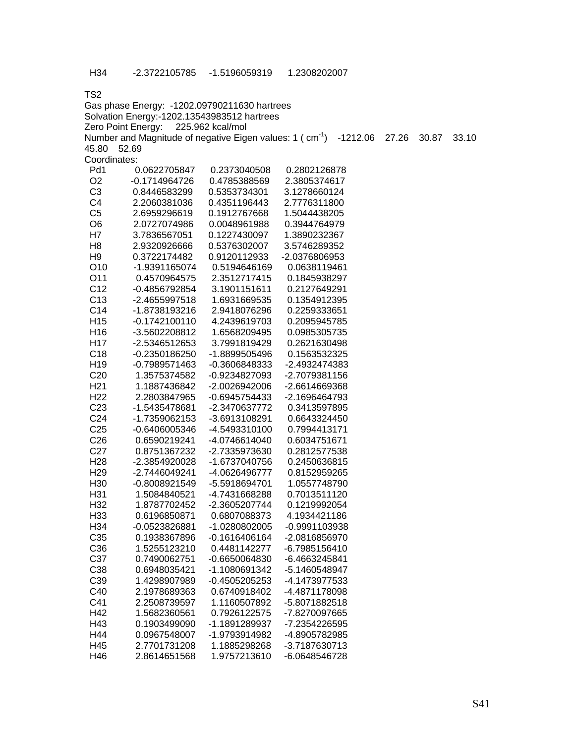| Gas phase Energy: -1202.09790211630 hartrees |                                                                      |                  |               |       |       |       |
|----------------------------------------------|----------------------------------------------------------------------|------------------|---------------|-------|-------|-------|
|                                              | Solvation Energy:-1202.13543983512 hartrees                          |                  |               |       |       |       |
|                                              | Zero Point Energy:                                                   | 225.962 kcal/mol |               |       |       |       |
|                                              | Number and Magnitude of negative Eigen values: 1 (cm <sup>-1</sup> ) |                  | $-1212.06$    | 27.26 | 30.87 | 33.10 |
| 45.80                                        | 52.69                                                                |                  |               |       |       |       |
| Coordinates:                                 |                                                                      |                  |               |       |       |       |
| Pd1                                          | 0.0622705847                                                         | 0.2373040508     | 0.2802126878  |       |       |       |
| O <sub>2</sub>                               | $-0.1714964726$                                                      | 0.4785388569     | 2.3805374617  |       |       |       |
| C <sub>3</sub>                               | 0.8446583299                                                         | 0.5353734301     | 3.1278660124  |       |       |       |
| C <sub>4</sub>                               | 2.2060381036                                                         | 0.4351196443     | 2.7776311800  |       |       |       |
| C <sub>5</sub>                               | 2.6959296619                                                         | 0.1912767668     | 1.5044438205  |       |       |       |
| O <sub>6</sub>                               | 2.0727074986                                                         | 0.0048961988     | 0.3944764979  |       |       |       |
| H7                                           | 3.7836567051                                                         | 0.1227430097     | 1.3890232367  |       |       |       |
| H <sub>8</sub>                               | 2.9320926666                                                         | 0.5376302007     | 3.5746289352  |       |       |       |
| H <sub>9</sub>                               | 0.3722174482                                                         | 0.9120112933     | -2.0376806953 |       |       |       |
| O10                                          | -1.9391165074                                                        | 0.5194646169     | 0.0638119461  |       |       |       |
| O11                                          | 0.4570964575                                                         | 2.3512717415     | 0.1845938297  |       |       |       |
| C <sub>12</sub>                              | -0.4856792854                                                        | 3.1901151611     | 0.2127649291  |       |       |       |
| C <sub>13</sub>                              | -2.4655997518                                                        | 1.6931669535     | 0.1354912395  |       |       |       |
| C14                                          | -1.8738193216                                                        | 2.9418076296     | 0.2259333651  |       |       |       |
| H <sub>15</sub>                              | $-0.1742100110$                                                      | 4.2439619703     | 0.2095945785  |       |       |       |
| H <sub>16</sub>                              | -3.5602208812                                                        | 1.6568209495     | 0.0985305735  |       |       |       |
| H <sub>17</sub>                              | -2.5346512653                                                        | 3.7991819429     | 0.2621630498  |       |       |       |
| C <sub>18</sub>                              | -0.2350186250                                                        | -1.8899505496    | 0.1563532325  |       |       |       |
| H19                                          | $-0.7989571463$                                                      | -0.3606848333    | -2.4932474383 |       |       |       |
| C <sub>20</sub>                              | 1.3575374582                                                         | -0.9234827093    | -2.7079381156 |       |       |       |
| H <sub>21</sub>                              | 1.1887436842                                                         | -2.0026942006    | -2.6614669368 |       |       |       |
| H <sub>22</sub>                              | 2.2803847965                                                         | -0.6945754433    | -2.1696464793 |       |       |       |
| C <sub>23</sub>                              | -1.5435478681                                                        | -2.3470637772    | 0.3413597895  |       |       |       |
| C <sub>24</sub>                              | -1.7359062153                                                        | -3.6913108291    | 0.6643324450  |       |       |       |
| C <sub>25</sub>                              | -0.6406005346                                                        | -4.5493310100    | 0.7994413171  |       |       |       |
| C <sub>26</sub>                              | 0.6590219241                                                         | -4.0746614040    | 0.6034751671  |       |       |       |
| C <sub>27</sub>                              | 0.8751367232                                                         | -2.7335973630    | 0.2812577538  |       |       |       |
| H <sub>28</sub>                              | -2.3854920028                                                        | -1.6737040756    | 0.2450636815  |       |       |       |
| H <sub>29</sub>                              | -2.7446049241                                                        | -4.0626496777    | 0.8152959265  |       |       |       |
| H30                                          | -0.8008921549                                                        | -5.5918694701    | 1.0557748790  |       |       |       |
| H <sub>31</sub>                              | 1.5084840521                                                         | -4.7431668288    | 0.7013511120  |       |       |       |
| H <sub>32</sub>                              | 1.8787702452                                                         | -2.3605207744    | 0.1219992054  |       |       |       |
| H <sub>33</sub>                              | 0.6196850871                                                         | 0.6807088373     | 4.1934421186  |       |       |       |
| H34                                          | -0.0523826881                                                        | -1.0280802005    | -0.9991103938 |       |       |       |
| C35                                          | 0.1938367896                                                         | $-0.1616406164$  | -2.0816856970 |       |       |       |
| C36                                          |                                                                      | 0.4481142277     |               |       |       |       |
|                                              | 1.5255123210                                                         |                  | -6.7985156410 |       |       |       |
| C37                                          | 0.7490062751                                                         | -0.6650064830    | -6.4663245841 |       |       |       |
| C38                                          | 0.6948035421                                                         | -1.1080691342    | -5.1460548947 |       |       |       |
| C39                                          | 1.4298907989                                                         | -0.4505205253    | -4.1473977533 |       |       |       |
| C40                                          | 2.1978689363                                                         | 0.6740918402     | -4.4871178098 |       |       |       |
| C41                                          | 2.2508739597                                                         | 1.1160507892     | -5.8071882518 |       |       |       |
| H42                                          | 1.5682360561                                                         | 0.7926122575     | -7.8270097665 |       |       |       |
| H43                                          | 0.1903499090                                                         | -1.1891289937    | -7.2354226595 |       |       |       |
| H44                                          | 0.0967548007                                                         | -1.9793914982    | -4.8905782985 |       |       |       |
| H45                                          | 2.7701731208                                                         | 1.1885298268     | -3.7187630713 |       |       |       |
| H46                                          | 2.8614651568                                                         | 1.9757213610     | -6.0648546728 |       |       |       |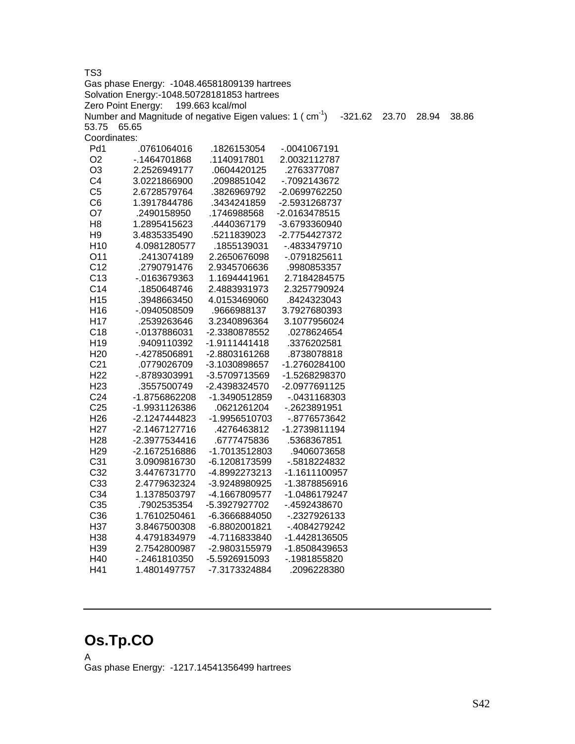TS3 Gas phase Energy: -1048.46581809139 hartrees Solvation Energy:-1048.50728181853 hartrees Zero Point Energy: 199.663 kcal/mol Number and Magnitude of negative Eigen values:  $1 \text{ (cm}^3)$   $-321.62$  23.70 28.94 38.86 53.75 65.65 Coordinates: Pd1 .0761064016 .1826153054 -.0041067191 O2 -.1464701868 .1140917801 2.0032112787 O3 2.2526949177 .0604420125 .2763377087 C4 3.0221866900 .2098851042 -.7092143672 C5 2.6728579764 .3826969792 -2.0699762250 C6 1.3917844786 .3434241859 -2.5931268737 O7 .2490158950 .1746988568 -2.0163478515 H8 1.2895415623 .4440367179 -3.6793360940 H9 3.4835335490 .5211839023 -2.7754427372 H10 4.0981280577 .1855139031 -.4833479710 O11 .2413074189 2.2650676098 -.0791825611 C12 .2790791476 2.9345706636 .9980853357 C13 -.0163679363 1.1694441961 2.7184284575 C14 .1850648746 2.4883931973 2.3257790924 H15 .3948663450 4.0153469060 .8424323043 H16 -.0940508509 .9666988137 3.7927680393 H17 .2539263646 3.2340896364 3.1077956024 C18 -.0137886031 -2.3380878552 .0278624654 H19 .9409110392 -1.9111441418 .3376202581

### C21 .0779026709 -3.1030898657 -1.2760284100 H22 -.8789303991 -3.5709713569 -1.5268298370 H23 .3557500749 -2.4398324570 -2.0977691125 C24 -1.8756862208 -1.3490512859 -.0431168303 C25 -1.9931126386 .0621261204 -.2623891951 H26 -2.1247444823 -1.9956510703 -.8776573642 H27 -2.1467127716 .4276463812 -1.2739811194 H28 -2.3977534416 .6777475836 .5368367851 H29 -2.1672516886 -1.7013512803 .9406073658 C31 3.0909816730 -6.1208173599 -.5818224832 C32 3.4476731770 -4.8992273213 -1.1611100957 C33 2.4779632324 -3.9248980925 -1.3878856916 C34 1.1378503797 -4.1667809577 -1.0486179247 C35 .7902535354 -5.3927927702 -.4592438670 C36 1.7610250461 -6.3666884050 -.2327926133 H37 3.8467500308 -6.8802001821 -.4084279242 H38 4.4791834979 -4.7116833840 -1.4428136505 H39 2.7542800987 -2.9803155979 -1.8508439653 H40 -.2461810350 -5.5926915093 -.1981855820 H41 1.4801497757 -7.3173324884 .2096228380

H20 -.4278506891 -2.8803161268 .8738078818

## **Os.Tp.CO**

A Gas phase Energy: -1217.14541356499 hartrees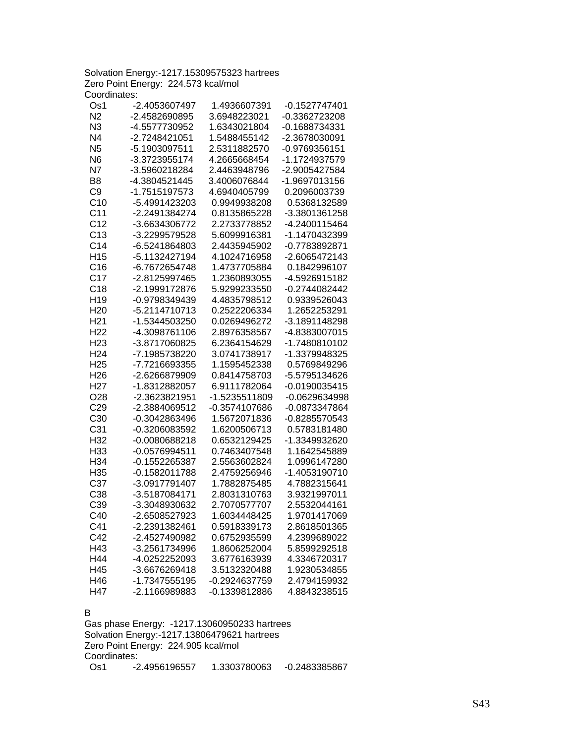|                                     | Solvation Energy:-1217.15309575323 hartrees |
|-------------------------------------|---------------------------------------------|
| Zero Point Energy: 224.573 kcal/mol |                                             |
| Coordinates:                        |                                             |

| Os1             | -2.4053607497   | 1.4936607391  | -0.1527747401 |
|-----------------|-----------------|---------------|---------------|
| N <sub>2</sub>  | -2.4582690895   | 3.6948223021  | -0.3362723208 |
| N <sub>3</sub>  | -4.5577730952   | 1.6343021804  | -0.1688734331 |
| N <sub>4</sub>  | -2.7248421051   | 1.5488455142  | -2.3678030091 |
| N <sub>5</sub>  | -5.1903097511   | 2.5311882570  | -0.9769356151 |
| N <sub>6</sub>  | -3.3723955174   | 4.2665668454  | -1.1724937579 |
| N7              | -3.5960218284   | 2.4463948796  | -2.9005427584 |
| B <sub>8</sub>  | -4.3804521445   | 3.4006076844  | -1.9697013156 |
| C <sub>9</sub>  | -1.7515197573   | 4.6940405799  | 0.2096003739  |
| C10             | -5.4991423203   | 0.9949938208  | 0.5368132589  |
| C <sub>11</sub> | -2.2491384274   | 0.8135865228  | -3.3801361258 |
| C <sub>12</sub> | -3.6634306772   | 2.2733778852  | -4.2400115464 |
| C <sub>13</sub> | -3.2299579528   | 5.6099916381  | -1.1470432399 |
| C <sub>14</sub> | -6.5241864803   | 2.4435945902  | -0.7783892871 |
| H <sub>15</sub> | -5.1132427194   | 4.1024716958  | -2.6065472143 |
| C16             | -6.7672654748   | 1.4737705884  | 0.1842996107  |
| C17             | -2.8125997465   | 1.2360893055  | -4.5926915182 |
| C18             | -2.1999172876   | 5.9299233550  | -0.2744082442 |
| H <sub>19</sub> | -0.9798349439   | 4.4835798512  | 0.9339526043  |
| H <sub>20</sub> | -5.2114710713   | 0.2522206334  | 1.2652253291  |
| H <sub>21</sub> | -1.5344503250   | 0.0269496272  | -3.1891148298 |
| H <sub>22</sub> | -4.3098761106   | 2.8976358567  | -4.8383007015 |
| H <sub>23</sub> | -3.8717060825   | 6.2364154629  | -1.7480810102 |
| H <sub>24</sub> | -7.1985738220   | 3.0741738917  | -1.3379948325 |
| H <sub>25</sub> | -7.7216693355   | 1.1595452338  | 0.5769849296  |
| H <sub>26</sub> | -2.6266879909   | 0.8414758703  | -5.5795134626 |
| H <sub>27</sub> | -1.8312882057   | 6.9111782064  | -0.0190035415 |
| O <sub>28</sub> | -2.3623821951   | -1.5235511809 | -0.0629634998 |
| C29             | -2.3884069512   | -0.3574107686 | -0.0873347864 |
| C <sub>30</sub> | -0.3042863496   | 1.5672071836  | -0.8285570543 |
| C <sub>31</sub> | -0.3206083592   | 1.6200506713  | 0.5783181480  |
| H32             | -0.0080688218   | 0.6532129425  | -1.3349932620 |
| H33             | $-0.0576994511$ | 0.7463407548  | 1.1642545889  |
| H34             | -0.1552265387   | 2.5563602824  | 1.0996147280  |
| H35             | -0.1582011788   | 2.4759256946  | -1.4053190710 |
| C <sub>37</sub> | -3.0917791407   | 1.7882875485  | 4.7882315641  |
| C38             | -3.5187084171   | 2.8031310763  | 3.9321997011  |
| C39             | -3.3048930632   | 2.7070577707  | 2.5532044161  |
| C40             | -2.6508527923   | 1.6034448425  | 1.9701417069  |
| C41             | -2.2391382461   | 0.5918339173  | 2.8618501365  |
| C42             | -2.4527490982   | 0.6752935599  | 4.2399689022  |
| H43             | -3.2561734996   | 1.8606252004  | 5.8599292518  |
| H44             | -4.0252252093   | 3.6776163939  | 4.3346720317  |
| H45             | -3.6676269418   | 3.5132320488  | 1.9230534855  |
| H46             | -1.7347555195   | -0.2924637759 | 2.4794159932  |
| H47             | -2.1166989883   | -0.1339812886 | 4.8843238515  |

#### B

Gas phase Energy: -1217.13060950233 hartrees Solvation Energy:-1217.13806479621 hartrees Zero Point Energy: 224.905 kcal/mol Coordinates:<br>Os1 -2 -2.4956196557 1.3303780063 -0.2483385867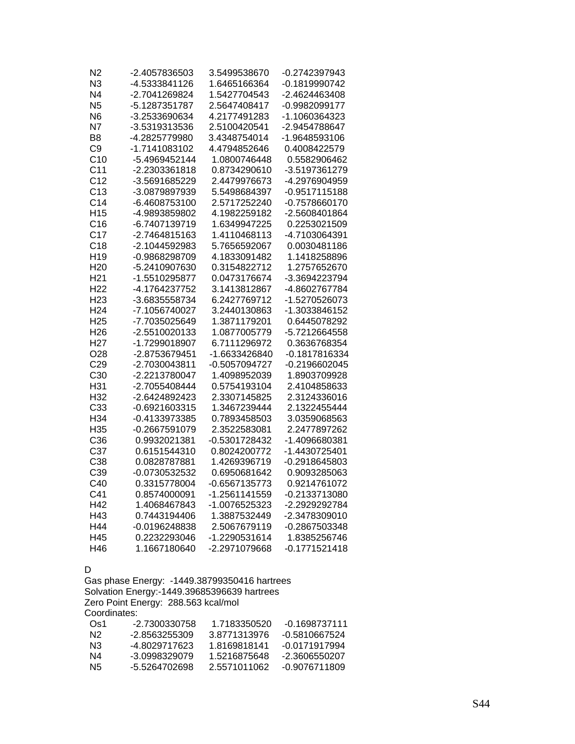| N2              | -2.4057836503   | 3.5499538670  | -0.2742397943   |
|-----------------|-----------------|---------------|-----------------|
| N <sub>3</sub>  | -4.5333841126   | 1.6465166364  | -0.1819990742   |
| N <sub>4</sub>  | -2.7041269824   | 1.5427704543  | -2.4624463408   |
| N <sub>5</sub>  | -5.1287351787   | 2.5647408417  | -0.9982099177   |
| N <sub>6</sub>  | -3.2533690634   | 4.2177491283  | -1.1060364323   |
| N7              | -3.5319313536   | 2.5100420541  | -2.9454788647   |
| B8              | -4.2825779980   | 3.4348754014  | -1.9648593106   |
| C <sub>9</sub>  | -1.7141083102   | 4.4794852646  | 0.4008422579    |
| C10             | -5.4969452144   | 1.0800746448  | 0.5582906462    |
| C <sub>11</sub> | -2.2303361818   | 0.8734290610  | -3.5197361279   |
| C <sub>12</sub> | -3.5691685229   | 2.4479976673  | -4.2976904959   |
| C <sub>13</sub> | -3.0879897939   | 5.5498684397  | -0.9517115188   |
| C <sub>14</sub> | -6.4608753100   | 2.5717252240  | -0.7578660170   |
| H <sub>15</sub> | -4.9893859802   | 4.1982259182  | -2.5608401864   |
| C16             | -6.7407139719   | 1.6349947225  | 0.2253021509    |
| C17             | -2.7464815163   | 1.4110468113  | -4.7103064391   |
| C18             | -2.1044592983   | 5.7656592067  | 0.0030481186    |
| H <sub>19</sub> | -0.9868298709   | 4.1833091482  | 1.1418258896    |
| H <sub>20</sub> | -5.2410907630   | 0.3154822712  | 1.2757652670    |
| H <sub>21</sub> | -1.5510295877   | 0.0473176674  | -3.3694223794   |
| H <sub>22</sub> | -4.1764237752   | 3.1413812867  | -4.8602767784   |
| H <sub>23</sub> | -3.6835558734   | 6.2427769712  | -1.5270526073   |
| H <sub>24</sub> | -7.1056740027   | 3.2440130863  | -1.3033846152   |
| H <sub>25</sub> | -7.7035025649   | 1.3871179201  | 0.6445078292    |
| H <sub>26</sub> | -2.5510020133   | 1.0877005779  | -5.7212664558   |
| H <sub>27</sub> | -1.7299018907   | 6.7111296972  | 0.3636768354    |
| O <sub>28</sub> | -2.8753679451   | -1.6633426840 | -0.1817816334   |
| C <sub>29</sub> | -2.7030043811   | -0.5057094727 | $-0.2196602045$ |
| C <sub>30</sub> | -2.2213780047   | 1.4098952039  | 1.8903709928    |
| H31             | -2.7055408444   | 0.5754193104  | 2.4104858633    |
| H <sub>32</sub> | -2.6424892423   | 2.3307145825  | 2.3124336016    |
| C33             | $-0.6921603315$ | 1.3467239444  | 2.1322455444    |
| H34             | -0.4133973385   | 0.7893458503  | 3.0359068563    |
| H35             | -0.2667591079   | 2.3522583081  | 2.2477897262    |
| C36             | 0.9932021381    | -0.5301728432 | -1.4096680381   |
| C37             | 0.6151544310    | 0.8024200772  | -1.4430725401   |
| C38             | 0.0828787881    | 1.4269396719  | -0.2918645803   |
| C39             | -0.0730532532   | 0.6950681642  | 0.9093285063    |
| C40             | 0.3315778004    | -0.6567135773 | 0.9214761072    |
| C41             | 0.8574000091    | -1.2561141559 | -0.2133713080   |
| H42             | 1.4068467843    | -1.0076525323 | -2.2929292784   |
| H43             | 0.7443194406    | 1.3887532449  | -2.3478309010   |
| H44             | -0.0196248838   | 2.5067679119  | -0.2867503348   |
| H45             | 0.2232293046    | -1.2290531614 | 1.8385256746    |
| H46             | 1.1667180640    | -2.2971079668 | $-0.1771521418$ |

#### D

Gas phase Energy: -1449.38799350416 hartrees Solvation Energy:-1449.39685396639 hartrees Zero Point Energy: 288.563 kcal/mol Coordinates:

| -2 7300330758 | 1 7183350520 | -0 1698737111 |
|---------------|--------------|---------------|
| -2 8563255309 | 38771313976  | -0.5810667524 |
| -4 8029717623 | 1 8169818141 | -0.0171917994 |
| -3.0998329079 | 1.5216875648 | -2.3606550207 |
| -5.5264702698 | 2.5571011062 | -0.9076711809 |
|               |              |               |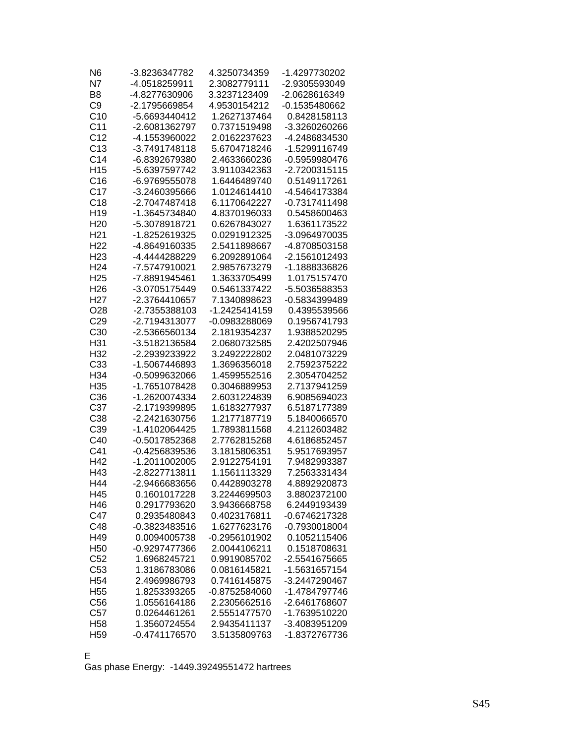| N <sub>6</sub>  | -3.8236347782   | 4.3250734359  | -1.4297730202 |
|-----------------|-----------------|---------------|---------------|
| N7              | -4.0518259911   | 2.3082779111  | -2.9305593049 |
| B <sub>8</sub>  | -4.8277630906   | 3.3237123409  | -2.0628616349 |
| C <sub>9</sub>  | -2.1795669854   | 4.9530154212  | -0.1535480662 |
| C10             | -5.6693440412   | 1.2627137464  | 0.8428158113  |
| C <sub>11</sub> | -2.6081362797   | 0.7371519498  | -3.3260260266 |
| C <sub>12</sub> | -4.1553960022   | 2.0162237623  | -4.2486834530 |
| C13             | -3.7491748118   | 5.6704718246  | -1.5299116749 |
| C <sub>14</sub> | -6.8392679380   | 2.4633660236  | -0.5959980476 |
| H <sub>15</sub> | -5.6397597742   | 3.9110342363  | -2.7200315115 |
| C16             | -6.9769555078   | 1.6446489740  | 0.5149117261  |
| C <sub>17</sub> | -3.2460395666   | 1.0124614410  | -4.5464173384 |
| C18             | -2.7047487418   | 6.1170642227  | -0.7317411498 |
| H <sub>19</sub> | -1.3645734840   | 4.8370196033  | 0.5458600463  |
| H <sub>20</sub> | -5.3078918721   | 0.6267843027  | 1.6361173522  |
| H <sub>21</sub> | -1.8252619325   | 0.0291912325  | -3.0964970035 |
| H <sub>22</sub> | -4.8649160335   | 2.5411898667  | -4.8708503158 |
| H <sub>23</sub> | -4.4444288229   | 6.2092891064  | -2.1561012493 |
| H <sub>24</sub> | -7.5747910021   | 2.9857673279  | -1.1888336826 |
| H <sub>25</sub> | -7.8891945461   | 1.3633705499  | 1.0175157470  |
| H <sub>26</sub> | -3.0705175449   | 0.5461337422  | -5.5036588353 |
| H <sub>27</sub> | -2.3764410657   | 7.1340898623  | -0.5834399489 |
| O <sub>28</sub> | -2.7355388103   | -1.2425414159 | 0.4395539566  |
| C <sub>29</sub> | -2.7194313077   | -0.0983288069 | 0.1956741793  |
| C30             | -2.5366560134   | 2.1819354237  | 1.9388520295  |
| H31             | -3.5182136584   | 2.0680732585  | 2.4202507946  |
| H32             | -2.2939233922   | 3.2492222802  | 2.0481073229  |
| C33             | -1.5067446893   | 1.3696356018  | 2.7592375222  |
| H34             | -0.5099632066   | 1.4599552516  | 2.3054704252  |
| H <sub>35</sub> | -1.7651078428   | 0.3046889953  | 2.7137941259  |
| C <sub>36</sub> | -1.2620074334   | 2.6031224839  | 6.9085694023  |
| C37             | -2.1719399895   | 1.6183277937  | 6.5187177389  |
| C38             | -2.2421630756   | 1.2177187719  | 5.1840066570  |
| C39             | -1.4102064425   | 1.7893811568  | 4.2112603482  |
| C40             | -0.5017852368   | 2.7762815268  | 4.6186852457  |
| C41             | -0.4256839536   | 3.1815806351  | 5.9517693957  |
| H42             | -1.2011002005   | 2.9122754191  | 7.9482993387  |
| H43             | -2.8227713811   | 1.1561113329  | 7.2563331434  |
| H44             | -2.9466683656   | 0.4428903278  | 4.8892920873  |
| H45             | 0.1601017228    | 3.2244699503  | 3.8802372100  |
| H46             | 0.2917793620    | 3.9436668758  | 6.2449193439  |
| C47             | 0.2935480843    | 0.4023176811  | -0.6746217328 |
| C48             | -0.3823483516   | 1.6277623176  | -0.7930018004 |
| H49             | 0.0094005738    | -0.2956101902 | 0.1052115406  |
| H <sub>50</sub> | -0.9297477366   | 2.0044106211  | 0.1518708631  |
| C52             | 1.6968245721    | 0.9919085702  | -2.5541675665 |
| C <sub>53</sub> | 1.3186783086    | 0.0816145821  | -1.5631657154 |
| H <sub>54</sub> | 2.4969986793    | 0.7416145875  | -3.2447290467 |
| H <sub>55</sub> | 1.8253393265    | -0.8752584060 | -1.4784797746 |
| C56             | 1.0556164186    | 2.2305662516  | -2.6461768607 |
| C <sub>57</sub> | 0.0264461261    | 2.5551477570  | -1.7639510220 |
| H <sub>58</sub> | 1.3560724554    | 2.9435411137  | -3.4083951209 |
| H <sub>59</sub> | $-0.4741176570$ | 3.5135809763  | -1.8372767736 |
|                 |                 |               |               |

E

Gas phase Energy: -1449.39249551472 hartrees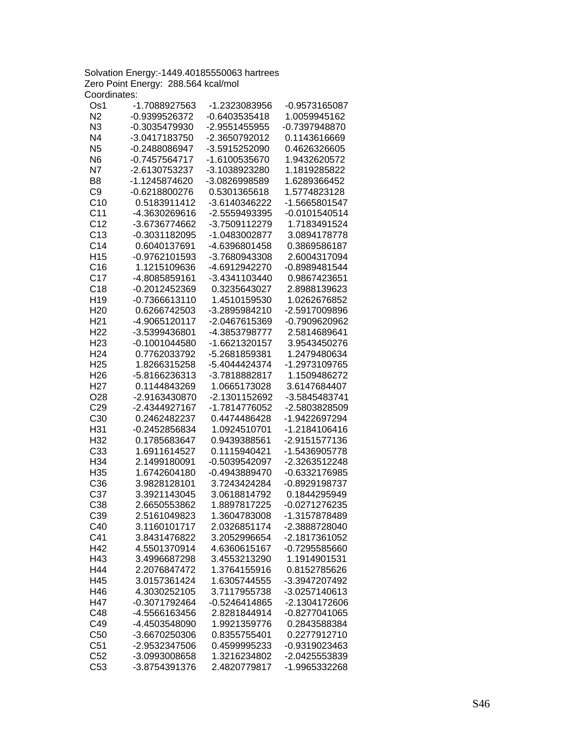Solvation Energy:-1449.40185550063 hartrees Zero Point Energy: 288.564 kcal/mol Coordinates:

| Os1             | -1.7088927563   | -1.2323083956   | -0.9573165087   |
|-----------------|-----------------|-----------------|-----------------|
| N <sub>2</sub>  | -0.9399526372   | $-0.6403535418$ | 1.0059945162    |
| N <sub>3</sub>  | -0.3035479930   | -2.9551455955   | -0.7397948870   |
| N <sub>4</sub>  | -3.0417183750   | -2.3650792012   | 0.1143616669    |
| N <sub>5</sub>  | -0.2488086947   | -3.5915252090   | 0.4626326605    |
| N <sub>6</sub>  | -0.7457564717   | -1.6100535670   | 1.9432620572    |
| N7              | -2.6130753237   | -3.1038923280   | 1.1819285822    |
| B <sub>8</sub>  | -1.1245874620   | -3.0826998589   | 1.6289366452    |
| C <sub>9</sub>  | $-0.6218800276$ | 0.5301365618    | 1.5774823128    |
| C10             | 0.5183911412    | -3.6140346222   | -1.5665801547   |
| C <sub>11</sub> | -4.3630269616   | -2.5559493395   | $-0.0101540514$ |
| C <sub>12</sub> | -3.6736774662   | -3.7509112279   | 1.7183491524    |
| C <sub>13</sub> | -0.3031182095   | -1.0483002877   | 3.0894178778    |
| C <sub>14</sub> | 0.6040137691    | -4.6396801458   | 0.3869586187    |
| H <sub>15</sub> | -0.9762101593   | -3.7680943308   | 2.6004317094    |
| C16             | 1.1215109636    | -4.6912942270   | -0.8989481544   |
| C <sub>17</sub> | -4.8085859161   | -3.4341103440   | 0.9867423651    |
| C18             | -0.2012452369   | 0.3235643027    | 2.8988139623    |
| H <sub>19</sub> | $-0.7366613110$ | 1.4510159530    | 1.0262676852    |
| H <sub>20</sub> | 0.6266742503    | -3.2895984210   | -2.5917009896   |
| H <sub>21</sub> | -4.9065120117   | -2.0467615369   | -0.7909620962   |
| H <sub>22</sub> | -3.5399436801   | -4.3853798777   | 2.5814689641    |
| H <sub>23</sub> | $-0.1001044580$ | -1.6621320157   | 3.9543450276    |
| H <sub>24</sub> | 0.7762033792    | -5.2681859381   | 1.2479480634    |
| H <sub>25</sub> | 1.8266315258    | -5.4044424374   | -1.2973109765   |
| H <sub>26</sub> | -5.8166236313   | -3.7818882817   | 1.1509486272    |
| H <sub>27</sub> | 0.1144843269    | 1.0665173028    | 3.6147684407    |
| O28             | -2.9163430870   | -2.1301152692   | -3.5845483741   |
| C <sub>29</sub> | -2.4344927167   | -1.7814776052   | -2.5803828509   |
| C30             | 0.2462482237    | 0.4474486428    | -1.9422697294   |
| H31             | -0.2452856834   | 1.0924510701    | -1.2184106416   |
| H32             | 0.1785683647    | 0.9439388561    | -2.9151577136   |
| C33             | 1.6911614527    | 0.1115940421    | -1.5436905778   |
| H34             | 2.1499180091    | -0.5039542097   | -2.3263512248   |
| H35             | 1.6742604180    | -0.4943889470   | -0.6332176985   |
| C36             | 3.9828128101    | 3.7243424284    | -0.8929198737   |
| C37             | 3.3921143045    | 3.0618814792    | 0.1844295949    |
| C38             | 2.6650553862    | 1.8897817225    | -0.0271276235   |
| C39             | 2.5161049823    | 1.3604783008    | -1.3157878489   |
| C40             | 3.1160101717    | 2.0326851174    | -2.3888728040   |
| C41             | 3.8431476822    | 3.2052996654    | -2.1817361052   |
| H42             | 4.5501370914    | 4.6360615167    | -0.7295585660   |
| H43             | 3.4996687298    | 3.4553213290    | 1.1914901531    |
| H44             | 2.2076847472    | 1.3764155916    | 0.8152785626    |
| H45             | 3.0157361424    | 1.6305744555    | -3.3947207492   |
| H46             | 4.3030252105    | 3.7117955738    | -3.0257140613   |
| H47             | -0.3071792464   | $-0.5246414865$ | -2.1304172606   |
| C48             | -4.5566163456   | 2.8281844914    | -0.8277041065   |
| C49             | -4.4503548090   | 1.9921359776    | 0.2843588384    |
| C50             | -3.6670250306   | 0.8355755401    | 0.2277912710    |
| C51             | -2.9532347506   | 0.4599995233    | -0.9319023463   |
| C52             | -3.0993008658   | 1.3216234802    | -2.0425553839   |
| C <sub>53</sub> | -3.8754391376   | 2.4820779817    | -1.9965332268   |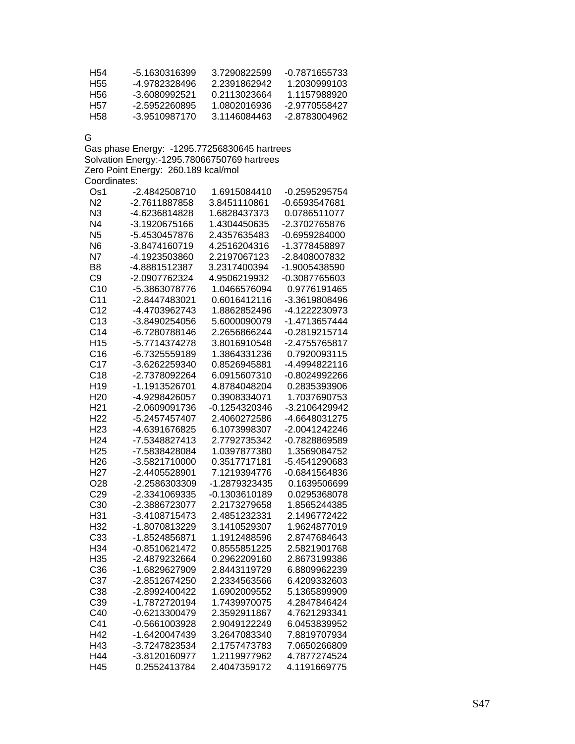| H54 | -5 1630316399 | 3 7290822599 | $-0.7871655733$ |
|-----|---------------|--------------|-----------------|
| H55 | -4 9782328496 | 2 2391862942 | 1.2030999103    |
| H56 | -3 6080992521 | 0.2113023664 | 1.1157988920    |
| H57 | -2.5952260895 | 1 0802016936 | -2.9770558427   |
| H58 | -3.9510987170 | 3.1146084463 | -2 8783004962   |

G

Gas phase Energy: -1295.77256830645 hartrees Solvation Energy:-1295.78066750769 hartrees Zero Point Energy: 260.189 kcal/mol Coordinates:

| Os1             | -2.4842508710 | 1.6915084410  | -0.2595295754   |
|-----------------|---------------|---------------|-----------------|
| N <sub>2</sub>  | -2.7611887858 | 3.8451110861  | -0.6593547681   |
| N <sub>3</sub>  | -4.6236814828 | 1.6828437373  | 0.0786511077    |
| N <sub>4</sub>  | -3.1920675166 | 1.4304450635  | -2.3702765876   |
| N <sub>5</sub>  | -5.4530457876 | 2.4357635483  | -0.6959284000   |
| N <sub>6</sub>  | -3.8474160719 | 4.2516204316  | -1.3778458897   |
| N7              | -4.1923503860 | 2.2197067123  | -2.8408007832   |
| B <sub>8</sub>  | -4.8881512387 | 3.2317400394  | -1.9005438590   |
| C <sub>9</sub>  | -2.0907762324 | 4.9506219932  | -0.3087765603   |
| C10             | -5.3863078776 | 1.0466576094  | 0.9776191465    |
| C <sub>11</sub> | -2.8447483021 | 0.6016412116  | -3.3619808496   |
| C <sub>12</sub> | -4.4703962743 | 1.8862852496  | -4.1222230973   |
| C13             | -3.8490254056 | 5.6000090079  | -1.4713657444   |
| C <sub>14</sub> | -6.7280788146 | 2.2656866244  | -0.2819215714   |
| H <sub>15</sub> | -5.7714374278 | 3.8016910548  | -2.4755765817   |
| C16             | -6.7325559189 | 1.3864331236  | 0.7920093115    |
| C <sub>17</sub> | -3.6262259340 | 0.8526945881  | -4.4994822116   |
| C18             | -2.7378092264 | 6.0915607310  | -0.8024992266   |
| H <sub>19</sub> | -1.1913526701 | 4.8784048204  | 0.2835393906    |
| H <sub>20</sub> | -4.9298426057 | 0.3908334071  | 1.7037690753    |
| H <sub>21</sub> | -2.0609091736 | -0.1254320346 | -3.2106429942   |
| H <sub>22</sub> | -5.2457457407 | 2.4060272586  | -4.6648031275   |
| H <sub>23</sub> | -4.6391676825 | 6.1073998307  | -2.0041242246   |
| H <sub>24</sub> | -7.5348827413 | 2.7792735342  | -0.7828869589   |
| H <sub>25</sub> | -7.5838428084 | 1.0397877380  | 1.3569084752    |
| H <sub>26</sub> | -3.5821710000 | 0.3517717181  | -5.4541290683   |
| H <sub>27</sub> | -2.4405528901 | 7.1219394776  | $-0.6841564836$ |
| O28             | -2.2586303309 | -1.2879323435 | 0.1639506699    |
| C <sub>29</sub> | -2.3341069335 | -0.1303610189 | 0.0295368078    |
| C30             | -2.3886723077 | 2.2173279658  | 1.8565244385    |
| H31             | -3.4108715473 | 2.4851232331  | 2.1496772422    |
| H32             | -1.8070813229 | 3.1410529307  | 1.9624877019    |
| C33             | -1.8524856871 | 1.1912488596  | 2.8747684643    |
| H34             | -0.8510621472 | 0.8555851225  | 2.5821901768    |
| H35             | -2.4879232664 | 0.2962209160  | 2.8673199386    |
| C36             | -1.6829627909 | 2.8443119729  | 6.8809962239    |
| C37             | -2.8512674250 | 2.2334563566  | 6.4209332603    |
| C38             | -2.8992400422 | 1.6902009552  | 5.1365899909    |
| C39             | -1.7872720194 | 1.7439970075  | 4.2847846424    |
| C40             | -0.6213300479 | 2.3592911867  | 4.7621293341    |
| C41             | -0.5661003928 | 2.9049122249  | 6.0453839952    |
| H42             | -1.6420047439 | 3.2647083340  | 7.8819707934    |
| H43             | -3.7247823534 | 2.1757473783  | 7.0650266809    |
| H44             | -3.8120160977 | 1.2119977962  | 4.7877274524    |
| H45             | 0.2552413784  | 2.4047359172  | 4.1191669775    |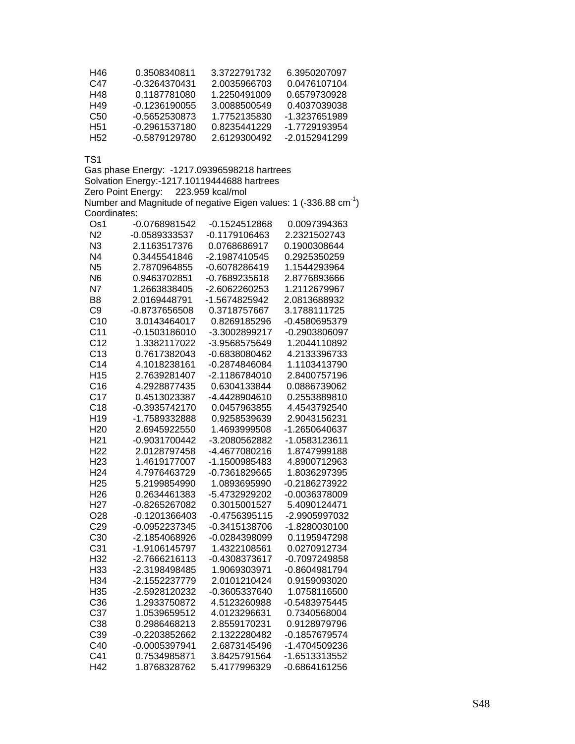| H46             | 0.3508340811  | 3.3722791732 | 6.3950207097  |
|-----------------|---------------|--------------|---------------|
| C47             | -0.3264370431 | 2.0035966703 | 0.0476107104  |
| H48             | 0.1187781080  | 1.2250491009 | 0.6579730928  |
| H49             | -0.1236190055 | 3 0088500549 | 0.4037039038  |
| C50             | -0.5652530873 | 1.7752135830 | -1.3237651989 |
| H <sub>51</sub> | -0.2961537180 | 0.8235441229 | -1.7729193954 |
| H52             | -0.5879129780 | 2.6129300492 | -2 0152941299 |

Gas phase Energy: -1217.09396598218 hartrees Solvation Energy:-1217.10119444688 hartrees Zero Point Energy: 223.959 kcal/mol Number and Magnitude of negative Eigen values: 1 (-336.88  $cm^{-1}$ ) Coordinates:

| Os1             | -0.0768981542   | -0.1524512868   | 0.0097394363    |
|-----------------|-----------------|-----------------|-----------------|
| N <sub>2</sub>  | -0.0589333537   | -0.1179106463   | 2.2321502743    |
| N3              | 2.1163517376    | 0.0768686917    | 0.1900308644    |
| N <sub>4</sub>  | 0.3445541846    | -2.1987410545   | 0.2925350259    |
| N <sub>5</sub>  | 2.7870964855    | -0.6078286419   | 1.1544293964    |
| N <sub>6</sub>  | 0.9463702851    | -0.7689235618   | 2.8776893666    |
| N7              | 1.2663838405    | -2.6062260253   | 1.2112679967    |
| B <sub>8</sub>  | 2.0169448791    | -1.5674825942   | 2.0813688932    |
| C <sub>9</sub>  | -0.8737656508   | 0.3718757667    | 3.1788111725    |
| C <sub>10</sub> | 3.0143464017    | 0.8269185296    | -0.4580695379   |
| C <sub>11</sub> | -0.1503186010   | -3.3002899217   | -0.2903806097   |
| C <sub>12</sub> | 1.3382117022    | -3.9568575649   | 1.2044110892    |
| C13             | 0.7617382043    | -0.6838080462   | 4.2133396733    |
| C <sub>14</sub> | 4.1018238161    | -0.2874846084   | 1.1103413790    |
| H <sub>15</sub> | 2.7639281407    | -2.1186784010   | 2.8400757196    |
| C16             | 4.2928877435    | 0.6304133844    | 0.0886739062    |
| C <sub>17</sub> | 0.4513023387    | -4.4428904610   | 0.2553889810    |
| C18             | -0.3935742170   | 0.0457963855    | 4.4543792540    |
| H <sub>19</sub> | -1.7589332888   | 0.9258539639    | 2.9043156231    |
| H <sub>20</sub> | 2.6945922550    | 1.4693999508    | -1.2650640637   |
| H <sub>21</sub> | -0.9031700442   | -3.2080562882   | -1.0583123611   |
| H <sub>22</sub> | 2.0128797458    | -4.4677080216   | 1.8747999188    |
| H <sub>23</sub> | 1.4619177007    | -1.1500985483   | 4.8900712963    |
| H <sub>24</sub> | 4.7976463729    | -0.7361829665   | 1.8036297395    |
| H <sub>25</sub> | 5.2199854990    | 1.0893695990    | -0.2186273922   |
| H <sub>26</sub> | 0.2634461383    | -5.4732929202   | -0.0036378009   |
| H <sub>27</sub> | -0.8265267082   | 0.3015001527    | 5.4090124471    |
| O <sub>28</sub> | $-0.1201366403$ | $-0.4756395115$ | -2.9905997032   |
| C <sub>29</sub> | -0.0952237345   | $-0.3415138706$ | -1.8280030100   |
| C <sub>30</sub> | -2.1854068926   | -0.0284398099   | 0.1195947298    |
| C <sub>31</sub> | -1.9106145797   | 1.4322108561    | 0.0270912734    |
| H32             | -2.7666216113   | -0.4308373617   | -0.7097249858   |
| H33             | -2.3198498485   | 1.9069303971    | -0.8604981794   |
| H34             | -2.1552237779   | 2.0101210424    | 0.9159093020    |
| H35             | -2.5928120232   | -0.3605337640   | 1.0758116500    |
| C36             | 1.2933750872    | 4.5123260988    | -0.5483975445   |
| C37             | 1.0539659512    | 4.0123296631    | 0.7340568004    |
| C38             | 0.2986468213    | 2.8559170231    | 0.9128979796    |
| C39             | -0.2203852662   | 2.1322280482    | -0.1857679574   |
| C40             | -0.0005397941   | 2.6873145496    | -1.4704509236   |
| C41             | 0.7534985871    | 3.8425791564    | -1.6513313552   |
| H42             | 1.8768328762    | 5.4177996329    | $-0.6864161256$ |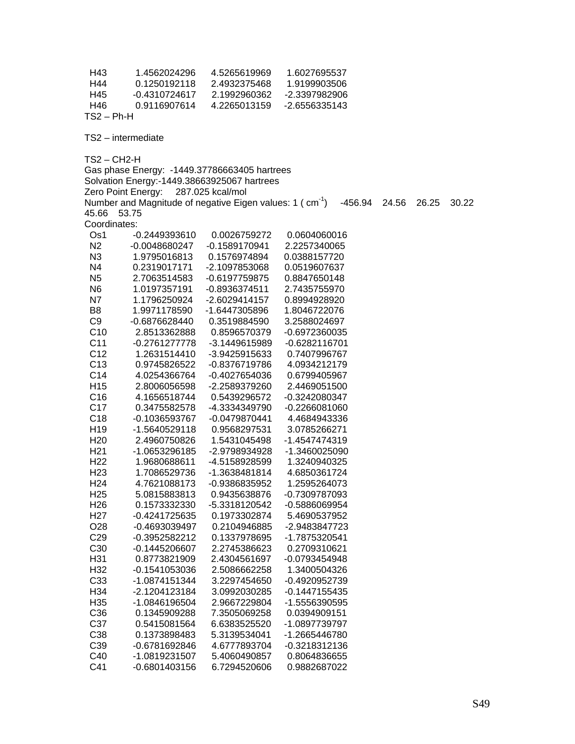| H43<br>H44<br>H45<br>H46<br>$TS2 - Ph-H$ | 1.4562024296<br>0.1250192118<br>$-0.4310724617$<br>0.9116907614      | 4.5265619969<br>2.4932375468<br>2.1992960362<br>4.2265013159 | 1.6027695537<br>1.9199903506<br>-2.3397982906<br>-2.6556335143 |       |       |       |
|------------------------------------------|----------------------------------------------------------------------|--------------------------------------------------------------|----------------------------------------------------------------|-------|-------|-------|
|                                          | TS2 - intermediate                                                   |                                                              |                                                                |       |       |       |
| $TS2 - CH2-H$                            |                                                                      |                                                              |                                                                |       |       |       |
|                                          | Gas phase Energy: -1449.37786663405 hartrees                         |                                                              |                                                                |       |       |       |
|                                          | Solvation Energy:-1449.38663925067 hartrees                          |                                                              |                                                                |       |       |       |
|                                          | Zero Point Energy:                                                   | 287.025 kcal/mol                                             |                                                                |       |       |       |
|                                          | Number and Magnitude of negative Eigen values: 1 (cm <sup>-1</sup> ) |                                                              | $-456.94$                                                      | 24.56 | 26.25 | 30.22 |
| 45.66                                    | 53.75                                                                |                                                              |                                                                |       |       |       |
| Coordinates:                             |                                                                      |                                                              |                                                                |       |       |       |
| Os1                                      | -0.2449393610                                                        | 0.0026759272                                                 | 0.0604060016                                                   |       |       |       |
| N <sub>2</sub>                           | -0.0048680247                                                        | -0.1589170941                                                | 2.2257340065                                                   |       |       |       |
| N3                                       | 1.9795016813                                                         | 0.1576974894                                                 | 0.0388157720                                                   |       |       |       |
| N <sub>4</sub>                           | 0.2319017171                                                         | -2.1097853068                                                | 0.0519607637                                                   |       |       |       |
| N <sub>5</sub>                           | 2.7063514583                                                         | -0.6197759875                                                | 0.8847650148                                                   |       |       |       |
| N <sub>6</sub>                           | 1.0197357191                                                         | $-0.8936374511$                                              | 2.7435755970                                                   |       |       |       |
| N7<br>B <sub>8</sub>                     | 1.1796250924<br>1.9971178590                                         | -2.6029414157                                                | 0.8994928920                                                   |       |       |       |
| C <sub>9</sub>                           | -0.6876628440                                                        | -1.6447305896<br>0.3519884590                                | 1.8046722076                                                   |       |       |       |
| C10                                      | 2.8513362888                                                         | 0.8596570379                                                 | 3.2588024697<br>-0.6972360035                                  |       |       |       |
| C <sub>11</sub>                          | -0.2761277778                                                        | -3.1449615989                                                | $-0.6282116701$                                                |       |       |       |
| C <sub>12</sub>                          | 1.2631514410                                                         | -3.9425915633                                                | 0.7407996767                                                   |       |       |       |
| C <sub>13</sub>                          | 0.9745826522                                                         | -0.8376719786                                                | 4.0934212179                                                   |       |       |       |
| C14                                      | 4.0254366764                                                         | -0.4027654036                                                | 0.6799405967                                                   |       |       |       |
| H <sub>15</sub>                          | 2.8006056598                                                         | -2.2589379260                                                | 2.4469051500                                                   |       |       |       |
| C <sub>16</sub>                          | 4.1656518744                                                         | 0.5439296572                                                 | -0.3242080347                                                  |       |       |       |
| C <sub>17</sub>                          | 0.3475582578                                                         | -4.3334349790                                                | -0.2266081060                                                  |       |       |       |
| C <sub>18</sub>                          | -0.1036593767                                                        | -0.0479870441                                                | 4.4684943336                                                   |       |       |       |
| H <sub>19</sub>                          | -1.5640529118                                                        | 0.9568297531                                                 | 3.0785266271                                                   |       |       |       |
| H <sub>20</sub>                          | 2.4960750826                                                         | 1.5431045498                                                 | -1.4547474319                                                  |       |       |       |
| H <sub>21</sub>                          | -1.0653296185                                                        | -2.9798934928                                                | -1.3460025090                                                  |       |       |       |
| H <sub>22</sub>                          | 1.9680688611                                                         | -4.5158928599                                                | 1.3240940325                                                   |       |       |       |
| H <sub>23</sub>                          | 1.7086529736                                                         | -1.3638481814                                                | 4.6850361724                                                   |       |       |       |
| H <sub>24</sub>                          | 4.7621088173                                                         | -0.9386835952                                                | 1.2595264073                                                   |       |       |       |
| H <sub>25</sub>                          | 5.0815883813                                                         | 0.9435638876                                                 | -0.7309787093                                                  |       |       |       |
| H <sub>26</sub>                          | 0.1573332330                                                         | -5.3318120542                                                | -0.5886069954                                                  |       |       |       |
| H <sub>27</sub>                          | $-0.4241725635$                                                      | 0.1973302874                                                 | 5.4690537952                                                   |       |       |       |
| O <sub>28</sub>                          | -0.4693039497                                                        | 0.2104946885                                                 | -2.9483847723                                                  |       |       |       |
| C <sub>29</sub>                          | -0.3952582212                                                        | 0.1337978695                                                 | -1.7875320541                                                  |       |       |       |
| C30                                      | $-0.1445206607$                                                      | 2.2745386623                                                 | 0.2709310621                                                   |       |       |       |
| H31                                      | 0.8773821909                                                         | 2.4304561697                                                 | -0.0793454948                                                  |       |       |       |
| H32                                      | -0.1541053036                                                        | 2.5086662258                                                 | 1.3400504326                                                   |       |       |       |
| C33                                      | -1.0874151344                                                        | 3.2297454650                                                 | -0.4920952739                                                  |       |       |       |
| H34                                      | -2.1204123184                                                        | 3.0992030285                                                 | $-0.1447155435$                                                |       |       |       |
| H35                                      | -1.0846196504                                                        | 2.9667229804                                                 | -1.5556390595                                                  |       |       |       |
| C36                                      | 0.1345909288                                                         | 7.3505069258                                                 | 0.0394909151                                                   |       |       |       |
| C37                                      | 0.5415081564                                                         | 6.6383525520                                                 | -1.0897739797                                                  |       |       |       |
| C38                                      | 0.1373898483                                                         | 5.3139534041                                                 | -1.2665446780                                                  |       |       |       |
| C39                                      | -0.6781692846                                                        | 4.6777893704                                                 | -0.3218312136                                                  |       |       |       |
| C40                                      | -1.0819231507                                                        | 5.4060490857                                                 | 0.8064836655                                                   |       |       |       |
| C41                                      | $-0.6801403156$                                                      | 6.7294520606                                                 | 0.9882687022                                                   |       |       |       |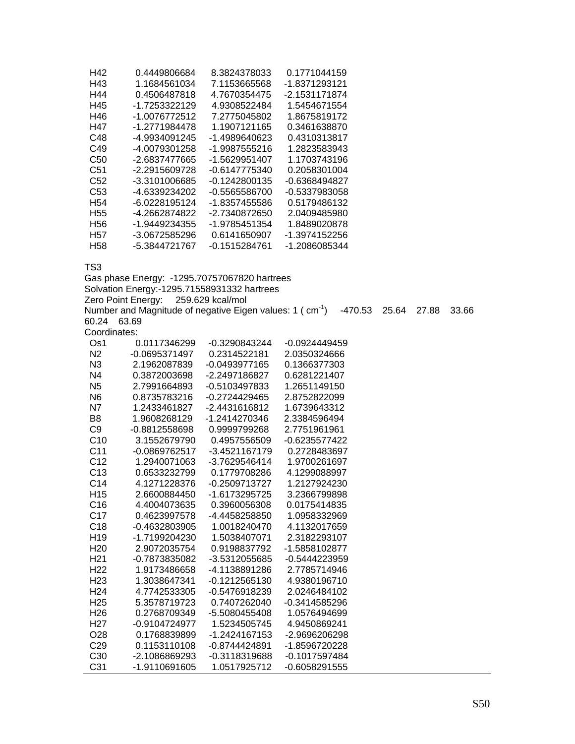| H42             | 0.4449806684  | 8.3824378033  | 0.1771044159  |
|-----------------|---------------|---------------|---------------|
| H43             | 1.1684561034  | 7.1153665568  | -1.8371293121 |
| H44             | 0.4506487818  | 4.7670354475  | -2.1531171874 |
| H45             | -1.7253322129 | 4.9308522484  | 1.5454671554  |
| H46             | -1.0076772512 | 7.2775045802  | 1.8675819172  |
| H47             | -1.2771984478 | 1.1907121165  | 0.3461638870  |
| C48             | -4.9934091245 | -1.4989640623 | 0.4310313817  |
| C49             | -4.0079301258 | -1.9987555216 | 1.2823583943  |
| C50             | -2.6837477665 | -1.5629951407 | 1.1703743196  |
| C51             | -2.2915609728 | -0.6147775340 | 0.2058301004  |
| C52             | -3.3101006685 | -0.1242800135 | -0.6368494827 |
| C53             | -4.6339234202 | -0.5565586700 | -0.5337983058 |
| H54             | -6.0228195124 | -1.8357455586 | 0.5179486132  |
| H <sub>55</sub> | -4.2662874822 | -2.7340872650 | 2.0409485980  |
| H56             | -1.9449234355 | -1.9785451354 | 1.8489020878  |
| H57             | -3.0672585296 | 0.6141650907  | -1.3974152256 |
| H <sub>58</sub> | -5.3844721767 | -0.1515284761 | -1.2086085344 |

Gas phase Energy: -1295.70757067820 hartrees Solvation Energy:-1295.71558931332 hartrees Zero Point Energy: 259.629 kcal/mol Number and Magnitude of negative Eigen values: 1 (cm<sup>-1</sup>) -470.53 25.64 27.88 33.66 60.24 63.69 Coordinates: Os1 0.0117346299 -0.3290843244 -0.0924449459

| Os1             | 0.0117346299    | -0.3290843244   | -0.0924449459   |  |
|-----------------|-----------------|-----------------|-----------------|--|
| N <sub>2</sub>  | -0.0695371497   | 0.2314522181    | 2.0350324666    |  |
| N <sub>3</sub>  | 2.1962087839    | $-0.0493977165$ | 0.1366377303    |  |
| N4              | 0.3872003698    | -2.2497186827   | 0.6281221407    |  |
| N <sub>5</sub>  | 2.7991664893    | -0.5103497833   | 1.2651149150    |  |
| N <sub>6</sub>  | 0.8735783216    | $-0.2724429465$ | 2.8752822099    |  |
| N7              | 1.2433461827    | -2.4431616812   | 1.6739643312    |  |
| B <sub>8</sub>  | 1.9608268129    | -1.2414270346   | 2.3384596494    |  |
| C <sub>9</sub>  | -0.8812558698   | 0.9999799268    | 2.7751961961    |  |
| C <sub>10</sub> | 3.1552679790    | 0.4957556509    | -0.6235577422   |  |
| C <sub>11</sub> | $-0.0869762517$ | -3.4521167179   | 0.2728483697    |  |
| C <sub>12</sub> | 1.2940071063    | -3.7629546414   | 1.9700261697    |  |
| C <sub>13</sub> | 0.6533232799    | 0.1779708286    | 4.1299088997    |  |
| C <sub>14</sub> | 4.1271228376    | $-0.2509713727$ | 1.2127924230    |  |
| H <sub>15</sub> | 2.6600884450    | -1.6173295725   | 3.2366799898    |  |
| C <sub>16</sub> | 4.4004073635    | 0.3960056308    | 0.0175414835    |  |
| C <sub>17</sub> | 0.4623997578    | -4.4458258850   | 1.0958332969    |  |
| C <sub>18</sub> | -0.4632803905   | 1.0018240470    | 4.1132017659    |  |
| H <sub>19</sub> | -1.7199204230   | 1.5038407071    | 2.3182293107    |  |
| H <sub>20</sub> | 2.9072035754    | 0.9198837792    | -1.5858102877   |  |
| H <sub>21</sub> | -0.7873835082   | -3.5312055685   | -0.5444223959   |  |
| H <sub>22</sub> | 1.9173486658    | -4.1138891286   | 2.7785714946    |  |
| H <sub>23</sub> | 1.3038647341    | $-0.1212565130$ | 4.9380196710    |  |
| H <sub>24</sub> | 4.7742533305    | -0.5476918239   | 2.0246484102    |  |
| H <sub>25</sub> | 5.3578719723    | 0.7407262040    | $-0.3414585296$ |  |
| H <sub>26</sub> | 0.2768709349    | -5.5080455408   | 1.0576494699    |  |
| H <sub>27</sub> | -0.9104724977   | 1.5234505745    | 4.9450869241    |  |
| O <sub>28</sub> | 0.1768839899    | -1.2424167153   | -2.9696206298   |  |
| C <sub>29</sub> | 0.1153110108    | -0.8744424891   | -1.8596720228   |  |
| C <sub>30</sub> | $-2.1086869293$ | -0.3118319688   | -0.1017597484   |  |
| C31             | -1.9110691605   | 1.0517925712    | $-0.6058291555$ |  |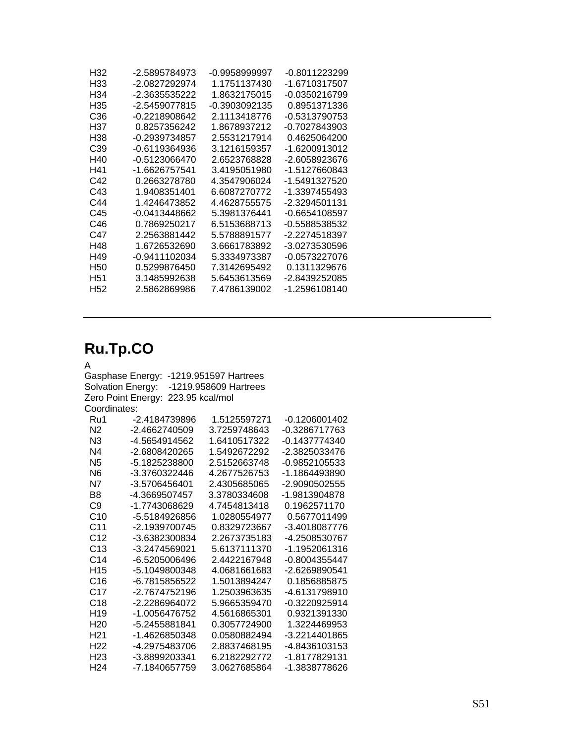| H <sub>32</sub> | -2.5895784973   | -0.9958999997 | -0.8011223299 |
|-----------------|-----------------|---------------|---------------|
| H33             | -2.0827292974   | 1.1751137430  | -1.6710317507 |
| H34             | -2.3635535222   | 1.8632175015  | -0.0350216799 |
| H35             | -2.5459077815   | -0.3903092135 | 0.8951371336  |
| C36             | -0.2218908642   | 2.1113418776  | -0.5313790753 |
| H37             | 0.8257356242    | 1.8678937212  | -0.7027843903 |
| H38             | $-0.2939734857$ | 2.5531217914  | 0.4625064200  |
| C39             | -0.6119364936   | 3.1216159357  | -1.6200913012 |
| H40             | $-0.5123066470$ | 2.6523768828  | -2.6058923676 |
| H41             | -1.6626757541   | 3.4195051980  | -1.5127660843 |
| C42             | 0.2663278780    | 4.3547906024  | -1.5491327520 |
| C43             | 1.9408351401    | 6.6087270772  | -1.3397455493 |
| C44             | 1 4246473852    | 4.4628755575  | -2.3294501131 |
| C45             | -0.0413448662   | 5.3981376441  | -0.6654108597 |
| C46             | 0.7869250217    | 6.5153688713  | -0.5588538532 |
| C47             | 2.2563881442    | 5.5788891577  | -2.2274518397 |
| H48             | 1.6726532690    | 3.6661783892  | -3.0273530596 |
| H49             | -0.9411102034   | 5.3334973387  | -0.0573227076 |
| H50             | 0.5299876450    | 7.3142695492  | 0.1311329676  |
| H51             | 3.1485992638    | 5.6453613569  | -2.8439252085 |
| H <sub>52</sub> | 2.5862869986    | 7.4786139002  | -1.2596108140 |

## **Ru.Tp.CO**

### A

Gasphase Energy: -1219.951597 Hartrees Solvation Energy: -1219.958609 Hartrees Zero Point Energy: 223.95 kcal/mol Coordinates: Ru1 -2.4184739896 1.5125597271 -0.1206001402

| N2              | -2.4662740509 | 3.7259748643 | -0.3286717763   |
|-----------------|---------------|--------------|-----------------|
| N <sub>3</sub>  | -4.5654914562 | 1.6410517322 | $-0.1437774340$ |
| N4              | -2.6808420265 | 1.5492672292 | -2.3825033476   |
| N <sub>5</sub>  | -5.1825238800 | 2.5152663748 | -0.9852105533   |
| N <sub>6</sub>  | -3.3760322446 | 4.2677526753 | -1.1864493890   |
| N7              | -3.5706456401 | 2.4305685065 | -2 9090502555   |
| B8              | -4.3669507457 | 3.3780334608 | -1.9813904878   |
| C9              | -1.7743068629 | 4.7454813418 | 0.1962571170    |
| C <sub>10</sub> | -5.5184926856 | 1.0280554977 | 0.5677011499    |
| C11             | -2.1939700745 | 0.8329723667 | -3.4018087776   |
| C <sub>12</sub> | -3.6382300834 | 2.2673735183 | -4.2508530767   |
| C <sub>13</sub> | -3.2474569021 | 5.6137111370 | -1.1952061316   |
| C14             | -6.5205006496 | 2.4422167948 | -0.8004355447   |
| H <sub>15</sub> | -5.1049800348 | 4.0681661683 | -2.6269890541   |
| C16             | -6.7815856522 | 1.5013894247 | 0.1856885875    |
| C17             | -2.7674752196 | 1.2503963635 | -4.6131798910   |
| C <sub>18</sub> | -2.2286964072 | 5.9665359470 | $-0.3220925914$ |
| H <sub>19</sub> | -1.0056476752 | 4.5616865301 | 0.9321391330    |
| H <sub>20</sub> | -5.2455881841 | 0.3057724900 | 1.3224469953    |
| H <sub>21</sub> | -1.4626850348 | 0.0580882494 | -3.2214401865   |
| H <sub>22</sub> | -4.2975483706 | 2.8837468195 | -4.8436103153   |
| H <sub>23</sub> | -3.8899203341 | 6.2182292772 | -1.8177829131   |
| H <sub>24</sub> | -7 1840657759 | 3.0627685864 | -1.3838778626   |
|                 |               |              |                 |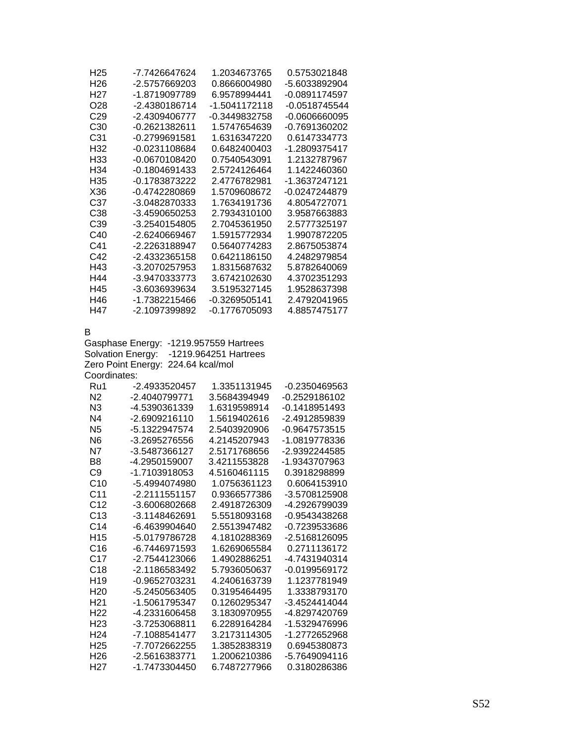| H <sub>25</sub>                    | -7.7426647624                                                                  | 1.2034673765                 | 0.5753021848                  |
|------------------------------------|--------------------------------------------------------------------------------|------------------------------|-------------------------------|
| H <sub>26</sub>                    | -2.5757669203                                                                  | 0.8666004980                 | -5.6033892904                 |
| H <sub>27</sub>                    | -1.8719097789                                                                  | 6.9578994441                 | -0.0891174597                 |
| O <sub>28</sub>                    | -2.4380186714                                                                  | -1.5041172118                | -0.0518745544                 |
| C <sub>29</sub>                    | -2.4309406777                                                                  | -0.3449832758                | -0.0606660095                 |
| C <sub>30</sub>                    | -0.2621382611                                                                  | 1.5747654639                 | -0.7691360202                 |
| C <sub>31</sub>                    | -0.2799691581                                                                  | 1.6316347220                 | 0.6147334773                  |
| H32                                | -0.0231108684                                                                  | 0.6482400403                 | -1.2809375417                 |
| H33                                | -0.0670108420                                                                  | 0.7540543091                 | 1.2132787967                  |
| H34                                | $-0.1804691433$                                                                | 2.5724126464                 | 1.1422460360                  |
| H35                                | -0.1783873222                                                                  | 2.4776782981                 | -1.3637247121                 |
| X36                                | -0.4742280869                                                                  | 1.5709608672                 | -0.0247244879                 |
| C37                                | -3.0482870333                                                                  | 1.7634191736                 | 4.8054727071                  |
| C38                                | -3.4590650253                                                                  | 2.7934310100                 | 3.9587663883                  |
| C39                                | -3.2540154805                                                                  | 2.7045361950                 | 2.5777325197                  |
| C40                                | -2.6240669467                                                                  | 1.5915772934                 | 1.9907872205                  |
| C41                                | -2.2263188947                                                                  | 0.5640774283                 | 2.8675053874                  |
| C42                                | -2.4332365158                                                                  | 0.6421186150                 | 4.2482979854                  |
| H43                                | -3.2070257953                                                                  | 1.8315687632                 | 5.8782640069                  |
| H44                                | -3.9470333773                                                                  | 3.6742102630                 | 4.3702351293                  |
| H45                                | -3.6036939634                                                                  | 3.5195327145                 | 1.9528637398                  |
| H46                                | -1.7382215466                                                                  | -0.3269505141                | 2.4792041965                  |
| H47                                | -2.1097399892                                                                  | -0.1776705093                | 4.8857475177                  |
| Coordinates:                       | Gasphase Energy:<br>Solvation Energy:<br>224.64 kcal/mol<br>Zero Point Energy: | -1219.964251 Hartrees        |                               |
| Ru1                                | -2.4933520457                                                                  | 1.3351131945                 | -0.2350469563                 |
| N <sub>2</sub>                     | -2.4040799771                                                                  | 3.5684394949                 | -0.2529186102                 |
| N3                                 | -4.5390361339                                                                  | 1.6319598914                 | $-0.1418951493$               |
| N <sub>4</sub>                     | -2.6909216110                                                                  | 1.5619402616                 | -2.4912859839                 |
| N <sub>5</sub>                     | -5.1322947574                                                                  | 2.5403920906                 | -0.9647573515                 |
| N <sub>6</sub>                     | -3.2695276556                                                                  | 4.2145207943                 | -1.0819778336                 |
| N7                                 | -3.5487366127                                                                  | 2.5171768656                 | -2.9392244585                 |
| B <sub>8</sub>                     | -4.2950159007                                                                  | 3.4211553828                 | -1.9343707963                 |
| C9                                 | -1.7103918053                                                                  | 4.5160461115                 | 0.3918298899                  |
| C10                                | -5.4994074980                                                                  | 1.0756361123                 | 0.6064153910                  |
| C11                                | -2.2111551157                                                                  | 0.9366577386                 | -3.5708125908                 |
| C <sub>12</sub>                    | -3.6006802668                                                                  | 2.4918726309                 | -4.2926799039                 |
| C13                                | -3.1148462691                                                                  | 5.5518093168                 | -0.9543438268                 |
| C <sub>14</sub>                    | -6.4639904640                                                                  | 2.5513947482                 | -0.7239533686                 |
| H <sub>15</sub>                    | -5.0179786728                                                                  | 4.1810288369                 | -2.5168126095                 |
| C16                                | -6.7446971593                                                                  | 1.6269065584                 | 0.2711136172                  |
| C <sub>17</sub>                    | -2.7544123066                                                                  | 1.4902886251                 | -4.7431940314                 |
| C <sub>18</sub>                    | -2.1186583492                                                                  | 5.7936050637                 | -0.0199569172                 |
| H <sub>19</sub>                    | -0.9652703231                                                                  | 4.2406163739                 | 1.1237781949                  |
| H <sub>20</sub>                    | -5.2450563405                                                                  | 0.3195464495                 | 1.3338793170                  |
| H <sub>21</sub>                    | -1.5061795347                                                                  | 0.1260295347                 | -3.4524414044                 |
| H <sub>22</sub>                    | -4.2331606458                                                                  | 3.1830970955                 | -4.8297420769                 |
| H <sub>23</sub><br>H <sub>24</sub> |                                                                                |                              |                               |
|                                    | -3.7253068811                                                                  | 6.2289164284                 | -1.5329476996                 |
|                                    | -7.1088541477                                                                  | 3.2173114305                 | -1.2772652968                 |
| H <sub>25</sub>                    | -7.7072662255                                                                  | 1.3852838319                 | 0.6945380873                  |
| H <sub>26</sub><br>H <sub>27</sub> | -2.5616383771<br>-1.7473304450                                                 | 1.2006210386<br>6.7487277966 | -5.7649094116<br>0.3180286386 |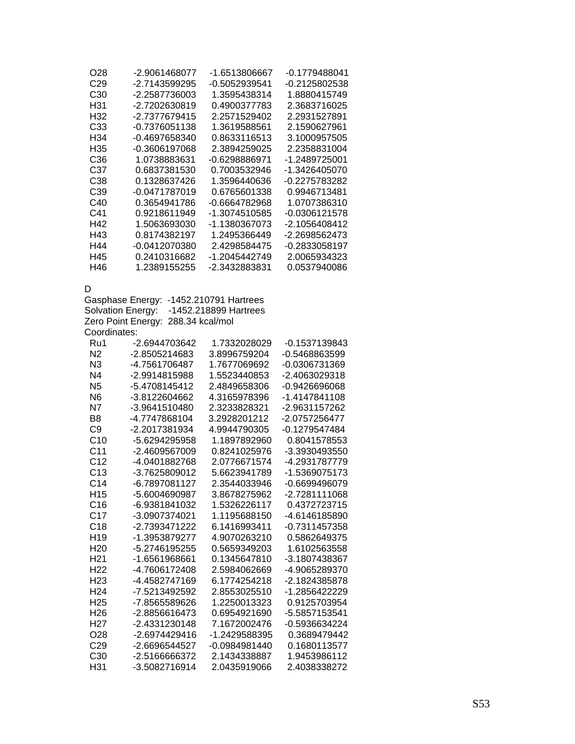| O28             | -2.9061468077 | -1.6513806667 | -0.1779488041 |
|-----------------|---------------|---------------|---------------|
| C <sub>29</sub> | -2.7143599295 | -0.5052939541 | -0.2125802538 |
| C <sub>30</sub> | -2.2587736003 | 1.3595438314  | 1.8880415749  |
| H31             | -2.7202630819 | 0.4900377783  | 2.3683716025  |
| H32             | -2.7377679415 | 2.2571529402  | 2.2931527891  |
| C33             | -0.7376051138 | 1.3619588561  | 2.1590627961  |
| H34             | -0.4697658340 | 0.8633116513  | 3.1000957505  |
| H35             | -0.3606197068 | 2.3894259025  | 2.2358831004  |
| C36             | 1.0738883631  | -0.6298886971 | -1.2489725001 |
| C37             | 0.6837381530  | 0.7003532946  | -1.3426405070 |
| C38             | 0.1328637426  | 1.3596440636  | -0.2275783282 |
| C39             | -0.0471787019 | 0.6765601338  | 0.9946713481  |
| C40             | 0.3654941786  | -0.6664782968 | 1.0707386310  |
| C41             | 0.9218611949  | -1.3074510585 | -0.0306121578 |
| H42             | 1.5063693030  | -1.1380367073 | -2.1056408412 |
| H43             | 0.8174382197  | 1.2495366449  | -2.2698562473 |
| H44             | -0.0412070380 | 2.4298584475  | -0.2833058197 |
| H45             | 0.2410316682  | -1.2045442749 | 2.0065934323  |
| H46             | 1.2389155255  | -2.3432883831 | 0.0537940086  |

#### D

Gasphase Energy: -1452.210791 Hartrees Solvation Energy: -1452.218899 Hartrees Zero Point Energy: 288.34 kcal/mol Coordinates:

| Ru1             | -2.6944703642 | 1.7332028029    | -0.1537139843 |
|-----------------|---------------|-----------------|---------------|
| N <sub>2</sub>  | -2.8505214683 | 3.8996759204    | -0.5468863599 |
| N <sub>3</sub>  | -4.7561706487 | 1.7677069692    | -0.0306731369 |
| N <sub>4</sub>  | -2.9914815988 | 1.5523440853    | -2.4063029318 |
| N <sub>5</sub>  | -5.4708145412 | 2.4849658306    | -0.9426696068 |
| N <sub>6</sub>  | -3.8122604662 | 4.3165978396    | -1.4147841108 |
| N7              | -3.9641510480 | 2.3233828321    | -2.9631157262 |
| B8              | -4.7747868104 | 3.2928201212    | -2.0757256477 |
| C9              | -2.2017381934 | 4.9944790305    | -0.1279547484 |
| C <sub>10</sub> | -5.6294295958 | 1.1897892960    | 0.8041578553  |
| C <sub>11</sub> | -2.4609567009 | 0.8241025976    | -3.3930493550 |
| C <sub>12</sub> | -4.0401882768 | 2.0776671574    | -4.2931787779 |
| C <sub>13</sub> | -3.7625809012 | 5.6623941789    | -1.5369075173 |
| C <sub>14</sub> | -6.7897081127 | 2.3544033946    | -0.6699496079 |
| H <sub>15</sub> | -5.6004690987 | 3.8678275962    | -2.7281111068 |
| C <sub>16</sub> | -6.9381841032 | 1.5326226117    | 0.4372723715  |
| C <sub>17</sub> | -3.0907374021 | 1.1195688150    | -4.6146185890 |
| C <sub>18</sub> | -2.7393471222 | 6.1416993411    | -0.7311457358 |
| H <sub>19</sub> | -1.3953879277 | 4.9070263210    | 0.5862649375  |
| H <sub>20</sub> | -5.2746195255 | 0.5659349203    | 1.6102563558  |
| H <sub>21</sub> | -1.6561968661 | 0.1345647810    | -3.1807438367 |
| H <sub>22</sub> | -4.7606172408 | 2.5984062669    | -4.9065289370 |
| H <sub>23</sub> | -4.4582747169 | 6.1774254218    | -2.1824385878 |
| H <sub>24</sub> | -7.5213492592 | 2.8553025510    | -1.2856422229 |
| H <sub>25</sub> | -7.8565589626 | 1.2250013323    | 0.9125703954  |
| H26             | -2.8856616473 | 0.6954921690    | -5.5857153541 |
| H <sub>27</sub> | -2.4331230148 | 7.1672002476    | -0.5936634224 |
| O <sub>28</sub> | -2.6974429416 | -1.2429588395   | 0.3689479442  |
| C <sub>29</sub> | -2.6696544527 | $-0.0984981440$ | 0.1680113577  |
| C30             | -2.5166666372 | 2.1434338887    | 1.9453986112  |
| H31             | -3.5082716914 | 2.0435919066    | 2.4038338272  |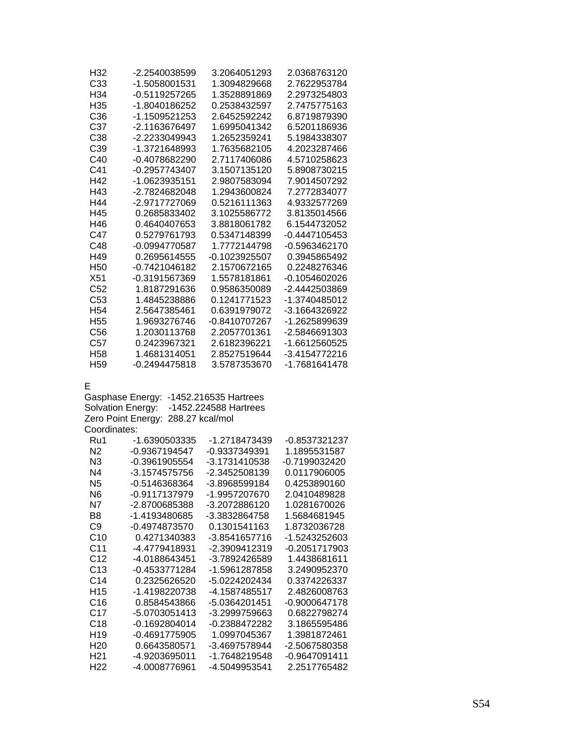| H32             | -2.2540038599   | 3.2064051293  | 2.0368763120  |
|-----------------|-----------------|---------------|---------------|
| C33             | -1.5058001531   | 1.3094829668  | 2.7622953784  |
| H34             | -0.5119257265   | 1.3528891869  | 2.2973254803  |
| H35             | -1.8040186252   | 0.2538432597  | 2.7475775163  |
| C <sub>36</sub> | -1.1509521253   | 2.6452592242  | 6.8719879390  |
| C37             | -2.1163676497   | 1.6995041342  | 6.5201186936  |
| C38             | -2.2233049943   | 1.2652359241  | 5.1984338307  |
| C <sub>39</sub> | -1.3721648993   | 1.7635682105  | 4.2023287466  |
| C40             | -0.4078682290   | 2.7117406086  | 4.5710258623  |
| C41             | -0.2957743407   | 3.1507135120  | 5.8908730215  |
| H42             | -1.0623935151   | 2.9807583094  | 7.9014507292  |
| H43             | -2.7824682048   | 1.2943600824  | 7.2772834077  |
| H44             | -2.9717727069   | 0.5216111363  | 4.9332577269  |
| H45             | 0.2685833402    | 3.1025586772  | 3.8135014566  |
| H46             | 0.4640407653    | 3.8818061782  | 6.1544732052  |
| C47             | 0.5279761793    | 0.5347148399  | -0.4447105453 |
| C48             | -0.0994770587   | 1.7772144798  | -0.5963462170 |
| H49             | 0.2695614555    | -0.1023925507 | 0.3945865492  |
| H <sub>50</sub> | -0.7421046182   | 2.1570672165  | 0.2248276346  |
| X51             | -0.3191567369   | 1.5578181861  | -0.1054602026 |
| C <sub>52</sub> | 1.8187291636    | 0.9586350089  | -2.4442503869 |
| C <sub>53</sub> | 1.4845238886    | 0.1241771523  | -1.3740485012 |
| H <sub>54</sub> | 2.5647385461    | 0.6391979072  | -3.1664326922 |
| H <sub>55</sub> | 1.9693276746    | -0.8410707267 | -1.2625899639 |
| C <sub>56</sub> | 1.2030113768    | 2.2057701361  | -2.5846691303 |
| C57             | 0.2423967321    | 2.6182396221  | -1.6612560525 |
| H <sub>58</sub> | 1.4681314051    | 2.8527519644  | -3.4154772216 |
| H <sub>59</sub> | $-0.2494475818$ | 3.5787353670  | -1.7681641478 |

E

Gasphase Energy: -1452.216535 Hartrees Solvation Energy: -1452.224588 Hartrees Zero Point Energy: 288.27 kcal/mol Coordinates:

| Ru1             | -1.6390503335   | -1 2718473439   | -0 8537321237 |
|-----------------|-----------------|-----------------|---------------|
| N2              | $-0.9367194547$ | -0.9337349391   | 1.1895531587  |
| N3              | -0.3961905554   | -3.1731410538   | -0.7199032420 |
| N4              | -3.1574575756   | -2.3452508139   | 0.0117906005  |
| N5              | -0.5146368364   | -3.8968599184   | 0.4253890160  |
| N6              | -0.9117137979   | -1.9957207670   | 2.0410489828  |
| N7              | -2.8700685388   | -3.2072886120   | 1.0281670026  |
| B8              | -1 4193480685   | -3.3832864758   | 1 5684681945  |
| C9              | -0.4974873570   | 0.1301541163    | 1.8732036728  |
| C <sub>10</sub> | 0.4271340383    | -3.8541657716   | -1.5243252603 |
| C11             | -4.4779418931   | -2.3909412319   | -0.2051717903 |
| C <sub>12</sub> | -4 0188643451   | -3.7892426589   | 1.4438681611  |
| C <sub>13</sub> | -0.4533771284   | -1.5961287858   | 3.2490952370  |
| C <sub>14</sub> | 0.2325626520    | -5.0224202434   | 0.3374226337  |
| H <sub>15</sub> | -1.4198220738   | -4.1587485517   | 2 4826008763  |
| C16             | 0.8584543866    | -5.0364201451   | -0.9000647178 |
| C17             | -5.0703051413   | $-3.2999759663$ |               |
| C18             | $-0.1692804014$ | -0 2388472282   | 3.1865595486  |
| H <sub>19</sub> | $-0.4691775905$ | 1 0997045367    | 1 3981872461  |
| H <sub>20</sub> | 0.6643580571    | -3.4697578944   | -2.5067580358 |
| H <sub>21</sub> | -4.9203695011   | -1 7648219548   | -0.9647091411 |
| H22             | -4 0008776961   | -4.5049953541   | 2.2517765482  |
|                 |                 |                 |               |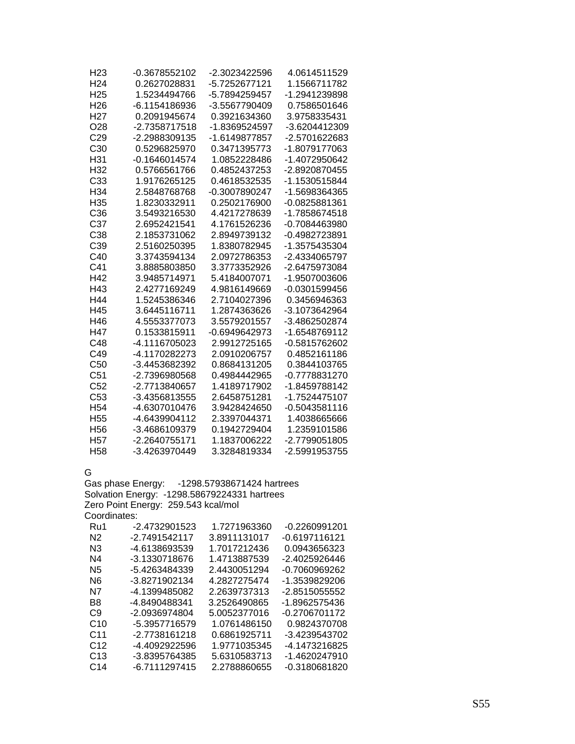| H <sub>23</sub> | -0.3678552102   | -2.3023422596 | 4.0614511529  |
|-----------------|-----------------|---------------|---------------|
| H <sub>24</sub> | 0.2627028831    | -5.7252677121 | 1.1566711782  |
| H <sub>25</sub> | 1.5234494766    | -5.7894259457 | -1.2941239898 |
| H <sub>26</sub> | -6.1154186936   | -3.5567790409 | 0.7586501646  |
| H <sub>27</sub> | 0.2091945674    | 0.3921634360  | 3.9758335431  |
| O <sub>28</sub> | -2.7358717518   | -1.8369524597 | -3.6204412309 |
| C <sub>29</sub> | -2.2988309135   | -1.6149877857 | -2.5701622683 |
| C <sub>30</sub> | 0.5296825970    | 0.3471395773  | -1.8079177063 |
| H31             | $-0.1646014574$ | 1.0852228486  | -1.4072950642 |
| H <sub>32</sub> | 0.5766561766    | 0.4852437253  | -2.8920870455 |
| C33             | 1.9176265125    | 0.4618532535  | -1.1530515844 |
| H <sub>34</sub> | 2.5848768768    | -0.3007890247 | -1.5698364365 |
| H35             | 1.8230332911    | 0.2502176900  | -0.0825881361 |
| C36             | 3.5493216530    | 4.4217278639  | -1.7858674518 |
| C37             | 2.6952421541    | 4.1761526236  | -0.7084463980 |
| C38             | 2.1853731062    | 2.8949739132  | -0.4982723891 |
| C39             | 2.5160250395    | 1.8380782945  | -1.3575435304 |
| C40             | 3.3743594134    | 2.0972786353  | -2.4334065797 |
| C41             | 3.8885803850    | 3.3773352926  | -2.6475973084 |
| H42             | 3.9485714971    | 5.4184007071  | -1.9507003606 |
| H43             | 2.4277169249    | 4.9816149669  | -0.0301599456 |
| H44             | 1.5245386346    | 2.7104027396  | 0.3456946363  |
| H45             | 3.6445116711    | 1.2874363626  | -3.1073642964 |
| H46             | 4.5553377073    | 3.5579201557  | -3.4862502874 |
| H47             | 0.1533815911    | -0.6949642973 | -1.6548769112 |
| C48             | -4.1116705023   | 2.9912725165  | -0.5815762602 |
| C49             | -4.1170282273   | 2.0910206757  | 0.4852161186  |
| C <sub>50</sub> | -3.4453682392   | 0.8684131205  | 0.3844103765  |
| C <sub>51</sub> | -2.7396980568   | 0.4984442965  | -0.7778831270 |
| C52             | -2.7713840657   | 1.4189717902  | -1.8459788142 |
| C <sub>53</sub> | -3.4356813555   | 2.6458751281  | -1.7524475107 |
| H <sub>54</sub> | -4.6307010476   | 3.9428424650  | -0.5043581116 |
| H <sub>55</sub> | -4.6439904112   | 2.3397044371  | 1.4038665666  |
| H <sub>56</sub> | -3.4686109379   | 0.1942729404  | 1.2359101586  |
| H <sub>57</sub> | -2.2640755171   | 1.1837006222  | -2.7799051805 |
| H <sub>58</sub> | -3.4263970449   | 3.3284819334  | -2.5991953755 |

G

Gas phase Energy: -1298.57938671424 hartrees Solvation Energy: -1298.58679224331 hartrees Zero Point Energy: 259.543 kcal/mol Coordinates:

| Ru1             | -2.4732901523 | 1.7271963360 | -0.2260991201   |
|-----------------|---------------|--------------|-----------------|
| N2              | -2.7491542117 | 3.8911131017 | -0.6197116121   |
| N3              | -4.6138693539 | 1.7017212436 | 0.0943656323    |
| N4              | -3.1330718676 | 1.4713887539 | -2.4025926446   |
| N5              | -5.4263484339 | 2.4430051294 | -0.7060969262   |
| N6.             | -3.8271902134 | 4.2827275474 | -1.3539829206   |
| N7              | -4.1399485082 | 2.2639737313 | -2.8515055552   |
| B8              | -4.8490488341 | 3.2526490865 | -1.8962575436   |
| C <sub>9</sub>  | -2.0936974804 | 5.0052377016 | $-0.2706701172$ |
| C10             | -5.3957716579 | 1.0761486150 | 0.9824370708    |
| C <sub>11</sub> | -2.7738161218 | 0.6861925711 | -3.4239543702   |
| C <sub>12</sub> | -4.4092922596 | 1.9771035345 | -4.1473216825   |
| C13             | -3.8395764385 | 5.6310583713 | -1.4620247910   |
| C14             | -6.7111297415 | 2.2788860655 | -0.3180681820   |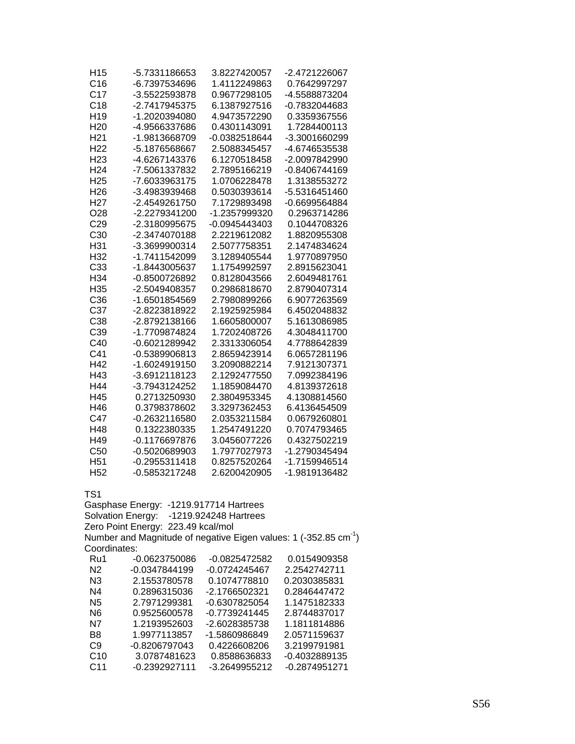| H <sub>15</sub> | -5.7331186653                           | 3.8227420057    | -2.4721226067                                                                |
|-----------------|-----------------------------------------|-----------------|------------------------------------------------------------------------------|
| C16             | -6.7397534696                           | 1.4112249863    | 0.7642997297                                                                 |
|                 |                                         |                 |                                                                              |
| C <sub>17</sub> | -3.5522593878                           | 0.9677298105    | -4.5588873204                                                                |
| C18             | -2.7417945375                           | 6.1387927516    | -0.7832044683                                                                |
| H <sub>19</sub> | -1.2020394080                           | 4.9473572290    | 0.3359367556                                                                 |
| H <sub>20</sub> | -4.9566337686                           | 0.4301143091    | 1.7284400113                                                                 |
| H <sub>21</sub> | -1.9813668709                           | -0.0382518644   | -3.3001660299                                                                |
| H <sub>22</sub> | -5.1876568667                           | 2.5088345457    | -4.6746535538                                                                |
| H <sub>23</sub> | -4.6267143376                           | 6.1270518458    | -2.0097842990                                                                |
| H <sub>24</sub> | -7.5061337832                           | 2.7895166219    | -0.8406744169                                                                |
| H <sub>25</sub> | -7.6033963175                           | 1.0706228478    | 1.3138553272                                                                 |
| H <sub>26</sub> | -3.4983939468                           | 0.5030393614    | -5.5316451460                                                                |
| H <sub>27</sub> | -2.4549261750                           | 7.1729893498    | -0.6699564884                                                                |
| O <sub>28</sub> | -2.2279341200                           | -1.2357999320   | 0.2963714286                                                                 |
| C <sub>29</sub> | -2.3180995675                           | -0.0945443403   | 0.1044708326                                                                 |
| C <sub>30</sub> | -2.3474070188                           | 2.2219612082    | 1.8820955308                                                                 |
|                 |                                         |                 |                                                                              |
| H31             | -3.3699900314                           | 2.5077758351    | 2.1474834624                                                                 |
| H <sub>32</sub> | -1.7411542099                           | 3.1289405544    | 1.9770897950                                                                 |
| C33             | -1.8443005637                           | 1.1754992597    | 2.8915623041                                                                 |
| H34             | -0.8500726892                           | 0.8128043566    | 2.6049481761                                                                 |
| H <sub>35</sub> | -2.5049408357                           | 0.2986818670    | 2.8790407314                                                                 |
| C36             | -1.6501854569                           | 2.7980899266    | 6.9077263569                                                                 |
| C37             | -2.8223818922                           | 2.1925925984    | 6.4502048832                                                                 |
| C <sub>38</sub> | -2.8792138166                           | 1.6605800007    | 5.1613086985                                                                 |
| C39             | -1.7709874824                           | 1.7202408726    | 4.3048411700                                                                 |
| C40             | -0.6021289942                           | 2.3313306054    | 4.7788642839                                                                 |
| C41             | -0.5389906813                           | 2.8659423914    | 6.0657281196                                                                 |
| H42             | -1.6024919150                           | 3.2090882214    | 7.9121307371                                                                 |
| H43             | -3.6912118123                           | 2.1292477550    | 7.0992384196                                                                 |
| H44             | -3.7943124252                           | 1.1859084470    | 4.8139372618                                                                 |
| H45             | 0.2713250930                            | 2.3804953345    | 4.1308814560                                                                 |
| H46             | 0.3798378602                            | 3.3297362453    | 6.4136454509                                                                 |
| C47             |                                         |                 |                                                                              |
|                 | -0.2632116580                           | 2.0353211584    | 0.0679260801                                                                 |
| H48             | 0.1322380335                            | 1.2547491220    | 0.7074793465                                                                 |
| H49             | $-0.1176697876$                         | 3.0456077226    | 0.4327502219                                                                 |
| C50             | $-0.5020689903$                         | 1.7977027973    | -1.2790345494                                                                |
| H <sub>51</sub> | $-0.2955311418$                         | 0.8257520264    | -1.7159946514                                                                |
| H <sub>52</sub> | -0.5853217248                           | 2.6200420905    | -1.9819136482                                                                |
|                 |                                         |                 |                                                                              |
| TS1             |                                         |                 |                                                                              |
|                 | Gasphase Energy: - 1219.917714 Hartrees |                 |                                                                              |
|                 | Solvation Energy: -1219.924248 Hartrees |                 |                                                                              |
|                 | Zero Point Energy: 223.49 kcal/mol      |                 |                                                                              |
|                 |                                         |                 | Number and Magnitude of negative Eigen values: 1 (-352.85 cm <sup>-1</sup> ) |
| Coordinates:    |                                         |                 |                                                                              |
| Ru1             | -0.0623750086                           | -0.0825472582   | 0.0154909358                                                                 |
| N <sub>2</sub>  | -0.0347844199                           | $-0.0724245467$ | 2.2542742711                                                                 |
| N3              | 2.1553780578                            | 0.1074778810    | 0.2030385831                                                                 |
| N4              | 0.2896315036                            | -2.1766502321   | 0.2846447472                                                                 |
|                 |                                         |                 |                                                                              |
| N <sub>5</sub>  | 2.7971299381                            | -0.6307825054   | 1.1475182333                                                                 |
| N <sub>6</sub>  | 0.9525600578                            | -0.7739241445   | 2.8744837017                                                                 |
| N7              | 1.2193952603                            | -2.6028385738   | 1.1811814886                                                                 |
| B <sub>8</sub>  | 1.9977113857                            | -1.5860986849   | 2.0571159637                                                                 |
| C <sub>9</sub>  | -0.8206797043                           | 0.4226608206    | 3.2199791981                                                                 |
| C10             | 3.0787481623                            | 0.8588636833    | -0.4032889135                                                                |
| C <sub>11</sub> | -0.2392927111                           | -3.2649955212   | -0.2874951271                                                                |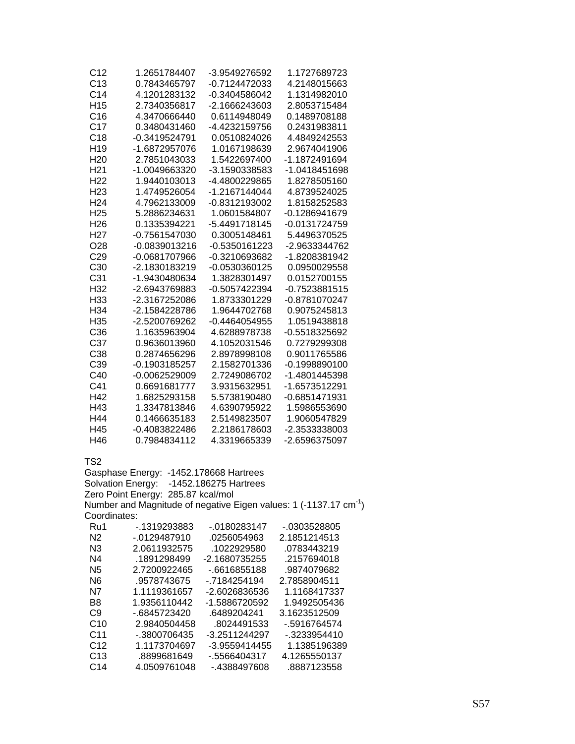| C12             | 1.2651784407    | -3.9549276592 | 1.1727689723    |
|-----------------|-----------------|---------------|-----------------|
| C13             | 0.7843465797    | -0.7124472033 | 4.2148015663    |
| C <sub>14</sub> | 4.1201283132    | -0.3404586042 | 1.1314982010    |
| H <sub>15</sub> | 2.7340356817    | -2.1666243603 | 2.8053715484    |
| C16             | 4.3470666440    | 0.6114948049  | 0.1489708188    |
| C17             | 0.3480431460    | -4.4232159756 | 0.2431983811    |
| C18             | -0.3419524791   | 0.0510824026  | 4.4849242553    |
| H <sub>19</sub> | -1.6872957076   | 1.0167198639  | 2.9674041906    |
| H <sub>20</sub> | 2.7851043033    | 1.5422697400  | -1.1872491694   |
| H <sub>21</sub> | -1.0049663320   | -3.1590338583 | -1.0418451698   |
| H <sub>22</sub> | 1.9440103013    | -4.4800229865 | 1.8278505160    |
| H <sub>23</sub> | 1.4749526054    | -1.2167144044 | 4.8739524025    |
| H <sub>24</sub> | 4.7962133009    | -0.8312193002 | 1.8158252583    |
| H <sub>25</sub> | 5.2886234631    | 1.0601584807  | -0.1286941679   |
| H <sub>26</sub> | 0.1335394221    | -5.4491718145 | -0.0131724759   |
| H <sub>27</sub> | -0.7561547030   | 0.3005148461  | 5.4496370525    |
| O <sub>28</sub> | -0.0839013216   | -0.5350161223 | -2.9633344762   |
| C <sub>29</sub> | -0.0681707966   | -0.3210693682 | -1.8208381942   |
| C <sub>30</sub> | -2.1830183219   | -0.0530360125 | 0.0950029558    |
| C <sub>31</sub> | -1.9430480634   | 1.3828301497  | 0.0152700155    |
| H <sub>32</sub> | -2.6943769883   | -0.5057422394 | $-0.7523881515$ |
| H <sub>33</sub> | -2.3167252086   | 1.8733301229  | -0.8781070247   |
| H34             | -2.1584228786   | 1.9644702768  | 0.9075245813    |
| H <sub>35</sub> | -2.5200769262   | -0.4464054955 | 1.0519438818    |
| C36             | 1.1635963904    | 4.6288978738  | -0.5518325692   |
| C37             | 0.9636013960    | 4.1052031546  | 0.7279299308    |
| C38             | 0.2874656296    | 2.8978998108  | 0.9011765586    |
| C39             | $-0.1903185257$ | 2.1582701336  | $-0.1998890100$ |
| C40             | -0.0062529009   | 2.7249086702  | -1.4801445398   |
| C41             | 0.6691681777    | 3.9315632951  | -1.6573512291   |
| H42             | 1.6825293158    | 5.5738190480  | -0.6851471931   |
| H43             | 1.3347813846    | 4.6390795922  | 1.5986553690    |
| H44             | 0.1466635183    | 2.5149823507  | 1.9060547829    |
| H45             | -0.4083822486   | 2.2186178603  | -2.3533338003   |
| H46             | 0.7984834112    | 4.3319665339  | -2.6596375097   |

Gasphase Energy: -1452.178668 Hartrees Solvation Energy: -1452.186275 Hartrees Zero Point Energy: 285.87 kcal/mol Number and Magnitude of negative Eigen values: 1 (-1137.17 cm-1) Coordinates: Ru1 -.1319293883 -.0180283147 -.0303528805

| .               | . <u>.</u>    | . <del>.</del> . | .vuuuluuu    |
|-----------------|---------------|------------------|--------------|
| N <sub>2</sub>  | $-0129487910$ | .0256054963      | 2.1851214513 |
| N3              | 2.0611932575  | .1022929580      | .0783443219  |
| N4              | .1891298499   | -2.1680735255    | .2157694018  |
| N5              | 2.7200922465  | $-6616855188$    | .9874079682  |
| N6              | .9578743675   | -.7184254194     | 2.7858904511 |
| N7              | 1.1119361657  | -2.6026836536    | 1.1168417337 |
| B8              | 1.9356110442  | -1.5886720592    | 1.9492505436 |
| C9              | -.6845723420  | .6489204241      | 3.1623512509 |
| C10             | 2.9840504458  | .8024491533      | -.5916764574 |
| C <sub>11</sub> | -.3800706435  | -3.2511244297    | -.3233954410 |
| C <sub>12</sub> | 1.1173704697  | -3.9559414455    | 1.1385196389 |
| C13             | .8899681649   | -.5566404317     | 4.1265550137 |
| C <sub>14</sub> | 4.0509761048  | -.4388497608     | .8887123558  |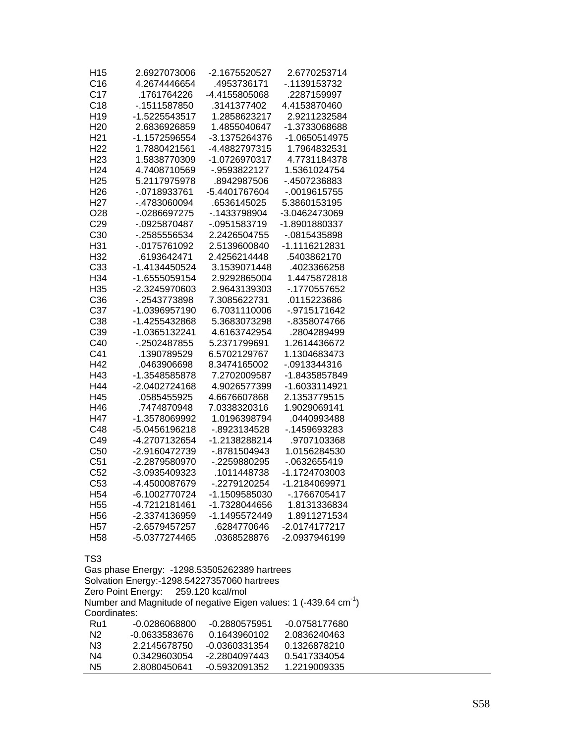| H <sub>15</sub><br>C16             | 2.6927073006<br>4.2674446654        | -2.1675520527<br>.4953736171                 | 2.6770253714<br>-.1139153732                                                 |
|------------------------------------|-------------------------------------|----------------------------------------------|------------------------------------------------------------------------------|
| C17                                | .1761764226                         | -4.4155805068                                | .2287159997                                                                  |
| C18                                | -. 1511587850                       | .3141377402                                  | 4.4153870460                                                                 |
| H <sub>19</sub>                    | -1.5225543517                       | 1.2858623217                                 | 2.9211232584                                                                 |
| H <sub>20</sub>                    | 2.6836926859                        | 1.4855040647                                 | -1.3733068688                                                                |
| H <sub>21</sub>                    | -1.1572596554                       | -3.1375264376                                | -1.0650514975                                                                |
| H <sub>22</sub>                    | 1.7880421561                        | -4.4882797315                                | 1.7964832531                                                                 |
| H <sub>23</sub>                    | 1.5838770309                        | -1.0726970317                                | 4.7731184378                                                                 |
| H <sub>24</sub>                    | 4.7408710569                        | -.9593822127                                 | 1.5361024754                                                                 |
| H <sub>25</sub><br>H <sub>26</sub> | 5.2117975978<br>-.0718933761        | .8942987506<br>-5.4401767604                 | -.4507236883                                                                 |
| H <sub>27</sub>                    | -.4783060094                        | .6536145025                                  | $-0019615755$<br>5.3860153195                                                |
| O28                                | -.0286697275                        | -. 1433798904                                | -3.0462473069                                                                |
| C <sub>29</sub>                    | -.0925870487                        | $-0.0951583719$                              | -1.8901880337                                                                |
| C30                                | -.2585556534                        | 2.2426504755                                 | -.0815435898                                                                 |
| H31                                | -.0175761092                        | 2.5139600840                                 | -1.1116212831                                                                |
| H <sub>32</sub>                    | .6193642471                         | 2.4256214448                                 | .5403862170                                                                  |
| C33                                | -1.4134450524                       | 3.1539071448                                 | .4023366258                                                                  |
| H34                                | -1.6555059154                       | 2.9292865004                                 | 1.4475872818                                                                 |
| H <sub>35</sub>                    | -2.3245970603                       | 2.9643139303                                 | -.1770557652                                                                 |
| C <sub>36</sub>                    | -.2543773898                        | 7.3085622731                                 | .0115223686                                                                  |
| C37                                | -1.0396957190                       | 6.7031110006                                 | -.9715171642                                                                 |
| C <sub>38</sub>                    | -1.4255432868                       | 5.3683073298                                 | -.8358074766                                                                 |
| C <sub>39</sub>                    | -1.0365132241                       | 4.6163742954                                 | .2804289499                                                                  |
| C40                                | -.2502487855                        | 5.2371799691                                 | 1.2614436672                                                                 |
| C41                                | .1390789529                         | 6.5702129767                                 | 1.1304683473                                                                 |
| H42                                | .0463906698                         | 8.3474165002                                 | -.0913344316                                                                 |
| H43                                | -1.3548585878                       | 7.2702009587                                 | -1.8435857849                                                                |
| H44                                | -2.0402724168                       | 4.9026577399                                 | -1.6033114921                                                                |
| H45                                | .0585455925                         | 4.6676607868                                 | 2.1353779515                                                                 |
| H46                                | .7474870948                         | 7.0338320316                                 | 1.9029069141                                                                 |
| H47                                | -1.3578069992                       | 1.0196398794                                 | .0440993488                                                                  |
| C48                                | -5.0456196218                       | -.8923134528                                 | -. 1459693283                                                                |
| C49                                | -4.2707132654                       | -1.2138288214                                | .9707103368                                                                  |
| C50                                | -2.9160472739                       | -.8781504943                                 | 1.0156284530                                                                 |
| C <sub>51</sub>                    | -2.2879580970                       | -.2259880295                                 | -.0632655419                                                                 |
| C <sub>52</sub>                    | -3.0935409323                       | .1011448738                                  | -1.1724703003                                                                |
| C53                                | -4.4500087679                       | -.2279120254                                 | -1.2184069971                                                                |
| H <sub>54</sub>                    | -6.1002770724                       | -1.1509585030                                | -.1766705417                                                                 |
| H <sub>55</sub>                    | -4.7212181461                       | -1.7328044656                                | 1.8131336834                                                                 |
| H <sub>56</sub>                    | -2.3374136959                       | -1.1495572449                                | 1.8911271534                                                                 |
| H <sub>57</sub>                    | -2.6579457257                       | .6284770646                                  | -2.0174177217                                                                |
| H <sub>58</sub>                    | -5.0377274465                       | .0368528876                                  | -2.0937946199                                                                |
| TS3                                |                                     |                                              |                                                                              |
|                                    |                                     | Gas phase Energy: -1298.53505262389 hartrees |                                                                              |
|                                    |                                     | Solvation Energy:-1298.54227357060 hartrees  |                                                                              |
|                                    | Zero Point Energy: 259.120 kcal/mol |                                              |                                                                              |
|                                    |                                     |                                              | Number and Magnitude of negative Eigen values: 1 (-439.64 cm <sup>-1</sup> ) |
| Coordinates:                       |                                     |                                              |                                                                              |
| Ru1                                | -0.0286068800                       | -0.2880575951                                | -0.0758177680                                                                |
| N <sub>2</sub>                     | -0.0633583676                       | 0.1643960102                                 | 2.0836240463                                                                 |
| N <sub>3</sub>                     | 2.2145678750                        | -0.0360331354                                | 0.1326878210                                                                 |
| N <sub>4</sub>                     | 0.3429603054                        | -2.2804097443                                | 0.5417334054                                                                 |
| N <sub>5</sub>                     | 2.8080450641                        | -0.5932091352                                | 1.2219009335                                                                 |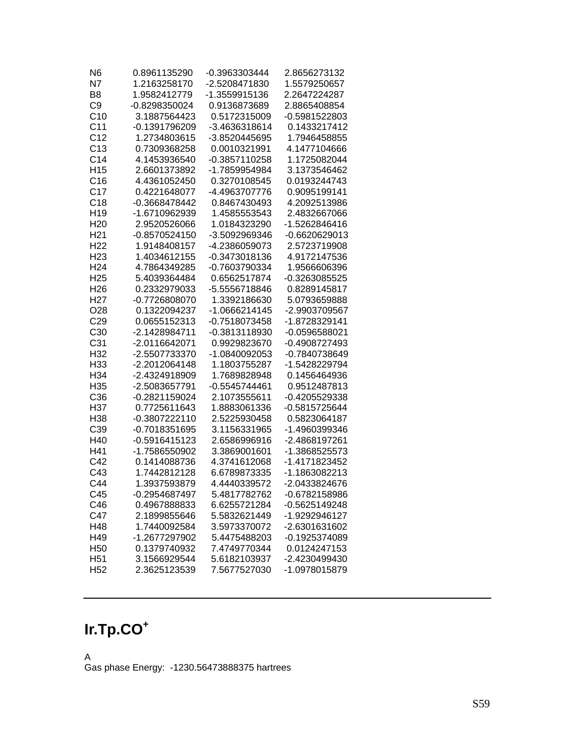| N <sub>6</sub>  | 0.8961135290                 | -0.3963303444                | 2.8656273132                   |
|-----------------|------------------------------|------------------------------|--------------------------------|
| N7              | 1.2163258170                 | -2.5208471830                | 1.5579250657                   |
| B <sub>8</sub>  | 1.9582412779                 | -1.3559915136                | 2.2647224287                   |
| C <sub>9</sub>  | -0.8298350024                | 0.9136873689                 | 2.8865408854                   |
| C10             | 3.1887564423                 | 0.5172315009                 | -0.5981522803                  |
| C <sub>11</sub> | -0.1391796209                | -3.4636318614                | 0.1433217412                   |
| C <sub>12</sub> | 1.2734803615                 | -3.8520445695                | 1.7946458855                   |
| C13             | 0.7309368258                 | 0.0010321991                 | 4.1477104666                   |
| C <sub>14</sub> | 4.1453936540                 | -0.3857110258                | 1.1725082044                   |
| H <sub>15</sub> | 2.6601373892                 | -1.7859954984                | 3.1373546462                   |
| C16             | 4.4361052450                 | 0.3270108545                 | 0.0193244743                   |
| C <sub>17</sub> | 0.4221648077                 | -4.4963707776                | 0.9095199141                   |
| C18             | -0.3668478442                | 0.8467430493                 | 4.2092513986                   |
| H <sub>19</sub> | -1.6710962939                | 1.4585553543                 | 2.4832667066                   |
| H <sub>20</sub> | 2.9520526066                 | 1.0184323290                 | -1.5262846416                  |
| H <sub>21</sub> | $-0.8570524150$              | -3.5092969346                | -0.6620629013                  |
| H <sub>22</sub> | 1.9148408157                 | -4.2386059073                | 2.5723719908                   |
| H <sub>23</sub> | 1.4034612155                 | -0.3473018136                | 4.9172147536                   |
| H <sub>24</sub> | 4.7864349285                 | -0.7603790334                | 1.9566606396                   |
| H <sub>25</sub> | 5.4039364484                 | 0.6562517874                 | -0.3263085525                  |
| H <sub>26</sub> | 0.2332979033                 | -5.5556718846                | 0.8289145817                   |
| H <sub>27</sub> | -0.7726808070                | 1.3392186630                 | 5.0793659888                   |
| O <sub>28</sub> | 0.1322094237                 | -1.0666214145                | -2.9903709567                  |
| C <sub>29</sub> | 0.0655152313                 | $-0.7518073458$              | -1.8728329141                  |
| C <sub>30</sub> | -2.1428984711                | -0.3813118930                | -0.0596588021                  |
| C <sub>31</sub> | -2.0116642071                | 0.9929823670                 | -0.4908727493                  |
| H32             | -2.5507733370                | -1.0840092053                | -0.7840738649                  |
| H33             | -2.2012064148                | 1.1803755287                 | -1.5428229794                  |
| H34             | -2.4324918909                | 1.7689828948                 | 0.1456464936                   |
| H <sub>35</sub> | -2.5083657791                | -0.5545744461                | 0.9512487813                   |
| C36             | -0.2821159024                | 2.1073555611                 | -0.4205529338                  |
| H37             | 0.7725611643                 | 1.8883061336                 | -0.5815725644                  |
| H38             | -0.3807222110                | 2.5225930458                 | 0.5823064187                   |
| C39             | -0.7018351695                | 3.1156331965                 | -1.4960399346                  |
| H40             | -0.5916415123                | 2.6586996916                 | -2.4868197261                  |
| H41             | -1.7586550902                | 3.3869001601                 | -1.3868525573                  |
| C42             | 0.1414088736                 | 4.3741612068                 | -1.4171823452                  |
| C43<br>C44      | 1.7442812128<br>1.3937593879 | 6.6789873335                 | -1.1863082213                  |
|                 | -0.2954687497                | 4.4440339572<br>5.4817782762 | -2.0433824676<br>-0.6782158986 |
| C45<br>C46      | 0.4967888833                 | 6.6255721284                 | -0.5625149248                  |
| C47             | 2.1899855646                 | 5.5832621449                 | -1.9292946127                  |
| H48             | 1.7440092584                 | 3.5973370072                 | -2.6301631602                  |
| H49             | -1.2677297902                | 5.4475488203                 | -0.1925374089                  |
| H <sub>50</sub> | 0.1379740932                 | 7.4749770344                 | 0.0124247153                   |
| H <sub>51</sub> | 3.1566929544                 | 5.6182103937                 | -2.4230499430                  |
| H <sub>52</sub> | 2.3625123539                 | 7.5677527030                 | -1.0978015879                  |
|                 |                              |                              |                                |

# **Ir.Tp.CO<sup>+</sup>**

A Gas phase Energy: -1230.56473888375 hartrees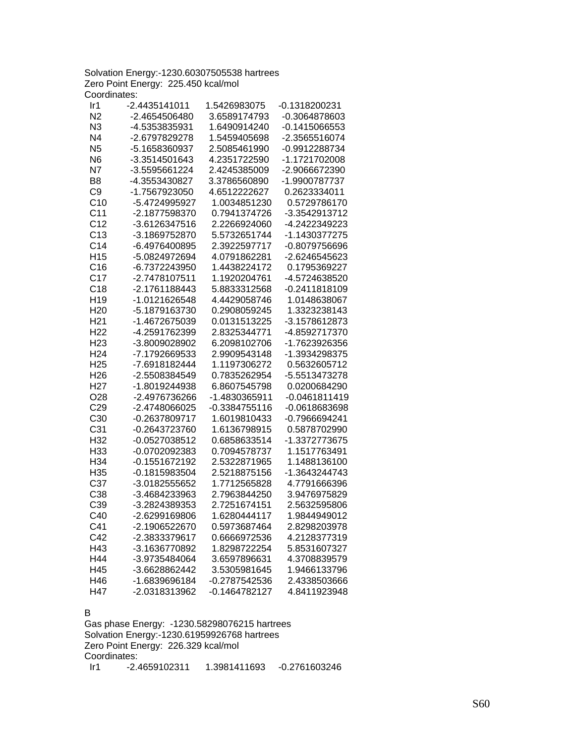Solvation Energy:-1230.60307505538 hartrees Zero Point Energy: 225.450 kcal/mol Coordinates:

| Ir1             | -2.4435141011 | 1.5426983075    | -0.1318200231   |
|-----------------|---------------|-----------------|-----------------|
| N <sub>2</sub>  | -2.4654506480 | 3.6589174793    | -0.3064878603   |
| N <sub>3</sub>  | -4.5353835931 | 1.6490914240    | $-0.1415066553$ |
| N <sub>4</sub>  | -2.6797829278 | 1.5459405698    | -2.3565516074   |
| N <sub>5</sub>  | -5.1658360937 | 2.5085461990    | -0.9912288734   |
| N <sub>6</sub>  | -3.3514501643 | 4.2351722590    | -1.1721702008   |
| N7              | -3.5595661224 | 2.4245385009    | -2.9066672390   |
| B <sub>8</sub>  | -4.3553430827 | 3.3786560890    | -1.9900787737   |
| C <sub>9</sub>  | -1.7567923050 | 4.6512222627    | 0.2623334011    |
| C10             | -5.4724995927 | 1.0034851230    | 0.5729786170    |
| C <sub>11</sub> | -2.1877598370 | 0.7941374726    | -3.3542913712   |
| C <sub>12</sub> | -3.6126347516 | 2.2266924060    | -4.2422349223   |
| C13             | -3.1869752870 | 5.5732651744    | -1.1430377275   |
| C <sub>14</sub> | -6.4976400895 | 2.3922597717    | -0.8079756696   |
| H <sub>15</sub> | -5.0824972694 | 4.0791862281    | -2.6246545623   |
| C16             | -6.7372243950 | 1.4438224172    | 0.1795369227    |
| C17             | -2.7478107511 | 1.1920204761    | -4.5724638520   |
| C18             | -2.1761188443 | 5.8833312568    | -0.2411818109   |
| H <sub>19</sub> | -1.0121626548 | 4.4429058746    | 1.0148638067    |
| H <sub>20</sub> | -5.1879163730 | 0.2908059245    | 1.3323238143    |
| H <sub>21</sub> | -1.4672675039 | 0.0131513225    | -3.1578612873   |
| H <sub>22</sub> | -4.2591762399 | 2.8325344771    | -4.8592717370   |
| H <sub>23</sub> | -3.8009028902 | 6.2098102706    | -1.7623926356   |
| H <sub>24</sub> | -7.1792669533 | 2.9909543148    | -1.3934298375   |
| H <sub>25</sub> | -7.6918182444 | 1.1197306272    | 0.5632605712    |
| H <sub>26</sub> | -2.5508384549 | 0.7835262954    | -5.5513473278   |
| H <sub>27</sub> | -1.8019244938 | 6.8607545798    | 0.0200684290    |
| O28             | -2.4976736266 | -1.4830365911   | $-0.0461811419$ |
| C <sub>29</sub> | -2.4748066025 | -0.3384755116   | -0.0618683698   |
| C30             | -0.2637809717 | 1.6019810433    | -0.7966694241   |
| C <sub>31</sub> | -0.2643723760 | 1.6136798915    | 0.5878702990    |
| H32             | -0.0527038512 | 0.6858633514    | -1.3372773675   |
| H33             | -0.0702092383 | 0.7094578737    | 1.1517763491    |
| H34             | -0.1551672192 | 2.5322871965    | 1.1488136100    |
| H35             | -0.1815983504 | 2.5218875156    | -1.3643244743   |
| C <sub>37</sub> | -3.0182555652 | 1.7712565828    | 4.7791666396    |
| C38             | -3.4684233963 | 2.7963844250    | 3.9476975829    |
| C39             | -3.2824389353 | 2.7251674151    | 2.5632595806    |
| C40             | -2.6299169806 | 1.6280444117    | 1.9844949012    |
| C41             | -2.1906522670 | 0.5973687464    | 2.8298203978    |
| C42             | -2.3833379617 | 0.6666972536    | 4.2128377319    |
| H43             | -3.1636770892 | 1.8298722254    | 5.8531607327    |
| H44             | -3.9735484064 | 3.6597896631    | 4.3708839579    |
| H45             | -3.6628862442 | 3.5305981645    | 1.9466133796    |
| H46             | -1.6839696184 | -0.2787542536   | 2.4338503666    |
| H47             | -2.0318313962 | $-0.1464782127$ | 4.8411923948    |
|                 |               |                 |                 |

#### B

Gas phase Energy: -1230.58298076215 hartrees Solvation Energy:-1230.61959926768 hartrees Zero Point Energy: 226.329 kcal/mol Coordinates: Ir1 -2.4659102311 1.3981411693 -0.2761603246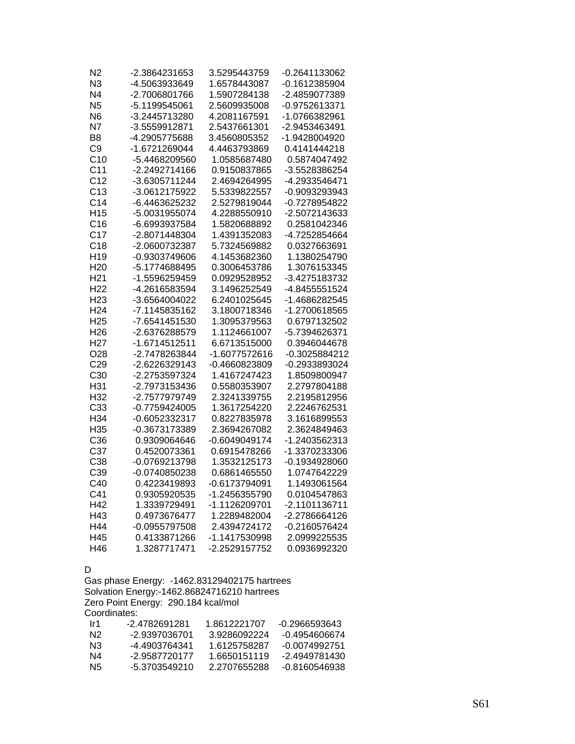| N2              | -2.3864231653 | 3.5295443759    | -0.2641133062   |
|-----------------|---------------|-----------------|-----------------|
| N <sub>3</sub>  | -4.5063933649 | 1.6578443087    | -0.1612385904   |
| N <sub>4</sub>  | -2.7006801766 | 1.5907284138    | -2.4859077389   |
| N <sub>5</sub>  | -5.1199545061 | 2.5609935008    | -0.9752613371   |
| N6              | -3.2445713280 | 4.2081167591    | -1.0766382961   |
| N7              | -3.5559912871 | 2.5437661301    | -2.9453463491   |
| B8              | -4.2905775688 | 3.4560805352    | -1.9428004920   |
| C <sub>9</sub>  | -1.6721269044 | 4.4463793869    | 0.4141444218    |
| C10             | -5.4468209560 | 1.0585687480    | 0.5874047492    |
| C <sub>11</sub> | -2.2492714166 | 0.9150837865    | -3.5528386254   |
| C <sub>12</sub> | -3.6305711244 | 2.4694264995    | -4.2933546471   |
| C <sub>13</sub> | -3.0612175922 | 5.5339822557    | -0.9093293943   |
| C <sub>14</sub> | -6.4463625232 | 2.5279819044    | -0.7278954822   |
| H <sub>15</sub> | -5.0031955074 | 4.2288550910    | -2.5072143633   |
| C16             | -6.6993937584 | 1.5820688892    | 0.2581042346    |
| C <sub>17</sub> | -2.8071448304 | 1.4391352083    | -4.7252854664   |
| C18             | -2.0600732387 | 5.7324569882    | 0.0327663691    |
| H <sub>19</sub> | -0.9303749606 | 4.1453682360    | 1.1380254790    |
| H <sub>20</sub> | -5.1774688495 | 0.3006453786    | 1.3076153345    |
| H <sub>21</sub> | -1.5596259459 | 0.0929528952    | -3.4275183732   |
| H <sub>22</sub> | -4.2616583594 | 3.1496252549    | -4.8455551524   |
| H <sub>23</sub> | -3.6564004022 | 6.2401025645    | -1.4686282545   |
| H <sub>24</sub> | -7.1145835162 | 3.1800718346    | -1.2700618565   |
| H <sub>25</sub> | -7.6541451530 | 1.3095379563    | 0.6797132502    |
| H <sub>26</sub> | -2.6376288579 | 1.1124661007    | -5.7394626371   |
| H <sub>27</sub> | -1.6714512511 | 6.6713515000    | 0.3946044678    |
| O <sub>28</sub> | -2.7478263844 | -1.6077572616   | -0.3025884212   |
| C <sub>29</sub> | -2.6226329143 | $-0.4660823809$ | -0.2933893024   |
| C <sub>30</sub> | -2.2753597324 | 1.4167247423    | 1.8509800947    |
| H31             | -2.7973153436 | 0.5580353907    | 2.2797804188    |
| H32             | -2.7577979749 | 2.3241339755    | 2.2195812956    |
| C33             | -0.7759424005 | 1.3617254220    | 2.2246762531    |
| H34             | -0.6052332317 | 0.8227835978    | 3.1616899553    |
| H35             | -0.3673173389 | 2.3694267082    | 2.3624849463    |
| C36             | 0.9309064646  | -0.6049049174   | -1.2403562313   |
| C37             | 0.4520073361  | 0.6915478266    | -1.3370233306   |
| C38             | -0.0769213798 | 1.3532125173    | $-0.1934928060$ |
| C39             | -0.0740850238 | 0.6861465550    | 1.0747642229    |
| C40             | 0.4223419893  | -0.6173794091   | 1.1493061564    |
| C41             | 0.9305920535  | -1.2456355790   | 0.0104547863    |
| H42             | 1.3339729491  | -1.1126209701   | -2.1101136711   |
| H43             | 0.4973676477  | 1.2289482004    | -2.2786664126   |
| H44             | -0.0955797508 | 2.4394724172    | -0.2160576424   |
| H45             | 0.4133871266  | -1.1417530998   | 2.0999225535    |
| H46             | 1.3287717471  | -2.2529157752   | 0.0936992320    |

#### D

Gas phase Energy: -1462.83129402175 hartrees Solvation Energy:-1462.86824716210 hartrees Zero Point Energy: 290.184 kcal/mol Coordinates:

| Ir1 | -2 4782691281 | 1.8612221707 | -0 2966593643 |
|-----|---------------|--------------|---------------|
| N2  | -2.9397036701 | 39286092224  | -0.4954606674 |
| N3  | -4.4903764341 | 1 6125758287 | -0.0074992751 |
| N4  | -2.9587720177 | 1.6650151119 | -2.4949781430 |
| N5  | -5 3703549210 | 2 2707655288 | -0.8160546938 |
|     |               |              |               |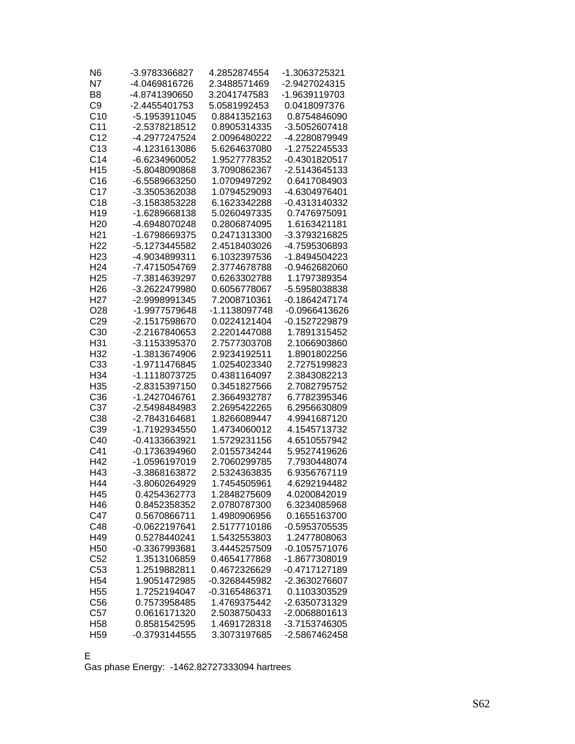| N <sub>6</sub>  | -3.9783366827   | 4.2852874554  | -1.3063725321 |
|-----------------|-----------------|---------------|---------------|
| N7              | -4.0469816726   | 2.3488571469  | -2.9427024315 |
| B <sub>8</sub>  | -4.8741390650   | 3.2041747583  | -1.9639119703 |
| C <sub>9</sub>  | -2.4455401753   | 5.0581992453  | 0.0418097376  |
| C10             | -5.1953911045   | 0.8841352163  | 0.8754846090  |
| C <sub>11</sub> | -2.5378218512   | 0.8905314335  | -3.5052607418 |
| C <sub>12</sub> | -4.2977247524   | 2.0096480222  | -4.2280879949 |
| C13             | -4.1231613086   | 5.6264637080  | -1.2752245533 |
| C <sub>14</sub> | -6.6234960052   | 1.9527778352  | -0.4301820517 |
| H <sub>15</sub> | -5.8048090868   | 3.7090862367  | -2.5143645133 |
| C16             | -6.5589663250   | 1.0709497292  | 0.6417084903  |
| C17             | -3.3505362038   | 1.0794529093  | -4.6304976401 |
| C18             | -3.1583853228   | 6.1623342288  | -0.4313140332 |
| H <sub>19</sub> | -1.6289668138   | 5.0260497335  | 0.7476975091  |
| H <sub>20</sub> | -4.6948070248   | 0.2806874095  | 1.6163421181  |
| H <sub>21</sub> | -1.6798669375   | 0.2471313300  | -3.3793216825 |
| H <sub>22</sub> | -5.1273445582   | 2.4518403026  | -4.7595306893 |
| H <sub>23</sub> | -4.9034899311   | 6.1032397536  | -1.8494504223 |
| H <sub>24</sub> | -7.4715054769   | 2.3774678788  | -0.9462682060 |
| H <sub>25</sub> | -7.3814639297   | 0.6263302788  | 1.1797389354  |
| H <sub>26</sub> | -3.2622479980   | 0.6056778067  | -5.5958038838 |
| H <sub>27</sub> | -2.9998991345   | 7.2008710361  | -0.1864247174 |
| O <sub>28</sub> | -1.9977579648   | -1.1138097748 | -0.0966413626 |
| C <sub>29</sub> | -2.1517598670   | 0.0224121404  | -0.1527229879 |
| C30             | -2.2167840653   | 2.2201447088  | 1.7891315452  |
| H31             | -3.1153395370   | 2.7577303708  | 2.1066903860  |
| H32             | -1.3813674906   | 2.9234192511  | 1.8901802256  |
| C33             | -1.9711476845   | 1.0254023340  | 2.7275199823  |
| H34             | -1.1118073725   | 0.4381164097  | 2.3843082213  |
| H <sub>35</sub> | -2.8315397150   | 0.3451827566  | 2.7082795752  |
| C36             | -1.2427046761   | 2.3664932787  | 6.7782395346  |
| C37             | -2.5498484983   | 2.2695422265  | 6.2956630809  |
| C38             | -2.7843164681   | 1.8266089447  | 4.9941687120  |
| C39             | -1.7192934550   | 1.4734060012  | 4.1545713732  |
| C40             | -0.4133663921   | 1.5729231156  | 4.6510557942  |
| C41             | -0.1736394960   | 2.0155734244  | 5.9527419626  |
| H42             | -1.0596197019   | 2.7060299785  | 7.7930448074  |
| H43             | -3.3868163872   | 2.5324363835  | 6.9356767119  |
| H44             | -3.8060264929   | 1.7454505961  | 4.6292194482  |
| H45             | 0.4254362773    | 1.2848275609  | 4.0200842019  |
| H46             | 0.8452358352    | 2.0780787300  | 6.3234085968  |
| C47             | 0.5670866711    | 1.4980906956  | 0.1655163700  |
| C48             | -0.0622197641   | 2.5177710186  | -0.5953705535 |
| H49             | 0.5278440241    | 1.5432553803  | 1.2477808063  |
| H <sub>50</sub> | -0.3367993681   | 3.4445257509  | -0.1057571076 |
| C52             | 1.3513106859    | 0.4654177868  | -1.8677308019 |
| C <sub>53</sub> | 1.2519882811    | 0.4672326629  | -0.4717127189 |
| H <sub>54</sub> | 1.9051472985    | -0.3268445982 | -2.3630276607 |
| H <sub>55</sub> | 1.7252194047    | -0.3165486371 | 0.1103303529  |
| C56             | 0.7573958485    | 1.4769375442  | -2.6350731329 |
| C57             | 0.0616171320    | 2.5038750433  | -2.0068801613 |
| H <sub>58</sub> | 0.8581542595    | 1.4691728318  | -3.7153746305 |
| H <sub>59</sub> | $-0.3793144555$ | 3.3073197685  | -2.5867462458 |
|                 |                 |               |               |

E

Gas phase Energy: -1462.82727333094 hartrees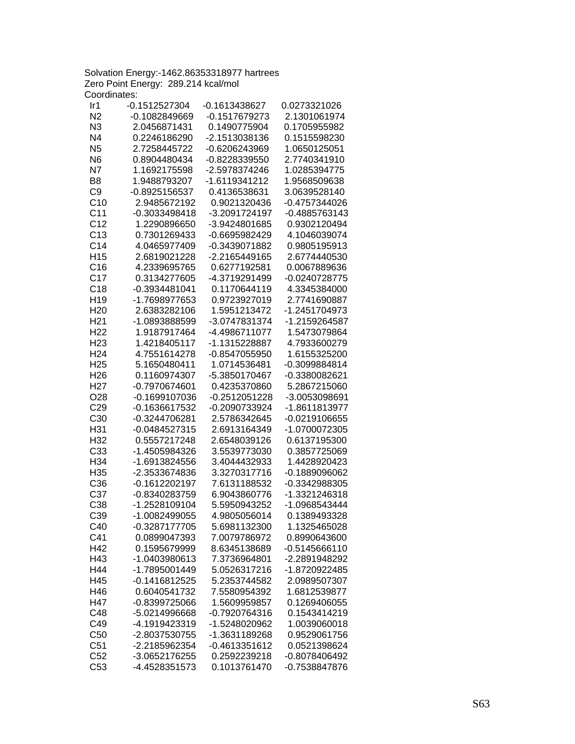Solvation Energy:-1462.86353318977 hartrees Zero Point Energy: 289.214 kcal/mol Coordinates:

| Ir1             | $-0.1512527304$ | -0.1613438627   | 0.0273321026    |
|-----------------|-----------------|-----------------|-----------------|
| N <sub>2</sub>  | -0.1082849669   | -0.1517679273   | 2.1301061974    |
| N3              | 2.0456871431    | 0.1490775904    | 0.1705955982    |
| N <sub>4</sub>  | 0.2246186290    | -2.1513038136   | 0.1515598230    |
| N <sub>5</sub>  | 2.7258445722    | -0.6206243969   | 1.0650125051    |
| N <sub>6</sub>  | 0.8904480434    | -0.8228339550   | 2.7740341910    |
| N7              | 1.1692175598    | -2.5978374246   | 1.0285394775    |
| B <sub>8</sub>  | 1.9488793207    | -1.6119341212   | 1.9568509638    |
| C <sub>9</sub>  | -0.8925156537   | 0.4136538631    | 3.0639528140    |
| C10             | 2.9485672192    | 0.9021320436    | -0.4757344026   |
| C <sub>11</sub> | -0.3033498418   | -3.2091724197   | -0.4885763143   |
| C <sub>12</sub> | 1.2290896650    | -3.9424801685   | 0.9302120494    |
| C <sub>13</sub> | 0.7301269433    | -0.6695982429   | 4.1046039074    |
| C <sub>14</sub> | 4.0465977409    | -0.3439071882   | 0.9805195913    |
| H <sub>15</sub> | 2.6819021228    | -2.2165449165   | 2.6774440530    |
| C16             | 4.2339695765    | 0.6277192581    | 0.0067889636    |
| C <sub>17</sub> |                 |                 |                 |
|                 | 0.3134277605    | -4.3719291499   | -0.0240728775   |
| C18             | -0.3934481041   | 0.1170644119    | 4.3345384000    |
| H <sub>19</sub> | -1.7698977653   | 0.9723927019    | 2.7741690887    |
| H <sub>20</sub> | 2.6383282106    | 1.5951213472    | -1.2451704973   |
| H <sub>21</sub> | -1.0893888599   | -3.0747831374   | -1.2159264587   |
| H <sub>22</sub> | 1.9187917464    | -4.4986711077   | 1.5473079864    |
| H <sub>23</sub> | 1.4218405117    | -1.1315228887   | 4.7933600279    |
| H <sub>24</sub> | 4.7551614278    | -0.8547055950   | 1.6155325200    |
| H <sub>25</sub> | 5.1650480411    | 1.0714536481    | -0.3099884814   |
| H <sub>26</sub> | 0.1160974307    | -5.3850170467   | -0.3380082621   |
| H <sub>27</sub> | -0.7970674601   | 0.4235370860    | 5.2867215060    |
| O <sub>28</sub> | -0.1699107036   | -0.2512051228   | -3.0053098691   |
| C29             | -0.1636617532   | -0.2090733924   | -1.8611813977   |
| C <sub>30</sub> | -0.3244706281   | 2.5786342645    | -0.0219106655   |
| H31             | -0.0484527315   | 2.6913164349    | -1.0700072305   |
| H32             | 0.5557217248    | 2.6548039126    | 0.6137195300    |
| C33             | -1.4505984326   | 3.5539773030    | 0.3857725069    |
| H34             | -1.6913824556   | 3.4044432933    | 1.4428920423    |
| H35             | -2.3533674836   | 3.3270317716    | -0.1889096062   |
| C36             | -0.1612202197   | 7.6131188532    | -0.3342988305   |
| C37             | -0.8340283759   | 6.9043860776    | -1.3321246318   |
| C38             | -1.2528109104   | 5.5950943252    | -1.0968543444   |
| C39             | -1.0082499055   | 4.9805056014    | 0.1389493328    |
| C40             | -0.3287177705   | 5.6981132300    | 1.1325465028    |
| C41             | 0.0899047393    | 7.0079786972    | 0.8990643600    |
| H42             | 0.1595679999    | 8.6345138689    | $-0.5145666110$ |
| H43             | -1.0403980613   | 7.3736964801    | -2.2891948292   |
| H44             | -1.7895001449   | 5.0526317216    | -1.8720922485   |
| H45             | $-0.1416812525$ | 5.2353744582    | 2.0989507307    |
| H46             | 0.6040541732    | 7.5580954392    | 1.6812539877    |
| H47             | -0.8399725066   | 1.5609959857    | 0.1269406055    |
|                 |                 | -0.7920764316   |                 |
| C48             | -5.0214996668   |                 | 0.1543414219    |
| C49             | -4.1919423319   | -1.5248020962   | 1.0039060018    |
| C50             | -2.8037530755   | -1.3631189268   | 0.9529061756    |
| C <sub>51</sub> | -2.2185962354   | $-0.4613351612$ | 0.0521398624    |
| C52             | -3.0652176255   | 0.2592239218    | -0.8078406492   |
| C53             | -4.4528351573   | 0.1013761470    | -0.7538847876   |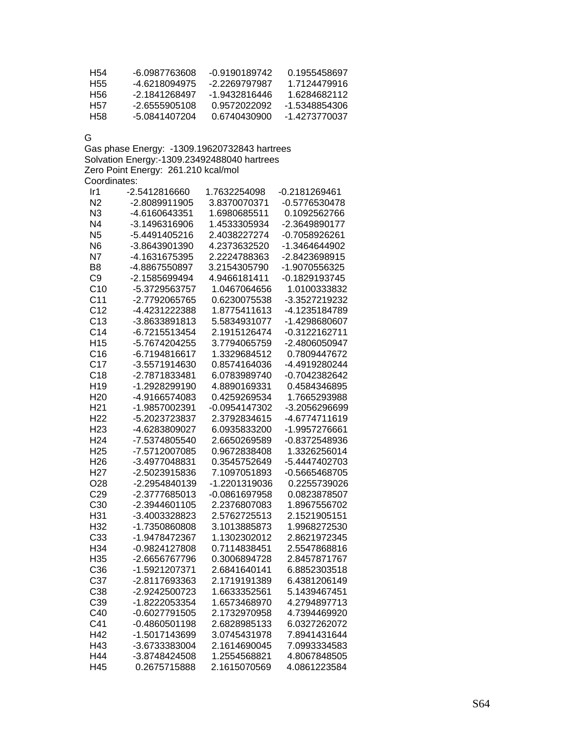| H54 | -6 0987763608 | -0.9190189742 | 0.1955458697  |
|-----|---------------|---------------|---------------|
| H55 | -4 6218094975 | -2 2269797987 | 1.7124479916  |
| H56 | -2 1841268497 | -1.9432816446 | 1 6284682112  |
| H57 | -2 6555905108 | 0.9572022092  | -1.5348854306 |
| H58 | -5 0841407204 | 0.6740430900  | -1 4273770037 |

G

Gas phase Energy: -1309.19620732843 hartrees Solvation Energy:-1309.23492488040 hartrees Zero Point Energy: 261.210 kcal/mol Coordinates:

| Ir1             | -2.5412816660   | 1.7632254098  | -0.2181269461   |
|-----------------|-----------------|---------------|-----------------|
| N2              | -2.8089911905   | 3.8370070371  | -0.5776530478   |
| N3              | -4.6160643351   | 1.6980685511  | 0.1092562766    |
| N <sub>4</sub>  | -3.1496316906   | 1.4533305934  | -2.3649890177   |
| N <sub>5</sub>  | -5.4491405216   | 2.4038227274  | -0.7058926261   |
| N <sub>6</sub>  | -3.8643901390   | 4.2373632520  | -1.3464644902   |
| N7              | -4.1631675395   | 2.2224788363  | -2.8423698915   |
| B <sub>8</sub>  | -4.8867550897   | 3.2154305790  | -1.9070556325   |
| C <sub>9</sub>  | -2.1585699494   | 4.9466181411  | -0.1829193745   |
| C10             | -5.3729563757   | 1.0467064656  | 1.0100333832    |
| C <sub>11</sub> | -2.7792065765   | 0.6230075538  | -3.3527219232   |
| C <sub>12</sub> | -4.4231222388   | 1.8775411613  | -4.1235184789   |
| C13             | -3.8633891813   | 5.5834931077  | -1.4298680607   |
| C <sub>14</sub> | -6.7215513454   | 2.1915126474  | -0.3122162711   |
| H <sub>15</sub> | -5.7674204255   | 3.7794065759  | -2.4806050947   |
| C16             | -6.7194816617   | 1.3329684512  | 0.7809447672    |
| C <sub>17</sub> | -3.5571914630   | 0.8574164036  | -4.4919280244   |
| C18             | -2.7871833481   | 6.0783989740  | -0.7042382642   |
| H <sub>19</sub> | -1.2928299190   | 4.8890169331  | 0.4584346895    |
| H <sub>20</sub> | -4.9166574083   | 0.4259269534  | 1.7665293988    |
| H <sub>21</sub> | -1.9857002391   | -0.0954147302 | -3.2056296699   |
| H <sub>22</sub> | -5.2023723837   | 2.3792834615  | -4.6774711619   |
| H <sub>23</sub> | -4.6283809027   | 6.0935833200  | -1.9957276661   |
| H <sub>24</sub> | -7.5374805540   | 2.6650269589  | -0.8372548936   |
| H <sub>25</sub> | -7.5712007085   | 0.9672838408  | 1.3326256014    |
| H <sub>26</sub> | -3.4977048831   | 0.3545752649  | -5.4447402703   |
| H <sub>27</sub> | -2.5023915836   | 7.1097051893  | $-0.5665468705$ |
| O <sub>28</sub> | -2.2954840139   | -1.2201319036 | 0.2255739026    |
| C29             | -2.3777685013   | -0.0861697958 | 0.0823878507    |
| C30             | -2.3944601105   | 2.2376807083  | 1.8967556702    |
| H31             | -3.4003328823   | 2.5762725513  | 2.1521905151    |
| H32             | -1.7350860808   | 3.1013885873  | 1.9968272530    |
| C33             | -1.9478472367   | 1.1302302012  | 2.8621972345    |
| H34             | -0.9824127808   | 0.7114838451  | 2.5547868816    |
| H35             | -2.6656767796   | 0.3006894728  | 2.8457871767    |
| C36             | -1.5921207371   | 2.6841640141  | 6.8852303518    |
| C37             | -2.8117693363   | 2.1719191389  | 6.4381206149    |
| C38             | -2.9242500723   | 1.6633352561  | 5.1439467451    |
| C39             | -1.8222053354   | 1.6573468970  | 4.2794897713    |
| C40             | $-0.6027791505$ | 2.1732970958  | 4.7394469920    |
| C41             | -0.4860501198   | 2.6828985133  | 6.0327262072    |
| H42             | -1.5017143699   | 3.0745431978  | 7.8941431644    |
| H43             | -3.6733383004   | 2.1614690045  | 7.0993334583    |
| H44             | -3.8748424508   | 1.2554568821  | 4.8067848505    |
| H45             | 0.2675715888    | 2.1615070569  | 4.0861223584    |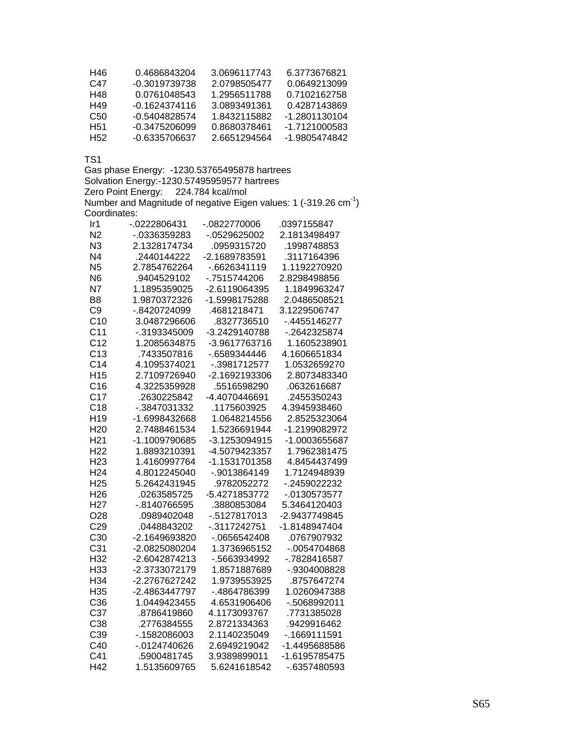| H46 | 0.4686843204  | 3.0696117743 | 6.3773676821  |
|-----|---------------|--------------|---------------|
| C47 | -0.3019739738 | 2.0798505477 | 0.0649213099  |
| H48 | 0.0761048543  | 1.2956511788 | 0.7102162758  |
| H49 | -0 1624374116 | 3 0893491361 | 0.4287143869  |
| C50 | -0.5404828574 | 1.8432115882 | -1.2801130104 |
| H51 | -0.3475206099 | 0.8680378461 | -1 7121000583 |
| H52 | -0.6335706637 | 2.6651294564 | -1.9805474842 |

Gas phase Energy: -1230.53765495878 hartrees Solvation Energy:-1230.57495959577 hartrees Zero Point Energy: 224.784 kcal/mol Number and Magnitude of negative Eigen values: 1 (-319.26  $cm^{-1}$ ) Coordinates:

| Ir1             | -.0222806431  | -.0822770006  | 0397155847      |
|-----------------|---------------|---------------|-----------------|
| N <sub>2</sub>  | -.0336359283  | $-0529625002$ | 2.1813498497    |
| N3              | 2.1328174734  | .0959315720   | .1998748853     |
| N <sub>4</sub>  | .2440144222   | -2.1689783591 | .3117164396     |
| N <sub>5</sub>  | 2.7854762264  | -.6626341119  | 1.1192270920    |
| N <sub>6</sub>  | .9404529102   | -.7515744206  | 2.8298498856    |
| N <sub>7</sub>  | 1.1895359025  | -2.6119064395 | 1.1849963247    |
| B <sub>8</sub>  | 1.9870372326  | -1.5998175288 | 2.0486508521    |
| C <sub>9</sub>  | -.8420724099  | .4681218471   | 3.1229506747    |
| C <sub>10</sub> | 3.0487296606  | .8327736510   | -.4455146277    |
| C <sub>11</sub> | -.3193345009  | -3.2429140788 | -.2642325874    |
| C <sub>12</sub> | 1.2085634875  | -3.9617763716 | 1.1605238901    |
| C13             | .7433507816   | -.6589344446  | 4.1606651834    |
| C <sub>14</sub> | 4.1095374021  | -.3981712577  | 1.0532659270    |
| H <sub>15</sub> | 2.7109726940  | -2.1692193306 | 2.8073483340    |
| C16             | 4.3225359928  | .5516598290   | .0632616687     |
| C <sub>17</sub> | .2630225842   | -4.4070446691 | .2455350243     |
| C18             | -.3847031332  | .1175603925   | 4.3945938460    |
| H <sub>19</sub> | -1.6998432668 | 1.0648214556  | 2.8525323064    |
| H <sub>20</sub> | 2.7488461534  | 1.5236691944  | -1.2199082972   |
| H <sub>21</sub> | -1.1009790685 | -3.1253094915 | -1.0003655687   |
| H <sub>22</sub> | 1.8893210391  | -4.5079423357 | 1.7962381475    |
| H <sub>23</sub> | 1.4160997764  | -1.1531701358 | 4.8454437499    |
| H <sub>24</sub> | 4.8012245040  | -.9013864149  | 1.7124948939    |
| H <sub>25</sub> | 5.2642431945  | .9782052272   | -.2459022232    |
| H <sub>26</sub> | .0263585725   | -5.4271853772 | $-0.0130573577$ |
| H <sub>27</sub> | -.8140766595  | .3880853084   | 5.3464120403    |
| O <sub>28</sub> | .0989402048   | -.5127817013  | -2.9437749845   |
| C <sub>29</sub> | .0448843202   | -.3117242751  | -1.8148947404   |
| C <sub>30</sub> | -2.1649693820 | -.0656542408  | .0767907932     |
| C <sub>31</sub> | -2.0825080204 | 1.3736965152  | -.0054704868    |
| H32             | -2.6042874213 | -.5663934992  | -.7828416587    |
| H33             | -2.3733072179 | 1.8571887689  | -.9304008828    |
| H34             | -2.2767627242 | 1.9739553925  | .8757647274     |
| H35             | -2.4863447797 | -.4864786399  | 1.0260947388    |
| C36             | 1.0449423455  | 4.6531906406  | -.5068992011    |
| C37             | .8786419860   | 4.1173093767  | .7731385028     |
| C38             | .2776384555   | 2.8721334363  | .9429916462     |
| C39             | -.1582086003  | 2.1140235049  | $-0.1669111591$ |
| C40             | -.0124740626  | 2.6949219042  | -1.4495688586   |
| C41             | .5900481745   | 3.9389899011  | -1.6195785475   |
| H42             | 1.5135609765  | 5.6241618542  | -.6357480593    |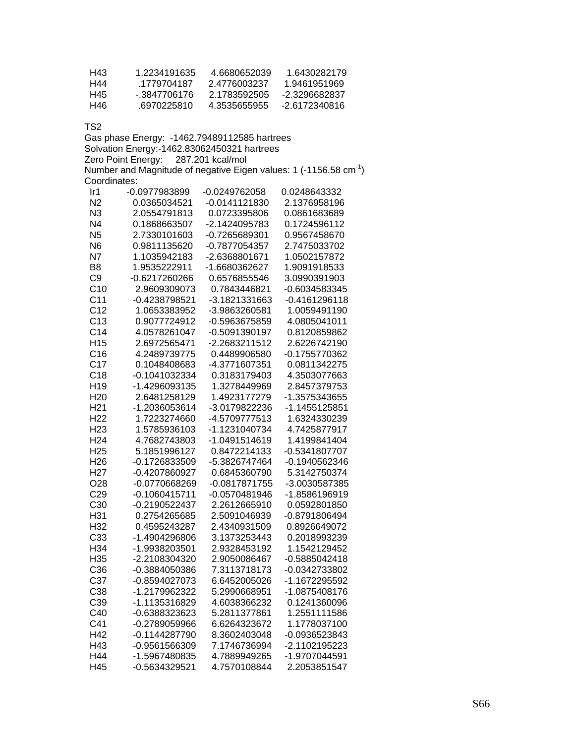| H43 | 1.2234191635 | 4 6680652039 | 1.6430282179  |
|-----|--------------|--------------|---------------|
| H44 | 1779704187   | 2 4776003237 | 1.9461951969  |
| H45 | - 3847706176 | 2 1783592505 | -23296682837  |
| H46 | 6970225810   | 4 3535655955 | -2.6172340816 |

Gas phase Energy: -1462.79489112585 hartrees Solvation Energy:-1462.83062450321 hartrees Zero Point Energy: 287.201 kcal/mol Number and Magnitude of negative Eigen values: 1 (-1156.58  $cm^{-1}$ ) Coordinates:

| Ir1             | -0.0977983899   | -0.0249762058   | 0.0248643332    |
|-----------------|-----------------|-----------------|-----------------|
| N2              | 0.0365034521    | -0.0141121830   | 2.1376958196    |
| N <sub>3</sub>  | 2.0554791813    | 0.0723395806    | 0.0861683689    |
| N <sub>4</sub>  | 0.1868663507    | -2.1424095783   | 0.1724596112    |
| N <sub>5</sub>  | 2.7330101603    | -0.7265689301   | 0.9567458670    |
| N <sub>6</sub>  | 0.9811135620    | -0.7877054357   | 2.7475033702    |
| <b>N7</b>       | 1.1035942183    | -2.6368801671   | 1.0502157872    |
| B <sub>8</sub>  | 1.9535222911    | -1.6680362627   | 1.9091918533    |
| C <sub>9</sub>  | -0.6217260266   | 0.6576855546    | 3.0990391903    |
| C10             | 2.9609309073    | 0.7843446821    | -0.6034583345   |
| C <sub>11</sub> | -0.4238798521   | -3.1821331663   | $-0.4161296118$ |
| C <sub>12</sub> | 1.0653383952    | -3.9863260581   | 1.0059491190    |
| C13             | 0.9077724912    | -0.5963675859   | 4.0805041011    |
| C <sub>14</sub> | 4.0578261047    | -0.5091390197   | 0.8120859862    |
| H <sub>15</sub> | 2.6972565471    | -2.2683211512   | 2.6226742190    |
| C16             | 4.2489739775    | 0.4489906580    | -0.1755770362   |
| C <sub>17</sub> | 0.1048408683    | -4.3771607351   | 0.0811342275    |
| C18             | -0.1041032334   | 0.3183179403    | 4.3503077663    |
| H <sub>19</sub> | -1.4296093135   | 1.3278449969    | 2.8457379753    |
| H <sub>20</sub> | 2.6481258129    | 1.4923177279    | -1.3575343655   |
| H <sub>21</sub> | -1.2036053614   | -3.0179822236   | -1.1455125851   |
| H <sub>22</sub> | 1.7223274660    | -4.5709777513   | 1.6324330239    |
| H <sub>23</sub> | 1.5785936103    | -1.1231040734   | 4.7425877917    |
| H <sub>24</sub> | 4.7682743803    | -1.0491514619   | 1.4199841404    |
| H <sub>25</sub> | 5.1851996127    | 0.8472214133    | -0.5341807707   |
| H <sub>26</sub> | -0.1726833509   | -5.3826747464   | -0.1940562346   |
| H <sub>27</sub> | -0.4207860927   | 0.6845360790    | 5.3142750374    |
| O <sub>28</sub> | -0.0770668269   | $-0.0817871755$ | -3.0030587385   |
| C <sub>29</sub> | $-0.1060415711$ | -0.0570481946   | -1.8586196919   |
| C30             | -0.2190522437   | 2.2612665910    | 0.0592801850    |
| H31             | 0.2754265685    | 2.5091046939    | -0.8791806494   |
| H32             | 0.4595243287    | 2.4340931509    | 0.8926649072    |
| C33             | -1.4904296806   | 3.1373253443    | 0.2018993239    |
| H34             | -1.9938203501   | 2.9328453192    | 1.1542129452    |
| H35             | -2.2108304320   | 2.9050086467    | -0.5885042418   |
| C36             | -0.3884050386   | 7.3113718173    | -0.0342733802   |
| C37             | -0.8594027073   | 6.6452005026    | -1.1672295592   |
| C38             | -1.2179962322   | 5.2990668951    | -1.0875408176   |
| C39             | -1.1135316829   | 4.6038366232    | 0.1241360096    |
| C40             | -0.6388323623   | 5.2811377861    | 1.2551111586    |
| C41             | -0.2789059966   | 6.6264323672    | 1.1778037100    |
| H42             | -0.1144287790   | 8.3602403048    | -0.0936523843   |
| H43             | -0.9561566309   | 7.1746736994    | -2.1102195223   |
| H44             | -1.5967480835   | 4.7889949265    | -1.9707044591   |
| H45             | -0.5634329521   | 4.7570108844    | 2.2053851547    |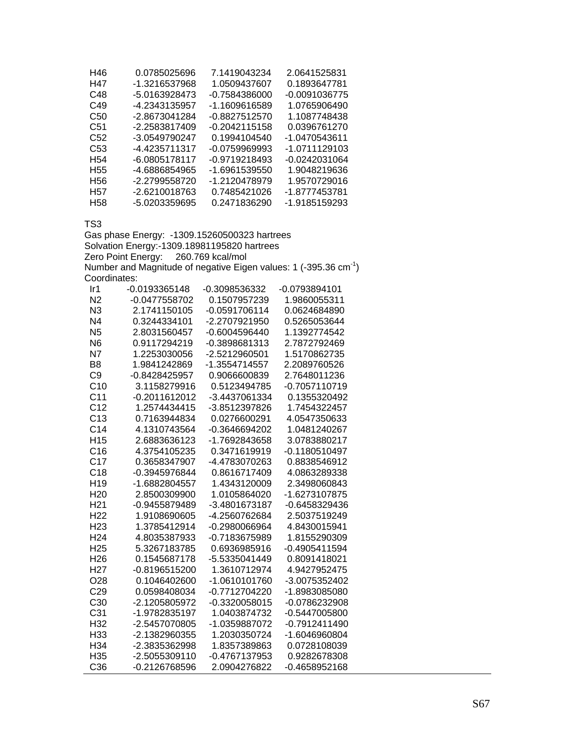| H46             | 0.0785025696  | 7.1419043234  | 2.0641525831  |
|-----------------|---------------|---------------|---------------|
| H47             | -1.3216537968 | 1.0509437607  | 0.1893647781  |
| C48             | -5.0163928473 | -0.7584386000 | -0.0091036775 |
| C49             | -4.2343135957 | -1.1609616589 | 1.0765906490  |
| C50             | -2.8673041284 | -0.8827512570 | 1.1087748438  |
| C <sub>51</sub> | -2.2583817409 | -0.2042115158 | 0.0396761270  |
| C <sub>52</sub> | -3.0549790247 | 0.1994104540  | -1.0470543611 |
| C <sub>53</sub> | -4.4235711317 | -0.0759969993 | -1.0711129103 |
| H <sub>54</sub> | -6.0805178117 | -0.9719218493 | -0.0242031064 |
| H <sub>55</sub> | -4.6886854965 | -1.6961539550 | 1.9048219636  |
| H <sub>56</sub> | -2.2799558720 | -1.2120478979 | 1.9570729016  |
| H <sub>57</sub> | -2.6210018763 | 0.7485421026  | -1.8777453781 |
| H58             | -5.0203359695 | 0.2471836290  | -1.9185159293 |

Gas phase Energy: -1309.15260500323 hartrees Solvation Energy:-1309.18981195820 hartrees Zero Point Energy: 260.769 kcal/mol Number and Magnitude of negative Eigen values: 1 (-395.36  $cm^{-1}$ ) Coordinates:

| Ir1             | -0.0193365148   | -0.3098536332   | -0.0793894101   |
|-----------------|-----------------|-----------------|-----------------|
| N <sub>2</sub>  | -0.0477558702   | 0.1507957239    | 1.9860055311    |
| N <sub>3</sub>  | 2.1741150105    | -0.0591706114   | 0.0624684890    |
| N <sub>4</sub>  | 0.3244334101    | -2.2707921950   | 0.5265053644    |
| N <sub>5</sub>  | 2.8031560457    | $-0.6004596440$ | 1.1392774542    |
| N <sub>6</sub>  | 0.9117294219    | -0.3898681313   | 2.7872792469    |
| N7              | 1.2253030056    | -2.5212960501   | 1.5170862735    |
| B <sub>8</sub>  | 1.9841242869    | -1.3554714557   | 2.2089760526    |
| C <sub>9</sub>  | -0.8428425957   | 0.9066600839    | 2.7648011236    |
| C <sub>10</sub> | 3.1158279916    | 0.5123494785    | -0.7057110719   |
| C <sub>11</sub> | $-0.2011612012$ | -3.4437061334   | 0.1355320492    |
| C <sub>12</sub> | 1.2574434415    | -3.8512397826   | 1.7454322457    |
| C13             | 0.7163944834    | 0.0276600291    | 4.0547350633    |
| C <sub>14</sub> | 4.1310743564    | -0.3646694202   | 1.0481240267    |
| H <sub>15</sub> | 2.6883636123    | -1.7692843658   | 3.0783880217    |
| C16             | 4.3754105235    | 0.3471619919    | $-0.1180510497$ |
| C17             | 0.3658347907    | -4.4783070263   | 0.8838546912    |
| C18             | -0.3945976844   | 0.8616717409    | 4.0863289338    |
| H <sub>19</sub> | -1.6882804557   | 1.4343120009    | 2.3498060843    |
| H <sub>20</sub> | 2.8500309900    | 1.0105864020    | -1.6273107875   |
| H <sub>21</sub> | -0.9455879489   | -3.4801673187   | -0.6458329436   |
| H <sub>22</sub> | 1.9108690605    | -4.2560762684   | 2.5037519249    |
| H <sub>23</sub> | 1.3785412914    | -0.2980066964   | 4.8430015941    |
| H <sub>24</sub> | 4.8035387933    | -0.7183675989   | 1.8155290309    |
| H <sub>25</sub> | 5.3267183785    | 0.6936985916    | $-0.4905411594$ |
| H <sub>26</sub> | 0.1545687178    | -5.5335041449   | 0.8091418021    |
| H <sub>27</sub> | -0.8196515200   | 1.3610712974    | 4.9427952475    |
| O <sub>28</sub> | 0.1046402600    | -1.0610101760   | -3.0075352402   |
| C29             | 0.0598408034    | -0.7712704220   | -1.8983085080   |
| C <sub>30</sub> | -2.1205805972   | -0.3320058015   | -0.0786232908   |
| C <sub>31</sub> | -1.9782835197   | 1.0403874732    | -0.5447005800   |
| H32             | -2.5457070805   | -1.0359887072   | -0.7912411490   |
| H33             | -2.1382960355   | 1.2030350724    | -1.6046960804   |
| H34             | -2.3835362998   | 1.8357389863    | 0.0728108039    |
| H <sub>35</sub> | -2.5055309110   | -0.4767137953   | 0.9282678308    |
| C <sub>36</sub> | -0.2126768596   | 2.0904276822    | $-0.4658952168$ |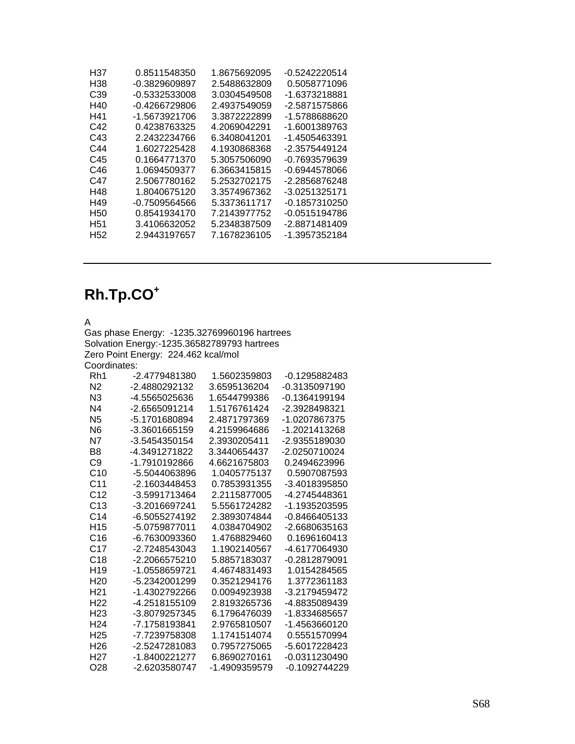| H37             | 0.8511548350  | 1.8675692095 | -0.5242220514 |
|-----------------|---------------|--------------|---------------|
| H38             | -0.3829609897 | 2.5488632809 | 0.5058771096  |
| C39             | -0.5332533008 | 3.0304549508 | -1.6373218881 |
| H40             | -0.4266729806 | 2.4937549059 | -2.5871575866 |
| H41             | -1.5673921706 | 3.3872222899 | -1.5788688620 |
| C42             | 0.4238763325  | 4.2069042291 | -1.6001389763 |
| C43             | 2.2432234766  | 6.3408041201 | -1.4505463391 |
| C44             | 1.6027225428  | 4.1930868368 | -2.3575449124 |
| C45             | 0.1664771370  | 5.3057506090 | -0.7693579639 |
| C46             | 1.0694509377  | 6.3663415815 | -0.6944578066 |
| C47             | 2.5067780162  | 5.2532702175 | -2.2856876248 |
| H48             | 1.8040675120  | 3.3574967362 | -3.0251325171 |
| H49             | -0.7509564566 | 5.3373611717 | -0.1857310250 |
| H <sub>50</sub> | 0.8541934170  | 7.2143977752 | -0.0515194786 |
| H51             | 3.4106632052  | 5.2348387509 | -2.8871481409 |
| H <sub>52</sub> | 2.9443197657  | 7.1678236105 | -1.3957352184 |
|                 |               |              |               |

# **Rh.Tp.CO<sup>+</sup>**

A

Gas phase Energy: -1235.32769960196 hartrees Solvation Energy:-1235.36582789793 hartrees Zero Point Energy: 224.462 kcal/mol Coordinates:

| Rh1              | -2.4779481380 | 1.5602359803  | -0.1295882483   |
|------------------|---------------|---------------|-----------------|
| N <sub>2</sub>   | -2.4880292132 | 3.6595136204  | -0.3135097190   |
| N3               | -4.5565025636 | 1.6544799386  | -0.1364199194   |
| N <sub>4</sub>   | -2.6565091214 | 1.5176761424  | -2.3928498321   |
| N <sub>5</sub>   | -5.1701680894 | 2.4871797369  | -1.0207867375   |
| N6               | -3.3601665159 | 4.2159964686  | -1.2021413268   |
| N7               | -3.5454350154 | 2.3930205411  | -2.9355189030   |
| B <sub>8</sub>   | -4.3491271822 | 3.3440654437  | -2.0250710024   |
| C9               | -1.7910192866 | 4.6621675803  | 0.2494623996    |
| C <sub>10</sub>  | -5.5044063896 | 1.0405775137  | 0.5907087593    |
| C <sub>11</sub>  | -2.1603448453 | 0.7853931355  | -3.4018395850   |
| C <sub>12</sub>  | -3.5991713464 | 2.2115877005  | -4.2745448361   |
| C <sub>13</sub>  | -3.2016697241 | 5.5561724282  | -1.1935203595   |
| C <sub>14</sub>  | -6.5055274192 | 2.3893074844  | $-0.8466405133$ |
| H15              | -5.0759877011 | 4.0384704902  | -2.6680635163   |
| C16              | -6.7630093360 | 1 4768829460  | 0.1696160413    |
| C <sub>17</sub>  | -2.7248543043 | 1.1902140567  | -4.6177064930   |
| C <sub>18</sub>  | -2.2066575210 | 5.8857183037  | -0.2812879091   |
| H <sub>19</sub>  | -1.0558659721 | 4.4674831493  | 1.0154284565    |
| H <sub>20</sub>  | -5.2342001299 | 0.3521294176  | 1.3772361183    |
| H <sub>21</sub>  | -1.4302792266 | 0.0094923938  | -3.2179459472   |
| H <sub>22</sub>  | -4.2518155109 | 2.8193265736  | -4.8835089439   |
| H <sub>23</sub>  | -3.8079257345 | 6.1796476039  | -1.8334685657   |
| H <sub>24</sub>  | -7.1758193841 | 2.9765810507  | -1.4563660120   |
| H <sub>25</sub>  | -7.7239758308 | 1.1741514074  | 0.5551570994    |
| H <sub>26</sub>  | -2.5247281083 | 0.7957275065  | -5.6017228423   |
| H <sub>2</sub> 7 | -1.8400221277 | 6.8690270161  | -0.0311230490   |
| O28              | -2.6203580747 | -1.4909359579 | -0.1092744229   |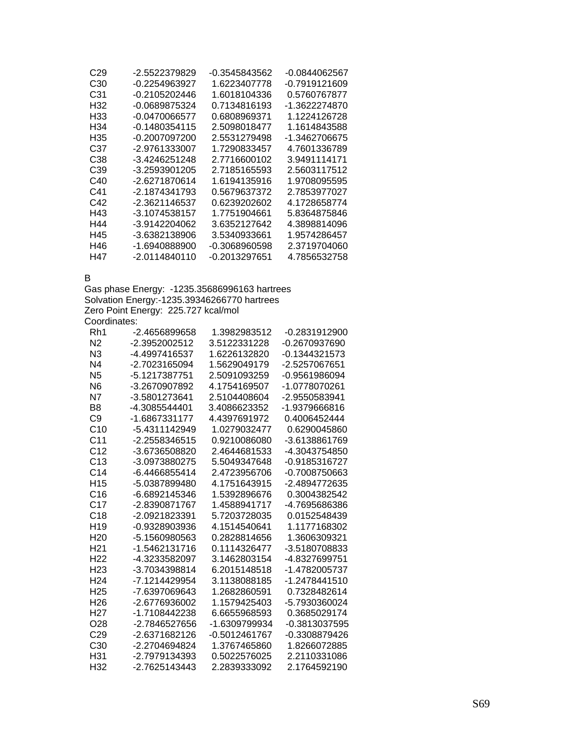| C29 | -2.5522379829   | -0.3545843562 | -0.0844062567 |
|-----|-----------------|---------------|---------------|
| C30 | -0.2254963927   | 1.6223407778  | -0.7919121609 |
| C31 | -0.2105202446   | 1.6018104336  | 0.5760767877  |
| H32 | $-0.0689875324$ | 0.7134816193  | -1.3622274870 |
| H33 | -0.0470066577   | 0.6808969371  | 1.1224126728  |
| H34 | -0.1480354115   | 2.5098018477  | 1.1614843588  |
| H35 | -0.2007097200   | 2.5531279498  | -1.3462706675 |
| C37 | -2.9761333007   | 1.7290833457  | 4.7601336789  |
| C38 | -3.4246251248   | 2.7716600102  | 3.9491114171  |
| C39 | -3.2593901205   | 2.7185165593  | 2.5603117512  |
| C40 | -2.6271870614   | 1.6194135916  | 1.9708095595  |
| C41 | -2.1874341793   | 0.5679637372  | 2.7853977027  |
| C42 | -2.3621146537   | 0.6239202602  | 4.1728658774  |
| H43 | -3.1074538157   | 1.7751904661  | 5.8364875846  |
| H44 | $-3.9142204062$ | 3.6352127642  | 4.3898814096  |
| H45 | -3.6382138906   | 3.5340933661  | 1.9574286457  |
| H46 | -1.6940888900   | -0.3068960598 | 2.3719704060  |
| H47 | -2.0114840110   | -0.2013297651 | 4.7856532758  |

B

Gas phase Energy: -1235.35686996163 hartrees Solvation Energy:-1235.39346266770 hartrees Zero Point Energy: 225.727 kcal/mol Coordinates:

| Rh1              | -2.4656899658 | 1.3982983512  | -0.2831912900 |
|------------------|---------------|---------------|---------------|
| N <sub>2</sub>   | -2.3952002512 | 3.5122331228  | -0.2670937690 |
| N <sub>3</sub>   | -4.4997416537 | 1.6226132820  | -0.1344321573 |
| N <sub>4</sub>   | -2.7023165094 | 1.5629049179  | -2.5257067651 |
| N <sub>5</sub>   | -5.1217387751 | 2.5091093259  | -0.9561986094 |
| N6               | -3.2670907892 | 4.1754169507  | -1.0778070261 |
| N7               | -3.5801273641 | 2.5104408604  | -2.9550583941 |
| B <sub>8</sub>   | -4.3085544401 | 3.4086623352  | -1.9379666816 |
| C9               | -1.6867331177 | 4.4397691972  | 0.4006452444  |
| C <sub>10</sub>  | -5.4311142949 | 1.0279032477  | 0.6290045860  |
| C <sub>11</sub>  | -2.2558346515 | 0.9210086080  | -3.6138861769 |
| C <sub>12</sub>  | -3.6736508820 | 2.4644681533  | -4.3043754850 |
| C <sub>13</sub>  | -3.0973880275 | 5.5049347648  | -0.9185316727 |
| C <sub>14</sub>  | -6.4466855414 | 2.4723956706  | -0.7008750663 |
| H <sub>15</sub>  | -5.0387899480 | 4.1751643915  | -2.4894772635 |
| C16              | -6.6892145346 | 1.5392896676  | 0.3004382542  |
| C17              | -2.8390871767 | 1.4588941717  | -4.7695686386 |
| C <sub>18</sub>  | -2.0921823391 | 5.7203728035  | 0.0152548439  |
| H <sub>19</sub>  | -0.9328903936 | 4.1514540641  | 1.1177168302  |
| H <sub>20</sub>  | -5.1560980563 | 0.2828814656  | 1.3606309321  |
| H <sub>21</sub>  | -1.5462131716 | 0.1114326477  | -3.5180708833 |
| H <sub>22</sub>  | -4.3233582097 | 3.1462803154  | -4.8327699751 |
| H <sub>23</sub>  | -3.7034398814 | 6.2015148518  | -1.4782005737 |
| H <sub>24</sub>  | -7.1214429954 | 3.1138088185  | -1.2478441510 |
| H25              | -7.6397069643 | 1.2682860591  | 0.7328482614  |
| H <sub>26</sub>  | -2.6776936002 | 1.1579425403  | -5.7930360024 |
| H <sub>2</sub> 7 | -1.7108442238 | 6.6655968593  | 0.3685029174  |
| O28              | -2.7846527656 | -1.6309799934 | -0.3813037595 |
| C <sub>29</sub>  | -2.6371682126 | -0.5012461767 | -0.3308879426 |
| C <sub>30</sub>  | -2.2704694824 | 1.3767465860  | 1.8266072885  |
| H31              | -2.7979134393 | 0.5022576025  | 2.2110331086  |
| H32              | -2.7625143443 | 2.2839333092  | 2.1764592190  |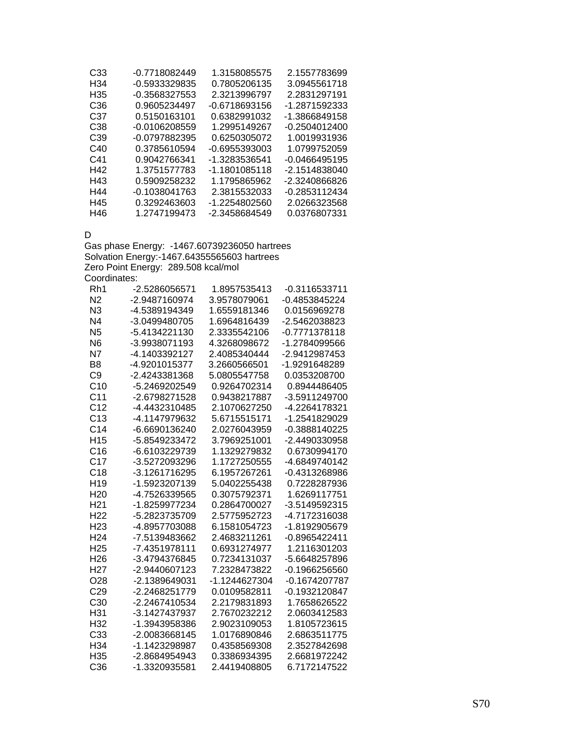| C <sub>33</sub> | -0.7718082449 | 1.3158085575  | 2.1557783699  |
|-----------------|---------------|---------------|---------------|
| H34             | -0.5933329835 | 0.7805206135  | 3.0945561718  |
| H35             | -0.3568327553 | 2.3213996797  | 2.2831297191  |
| C <sub>36</sub> | 0.9605234497  | -0.6718693156 | -1.2871592333 |
| C37             | 0.5150163101  | 0.6382991032  | -1.3866849158 |
| C <sub>38</sub> | -0.0106208559 | 1.2995149267  | -0.2504012400 |
| C39             | -0.0797882395 | 0.6250305072  | 1.0019931936  |
| C40             | 0.3785610594  | -0.6955393003 | 1.0799752059  |
| C41             | 0.9042766341  | -1.3283536541 | -0.0466495195 |
| H42             | 1.3751577783  | -1.1801085118 | -2.1514838040 |
| H43             | 0.5909258232  | 1.1795865962  | -2.3240866826 |
| H44             | -0.1038041763 | 2.3815532033  | -0.2853112434 |
| H45             | 0.3292463603  | -1.2254802560 | 2.0266323568  |
| H46             | 1.2747199473  | -2.3458684549 | 0.0376807331  |

#### D

Gas phase Energy: -1467.60739236050 hartrees Solvation Energy:-1467.64355565603 hartrees Zero Point Energy: 289.508 kcal/mol Coordinates:

| Rh <sub>1</sub> | -2.5286056571 | 1.8957535413  | -0.3116533711 |
|-----------------|---------------|---------------|---------------|
| N <sub>2</sub>  | -2.9487160974 | 3.9578079061  | -0.4853845224 |
| N3              | -4.5389194349 | 1.6559181346  | 0.0156969278  |
| N <sub>4</sub>  | -3.0499480705 | 1.6964816439  | -2.5462038823 |
| N <sub>5</sub>  | -5.4134221130 | 2.3335542106  | -0.7771378118 |
| N <sub>6</sub>  | -3.9938071193 | 4.3268098672  | -1.2784099566 |
| N7              | -4.1403392127 | 2.4085340444  | -2.9412987453 |
| B <sub>8</sub>  | -4.9201015377 | 3.2660566501  | -1.9291648289 |
| C <sub>9</sub>  | -2.4243381368 | 5.0805547758  | 0.0353208700  |
| C <sub>10</sub> | -5.2469202549 | 0.9264702314  | 0.8944486405  |
| C <sub>11</sub> | -2.6798271528 | 0.9438217887  | -3.5911249700 |
| C <sub>12</sub> | -4.4432310485 | 2.1070627250  | -4.2264178321 |
| C <sub>13</sub> | -4.1147979632 | 5.6715515171  | -1.2541829029 |
| C <sub>14</sub> | -6.6690136240 | 2.0276043959  | -0.3888140225 |
| H <sub>15</sub> | -5.8549233472 | 3.7969251001  | -2.4490330958 |
| C16             | -6.6103229739 | 1.1329279832  | 0.6730994170  |
| C <sub>17</sub> | -3.5272093296 | 1.1727250555  | -4.6849740142 |
| C18             | -3.1261716295 | 6.1957267261  | -0.4313268986 |
| H <sub>19</sub> | -1.5923207139 | 5.0402255438  | 0.7228287936  |
| H <sub>20</sub> | -4.7526339565 | 0.3075792371  | 1.6269117751  |
| H <sub>21</sub> | -1.8259977234 | 0.2864700027  | -3.5149592315 |
| H <sub>22</sub> | -5.2823735709 | 2.5775952723  | -4.7172316038 |
| H <sub>23</sub> | -4.8957703088 | 6.1581054723  | -1.8192905679 |
| H <sub>24</sub> | -7.5139483662 | 2.4683211261  | -0.8965422411 |
| H <sub>25</sub> | -7.4351978111 | 0.6931274977  | 1.2116301203  |
| H <sub>26</sub> | -3.4794376845 | 0.7234131037  | -5.6648257896 |
| H <sub>27</sub> | -2.9440607123 | 7.2328473822  | -0.1966256560 |
| O <sub>28</sub> | -2.1389649031 | -1.1244627304 | -0.1674207787 |
| C <sub>29</sub> | -2.2468251779 | 0.0109582811  | -0.1932120847 |
| C <sub>30</sub> | -2.2467410534 | 2.2179831893  | 1.7658626522  |
| H31             | -3.1427437937 | 2.7670232212  | 2.0603412583  |
| H32             | -1.3943958386 | 2.9023109053  | 1.8105723615  |
| C33             | -2.0083668145 | 1.0176890846  | 2.6863511775  |
| H34             | -1.1423298987 | 0.4358569308  | 2.3527842698  |
| H <sub>35</sub> | -2.8684954943 | 0.3386934395  | 2.6681972242  |
| C <sub>36</sub> | -1.3320935581 | 2.4419408805  | 6.7172147522  |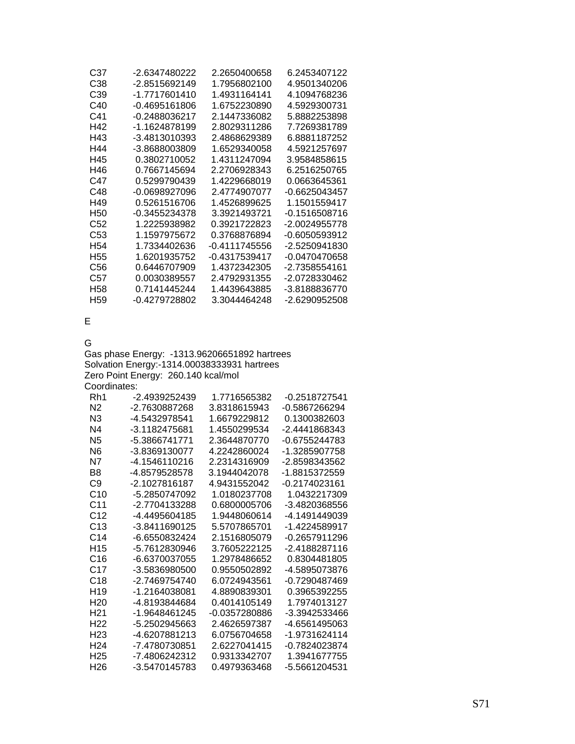| C38<br>-2.8515692149<br>1.7956802100<br>4.9501340206<br>-1.7717601410<br>C39<br>1.4931164141<br>4.1094768236<br>-0.4695161806<br>1.6752230890<br>4.5929300731<br>C40<br>C41<br>$-0.2488036217$<br>2.1447336082<br>5.8882253898<br>H42<br>-1.1624878199<br>2.8029311286<br>7.7269381789<br>H43<br>-3.4813010393<br>2.4868629389<br>6.8881187252<br>H44<br>-3.8688003809<br>1.6529340058<br>4.5921257697<br>H45<br>0.3802710052<br>1.4311247094<br>3.9584858615<br>H46<br>0.7667145694<br>2.2706928343<br>6.2516250765<br>0.5299790439<br>C47<br>1.4229668019<br>0.0663645361<br>C48<br>-0.0698927096<br>2.4774907077<br>$-0.6625043457$<br>H49<br>0.5261516706<br>1.4526899625<br>1.1501559417<br>-0.1516508716<br>H50<br>-0.3455234378<br>3.3921493721<br>C52<br>1.2225938982<br>0.3921722823<br>-2.0024955778 |  |
|----------------------------------------------------------------------------------------------------------------------------------------------------------------------------------------------------------------------------------------------------------------------------------------------------------------------------------------------------------------------------------------------------------------------------------------------------------------------------------------------------------------------------------------------------------------------------------------------------------------------------------------------------------------------------------------------------------------------------------------------------------------------------------------------------------------|--|
|                                                                                                                                                                                                                                                                                                                                                                                                                                                                                                                                                                                                                                                                                                                                                                                                                |  |
|                                                                                                                                                                                                                                                                                                                                                                                                                                                                                                                                                                                                                                                                                                                                                                                                                |  |
|                                                                                                                                                                                                                                                                                                                                                                                                                                                                                                                                                                                                                                                                                                                                                                                                                |  |
|                                                                                                                                                                                                                                                                                                                                                                                                                                                                                                                                                                                                                                                                                                                                                                                                                |  |
|                                                                                                                                                                                                                                                                                                                                                                                                                                                                                                                                                                                                                                                                                                                                                                                                                |  |
|                                                                                                                                                                                                                                                                                                                                                                                                                                                                                                                                                                                                                                                                                                                                                                                                                |  |
|                                                                                                                                                                                                                                                                                                                                                                                                                                                                                                                                                                                                                                                                                                                                                                                                                |  |
|                                                                                                                                                                                                                                                                                                                                                                                                                                                                                                                                                                                                                                                                                                                                                                                                                |  |
|                                                                                                                                                                                                                                                                                                                                                                                                                                                                                                                                                                                                                                                                                                                                                                                                                |  |
|                                                                                                                                                                                                                                                                                                                                                                                                                                                                                                                                                                                                                                                                                                                                                                                                                |  |
|                                                                                                                                                                                                                                                                                                                                                                                                                                                                                                                                                                                                                                                                                                                                                                                                                |  |
|                                                                                                                                                                                                                                                                                                                                                                                                                                                                                                                                                                                                                                                                                                                                                                                                                |  |
|                                                                                                                                                                                                                                                                                                                                                                                                                                                                                                                                                                                                                                                                                                                                                                                                                |  |
|                                                                                                                                                                                                                                                                                                                                                                                                                                                                                                                                                                                                                                                                                                                                                                                                                |  |
| C53<br>1.1597975672<br>0.3768876894<br>-0.6050593912                                                                                                                                                                                                                                                                                                                                                                                                                                                                                                                                                                                                                                                                                                                                                           |  |
| H <sub>54</sub><br>1.7334402636<br>-0.4111745556<br>-2.5250941830                                                                                                                                                                                                                                                                                                                                                                                                                                                                                                                                                                                                                                                                                                                                              |  |
| H55<br>1.6201935752<br>-0.4317539417<br>-0.0470470658                                                                                                                                                                                                                                                                                                                                                                                                                                                                                                                                                                                                                                                                                                                                                          |  |
| 0.6446707909<br>1 4372342305<br>-2.7358554161<br>C56                                                                                                                                                                                                                                                                                                                                                                                                                                                                                                                                                                                                                                                                                                                                                           |  |
| C57<br>0.0030389557<br>2.4792931355<br>-2.0728330462                                                                                                                                                                                                                                                                                                                                                                                                                                                                                                                                                                                                                                                                                                                                                           |  |
| H58<br>0.7141445244<br>1.4439643885<br>-3.8188836770                                                                                                                                                                                                                                                                                                                                                                                                                                                                                                                                                                                                                                                                                                                                                           |  |
| H <sub>59</sub><br>-0.4279728802<br>3.3044464248<br>-2.6290952508                                                                                                                                                                                                                                                                                                                                                                                                                                                                                                                                                                                                                                                                                                                                              |  |

E

G

Gas phase Energy: -1313.96206651892 hartrees Solvation Energy:-1314.00038333931 hartrees Zero Point Energy: 260.140 kcal/mol Coordinates:

| Rh1             | -2.4939252439 | 1.7716565382  | -0.2518727541   |
|-----------------|---------------|---------------|-----------------|
| N <sub>2</sub>  | -2.7630887268 | 3.8318615943  | -0.5867266294   |
| N <sub>3</sub>  | -4.5432978541 | 1.6679229812  | 0.1300382603    |
| N4              | -3.1182475681 | 1.4550299534  | -2.4441868343   |
| N <sub>5</sub>  | -5.3866741771 | 2 3644870770  | $-0.6755244783$ |
| N6              | -3 8369130077 | 4 2242860024  | -1.3285907758   |
| N7              | -4.1546110216 | 2.2314316909  | -2.8598343562   |
| B8              | -4.8579528578 | 3.1944042078  | -1.8815372559   |
| C9              | -2.1027816187 | 4.9431552042  | -0.2174023161   |
| C <sub>10</sub> | -5.2850747092 | 1.0180237708  | 1.0432217309    |
| C <sub>11</sub> | -2.7704133288 | 0.6800005706  | -3.4820368556   |
| C <sub>12</sub> | -4 4495604185 | 1.9448060614  | -4 1491449039   |
| C <sub>13</sub> | -3.8411690125 | 5.5707865701  | -1.4224589917   |
| C <sub>14</sub> | -6.6550832424 | 2.1516805079  | -0.2657911296   |
| H <sub>15</sub> | -5.7612830946 | 3.7605222125  | -2.4188287116   |
| C16             | -6.6370037055 | 1.2978486652  | 0.8304481805    |
| C17             | -3.5836980500 | 0.9550502892  | -4.5895073876   |
| C <sub>18</sub> | -2.7469754740 | 6.0724943561  | -0.7290487469   |
| H <sub>19</sub> | -1.2164038081 | 4.8890839301  | 0.3965392255    |
| H <sub>20</sub> | -4.8193844684 | 0.4014105149  | 1.7974013127    |
| H21             | -1.9648461245 | -0.0357280886 | -3.3942533466   |
| H <sub>22</sub> | -5.2502945663 | 2.4626597387  | -4.6561495063   |
| H23             | -4.6207881213 | 6.0756704658  | -1.9731624114   |
| H <sub>24</sub> | -7.4780730851 | 2.6227041415  | -0.7824023874   |
| H <sub>25</sub> | -7.4806242312 | 0.9313342707  | 1.3941677755    |
| H26             | -3.5470145783 | 0.4979363468  | -5.5661204531   |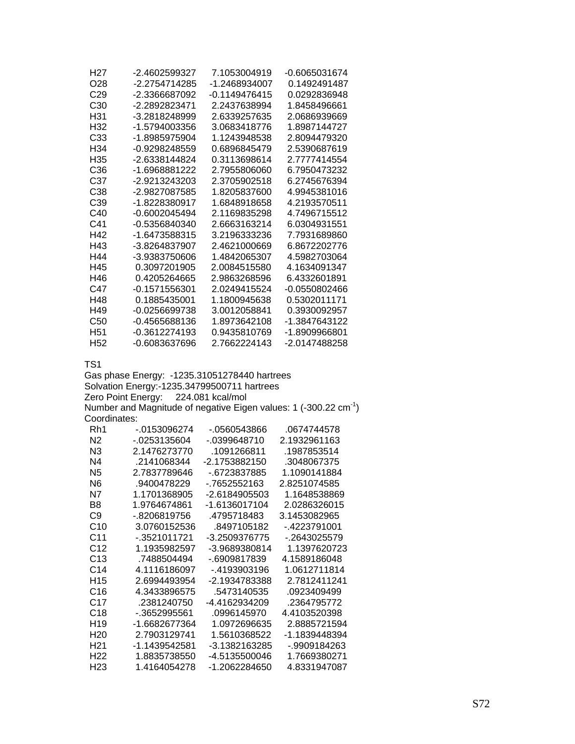| H27             | -2.4602599327                                 | 7.1053004919     | -0.6065031674                                                                |
|-----------------|-----------------------------------------------|------------------|------------------------------------------------------------------------------|
| O <sub>28</sub> | -2.2754714285                                 | -1.2468934007    | 0.1492491487                                                                 |
| C <sub>29</sub> | -2.3366687092                                 | -0.1149476415    | 0.0292836948                                                                 |
| C <sub>30</sub> | -2.2892823471                                 | 2.2437638994     | 1.8458496661                                                                 |
| H31             | -3.2818248999                                 | 2.6339257635     | 2.0686939669                                                                 |
| H32             | -1.5794003356                                 | 3.0683418776     | 1.8987144727                                                                 |
| C <sub>33</sub> | -1.8985975904                                 | 1.1243948538     | 2.8094479320                                                                 |
| H34             | -0.9298248559                                 | 0.6896845479     | 2.5390687619                                                                 |
| H35             | -2.6338144824                                 | 0.3113698614     | 2.7777414554                                                                 |
| C <sub>36</sub> | -1.6968881222                                 | 2.7955806060     | 6.7950473232                                                                 |
| C <sub>37</sub> | -2.9213243203                                 | 2.3705902518     | 6.2745676394                                                                 |
| C38             | -2.9827087585                                 | 1.8205837600     | 4.9945381016                                                                 |
| C39             | -1.8228380917                                 | 1.6848918658     | 4.2193570511                                                                 |
| C40             | -0.6002045494                                 | 2.1169835298     | 4.7496715512                                                                 |
| C41             | -0.5356840340                                 | 2.6663163214     | 6.0304931551                                                                 |
| H42             | -1.6473588315                                 | 3.2196333236     | 7.7931689860                                                                 |
| H43             | -3.8264837907                                 | 2.4621000669     | 6.8672202776                                                                 |
| H44             | -3.9383750606                                 | 1.4842065307     | 4.5982703064                                                                 |
| H45             | 0.3097201905                                  | 2.0084515580     | 4.1634091347                                                                 |
| H46             | 0.4205264665                                  | 2.9863268596     | 6.4332601891                                                                 |
| C47             | -0.1571556301                                 | 2.0249415524     | -0.0550802466                                                                |
| H48             | 0.1885435001                                  | 1.1800945638     | 0.5302011171                                                                 |
| H49             | -0.0256699738                                 | 3.0012058841     | 0.3930092957                                                                 |
| C <sub>50</sub> | -0.4565688136                                 | 1.8973642108     | -1.3847643122                                                                |
| H <sub>51</sub> | -0.3612274193                                 | 0.9435810769     | -1.8909966801                                                                |
| H <sub>52</sub> | -0.6083637696                                 | 2.7662224143     | -2.0147488258                                                                |
| TS <sub>1</sub> |                                               |                  |                                                                              |
|                 | Gas phase Energy: - 1235.31051278440 hartrees |                  |                                                                              |
|                 | Solvation Energy:-1235.34799500711 hartrees   |                  |                                                                              |
|                 | Zero Point Energy:                            | 224.081 kcal/mol |                                                                              |
|                 |                                               |                  | Number and Magnitude of negative Eigen values: 1 (-300.22 cm <sup>-1</sup> ) |
| Coordinates:    |                                               |                  |                                                                              |
| Rh1             | $-0153096274$                                 | -.0560543866     | .0674744578                                                                  |
| N <sub>2</sub>  | $-0.0253135604$                               | -.0399648710     | 2.1932961163                                                                 |
| <b>NR</b>       | 21476273770                                   | 1091266811       | 1087853514                                                                   |

| N2              | -.0253135604  | - 0399648710  | 2.1932961163  |
|-----------------|---------------|---------------|---------------|
| N <sub>3</sub>  | 2.1476273770  | .1091266811   | .1987853514   |
| N4              | .2141068344   | -2.1753882150 | .3048067375   |
| N <sub>5</sub>  | 2.7837789646  | -.6723837885  | 1.1090141884  |
| N <sub>6</sub>  | .9400478229   | - 7652552163  | 2.8251074585  |
| N7              | 1.1701368905  | -2.6184905503 | 1.1648538869  |
| B8              | 1.9764674861  | -1.6136017104 | 2.0286326015  |
| C9              | - 8206819756  | 4795718483    | 3.1453082965  |
| C <sub>10</sub> | 3.0760152536  | .8497105182   | - 4223791001  |
| C11             | -.3521011721  | -3.2509376775 | - 2643025579  |
| C12             | 1.1935982597  | -3.9689380814 | 1.1397620723  |
| C13             | .7488504494   | -.6909817839  | 4.1589186048  |
| C <sub>14</sub> | 4.1116186097  | - 4193903196  | 1.0612711814  |
| H <sub>15</sub> | 2.6994493954  | -2.1934783388 | 2.7812411241  |
| C16             | 4.3433896575  | .5473140535   | .0923409499   |
| C17             | .2381240750   | -4.4162934209 | .2364795772   |
| C18             | - 3652995561  | .0996145970   | 4.4103520398  |
| H <sub>19</sub> | -1.6682677364 | 1.0972696635  | 2.8885721594  |
| H <sub>20</sub> | 2.7903129741  | 1.5610368522  | -1.1839448394 |
| H <sub>21</sub> | -1.1439542581 | -3.1382163285 | -.9909184263  |
| H <sub>22</sub> | 1.8835738550  | -4.5135500046 | 1.7669380271  |
| H <sub>23</sub> | 1.4164054278  | -1.2062284650 | 4.8331947087  |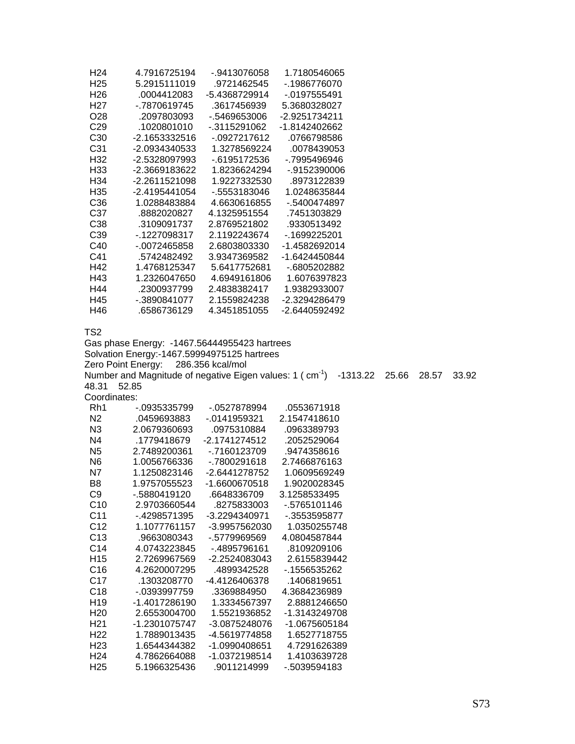| H <sub>24</sub>                    | 4.7916725194                                                                                                                                                         | -.9413076058                 | 1.7180546065                 |       |       |       |
|------------------------------------|----------------------------------------------------------------------------------------------------------------------------------------------------------------------|------------------------------|------------------------------|-------|-------|-------|
| H <sub>25</sub>                    | 5.2915111019                                                                                                                                                         | .9721462545                  | -.1986776070                 |       |       |       |
| H <sub>26</sub>                    | .0004412083                                                                                                                                                          | -5.4368729914                | $-0197555491$                |       |       |       |
| H <sub>27</sub>                    | -.7870619745                                                                                                                                                         | .3617456939                  | 5.3680328027                 |       |       |       |
| O <sub>28</sub>                    | .2097803093                                                                                                                                                          | -.5469653006                 | -2.9251734211                |       |       |       |
| C <sub>29</sub>                    | .1020801010                                                                                                                                                          | $-0.3115291062$              | -1.8142402662                |       |       |       |
| C30                                | -2.1653332516                                                                                                                                                        | $-0927217612$                | .0766798586                  |       |       |       |
| C31                                | -2.0934340533                                                                                                                                                        | 1.3278569224                 | .0078439053                  |       |       |       |
| H32                                | -2.5328097993                                                                                                                                                        | $-6195172536$                | -.7995496946                 |       |       |       |
| H33                                | -2.3669183622                                                                                                                                                        | 1.8236624294                 | -.9152390006                 |       |       |       |
| H34                                | -2.2611521098                                                                                                                                                        | 1.9227332530                 | .8973122839                  |       |       |       |
| H35                                | -2.4195441054                                                                                                                                                        | -.5553183046                 | 1.0248635844                 |       |       |       |
| C36                                | 1.0288483884                                                                                                                                                         | 4.6630616855                 | -.5400474897                 |       |       |       |
| C37                                | .8882020827                                                                                                                                                          | 4.1325951554                 | .7451303829                  |       |       |       |
| C38                                | .3109091737                                                                                                                                                          | 2.8769521802                 | .9330513492                  |       |       |       |
| C39                                | $-1227098317$                                                                                                                                                        | 2.1192243674                 | $-0.1699225201$              |       |       |       |
| C40                                | $-0072465858$                                                                                                                                                        | 2.6803803330                 | -1.4582692014                |       |       |       |
| C41                                | .5742482492                                                                                                                                                          | 3.9347369582                 | -1.6424450844                |       |       |       |
| H42                                | 1.4768125347                                                                                                                                                         | 5.6417752681                 | -.6805202882                 |       |       |       |
| H43                                | 1.2326047650                                                                                                                                                         | 4.6949161806                 | 1.6076397823                 |       |       |       |
| H44                                | .2300937799                                                                                                                                                          | 2.4838382417                 | 1.9382933007                 |       |       |       |
| H45                                | -.3890841077                                                                                                                                                         | 2.1559824238                 | -2.3294286479                |       |       |       |
| H46                                | .6586736129                                                                                                                                                          | 4.3451851055                 | -2.6440592492                |       |       |       |
| 48.31                              | Solvation Energy:-1467.59994975125 hartrees<br>Zero Point Energy: 286.356 kcal/mol<br>Number and Magnitude of negative Eigen values: 1 ( cm <sup>-1</sup> )<br>52.85 |                              | $-1313.22$                   | 25.66 | 28.57 | 33.92 |
| Coordinates:                       |                                                                                                                                                                      |                              |                              |       |       |       |
| Rh1                                | -.0935335799                                                                                                                                                         | -.0527878994                 | .0553671918                  |       |       |       |
| N <sub>2</sub>                     | .0459693883                                                                                                                                                          | $-0141959321$                | 2.1547418610                 |       |       |       |
| N <sub>3</sub>                     | 2.0679360693                                                                                                                                                         | .0975310884                  | .0963389793                  |       |       |       |
| N <sub>4</sub>                     | .1779418679                                                                                                                                                          | -2.1741274512                | .2052529064                  |       |       |       |
| N <sub>5</sub>                     | 2.7489200361                                                                                                                                                         | $-0.7160123709$              | .9474358616                  |       |       |       |
| N <sub>6</sub>                     | 1.0056766336                                                                                                                                                         | -.7800291618                 | 2.7466876163                 |       |       |       |
| N7                                 | 1.1250823146                                                                                                                                                         | -2.6441278752                | 1.0609569249                 |       |       |       |
| B <sub>8</sub>                     | 1.9757055523                                                                                                                                                         | -1.6600670518                | 1.9020028345                 |       |       |       |
| C <sub>9</sub>                     | -.5880419120                                                                                                                                                         | .6648336709                  | 3.1258533495                 |       |       |       |
| C10                                | 2.9703660544                                                                                                                                                         | .8275833003                  | -.5765101146                 |       |       |       |
| C <sub>11</sub>                    | -.4298571395                                                                                                                                                         | -3.2294340971                | -.3553595877                 |       |       |       |
| C12                                | 1.1077761157                                                                                                                                                         | -3.9957562030                | 1.0350255748                 |       |       |       |
| C13                                | .9663080343                                                                                                                                                          | -.5779969569                 | 4.0804587844                 |       |       |       |
| C <sub>14</sub>                    |                                                                                                                                                                      |                              |                              |       |       |       |
| H15                                | 4.0743223845                                                                                                                                                         |                              |                              |       |       |       |
|                                    |                                                                                                                                                                      | -.4895796161                 | .8109209106                  |       |       |       |
| C16                                | 2.7269967569<br>4.2620007295                                                                                                                                         | -2.2524083043<br>.4899342528 | 2.6155839442<br>-.1556535262 |       |       |       |
| C17                                | .1303208770                                                                                                                                                          | -4.4126406378                | .1406819651                  |       |       |       |
| C18                                | -.0393997759                                                                                                                                                         | .3369884950                  | 4.3684236989                 |       |       |       |
| H <sub>19</sub>                    | -1.4017286190                                                                                                                                                        | 1.3334567397                 | 2.8881246650                 |       |       |       |
| H <sub>20</sub>                    | 2.6553004700                                                                                                                                                         | 1.5521936852                 | -1.3143249708                |       |       |       |
| H <sub>21</sub>                    | -1.2301075747                                                                                                                                                        | -3.0875248076                | -1.0675605184                |       |       |       |
| H <sub>22</sub>                    | 1.7889013435                                                                                                                                                         | -4.5619774858                | 1.6527718755                 |       |       |       |
| H <sub>23</sub>                    | 1.6544344382                                                                                                                                                         | -1.0990408651                | 4.7291626389                 |       |       |       |
| H <sub>24</sub><br>H <sub>25</sub> | 4.7862664088<br>5.1966325436                                                                                                                                         | -1.0372198514<br>.9011214999 | 1.4103639728<br>-.5039594183 |       |       |       |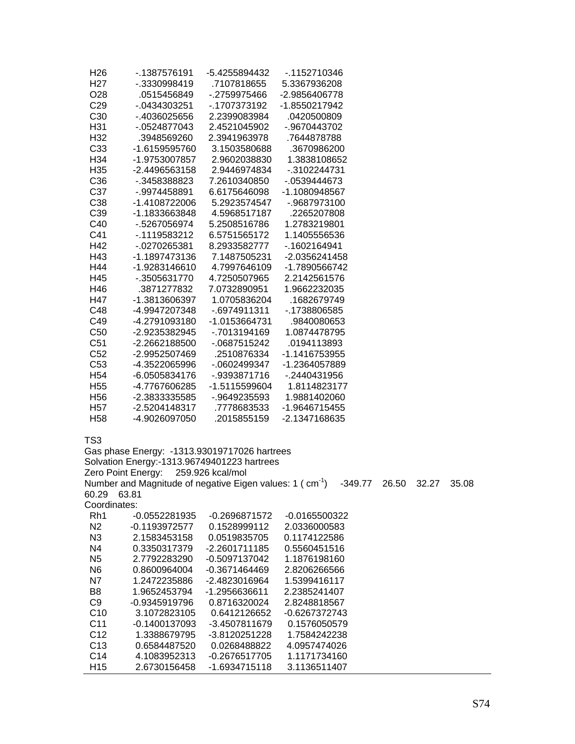| H26             | - 1387576191    | -5.4255894432 | - 1152710346  |
|-----------------|-----------------|---------------|---------------|
| H27             | -.3330998419    | .7107818655   | 5.3367936208  |
| O28             | .0515456849     | - 2759975466  | -2.9856406778 |
| C <sub>29</sub> | $-0.434303251$  | -.1707373192  | -1.8550217942 |
| C <sub>30</sub> | - 4036025656    | 2.2399083984  | .0420500809   |
| H31             | -.0524877043    | 2.4521045902  | -.9670443702  |
| H <sub>32</sub> | .3948569260     | 2.3941963978  | .7644878788   |
| C <sub>33</sub> | -1.6159595760   | 3.1503580688  | .3670986200   |
| H <sub>34</sub> | -1.9753007857   | 2.9602038830  | 1.3838108652  |
| H <sub>35</sub> | $-2.4496563158$ | 2.9446974834  | $-3102244731$ |
| C <sub>36</sub> | -.3458388823    | 7.2610340850  | $-0539444673$ |
| C <sub>37</sub> | $-9974458891$   | 6.6175646098  | -1.1080948567 |
| C <sub>38</sub> | -1.4108722006   | 5.2923574547  | -.9687973100  |
| C <sub>39</sub> | -1.1833663848   | 4.5968517187  | .2265207808   |
| C40             | -.5267056974    | 5.2508516786  | 1.2783219801  |
| C41             | $-1119583212$   | 6.5751565172  | 1.1405556536  |
| H42             | -.0270265381    | 8.2933582777  | -.1602164941  |
| H43             | -1.1897473136   | 7.1487505231  | -2.0356241458 |
| H44             | -1.9283146610   | 4.7997646109  | -1.7890566742 |
| H45             | -.3505631770    | 4.7250507965  | 2.2142561576  |
| H46             | .3871277832     | 7.0732890951  | 1.9662232035  |
| H47             | -1.3813606397   | 1.0705836204  | .1682679749   |
| C48             | -4.9947207348   | -.6974911311  | -.1738806585  |
| C49             | -4.2791093180   | -1.0153664731 | .9840080653   |
| C <sub>50</sub> | -2.9235382945   | - 7013194169  | 1.0874478795  |
| C <sub>51</sub> | -2.2662188500   | -.0687515242  | .0194113893   |
| C <sub>52</sub> | -2.9952507469   | .2510876334   | -1.1416753955 |
| C <sub>53</sub> | -4.3522065996   | $-0602499347$ | -1.2364057889 |
| H <sub>54</sub> | -6.0505834176   | -.9393871716  | -.2440431956  |
| H <sub>55</sub> | -4.7767606285   | -1.5115599604 | 1.8114823177  |
| H <sub>56</sub> | $-2.3833335585$ | -.9649235593  | 1.9881402060  |
| H <sub>57</sub> | -2.5204148317   | .7778683533   | -1.9646715455 |
| H <sub>58</sub> | -4.9026097050   | .2015855159   | -2.1347168635 |
|                 |                 |               |               |

TS3

Gas phase Energy: -1313.93019717026 hartrees Solvation Energy:-1313.96749401223 hartrees Zero Point Energy: 259.926 kcal/mol Number and Magnitude of negative Eigen values:  $1 \text{ (cm}^1\text{)} -349.77 \quad 26.50 \quad 32.27 \quad 35.08$ 60.29 63.81 Coordinates: Rh1 -0.0552281935 -0.2696871572 -0.0165500322 N2 -0.1193972577 0.1528999112 2.0336000583 N3 2.1583453158 0.0519835705 0.1174122586 N4 0.3350317379 -2.2601711185 0.5560451516 N5 2.7792283290 -0.5097137042 1.1876198160 N6 0.8600964004 -0.3671464469 2.8206266566 N7 1.2472235886 -2.4823016964 1.5399416117 B8 1.9652453794 -1.2956636611 2.2385241407 C9 -0.9345919796 0.8716320024 2.8248818567 C10 3.1072823105 0.6412126652 -0.6267372743 C11 -0.1400137093 -3.4507811679 0.1576050579 C12 1.3388679795 -3.8120251228 1.7584242238 C13 0.6584487520 0.0268488822 4.0957474026 C14 4.1083952313 -0.2676517705 1.1171734160 H15 2.6730156458 -1.6934715118 3.1136511407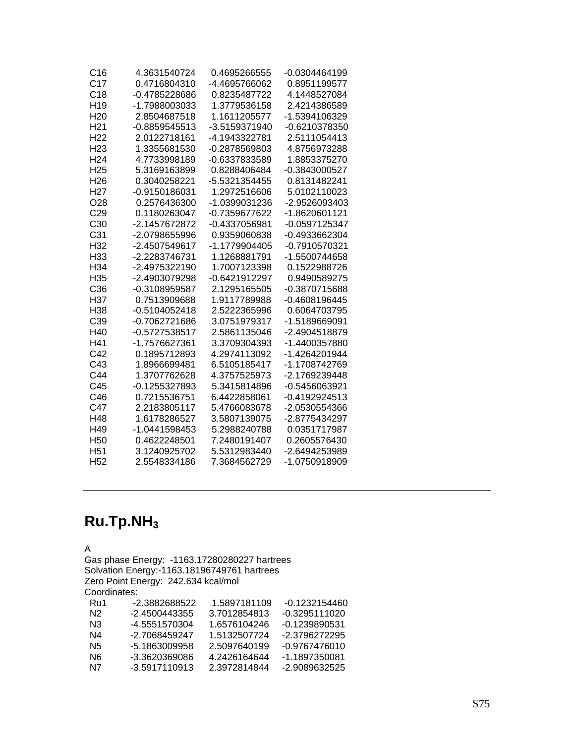| C <sub>16</sub> | 4.3631540724  | 0.4695266555  | -0.0304464199 |
|-----------------|---------------|---------------|---------------|
| C <sub>17</sub> | 0.4716804310  | -4.4695766062 | 0.8951199577  |
| C18             | -0.4785228686 | 0.8235487722  | 4.1448527084  |
| H <sub>19</sub> | -1.7988003033 | 1.3779536158  | 2.4214386589  |
| H <sub>20</sub> | 2.8504687518  | 1.1611205577  | -1.5394106329 |
| H <sub>21</sub> | -0.8859545513 | -3.5159371940 | -0.6210378350 |
| H <sub>22</sub> | 2.0122718161  | -4.1943322781 | 2.5111054413  |
| H <sub>23</sub> | 1.3355681530  | -0.2878569803 | 4.8756973288  |
| H <sub>24</sub> | 4.7733998189  | -0.6337833589 | 1.8853375270  |
| H <sub>25</sub> | 5.3169163899  | 0.8288406484  | -0.3843000527 |
| H <sub>26</sub> | 0.3040258221  | -5.5321354455 | 0.8131482241  |
| H <sub>27</sub> | -0.9150186031 | 1.2972516606  | 5.0102110023  |
| O28             | 0.2576436300  | -1.0399031236 | -2.9526093403 |
| C29             | 0.1180263047  | -0.7359677622 | -1.8620601121 |
| C <sub>30</sub> | -2.1457672872 | -0.4337056981 | -0.0597125347 |
| C <sub>31</sub> | -2.0798655996 | 0.9359060838  | -0.4933662304 |
| H32             | -2.4507549617 | -1.1779904405 | -0.7910570321 |
| H <sub>33</sub> | -2.2283746731 | 1.1268881791  | -1.5500744658 |
| H <sub>34</sub> | -2.4975322190 | 1.7007123398  | 0.1522988726  |
| H <sub>35</sub> | -2.4903079298 | -0.6421912297 | 0.9490589275  |
| C <sub>36</sub> | -0.3108959587 | 2.1295165505  | -0.3870715688 |
| H37             | 0.7513909688  | 1.9117789988  | -0.4608196445 |
| H <sub>38</sub> | -0.5104052418 | 2.5222365996  | 0.6064703795  |
| C39             | -0.7062721686 | 3.0751979317  | -1.5189669091 |
| H40             | -0.5727538517 | 2.5861135046  | -2.4904518879 |
| H41             | -1.7576627361 | 3.3709304393  | -1.4400357880 |
| C42             | 0.1895712893  | 4.2974113092  | -1.4264201944 |
| C43             | 1.8966699481  | 6.5105185417  | -1.1708742769 |
| C44             | 1.3707762628  | 4.3757525973  | -2.1769239448 |
| C45             | -0.1255327893 | 5.3415814896  | -0.5456063921 |
| C46             | 0.7215536751  | 6.4422858061  | -0.4192924513 |
| C47             | 2.2183805117  | 5.4766083678  | -2.0530554366 |
| H48             | 1.6178286527  | 3.5807139075  | -2.8775434297 |
| H49             | -1.0441598453 | 5.2988240788  | 0.0351717987  |
| H <sub>50</sub> | 0.4622248501  | 7.2480191407  | 0.2605576430  |
| H <sub>51</sub> | 3.1240925702  | 5.5312983440  | -2.6494253989 |
| H <sub>52</sub> | 2.5548334186  | 7.3684562729  | -1.0750918909 |

## **Ru.Tp.NH3**

A

Gas phase Energy: -1163.17280280227 hartrees Solvation Energy:-1163.18196749761 hartrees Zero Point Energy: 242.634 kcal/mol Coordinates: Ru1 -2.3882688522 1.5897181109 -0.1232154460<br>N2 -2.4500443355 3.7012854813 -0.3295111020 N2 -2.4500443355 3.7012854813 -0.3295111020<br>N3 -4.5551570304 1.6576104246 -0.1239890531 N3 -4.5551570304 1.6576104246<br>N4 -2.7068459247 1.5132507724

| Ν4  | -2.7068459247 | 1.5132507724 | -2.3796272295 |
|-----|---------------|--------------|---------------|
| N5. | -5 1863009958 | 2.5097640199 | -0.9767476010 |
| N6. | -3.3620369086 | 4.2426164644 | -1.1897350081 |
| N7  | -3.5917110913 | 2.3972814844 | -2.9089632525 |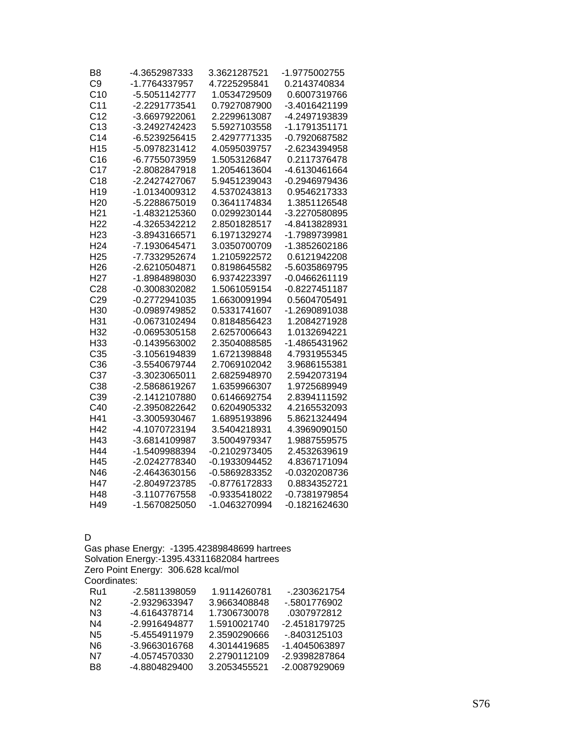| B <sub>8</sub>  | -4.3652987333   | 3.3621287521  | -1.9775002755   |
|-----------------|-----------------|---------------|-----------------|
| C <sub>9</sub>  | -1.7764337957   | 4.7225295841  | 0.2143740834    |
| C <sub>10</sub> | -5.5051142777   | 1.0534729509  | 0.6007319766    |
| C <sub>11</sub> | -2.2291773541   | 0.7927087900  | -3.4016421199   |
| C <sub>12</sub> | -3.6697922061   | 2.2299613087  | -4.2497193839   |
| C <sub>13</sub> | -3.2492742423   | 5.5927103558  | -1.1791351171   |
| C <sub>14</sub> | -6.5239256415   | 2.4297771335  | -0.7920687582   |
| H <sub>15</sub> | -5.0978231412   | 4.0595039757  | -2.6234394958   |
| C16             | -6.7755073959   | 1.5053126847  | 0.2117376478    |
| C <sub>17</sub> | -2.8082847918   | 1.2054613604  | -4.6130461664   |
| C18             | -2.2427427067   | 5.9451239043  | -0.2946979436   |
| H <sub>19</sub> | -1.0134009312   | 4.5370243813  | 0.9546217333    |
| H <sub>20</sub> | -5.2288675019   | 0.3641174834  | 1.3851126548    |
| H <sub>21</sub> | -1.4832125360   | 0.0299230144  | -3.2270580895   |
| H <sub>22</sub> | -4.3265342212   | 2.8501828517  | -4.8413828931   |
| H <sub>23</sub> | -3.8943166571   | 6.1971329274  | -1.7989739981   |
| H <sub>24</sub> | -7.1930645471   | 3.0350700709  | -1.3852602186   |
| H <sub>25</sub> | -7.7332952674   | 1.2105922572  | 0.6121942208    |
| H <sub>26</sub> | -2.6210504871   | 0.8198645582  | -5.6035869795   |
| H <sub>27</sub> | -1.8984898030   | 6.9374223397  | $-0.0466261119$ |
| C <sub>28</sub> | -0.3008302082   | 1.5061059154  | $-0.8227451187$ |
| C29             | -0.2772941035   | 1.6630091994  | 0.5604705491    |
| H <sub>30</sub> | -0.0989749852   | 0.5331741607  | -1.2690891038   |
| H31             | -0.0673102494   | 0.8184856423  | 1.2084271928    |
| H32             | $-0.0695305158$ | 2.6257006643  | 1.0132694221    |
| H <sub>33</sub> | $-0.1439563002$ | 2.3504088585  | -1.4865431962   |
| C35             | -3.1056194839   | 1.6721398848  | 4.7931955345    |
| C36             | -3.5540679744   | 2.7069102042  | 3.9686155381    |
| C <sub>37</sub> | -3.3023065011   | 2.6825948970  | 2.5942073194    |
| C38             | -2.5868619267   | 1.6359966307  | 1.9725689949    |
| C39             | -2.1412107880   | 0.6146692754  | 2.8394111592    |
| C40             | -2.3950822642   | 0.6204905332  | 4.2165532093    |
| H41             | -3.3005930467   | 1.6895193896  | 5.8621324494    |
| H42             | -4.1070723194   | 3.5404218931  | 4.3969090150    |
| H43             | -3.6814109987   | 3.5004979347  | 1.9887559575    |
| H44             | -1.5409988394   | -0.2102973405 | 2.4532639619    |
| H45             | -2.0242778340   | -0.1933094452 | 4.8367171094    |
| N46             | -2.4643630156   | -0.5869283352 | -0.0320208736   |
| H47             | -2.8049723785   | -0.8776172833 | 0.8834352721    |
| H48             | -3.1107767558   | -0.9335418022 | -0.7381979854   |
| H49             | -1.5670825050   | -1.0463270994 | -0.1821624630   |

D

Gas phase Energy: -1395.42389848699 hartrees Solvation Energy:-1395.43311682084 hartrees Zero Point Energy: 306.628 kcal/mol Coordinates:<br>Ru1 -2 Ru1 -2.5811398059 1.9114260781 -.2303621754 N2 -2.9329633947 3.9663408848 -.5801776902 N3 -4.6164378714 1.7306730078 .0307972812 N4 -2.9916494877 1.5910021740 -2.4518179725 N5 -5.4554911979 2.3590290666 -.8403125103<br>N6 -3.9663016768 4.3014419685 -1.4045063897 N6 -3.9663016768 4.3014419685 -1.4045063897<br>N7 -4.0574570330 2.2790112109 -2.9398287864

B8 -4.8804829400 3.2053455521 -2.0087929069

-4.0574570330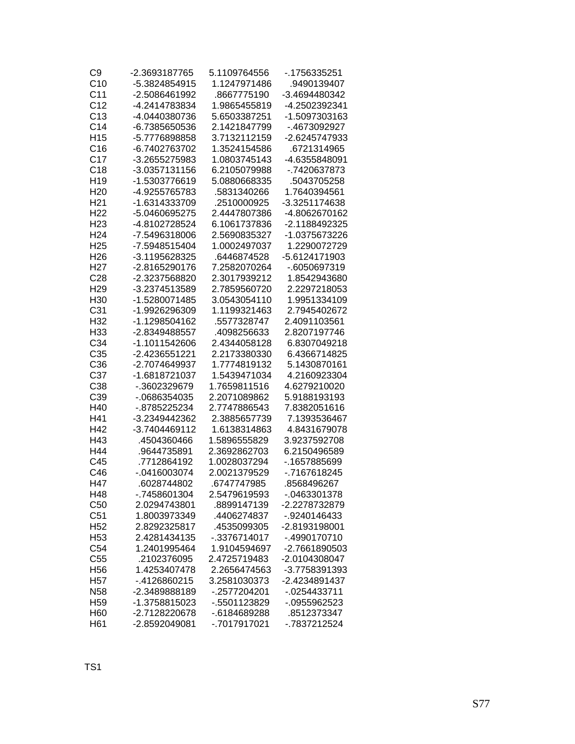| C9              | -2.3693187765 | 5.1109764556 | -.1756335251    |
|-----------------|---------------|--------------|-----------------|
| C10             | -5.3824854915 | 1.1247971486 | .9490139407     |
| C <sub>11</sub> | -2.5086461992 | .8667775190  | -3.4694480342   |
| C <sub>12</sub> | -4.2414783834 | 1.9865455819 | -4.2502392341   |
| C13             | -4.0440380736 | 5.6503387251 | -1.5097303163   |
| C <sub>14</sub> | -6.7385650536 | 2.1421847799 | -.4673092927    |
| H <sub>15</sub> | -5.7776898858 | 3.7132112159 | -2.6245747933   |
| C16             | -6.7402763702 | 1.3524154586 | .6721314965     |
| C17             | -3.2655275983 | 1.0803745143 | -4.6355848091   |
| C18             | -3.0357131156 | 6.2105079988 | -.7420637873    |
| H <sub>19</sub> | -1.5303776619 | 5.0880668335 | .5043705258     |
| H <sub>20</sub> | -4.9255765783 | .5831340266  | 1.7640394561    |
| H <sub>21</sub> | -1.6314333709 | .2510000925  | -3.3251174638   |
| H <sub>22</sub> | -5.0460695275 | 2.4447807386 | -4.8062670162   |
| H <sub>23</sub> | -4.8102728524 | 6.1061737836 | -2.1188492325   |
| H <sub>24</sub> | -7.5496318006 | 2.5690835327 | -1.0375673226   |
| H <sub>25</sub> | -7.5948515404 | 1.0002497037 | 1.2290072729    |
| H <sub>26</sub> | -3.1195628325 | .6446874528  | -5.6124171903   |
| H <sub>27</sub> | -2.8165290176 | 7.2582070264 | -.6050697319    |
| C28             | -2.3237568820 | 2.3017939212 | 1.8542943680    |
| H <sub>29</sub> | -3.2374513589 | 2.7859560720 | 2.2297218053    |
| H <sub>30</sub> | -1.5280071485 | 3.0543054110 | 1.9951334109    |
| C <sub>31</sub> | -1.9926296309 | 1.1199321463 | 2.7945402672    |
| H32             | -1.1298504162 | .5577328747  | 2.4091103561    |
| H33             | -2.8349488557 | .4098256633  | 2.8207197746    |
| C34             | -1.1011542606 | 2.4344058128 | 6.8307049218    |
| C35             | -2.4236551221 | 2.2173380330 | 6.4366714825    |
| C36             | -2.7074649937 | 1.7774819132 | 5.1430870161    |
| C37             | -1.6818721037 | 1.5439471034 | 4.2160923304    |
| C38             | -.3602329679  | 1.7659811516 | 4.6279210020    |
| C39             | -.0686354035  | 2.2071089862 | 5.9188193193    |
| H40             | -.8785225234  | 2.7747886543 | 7.8382051616    |
| H41             | -3.2349442362 | 2.3885657739 | 7.1393536467    |
| H42             | -3.7404469112 | 1.6138314863 | 4.8431679078    |
| H43             | .4504360466   | 1.5896555829 | 3.9237592708    |
| H44             | .9644735891   | 2.3692862703 | 6.2150496589    |
| C45             | .7712864192   | 1.0028037294 | -.1657885699    |
| C46             | -.0416003074  | 2.0021379529 | -.7167618245    |
| H47             | .6028744802   | .6747747985  | .8568496267     |
| H48             | -.7458601304  | 2.5479619593 | -.0463301378    |
| C50             | 2.0294743801  | .8899147139  | -2.2278732879   |
| C51             | 1.8003973349  | .4406274837  | -.9240146433    |
| H <sub>52</sub> | 2.8292325817  | .4535099305  | -2.8193198001   |
| H <sub>53</sub> | 2.4281434135  | -.3376714017 | -.4990170710    |
| C54             | 1.2401995464  | 1.9104594697 | -2.7661890503   |
| C55             | .2102376095   | 2.4725719483 | -2.0104308047   |
| H <sub>56</sub> | 1.4253407478  | 2.2656474563 | -3.7758391393   |
| H <sub>57</sub> | -.4126860215  | 3.2581030373 | -2.4234891437   |
| N <sub>58</sub> | -2.3489888189 | -.2577204201 | $-0.0254433711$ |
| H <sub>59</sub> | -1.3758815023 | -.5501123829 | -.0955962523    |
| H <sub>60</sub> | -2.7128220678 | -.6184689288 | .8512373347     |
| H <sub>61</sub> | -2.8592049081 | -.7017917021 | -.7837212524    |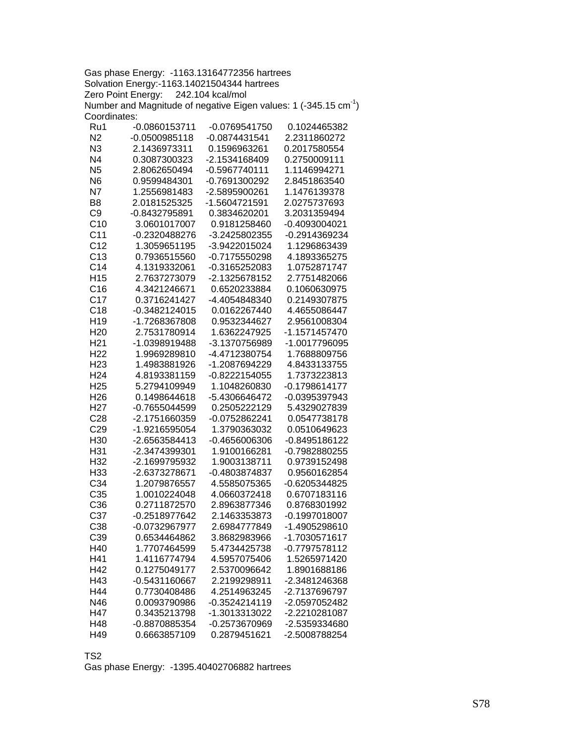Gas phase Energy: -1163.13164772356 hartrees Solvation Energy:-1163.14021504344 hartrees Zero Point Energy: 242.104 kcal/mol Number and Magnitude of negative Eigen values: 1 (-345.15  $cm^{-1}$ ) Coordinates:

| Ru1             | -0.0860153711   | -0.0769541750 | 0.1024465382                 |
|-----------------|-----------------|---------------|------------------------------|
| N <sub>2</sub>  | $-0.0500985118$ | -0.0874431541 | 2.2311860272                 |
| N <sub>3</sub>  | 2.1436973311    | 0.1596963261  | 0.2017580554                 |
| N <sub>4</sub>  | 0.3087300323    | -2.1534168409 | 0.2750009111                 |
| N <sub>5</sub>  | 2.8062650494    | -0.5967740111 | 1.1146994271                 |
| N <sub>6</sub>  | 0.9599484301    | -0.7691300292 | 2.8451863540                 |
| N7              | 1.2556981483    | -2.5895900261 | 1.1476139378                 |
| B <sub>8</sub>  | 2.0181525325    | -1.5604721591 | 2.0275737693                 |
| C <sub>9</sub>  | -0.8432795891   | 0.3834620201  | 3.2031359494                 |
| C10             | 3.0601017007    | 0.9181258460  | -0.4093004021                |
| C <sub>11</sub> | -0.2320488276   | -3.2425802355 | -0.2914369234                |
| C <sub>12</sub> | 1.3059651195    | -3.9422015024 | 1.1296863439                 |
| C13             | 0.7936515560    | -0.7175550298 | 4.1893365275                 |
| C <sub>14</sub> | 4.1319332061    | -0.3165252083 | 1.0752871747                 |
| H <sub>15</sub> | 2.7637273079    | -2.1325678152 | 2.7751482066                 |
| C16             | 4.3421246671    | 0.6520233884  | 0.1060630975                 |
| C17             | 0.3716241427    | -4.4054848340 | 0.2149307875                 |
| C <sub>18</sub> | -0.3482124015   | 0.0162267440  | 4.4655086447                 |
| H <sub>19</sub> | -1.7268367808   | 0.9532344627  | 2.9561008304                 |
| H <sub>20</sub> | 2.7531780914    | 1.6362247925  | -1.1571457470                |
| H <sub>21</sub> | -1.0398919488   | -3.1370756989 | -1.0017796095                |
| H <sub>22</sub> |                 | -4.4712380754 |                              |
|                 | 1.9969289810    |               | 1.7688809756                 |
| H <sub>23</sub> | 1.4983881926    | -1.2087694229 | 4.8433133755<br>1.7373223813 |
| H <sub>24</sub> | 4.8193381159    | -0.8222154055 |                              |
| H <sub>25</sub> | 5.2794109949    | 1.1048260830  | -0.1798614177                |
| H <sub>26</sub> | 0.1498644618    | -5.4306646472 | -0.0395397943                |
| H <sub>27</sub> | -0.7655044599   | 0.2505222129  | 5.4329027839                 |
| C <sub>28</sub> | -2.1751660359   | -0.0752862241 | 0.0547738178                 |
| C <sub>29</sub> | -1.9216595054   | 1.3790363032  | 0.0510649623                 |
| H30             | -2.6563584413   | -0.4656006306 | -0.8495186122                |
| H31             | -2.3474399301   | 1.9100166281  | -0.7982880255                |
| H32             | -2.1699795932   | 1.9003138711  | 0.9739152498                 |
| H33             | -2.6373278671   | -0.4803874837 | 0.9560162854                 |
| C34             | 1.2079876557    | 4.5585075365  | -0.6205344825                |
| C <sub>35</sub> | 1.0010224048    | 4.0660372418  | 0.6707183116                 |
| C36             | 0.2711872570    | 2.8963877346  | 0.8768301992                 |
| C37             | -0.2518977642   | 2.1463353873  | $-0.1997018007$              |
| C38             | -0.0732967977   | 2.6984777849  | -1.4905298610                |
| C39             | 0.6534464862    | 3.8682983966  | -1.7030571617                |
| H40             | 1.7707464599    | 5.4734425738  | -0.7797578112                |
| H41             | 1.4116774794    | 4.5957075406  | 1.5265971420                 |
| H42             | 0.1275049177    | 2.5370096642  | 1.8901688186                 |
| H43             | -0.5431160667   | 2.2199298911  | -2.3481246368                |
| H44             | 0.7730408486    | 4.2514963245  | -2.7137696797                |
| N46             | 0.0093790986    | -0.3524214119 | -2.0597052482                |
| H47             | 0.3435213798    | -1.3013313022 | -2.2210281087                |
| H48             | -0.8870885354   | -0.2573670969 | -2.5359334680                |
| H49             | 0.6663857109    | 0.2879451621  | -2.5008788254                |
|                 |                 |               |                              |

TS2

Gas phase Energy: -1395.40402706882 hartrees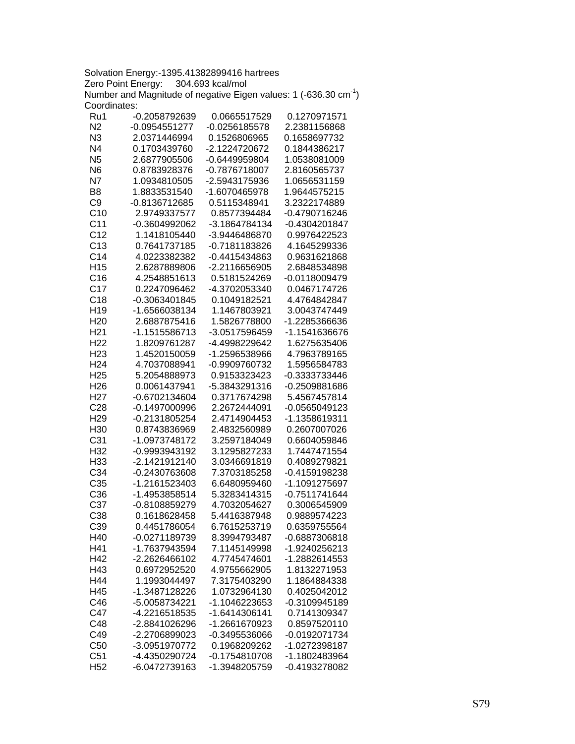Solvation Energy:-1395.41382899416 hartrees Zero Point Energy: 304.693 kcal/mol Number and Magnitude of negative Eigen values: 1 (-636.30 cm<sup>-1</sup>) Coordinates:

| Ru1             | -0.2058792639   | 0.0665517529                  | 0.1270971571  |
|-----------------|-----------------|-------------------------------|---------------|
| N2              | $-0.0954551277$ | -0.0256185578                 | 2.2381156868  |
| N3              | 2.0371446994    | 0.1526806965                  | 0.1658697732  |
| N4              | 0.1703439760    | -2.1224720672                 | 0.1844386217  |
| N <sub>5</sub>  | 2.6877905506    | -0.6449959804                 | 1.0538081009  |
| N <sub>6</sub>  | 0.8783928376    | -0.7876718007                 | 2.8160565737  |
| N7              | 1.0934810505    | -2.5943175936                 | 1.0656531159  |
| B <sub>8</sub>  | 1.8833531540    | -1.6070465978                 | 1.9644575215  |
| C <sub>9</sub>  | -0.8136712685   | 0.5115348941                  | 3.2322174889  |
| C10             | 2.9749337577    | 0.8577394484                  | -0.4790716246 |
| C <sub>11</sub> | -0.3604992062   | -3.1864784134                 | -0.4304201847 |
| C <sub>12</sub> | 1.1418105440    | -3.9446486870                 | 0.9976422523  |
| C13             | 0.7641737185    | -0.7181183826                 | 4.1645299336  |
| C <sub>14</sub> | 4.0223382382    | -0.4415434863                 | 0.9631621868  |
| H <sub>15</sub> | 2.6287889806    | -2.2116656905                 | 2.6848534898  |
| C16             | 4.2548851613    | 0.5181524269                  | -0.0118009479 |
| C17             | 0.2247096462    | -4.3702053340                 | 0.0467174726  |
| C18             | -0.3063401845   | 0.1049182521                  | 4.4764842847  |
| H <sub>19</sub> | -1.6566038134   | 1.1467803921                  | 3.0043747449  |
| H <sub>20</sub> | 2.6887875416    | 1.5826778800                  | -1.2285366636 |
| H <sub>21</sub> | -1.1515586713   | -3.0517596459                 | -1.1541636676 |
| H <sub>22</sub> | 1.8209761287    | -4.4998229642                 | 1.6275635406  |
| H <sub>23</sub> | 1.4520150059    | -1.2596538966                 | 4.7963789165  |
| H <sub>24</sub> | 4.7037088941    | -0.9909760732                 | 1.5956584783  |
| H <sub>25</sub> | 5.2054888973    | 0.9153323423                  | -0.3333733446 |
| H <sub>26</sub> | 0.0061437941    | -5.3843291316                 | -0.2509881686 |
| H <sub>27</sub> | -0.6702134604   | 0.3717674298                  | 5.4567457814  |
| C <sub>28</sub> | -0.1497000996   | 2.2672444091                  | -0.0565049123 |
| H <sub>29</sub> | -0.2131805254   | 2.4714904453                  | -1.1358619311 |
| H30             | 0.8743836969    | 2.4832560989                  | 0.2607007026  |
| C <sub>31</sub> | -1.0973748172   | 3.2597184049                  | 0.6604059846  |
| H32             | -0.9993943192   | 3.1295827233                  | 1.7447471554  |
| H <sub>33</sub> | -2.1421912140   | 3.0346691819                  | 0.4089279821  |
| C <sub>34</sub> | -0.2430763608   | 7.3703185258                  | -0.4159198238 |
| C35             | -1.2161523403   | 6.6480959460                  | -1.1091275697 |
| C36             | -1.4953858514   | 5.3283414315                  | -0.7511741644 |
| C37             | -0.8108859279   | 4.7032054627                  | 0.3006545909  |
| C38             | 0.1618628458    | 5.4416387948                  | 0.9889574223  |
| C39             | 0.4451786054    | 6.7615253719                  | 0.6359755564  |
| H40             | -0.0271189739   | 8.3994793487                  | -0.6887306818 |
| H41             | -1.7637943594   | 7.1145149998                  | -1.9240256213 |
| H42             | -2.2626466102   | 4.7745474601                  | -1.2882614553 |
| H43             | 0.6972952520    | 4.9755662905                  | 1.8132271953  |
| H44             |                 |                               | 1.1864884338  |
|                 | 1.1993044497    | 7.3175403290                  | 0.4025042012  |
| H45             | -1.3487128226   | 1.0732964130<br>-1.1046223653 | -0.3109945189 |
| C46             | -5.0058734221   |                               |               |
| C47             | -4.2216518535   | -1.6414306141                 | 0.7141309347  |
| C48             | -2.8841026296   | -1.2661670923                 | 0.8597520110  |
| C49             | -2.2706899023   | -0.3495536066                 | -0.0192071734 |
| C50             | -3.0951970772   | 0.1968209262                  | -1.0272398187 |
| C <sub>51</sub> | -4.4350290724   | $-0.1754810708$               | -1.1802483964 |
| H <sub>52</sub> | -6.0472739163   | -1.3948205759                 | -0.4193278082 |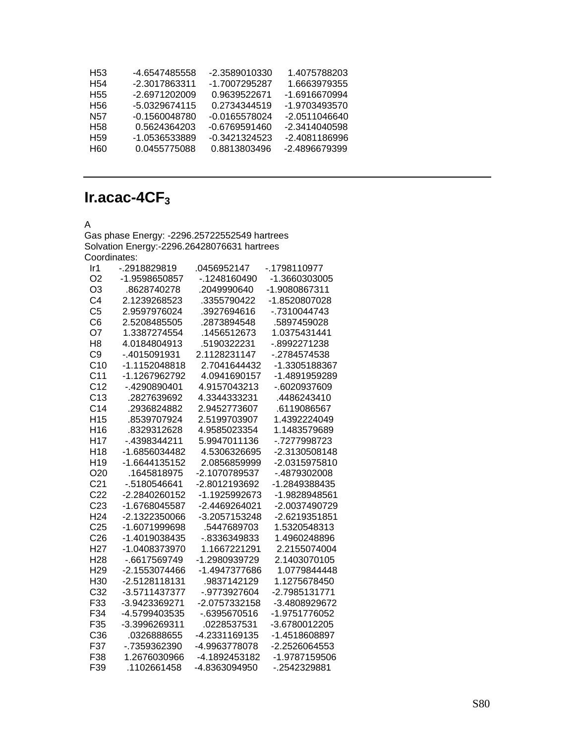| H53             | -4.6547485558 | -2.3589010330 | 1.4075788203  |
|-----------------|---------------|---------------|---------------|
| H54             | -2.3017863311 | -1.7007295287 | 1.6663979355  |
| H55             | -2.6971202009 | 0.9639522671  | -1.6916670994 |
| H56             | -5.0329674115 | 0.2734344519  | -1.9703493570 |
| N57             | -0.1560048780 | -0.0165578024 | -2.0511046640 |
| H <sub>58</sub> | 0.5624364203  | -0.6769591460 | -2.3414040598 |
| H <sub>59</sub> | -1 0536533889 | -0.3421324523 | -2.4081186996 |
| <b>H60</b>      | 0.0455775088  | 0.8813803496  | -2.4896679399 |
|                 |               |               |               |

## **Ir.acac-4CF3**

## A

Gas phase Energy: -2296.25722552549 hartrees Solvation Energy:-2296.26428076631 hartrees Coordinates:

| Ir1             | -.2918829819  | .0456952147   | -.1798110977  |
|-----------------|---------------|---------------|---------------|
| O <sub>2</sub>  | -1.9598650857 | -.1248160490  | -1.3660303005 |
| O <sub>3</sub>  | .8628740278   | .2049990640   | -1.9080867311 |
| C <sub>4</sub>  | 2.1239268523  | .3355790422   | -1.8520807028 |
| C <sub>5</sub>  | 2.9597976024  | .3927694616   | -.7310044743  |
| C <sub>6</sub>  | 2.5208485505  | .2873894548   | .5897459028   |
| O7              | 1.3387274554  | .1456512673   | 1.0375431441  |
| H <sub>8</sub>  | 4.0184804913  | .5190322231   | -.8992271238  |
| C <sub>9</sub>  | -.4015091931  | 2.1128231147  | -.2784574538  |
| C <sub>10</sub> | -1.1152048818 | 2.7041644432  | -1.3305188367 |
| C <sub>11</sub> | -1.1267962792 | 4.0941690157  | -1.4891959289 |
| C <sub>12</sub> | -.4290890401  | 4.9157043213  | -.6020937609  |
| C <sub>13</sub> | .2827639692   | 4.3344333231  | .4486243410   |
| C <sub>14</sub> | .2936824882   | 2.9452773607  | .6119086567   |
| H <sub>15</sub> | .8539707924   | 2.5199703907  | 1.4392224049  |
| H <sub>16</sub> | .8329312628   | 4.9585023354  | 1.1483579689  |
| H <sub>17</sub> | -.4398344211  | 5.9947011136  | -.7277998723  |
| H <sub>18</sub> | -1.6856034482 | 4.5306326695  | -2.3130508148 |
| H <sub>19</sub> | -1.6644135152 | 2.0856859999  | -2.0315975810 |
| O <sub>20</sub> | .1645818975   | -2.1070789537 | -.4879302008  |
| C <sub>21</sub> | -.5180546641  | -2.8012193692 | -1.2849388435 |
| C <sub>22</sub> | -2.2840260152 | -1.1925992673 | -1.9828948561 |
| C <sub>23</sub> | -1.6768045587 | -2.4469264021 | -2.0037490729 |
| H <sub>24</sub> | -2.1322350066 | -3.2057153248 | -2.6219351851 |
| C <sub>25</sub> | -1.6071999698 | .5447689703   | 1.5320548313  |
| C <sub>26</sub> | -1.4019038435 | -.8336349833  | 1.4960248896  |
| H <sub>27</sub> | -1.0408373970 | 1.1667221291  | 2.2155074004  |
| H <sub>28</sub> | -.6617569749  | -1.2980939729 | 2.1403070105  |
| H <sub>29</sub> | -2.1553074466 | -1.4947377686 | 1.0779844448  |
| H <sub>30</sub> | -2.5128118131 | .9837142129   | 1.1275678450  |
| C <sub>32</sub> | -3.5711437377 | -.9773927604  | -2.7985131771 |
| F33             | -3.9423369271 | -2.0757332158 | -3.4808929672 |
| F34             | -4.5799403535 | -.6395670516  | -1.9751776052 |
| F35             | -3.3996269311 | .0228537531   | -3.6780012205 |
| C36             | .0326888655   | -4.2331169135 | -1.4518608897 |
| F37             | -.7359362390  | -4.9963778078 | -2.2526064553 |
| F38             | 1.2676030966  | -4.1892453182 | -1.9787159506 |
| F39             | .1102661458   | -4.8363094950 | -.2542329881  |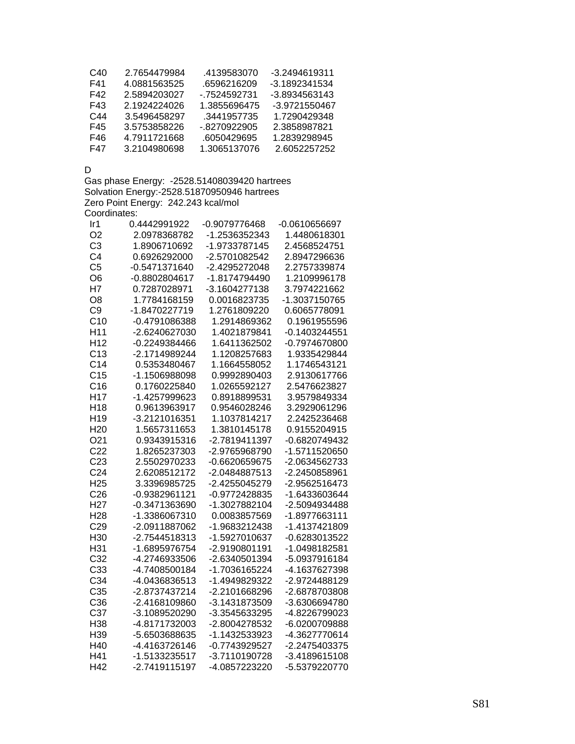| C40 | 2.7654479984 | 4139583070   | -3.2494619311 |
|-----|--------------|--------------|---------------|
| F41 | 4.0881563525 | .6596216209  | -3.1892341534 |
| F42 | 2.5894203027 | - 7524592731 | -3.8934563143 |
| F43 | 2 1924224026 | 1.3855696475 | -3.9721550467 |
| C44 | 3.5496458297 | .3441957735  | 1.7290429348  |
| F45 | 3.5753858226 | - 8270922905 | 2.3858987821  |
| F46 | 4 7911721668 | 6050429695   | 1 2839298945  |
| F47 | 3 2104980698 | 1 3065137076 | 2.6052257252  |

D

Gas phase Energy: -2528.51408039420 hartrees Solvation Energy:-2528.51870950946 hartrees Zero Point Energy: 242.243 kcal/mol Coordinates:

| Ir <sub>1</sub> | 0.4442991922  | -0.9079776468 | -0.0610656697   |
|-----------------|---------------|---------------|-----------------|
| O <sub>2</sub>  | 2.0978368782  | -1.2536352343 | 1.4480618301    |
| C <sub>3</sub>  | 1.8906710692  | -1.9733787145 | 2.4568524751    |
| C <sub>4</sub>  | 0.6926292000  | -2.5701082542 | 2.8947296636    |
| C <sub>5</sub>  | -0.5471371640 | -2.4295272048 | 2.2757339874    |
| O <sub>6</sub>  | -0.8802804617 | -1.8174794490 | 1.2109996178    |
| H7              | 0.7287028971  | -3.1604277138 | 3.7974221662    |
| O <sub>8</sub>  | 1.7784168159  | 0.0016823735  | -1.3037150765   |
| C <sub>9</sub>  | -1.8470227719 | 1.2761809220  | 0.6065778091    |
| C <sub>10</sub> | -0.4791086388 | 1.2914869362  | 0.1961955596    |
| H <sub>11</sub> | -2.6240627030 | 1.4021879841  | $-0.1403244551$ |
| H <sub>12</sub> | -0.2249384466 | 1.6411362502  | -0.7974670800   |
| C13             | -2.1714989244 | 1.1208257683  | 1.9335429844    |
| C <sub>14</sub> | 0.5353480467  | 1.1664558052  | 1.1746543121    |
| C <sub>15</sub> | -1.1506988098 | 0.9992890403  | 2.9130617766    |
| C16             | 0.1760225840  | 1.0265592127  | 2.5476623827    |
| H <sub>17</sub> | -1.4257999623 | 0.8918899531  | 3.9579849334    |
| H <sub>18</sub> | 0.9613963917  | 0.9546028246  | 3.2929061296    |
| H <sub>19</sub> | -3.2121016351 | 1.1037814217  | 2.2425236468    |
| H <sub>20</sub> | 1.5657311653  | 1.3810145178  | 0.9155204915    |
| O21             | 0.9343915316  | -2.7819411397 | -0.6820749432   |
| C <sub>22</sub> | 1.8265237303  | -2.9765968790 | -1.5711520650   |
| C <sub>23</sub> | 2.5502970233  | -0.6620659675 | -2.0634562733   |
| C <sub>24</sub> | 2.6208512172  | -2.0484887513 | -2.2450858961   |
| H <sub>25</sub> | 3.3396985725  | -2.4255045279 | -2.9562516473   |
| C <sub>26</sub> | -0.9382961121 | -0.9772428835 | -1.6433603644   |
| H <sub>27</sub> | -0.3471363690 | -1.3027882104 | -2.5094934488   |
| H <sub>28</sub> | -1.3386067310 | 0.0083857569  | -1.8977663111   |
| C <sub>29</sub> | -2.0911887062 | -1.9683212438 | -1.4137421809   |
| H30             | -2.7544518313 | -1.5927010637 | -0.6283013522   |
| H31             | -1.6895976754 | -2.9190801191 | -1.0498182581   |
| C <sub>32</sub> | -4.2746933506 | -2.6340501394 | -5.0937916184   |
| C33             | -4.7408500184 | -1.7036165224 | -4.1637627398   |
| C34             | -4.0436836513 | -1.4949829322 | -2.9724488129   |
| C35             | -2.8737437214 | -2.2101668296 | -2.6878703808   |
| C36             | -2.4168109860 | -3.1431873509 | -3.6306694780   |
| C37             | -3.1089520290 | -3.3545633295 | -4.8226799023   |
| H38             | -4.8171732003 | -2.8004278532 | -6.0200709888   |
| H39             | -5.6503688635 | -1.1432533923 | -4.3627770614   |
| H40             | -4.4163726146 | -0.7743929527 | -2.2475403375   |
| H41             | -1.5133235517 | -3.7110190728 | -3.4189615108   |
| H42             | -2.7419115197 | -4.0857223220 | -5.5379220770   |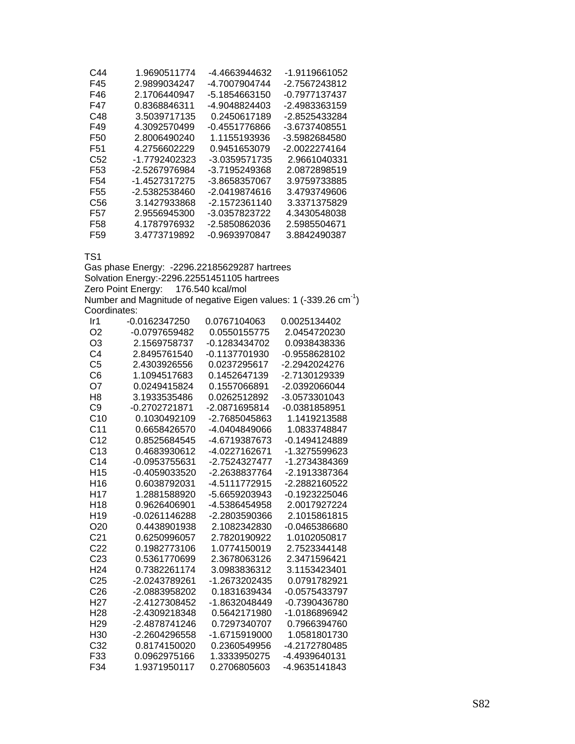| C44             | 1.9690511774  | -4.4663944632 | -1.9119661052 |
|-----------------|---------------|---------------|---------------|
| F45             | 2.9899034247  | -4.7007904744 | -2.7567243812 |
| F46             | 2.1706440947  | -5.1854663150 | -0.7977137437 |
| F47             | 0.8368846311  | -4.9048824403 | -2.4983363159 |
| C48             | 3.5039717135  | 0.2450617189  | -2.8525433284 |
| F49             | 4.3092570499  | -0.4551776866 | -3.6737408551 |
| F50             | 2.8006490240  | 1 1155193936  | -3.5982684580 |
| F51             | 4.2756602229  | 0.9451653079  | -2.0022274164 |
| C52             | -1.7792402323 | -3.0359571735 | 2.9661040331  |
| F53             | -2.5267976984 | -3.7195249368 | 2.0872898519  |
| F54             | -1.4527317275 | -3.8658357067 | 3.9759733885  |
| F55             | -2.5382538460 | -2.0419874616 | 3.4793749606  |
| C56             | 3.1427933868  | -2.1572361140 | 3.3371375829  |
| F57             | 2.9556945300  | -3.0357823722 | 4.3430548038  |
| F58             | 4.1787976932  | -2.5850862036 | 2.5985504671  |
| F <sub>59</sub> | 3.4773719892  | -0.9693970847 | 3.8842490387  |

TS1

Gas phase Energy: -2296.22185629287 hartrees Solvation Energy:-2296.22551451105 hartrees Zero Point Energy: 176.540 kcal/mol Number and Magnitude of negative Eigen values: 1 (-339.26  $cm^{-1}$ ) Coordinates:

| lr1             | -0.0162347250 | 0.0767104063  | 0.0025134402  |
|-----------------|---------------|---------------|---------------|
| O2              | -0.0797659482 | 0.0550155775  | 2.0454720230  |
| O3              | 2.1569758737  | -0.1283434702 | 0.0938438336  |
| C <sub>4</sub>  | 2.8495761540  | -0.1137701930 | -0.9558628102 |
| C <sub>5</sub>  | 2.4303926556  | 0.0237295617  | -2.2942024276 |
| C6              | 1.1094517683  | 0.1452647139  | -2.7130129339 |
| O7              | 0.0249415824  | 0.1557066891  | -2.0392066044 |
| H <sub>8</sub>  | 3.1933535486  | 0.0262512892  | -3.0573301043 |
| C9              | -0.2702721871 | -2.0871695814 | -0.0381858951 |
| C <sub>10</sub> | 0.1030492109  | -2.7685045863 | 1.1419213588  |
| C <sub>11</sub> | 0.6658426570  | -4.0404849066 | 1.0833748847  |
| C <sub>12</sub> | 0.8525684545  | -4.6719387673 | -0.1494124889 |
| C13             | 0.4683930612  | -4.0227162671 | -1.3275599623 |
| C <sub>14</sub> | -0.0953755631 | -2.7524327477 | -1.2734384369 |
| H <sub>15</sub> | -0.4059033520 | -2.2638837764 | -2.1913387364 |
| H <sub>16</sub> | 0.6038792031  | -4.5111772915 | -2.2882160522 |
| H <sub>17</sub> | 1.2881588920  | -5.6659203943 | -0.1923225046 |
| H <sub>18</sub> | 0.9626406901  | -4.5386454958 | 2.0017927224  |
| H <sub>19</sub> | -0.0261146288 | -2.2803590366 | 2.1015861815  |
| O <sub>20</sub> | 0.4438901938  | 2.1082342830  | -0.0465386680 |
| C <sub>21</sub> | 0.6250996057  | 2.7820190922  | 1.0102050817  |
| C <sub>22</sub> | 0.1982773106  | 1.0774150019  | 2.7523344148  |
| C <sub>23</sub> | 0.5361770699  | 2.3678063126  | 2.3471596421  |
| H <sub>24</sub> | 0.7382261174  | 3.0983836312  | 3.1153423401  |
| C <sub>25</sub> | -2.0243789261 | -1.2673202435 | 0.0791782921  |
| C <sub>26</sub> | -2.0883958202 | 0.1831639434  | -0.0575433797 |
| H <sub>27</sub> | -2.4127308452 | -1.8632048449 | -0.7390436780 |
| H <sub>28</sub> | -2.4309218348 | 0.5642171980  | -1.0186896942 |
| H <sub>29</sub> | -2.4878741246 | 0.7297340707  | 0.7966394760  |
| H30             | -2.2604296558 | -1.6715919000 | 1.0581801730  |
| C <sub>32</sub> | 0.8174150020  | 0.2360549956  | -4.2172780485 |
| F33             | 0.0962975166  | 1.3333950275  | -4.4939640131 |
| F34             | 1.9371950117  | 0.2706805603  | -4.9635141843 |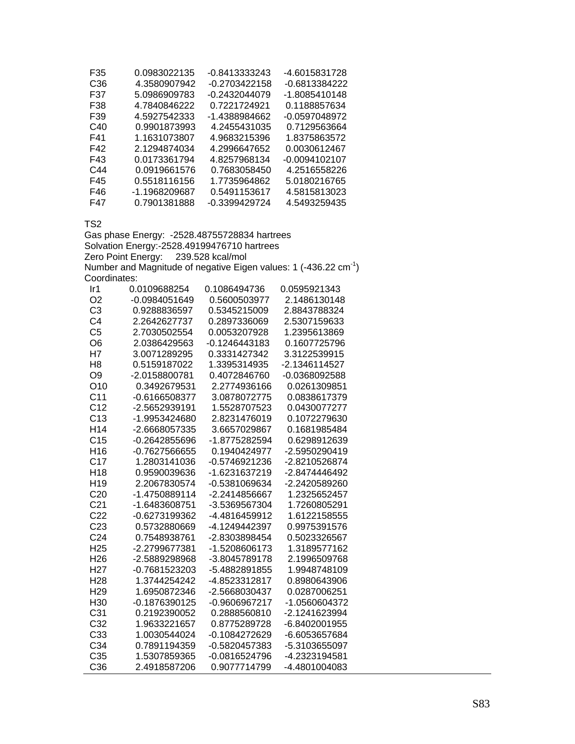| F35 | 0.0983022135  | -0.8413333243 | -4.6015831728 |
|-----|---------------|---------------|---------------|
| C36 | 4.3580907942  | -0.2703422158 | -0.6813384222 |
| F37 | 5.0986909783  | -0.2432044079 | -1.8085410148 |
| F38 | 4.7840846222  | 0.7221724921  | 0.1188857634  |
| F39 | 4.5927542333  | -1.4388984662 | -0.0597048972 |
| C40 | 0.9901873993  | 4.2455431035  | 0.7129563664  |
| F41 | 1.1631073807  | 4.9683215396  | 1.8375863572  |
| F42 | 2.1294874034  | 4.2996647652  | 0.0030612467  |
| F43 | 0.0173361794  | 4.8257968134  | -0.0094102107 |
| C44 | 0.0919661576  | 0.7683058450  | 4.2516558226  |
| F45 | 0.5518116156  | 1.7735964862  | 5.0180216765  |
| F46 | -1.1968209687 | 0.5491153617  | 4.5815813023  |
| F47 | 0.7901381888  | -0.3399429724 | 4.5493259435  |

TS2

Gas phase Energy: -2528.48755728834 hartrees Solvation Energy:-2528.49199476710 hartrees Zero Point Energy: 239.528 kcal/mol Number and Magnitude of negative Eigen values: 1 (-436.22  $cm^{-1}$ ) Coordinates:

| Ir1             | 0.0109688254  | 0.1086494736  | 0.0595921343  |
|-----------------|---------------|---------------|---------------|
| O <sub>2</sub>  | -0.0984051649 | 0.5600503977  | 2.1486130148  |
| C <sub>3</sub>  | 0.9288836597  | 0.5345215009  | 2.8843788324  |
| C <sub>4</sub>  | 2.2642627737  | 0.2897336069  | 2.5307159633  |
| C <sub>5</sub>  | 2.7030502554  | 0.0053207928  | 1.2395613869  |
| O6              | 2.0386429563  | -0.1246443183 | 0.1607725796  |
| H7              | 3.0071289295  | 0.3331427342  | 3.3122539915  |
| H <sub>8</sub>  | 0.5159187022  | 1.3395314935  | -2.1346114527 |
| O <sub>9</sub>  | -2.0158800781 | 0.4072846760  | -0.0368092588 |
| O10             | 0.3492679531  | 2.2774936166  | 0.0261309851  |
| C <sub>11</sub> | -0.6166508377 | 3.0878072775  | 0.0838617379  |
| C <sub>12</sub> | -2.5652939191 | 1.5528707523  | 0.0430077277  |
| C <sub>13</sub> | -1.9953424680 | 2.8231476019  | 0.1072279630  |
| H <sub>14</sub> | -2.6668057335 | 3.6657029867  | 0.1681985484  |
| C <sub>15</sub> | -0.2642855696 | -1.8775282594 | 0.6298912639  |
| H <sub>16</sub> | -0.7627566655 | 0.1940424977  | -2.5950290419 |
| C <sub>17</sub> | 1.2803141036  | -0.5746921236 | -2.8210526874 |
| H <sub>18</sub> | 0.9590039636  | -1.6231637219 | -2.8474446492 |
| H <sub>19</sub> | 2.2067830574  | -0.5381069634 | -2.2420589260 |
| C <sub>20</sub> | -1.4750889114 | -2.2414856667 | 1.2325652457  |
| C <sub>21</sub> | -1.6483608751 | -3.5369567304 | 1.7260805291  |
| C <sub>22</sub> | -0.6273199362 | -4.4816459912 | 1.6122158555  |
| C <sub>23</sub> | 0.5732880669  | -4.1249442397 | 0.9975391576  |
| C <sub>24</sub> | 0.7548938761  | -2.8303898454 | 0.5023326567  |
| H <sub>25</sub> | -2.2799677381 | -1.5208606173 | 1.3189577162  |
| H <sub>26</sub> | -2.5889298968 | -3.8045789178 | 2.1996509768  |
| H <sub>27</sub> | -0.7681523203 | -5.4882891855 | 1.9948748109  |
| H <sub>28</sub> | 1.3744254242  | -4.8523312817 | 0.8980643906  |
| H <sub>29</sub> | 1.6950872346  | -2.5668030437 | 0.0287006251  |
| H <sub>30</sub> | -0.1876390125 | -0.9606967217 | -1.0560604372 |
| C <sub>31</sub> | 0.2192390052  | 0.2888560810  | -2.1241623994 |
| C <sub>32</sub> | 1.9633221657  | 0.8775289728  | -6.8402001955 |
| C33             | 1.0030544024  | -0.1084272629 | -6.6053657684 |
| C34             | 0.7891194359  | -0.5820457383 | -5.3103655097 |
| C35             | 1.5307859365  | -0.0816524796 | -4.2323194581 |
| C <sub>36</sub> | 2.4918587206  | 0.9077714799  | -4.4801004083 |